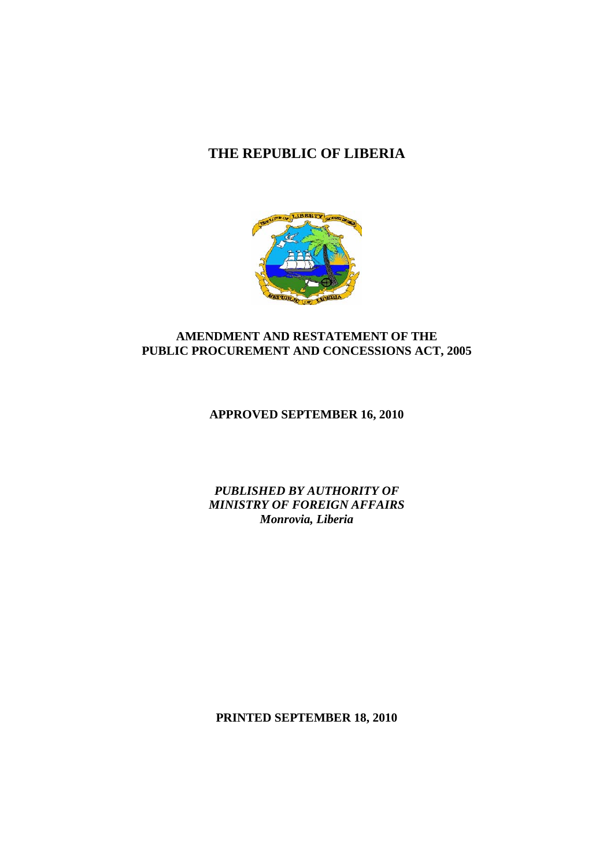# **THE REPUBLIC OF LIBERIA**



## **AMENDMENT AND RESTATEMENT OF THE PUBLIC PROCUREMENT AND CONCESSIONS ACT, 2005**

# **APPROVED SEPTEMBER 16, 2010**

*PUBLISHED BY AUTHORITY OF MINISTRY OF FOREIGN AFFAIRS Monrovia, Liberia*

**PRINTED SEPTEMBER 18, 2010**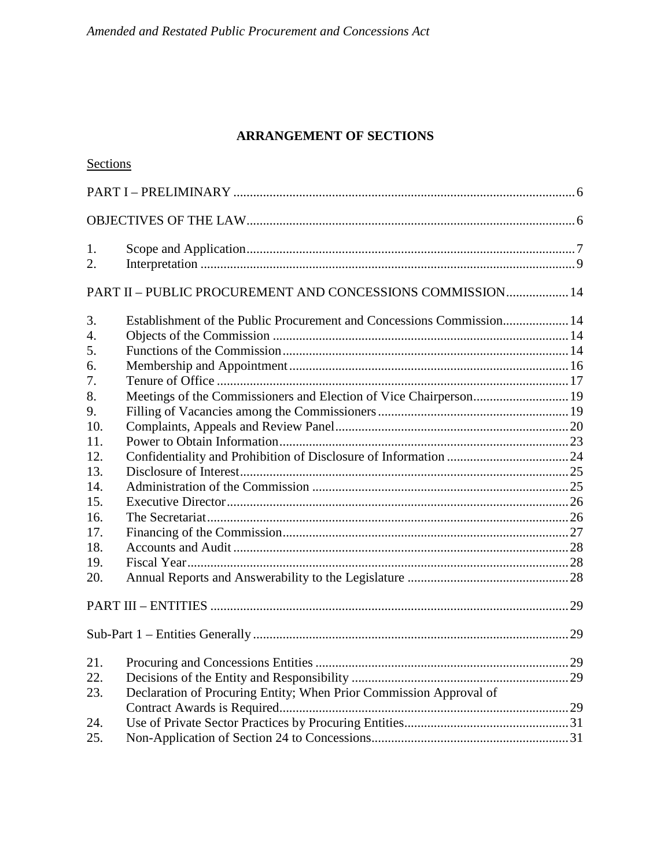# **ARRANGEMENT OF SECTIONS**

| Sections         |                                                                       |  |
|------------------|-----------------------------------------------------------------------|--|
|                  |                                                                       |  |
|                  |                                                                       |  |
| 1.               |                                                                       |  |
| 2.               |                                                                       |  |
|                  | PART II - PUBLIC PROCUREMENT AND CONCESSIONS COMMISSION 14            |  |
| 3.               | Establishment of the Public Procurement and Concessions Commission 14 |  |
| $\overline{4}$ . |                                                                       |  |
| 5.               |                                                                       |  |
| 6.               |                                                                       |  |
| 7.               |                                                                       |  |
| 8.               | Meetings of the Commissioners and Election of Vice Chairperson 19     |  |
| 9.               |                                                                       |  |
| 10.              |                                                                       |  |
| 11.              |                                                                       |  |
| 12.              |                                                                       |  |
| 13.              |                                                                       |  |
| 14.              |                                                                       |  |
| 15.              |                                                                       |  |
| 16.              |                                                                       |  |
| 17.              |                                                                       |  |
| 18.              |                                                                       |  |
| 19.              |                                                                       |  |
| 20.              |                                                                       |  |
|                  |                                                                       |  |
|                  |                                                                       |  |
| 21.              |                                                                       |  |
| 22.              |                                                                       |  |
| 23.              | Declaration of Procuring Entity; When Prior Commission Approval of    |  |
|                  |                                                                       |  |
| 24.              |                                                                       |  |
| 25.              |                                                                       |  |
|                  |                                                                       |  |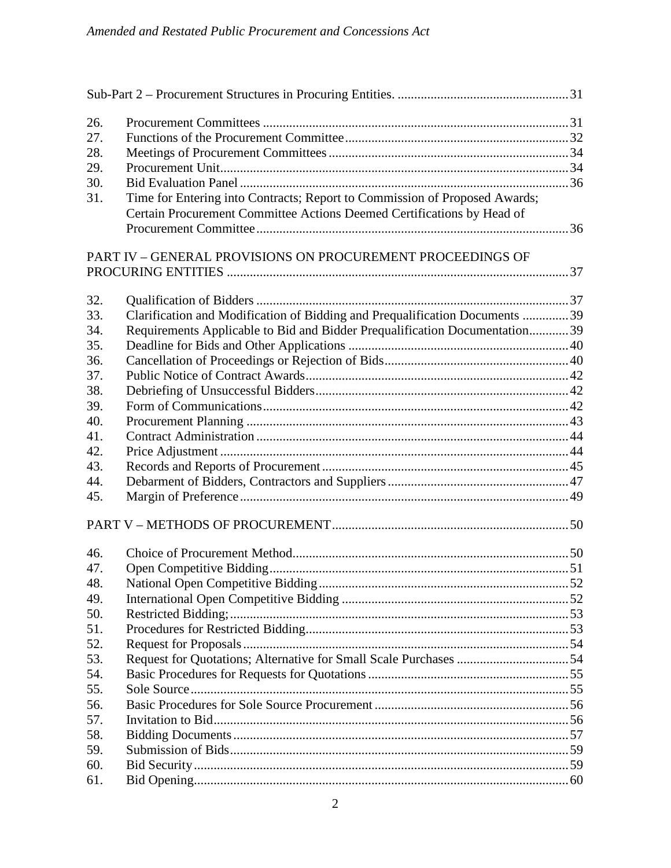| 26. |                                                                              |  |
|-----|------------------------------------------------------------------------------|--|
| 27. |                                                                              |  |
| 28. |                                                                              |  |
| 29. |                                                                              |  |
| 30. |                                                                              |  |
| 31. | Time for Entering into Contracts; Report to Commission of Proposed Awards;   |  |
|     | Certain Procurement Committee Actions Deemed Certifications by Head of       |  |
|     |                                                                              |  |
|     |                                                                              |  |
|     | PART IV - GENERAL PROVISIONS ON PROCUREMENT PROCEEDINGS OF                   |  |
|     |                                                                              |  |
|     |                                                                              |  |
| 32. |                                                                              |  |
| 33. | Clarification and Modification of Bidding and Prequalification Documents  39 |  |
| 34. | Requirements Applicable to Bid and Bidder Prequalification Documentation 39  |  |
| 35. |                                                                              |  |
| 36. |                                                                              |  |
| 37. |                                                                              |  |
| 38. |                                                                              |  |
| 39. |                                                                              |  |
| 40. |                                                                              |  |
| 41. |                                                                              |  |
| 42. |                                                                              |  |
| 43. |                                                                              |  |
| 44. |                                                                              |  |
| 45. |                                                                              |  |
|     |                                                                              |  |
|     |                                                                              |  |
| 46. |                                                                              |  |
| 47. |                                                                              |  |
| 48. |                                                                              |  |
| 49. |                                                                              |  |
| 50. |                                                                              |  |
| 51. |                                                                              |  |
| 52. |                                                                              |  |
| 53. |                                                                              |  |
| 54. |                                                                              |  |
| 55. |                                                                              |  |
| 56. |                                                                              |  |
| 57. |                                                                              |  |
| 58. |                                                                              |  |
| 59. |                                                                              |  |
| 60. |                                                                              |  |
|     |                                                                              |  |
| 61. |                                                                              |  |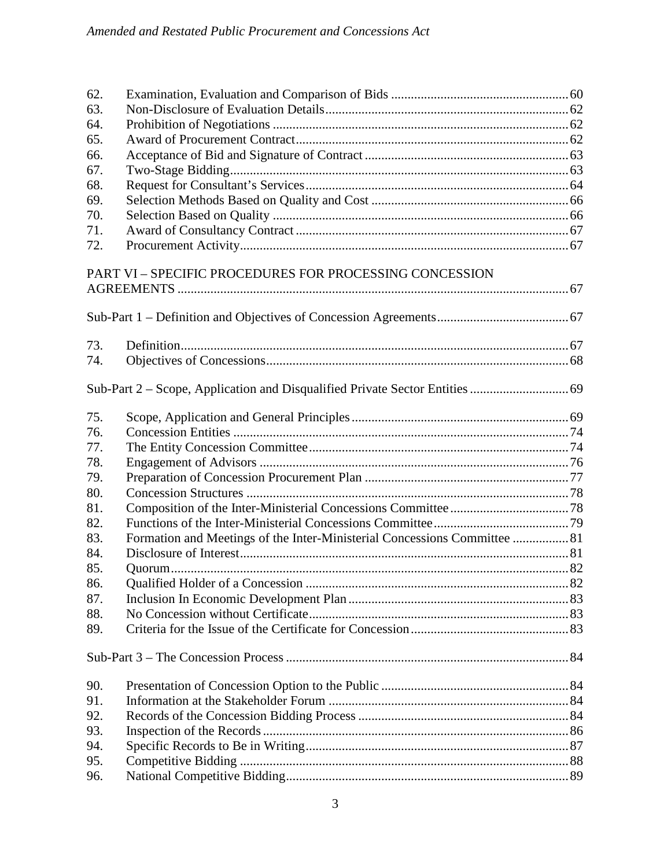| 62. |                                                                           |  |
|-----|---------------------------------------------------------------------------|--|
| 63. |                                                                           |  |
| 64. |                                                                           |  |
| 65. |                                                                           |  |
| 66. |                                                                           |  |
| 67. |                                                                           |  |
| 68. |                                                                           |  |
| 69. |                                                                           |  |
| 70. |                                                                           |  |
| 71. |                                                                           |  |
| 72. |                                                                           |  |
|     | PART VI - SPECIFIC PROCEDURES FOR PROCESSING CONCESSION                   |  |
|     |                                                                           |  |
| 73. |                                                                           |  |
| 74. |                                                                           |  |
|     |                                                                           |  |
|     |                                                                           |  |
| 75. |                                                                           |  |
| 76. |                                                                           |  |
| 77. |                                                                           |  |
| 78. |                                                                           |  |
| 79. |                                                                           |  |
| 80. |                                                                           |  |
| 81. |                                                                           |  |
| 82. |                                                                           |  |
| 83. | Formation and Meetings of the Inter-Ministerial Concessions Committee  81 |  |
| 84. |                                                                           |  |
| 85. |                                                                           |  |
| 86. |                                                                           |  |
| 87. |                                                                           |  |
| 88. |                                                                           |  |
| 89. |                                                                           |  |
|     |                                                                           |  |
| 90. |                                                                           |  |
| 91. |                                                                           |  |
| 92. |                                                                           |  |
| 93. |                                                                           |  |
| 94. |                                                                           |  |
| 95. |                                                                           |  |
| 96. |                                                                           |  |
|     |                                                                           |  |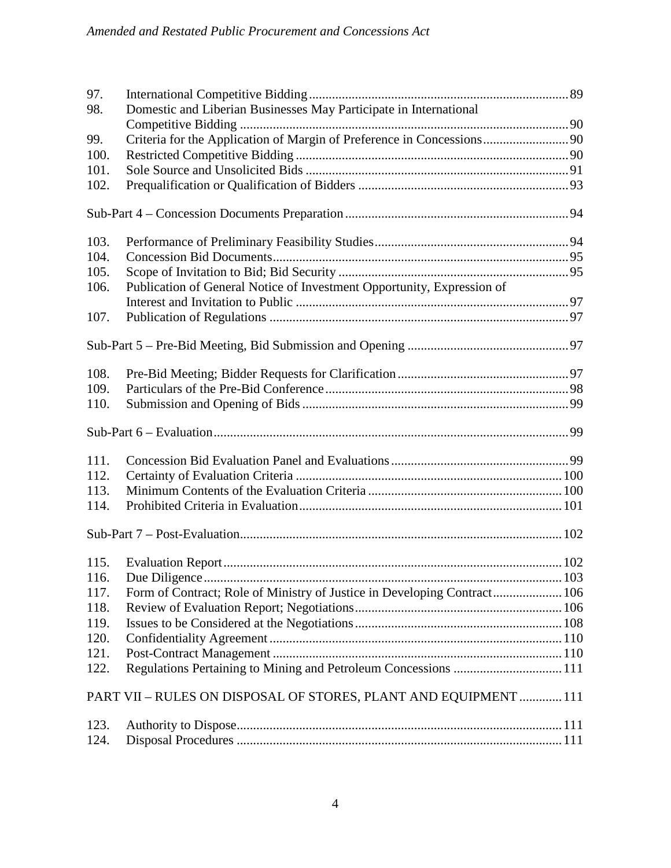| 97.<br>Domestic and Liberian Businesses May Participate in International<br>98.  |  |
|----------------------------------------------------------------------------------|--|
|                                                                                  |  |
| Criteria for the Application of Margin of Preference in Concessions 90<br>99.    |  |
| 100.                                                                             |  |
| 101.                                                                             |  |
| 102.                                                                             |  |
|                                                                                  |  |
|                                                                                  |  |
| 103.                                                                             |  |
| 104.                                                                             |  |
| 105.                                                                             |  |
| Publication of General Notice of Investment Opportunity, Expression of<br>106.   |  |
|                                                                                  |  |
| 107.                                                                             |  |
|                                                                                  |  |
|                                                                                  |  |
| 108.                                                                             |  |
| 109.                                                                             |  |
| 110.                                                                             |  |
|                                                                                  |  |
| 111.                                                                             |  |
| 112.                                                                             |  |
| 113.                                                                             |  |
| 114.                                                                             |  |
|                                                                                  |  |
|                                                                                  |  |
|                                                                                  |  |
|                                                                                  |  |
| Form of Contract; Role of Ministry of Justice in Developing Contract 106<br>117. |  |
| 118.                                                                             |  |
| 119.                                                                             |  |
| 120.                                                                             |  |
| 121.                                                                             |  |
| Regulations Pertaining to Mining and Petroleum Concessions  111<br>122.          |  |
|                                                                                  |  |
| PART VII - RULES ON DISPOSAL OF STORES, PLANT AND EQUIPMENT  111                 |  |
| 123.                                                                             |  |
| 124.                                                                             |  |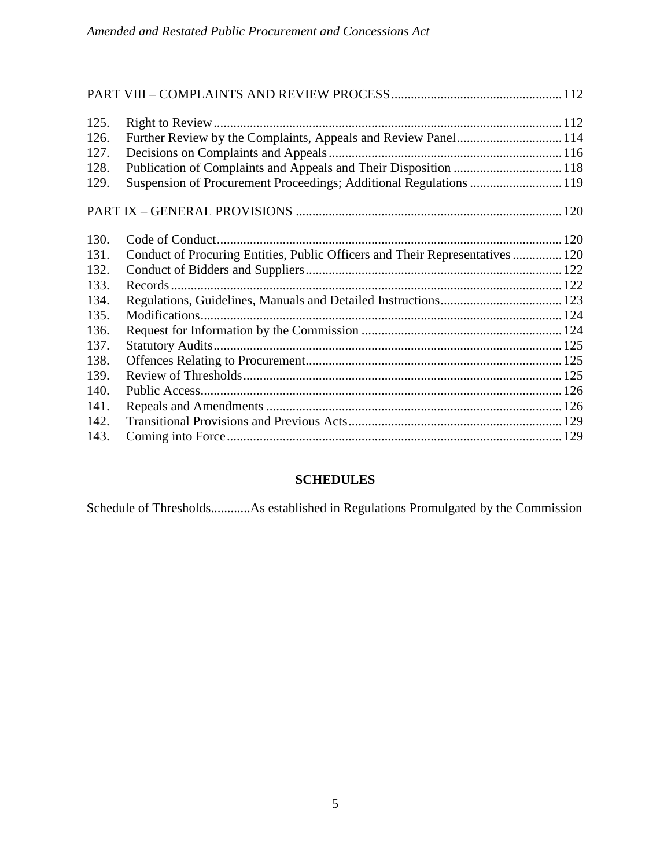| 125. |                                                                               |  |
|------|-------------------------------------------------------------------------------|--|
| 126. | Further Review by the Complaints, Appeals and Review Panel 114                |  |
| 127. |                                                                               |  |
| 128. | Publication of Complaints and Appeals and Their Disposition  118              |  |
| 129. | Suspension of Procurement Proceedings; Additional Regulations  119            |  |
|      |                                                                               |  |
| 130. |                                                                               |  |
| 131. | Conduct of Procuring Entities, Public Officers and Their Representatives  120 |  |
| 132. |                                                                               |  |
| 133. |                                                                               |  |
| 134. |                                                                               |  |
| 135. |                                                                               |  |
| 136. |                                                                               |  |
| 137. |                                                                               |  |
| 138. |                                                                               |  |
| 139. |                                                                               |  |
| 140. |                                                                               |  |
| 141. |                                                                               |  |
| 142. |                                                                               |  |
| 143. |                                                                               |  |

# **SCHEDULES**

Schedule of Thresholds............As established in Regulations Promulgated by the Commission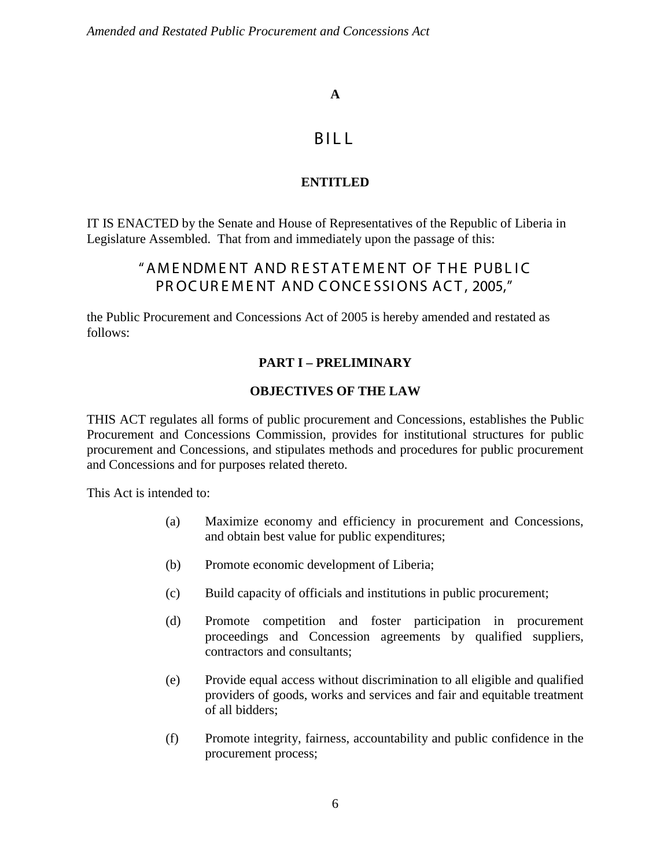## **A**

# BILL

# **ENTITLED**

IT IS ENACTED by the Senate and House of Representatives of the Republic of Liberia in Legislature Assembled. That from and immediately upon the passage of this:

# "AME NDME NT AND R E ST AT E ME NT OF THE PUBL IC PROCUREMENT AND CONCESSIONS ACT, 2005."

the Public Procurement and Concessions Act of 2005 is hereby amended and restated as follows:

# **PART I – PRELIMINARY**

## **OBJECTIVES OF THE LAW**

THIS ACT regulates all forms of public procurement and Concessions, establishes the Public Procurement and Concessions Commission, provides for institutional structures for public procurement and Concessions, and stipulates methods and procedures for public procurement and Concessions and for purposes related thereto.

This Act is intended to:

- (a) Maximize economy and efficiency in procurement and Concessions, and obtain best value for public expenditures;
- (b) Promote economic development of Liberia;
- (c) Build capacity of officials and institutions in public procurement;
- (d) Promote competition and foster participation in procurement proceedings and Concession agreements by qualified suppliers, contractors and consultants;
- (e) Provide equal access without discrimination to all eligible and qualified providers of goods, works and services and fair and equitable treatment of all bidders;
- (f) Promote integrity, fairness, accountability and public confidence in the procurement process;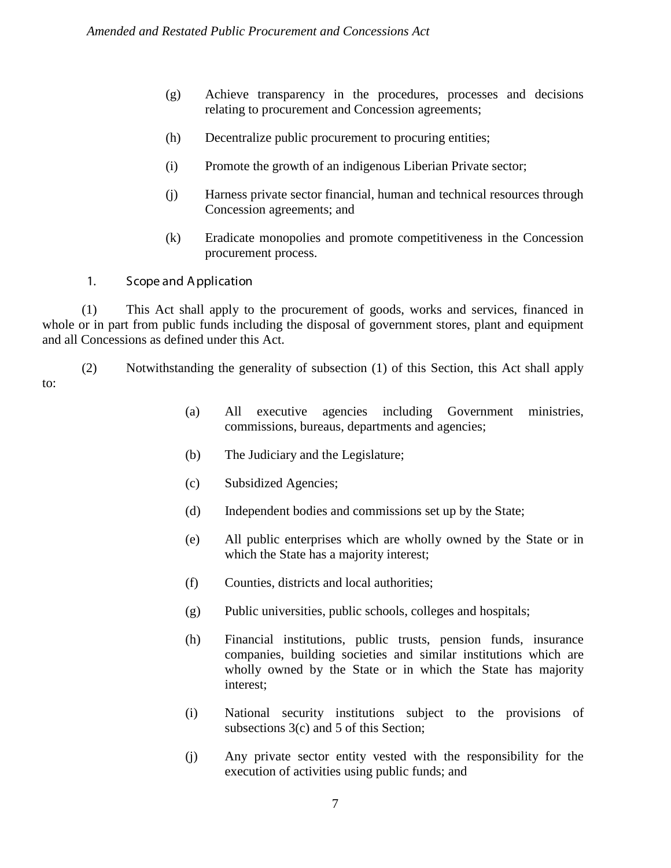- (g) Achieve transparency in the procedures, processes and decisions relating to procurement and Concession agreements;
- (h) Decentralize public procurement to procuring entities;
- (i) Promote the growth of an indigenous Liberian Private sector;
- (j) Harness private sector financial, human and technical resources through Concession agreements; and
- (k) Eradicate monopolies and promote competitiveness in the Concession procurement process.
- 1. Scope and A pplication

(1) This Act shall apply to the procurement of goods, works and services, financed in whole or in part from public funds including the disposal of government stores, plant and equipment and all Concessions as defined under this Act.

(2) Notwithstanding the generality of subsection (1) of this Section, this Act shall apply to:

- (a) All executive agencies including Government ministries, commissions, bureaus, departments and agencies;
- (b) The Judiciary and the Legislature;
- (c) Subsidized Agencies;
- (d) Independent bodies and commissions set up by the State;
- (e) All public enterprises which are wholly owned by the State or in which the State has a majority interest;
- (f) Counties, districts and local authorities;
- (g) Public universities, public schools, colleges and hospitals;
- (h) Financial institutions, public trusts, pension funds, insurance companies, building societies and similar institutions which are wholly owned by the State or in which the State has majority interest;
- (i) National security institutions subject to the provisions of subsections 3(c) and 5 of this Section;
- (j) Any private sector entity vested with the responsibility for the execution of activities using public funds; and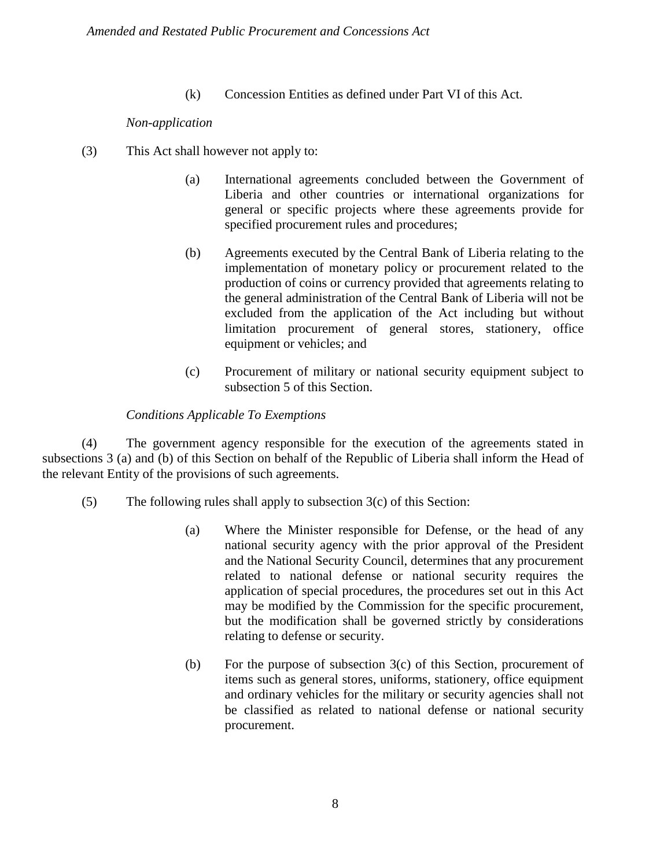(k) Concession Entities as defined under Part VI of this Act.

#### *Non-application*

- (3) This Act shall however not apply to:
	- (a) International agreements concluded between the Government of Liberia and other countries or international organizations for general or specific projects where these agreements provide for specified procurement rules and procedures;
	- (b) Agreements executed by the Central Bank of Liberia relating to the implementation of monetary policy or procurement related to the production of coins or currency provided that agreements relating to the general administration of the Central Bank of Liberia will not be excluded from the application of the Act including but without limitation procurement of general stores, stationery, office equipment or vehicles; and
	- (c) Procurement of military or national security equipment subject to subsection 5 of this Section.

## *Conditions Applicable To Exemptions*

(4) The government agency responsible for the execution of the agreements stated in subsections 3 (a) and (b) of this Section on behalf of the Republic of Liberia shall inform the Head of the relevant Entity of the provisions of such agreements.

- (5) The following rules shall apply to subsection 3(c) of this Section:
	- (a) Where the Minister responsible for Defense, or the head of any national security agency with the prior approval of the President and the National Security Council, determines that any procurement related to national defense or national security requires the application of special procedures, the procedures set out in this Act may be modified by the Commission for the specific procurement, but the modification shall be governed strictly by considerations relating to defense or security.
	- (b) For the purpose of subsection 3(c) of this Section, procurement of items such as general stores, uniforms, stationery, office equipment and ordinary vehicles for the military or security agencies shall not be classified as related to national defense or national security procurement.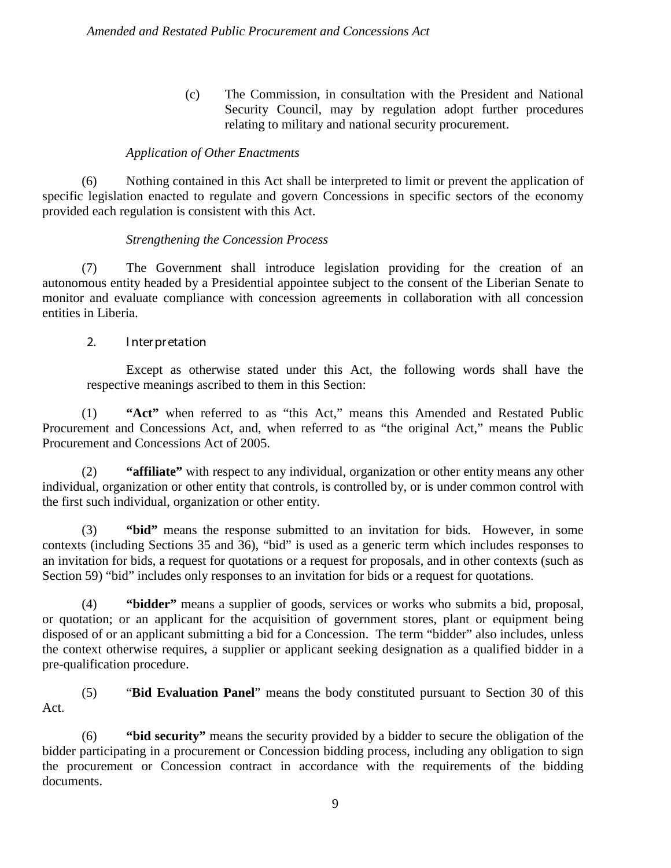(c) The Commission, in consultation with the President and National Security Council, may by regulation adopt further procedures relating to military and national security procurement.

## *Application of Other Enactments*

(6) Nothing contained in this Act shall be interpreted to limit or prevent the application of specific legislation enacted to regulate and govern Concessions in specific sectors of the economy provided each regulation is consistent with this Act.

## *Strengthening the Concession Process*

(7) The Government shall introduce legislation providing for the creation of an autonomous entity headed by a Presidential appointee subject to the consent of the Liberian Senate to monitor and evaluate compliance with concession agreements in collaboration with all concession entities in Liberia.

## 2. I nter pr etation

Except as otherwise stated under this Act, the following words shall have the respective meanings ascribed to them in this Section:

(1) **"Act"** when referred to as "this Act," means this Amended and Restated Public Procurement and Concessions Act, and, when referred to as "the original Act," means the Public Procurement and Concessions Act of 2005.

(2) **"affiliate"** with respect to any individual, organization or other entity means any other individual, organization or other entity that controls, is controlled by, or is under common control with the first such individual, organization or other entity.

(3) **"bid"** means the response submitted to an invitation for bids. However, in some contexts (including Sections 35 and 36), "bid" is used as a generic term which includes responses to an invitation for bids, a request for quotations or a request for proposals, and in other contexts (such as Section 59) "bid" includes only responses to an invitation for bids or a request for quotations.

(4) **"bidder"** means a supplier of goods, services or works who submits a bid, proposal, or quotation; or an applicant for the acquisition of government stores, plant or equipment being disposed of or an applicant submitting a bid for a Concession. The term "bidder" also includes, unless the context otherwise requires, a supplier or applicant seeking designation as a qualified bidder in a pre-qualification procedure.

(5) "**Bid Evaluation Panel**" means the body constituted pursuant to Section 30 of this Act.

(6) **"bid security"** means the security provided by a bidder to secure the obligation of the bidder participating in a procurement or Concession bidding process, including any obligation to sign the procurement or Concession contract in accordance with the requirements of the bidding documents.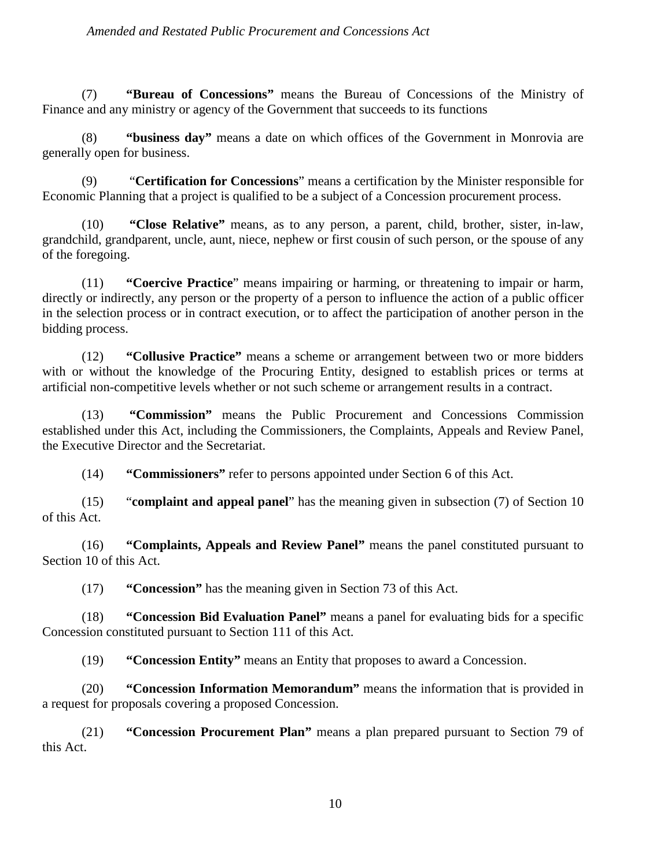(7) **"Bureau of Concessions"** means the Bureau of Concessions of the Ministry of Finance and any ministry or agency of the Government that succeeds to its functions

(8) **"business day"** means a date on which offices of the Government in Monrovia are generally open for business.

(9) "**Certification for Concessions**" means a certification by the Minister responsible for Economic Planning that a project is qualified to be a subject of a Concession procurement process.

(10) **"Close Relative"** means, as to any person, a parent, child, brother, sister, in-law, grandchild, grandparent, uncle, aunt, niece, nephew or first cousin of such person, or the spouse of any of the foregoing.

(11) **"Coercive Practice**" means impairing or harming, or threatening to impair or harm, directly or indirectly, any person or the property of a person to influence the action of a public officer in the selection process or in contract execution, or to affect the participation of another person in the bidding process.

(12) **"Collusive Practice"** means a scheme or arrangement between two or more bidders with or without the knowledge of the Procuring Entity, designed to establish prices or terms at artificial non-competitive levels whether or not such scheme or arrangement results in a contract.

(13) **"Commission"** means the Public Procurement and Concessions Commission established under this Act, including the Commissioners, the Complaints, Appeals and Review Panel, the Executive Director and the Secretariat.

(14) **"Commissioners"** refer to persons appointed under Section 6 of this Act.

(15) "**complaint and appeal panel**" has the meaning given in subsection (7) of Section 10 of this Act.

(16) **"Complaints, Appeals and Review Panel"** means the panel constituted pursuant to Section 10 of this Act.

(17) **"Concession"** has the meaning given in Section 73 of this Act.

(18) **"Concession Bid Evaluation Panel"** means a panel for evaluating bids for a specific Concession constituted pursuant to Section 111 of this Act.

(19) **"Concession Entity"** means an Entity that proposes to award a Concession.

(20) **"Concession Information Memorandum"** means the information that is provided in a request for proposals covering a proposed Concession.

(21) **"Concession Procurement Plan"** means a plan prepared pursuant to Section 79 of this Act.

10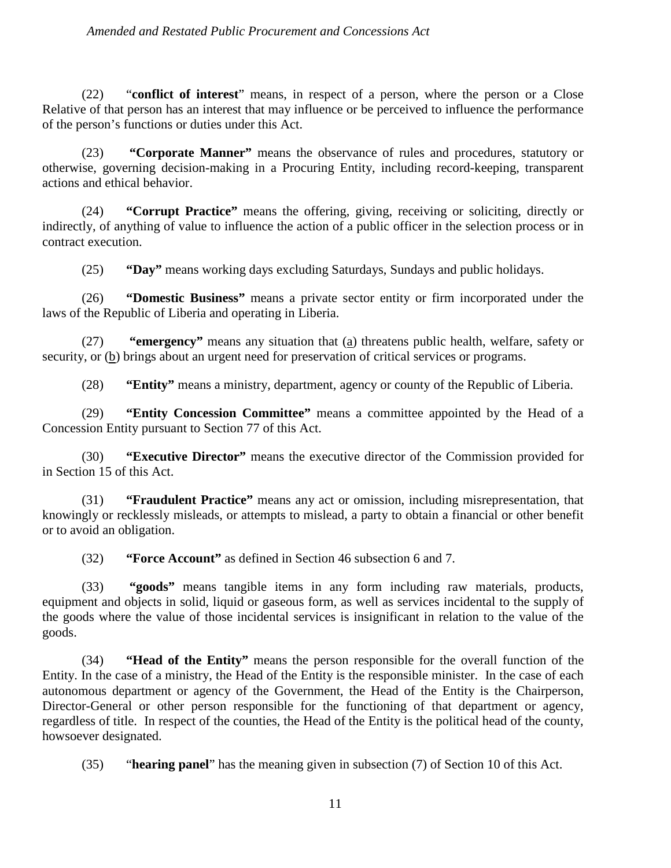#### *Amended and Restated Public Procurement and Concessions Act*

(22) "**conflict of interest**" means, in respect of a person, where the person or a Close Relative of that person has an interest that may influence or be perceived to influence the performance of the person's functions or duties under this Act.

(23) **"Corporate Manner"** means the observance of rules and procedures, statutory or otherwise, governing decision-making in a Procuring Entity, including record-keeping, transparent actions and ethical behavior.

(24) **"Corrupt Practice"** means the offering, giving, receiving or soliciting, directly or indirectly, of anything of value to influence the action of a public officer in the selection process or in contract execution.

(25) **"Day"** means working days excluding Saturdays, Sundays and public holidays.

(26) **"Domestic Business"** means a private sector entity or firm incorporated under the laws of the Republic of Liberia and operating in Liberia.

(27) **"emergency"** means any situation that (a) threatens public health, welfare, safety or security, or (b) brings about an urgent need for preservation of critical services or programs.

(28) **"Entity"** means a ministry, department, agency or county of the Republic of Liberia.

(29) **"Entity Concession Committee"** means a committee appointed by the Head of a Concession Entity pursuant to Section 77 of this Act.

(30) **"Executive Director"** means the executive director of the Commission provided for in Section 15 of this Act.

(31) **"Fraudulent Practice"** means any act or omission, including misrepresentation, that knowingly or recklessly misleads, or attempts to mislead, a party to obtain a financial or other benefit or to avoid an obligation.

(32) **"Force Account"** as defined in Section 46 subsection 6 and 7.

(33) **"goods"** means tangible items in any form including raw materials, products, equipment and objects in solid, liquid or gaseous form, as well as services incidental to the supply of the goods where the value of those incidental services is insignificant in relation to the value of the goods.

(34) **"Head of the Entity"** means the person responsible for the overall function of the Entity. In the case of a ministry, the Head of the Entity is the responsible minister. In the case of each autonomous department or agency of the Government, the Head of the Entity is the Chairperson, Director-General or other person responsible for the functioning of that department or agency, regardless of title. In respect of the counties, the Head of the Entity is the political head of the county, howsoever designated.

(35) "**hearing panel**" has the meaning given in subsection (7) of Section 10 of this Act.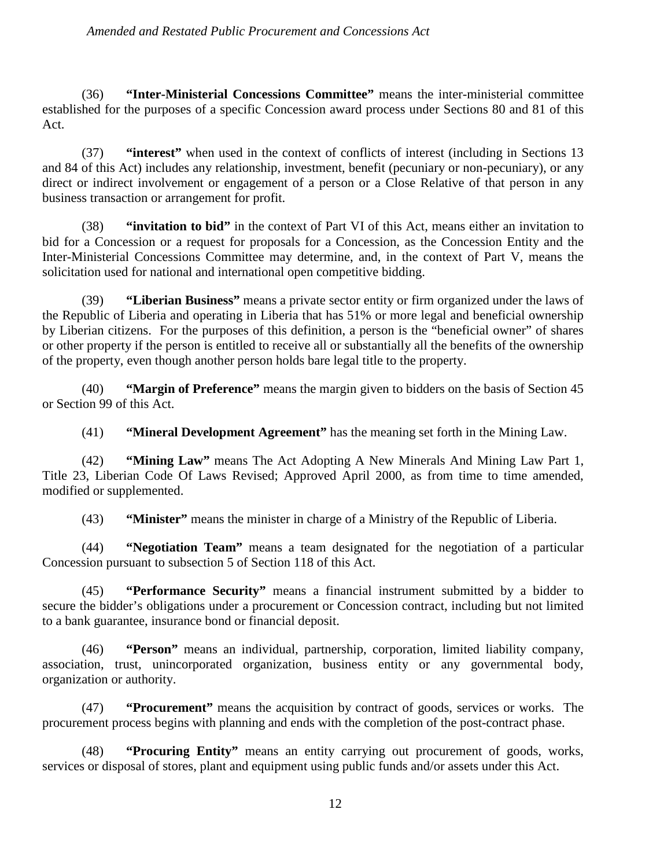#### *Amended and Restated Public Procurement and Concessions Act*

(36) **"Inter-Ministerial Concessions Committee"** means the inter-ministerial committee established for the purposes of a specific Concession award process under Sections 80 and 81 of this Act.

(37) **"interest"** when used in the context of conflicts of interest (including in Sections 13 and 84 of this Act) includes any relationship, investment, benefit (pecuniary or non-pecuniary), or any direct or indirect involvement or engagement of a person or a Close Relative of that person in any business transaction or arrangement for profit.

(38) **"invitation to bid"** in the context of Part VI of this Act, means either an invitation to bid for a Concession or a request for proposals for a Concession, as the Concession Entity and the Inter-Ministerial Concessions Committee may determine, and, in the context of Part V, means the solicitation used for national and international open competitive bidding.

(39) **"Liberian Business"** means a private sector entity or firm organized under the laws of the Republic of Liberia and operating in Liberia that has 51% or more legal and beneficial ownership by Liberian citizens. For the purposes of this definition, a person is the "beneficial owner" of shares or other property if the person is entitled to receive all or substantially all the benefits of the ownership of the property, even though another person holds bare legal title to the property.

(40) **"Margin of Preference"** means the margin given to bidders on the basis of Section 45 or Section 99 of this Act.

(41) **"Mineral Development Agreement"** has the meaning set forth in the Mining Law.

(42) **"Mining Law"** means The Act Adopting A New Minerals And Mining Law Part 1, Title 23, Liberian Code Of Laws Revised; Approved April 2000, as from time to time amended, modified or supplemented.

(43) **"Minister"** means the minister in charge of a Ministry of the Republic of Liberia.

(44) **"Negotiation Team"** means a team designated for the negotiation of a particular Concession pursuant to subsection 5 of Section 118 of this Act.

(45) **"Performance Security"** means a financial instrument submitted by a bidder to secure the bidder's obligations under a procurement or Concession contract, including but not limited to a bank guarantee, insurance bond or financial deposit.

(46) **"Person"** means an individual, partnership, corporation, limited liability company, association, trust, unincorporated organization, business entity or any governmental body, organization or authority.

(47) **"Procurement"** means the acquisition by contract of goods, services or works. The procurement process begins with planning and ends with the completion of the post-contract phase.

(48) **"Procuring Entity"** means an entity carrying out procurement of goods, works, services or disposal of stores, plant and equipment using public funds and/or assets under this Act.

12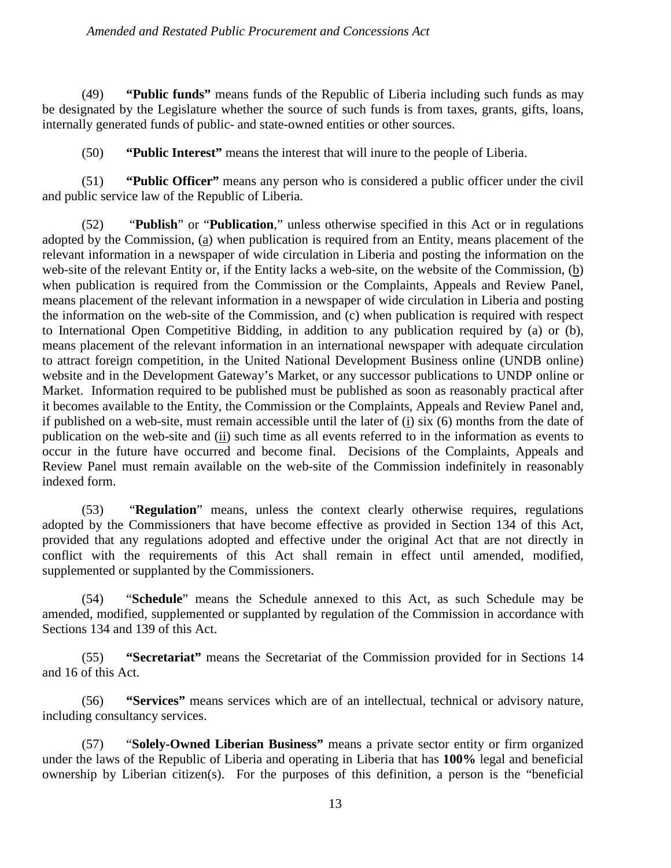#### *Amended and Restated Public Procurement and Concessions Act*

(49) **"Public funds"** means funds of the Republic of Liberia including such funds as may be designated by the Legislature whether the source of such funds is from taxes, grants, gifts, loans, internally generated funds of public- and state-owned entities or other sources.

(50) **"Public Interest"** means the interest that will inure to the people of Liberia.

(51) **"Public Officer"** means any person who is considered a public officer under the civil and public service law of the Republic of Liberia.

(52) "**Publish**" or "**Publication**," unless otherwise specified in this Act or in regulations adopted by the Commission, (a) when publication is required from an Entity, means placement of the relevant information in a newspaper of wide circulation in Liberia and posting the information on the web-site of the relevant Entity or, if the Entity lacks a web-site, on the website of the Commission, (b) when publication is required from the Commission or the Complaints, Appeals and Review Panel, means placement of the relevant information in a newspaper of wide circulation in Liberia and posting the information on the web-site of the Commission, and (c) when publication is required with respect to International Open Competitive Bidding, in addition to any publication required by (a) or (b), means placement of the relevant information in an international newspaper with adequate circulation to attract foreign competition, in the United National Development Business online (UNDB online) website and in the Development Gateway's Market, or any successor publications to UNDP online or Market. Information required to be published must be published as soon as reasonably practical after it becomes available to the Entity, the Commission or the Complaints, Appeals and Review Panel and, if published on a web-site, must remain accessible until the later of (i) six (6) months from the date of publication on the web-site and  $(i)$  such time as all events referred to in the information as events to occur in the future have occurred and become final. Decisions of the Complaints, Appeals and Review Panel must remain available on the web-site of the Commission indefinitely in reasonably indexed form.

(53) "**Regulation**" means, unless the context clearly otherwise requires, regulations adopted by the Commissioners that have become effective as provided in Section 134 of this Act, provided that any regulations adopted and effective under the original Act that are not directly in conflict with the requirements of this Act shall remain in effect until amended, modified, supplemented or supplanted by the Commissioners.

(54) "**Schedule**" means the Schedule annexed to this Act, as such Schedule may be amended, modified, supplemented or supplanted by regulation of the Commission in accordance with Sections 134 and 139 of this Act.

(55) **"Secretariat"** means the Secretariat of the Commission provided for in Sections 14 and 16 of this Act.

(56) **"Services"** means services which are of an intellectual, technical or advisory nature, including consultancy services.

(57) "**Solely-Owned Liberian Business"** means a private sector entity or firm organized under the laws of the Republic of Liberia and operating in Liberia that has **100%** legal and beneficial ownership by Liberian citizen(s). For the purposes of this definition, a person is the "beneficial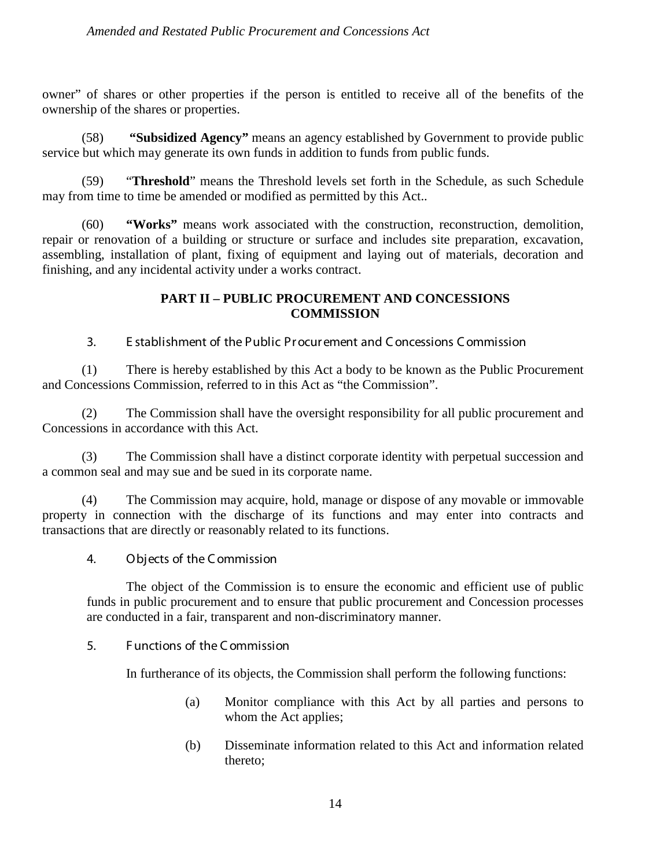owner" of shares or other properties if the person is entitled to receive all of the benefits of the ownership of the shares or properties.

(58) **"Subsidized Agency"** means an agency established by Government to provide public service but which may generate its own funds in addition to funds from public funds.

"Threshold" means the Threshold levels set forth in the Schedule, as such Schedule may from time to time be amended or modified as permitted by this Act..

(60) **"Works"** means work associated with the construction, reconstruction, demolition, repair or renovation of a building or structure or surface and includes site preparation, excavation, assembling, installation of plant, fixing of equipment and laying out of materials, decoration and finishing, and any incidental activity under a works contract.

## **PART II – PUBLIC PROCUREMENT AND CONCESSIONS COMMISSION**

3. E stablishment of the Public Pr ocur ement and C oncessions C ommission

(1) There is hereby established by this Act a body to be known as the Public Procurement and Concessions Commission, referred to in this Act as "the Commission".

(2) The Commission shall have the oversight responsibility for all public procurement and Concessions in accordance with this Act.

(3) The Commission shall have a distinct corporate identity with perpetual succession and a common seal and may sue and be sued in its corporate name.

(4) The Commission may acquire, hold, manage or dispose of any movable or immovable property in connection with the discharge of its functions and may enter into contracts and transactions that are directly or reasonably related to its functions.

4. Objects of the C ommission

The object of the Commission is to ensure the economic and efficient use of public funds in public procurement and to ensure that public procurement and Concession processes are conducted in a fair, transparent and non-discriminatory manner.

5. F unctions of the C ommission

In furtherance of its objects, the Commission shall perform the following functions:

- (a) Monitor compliance with this Act by all parties and persons to whom the Act applies;
- (b) Disseminate information related to this Act and information related thereto;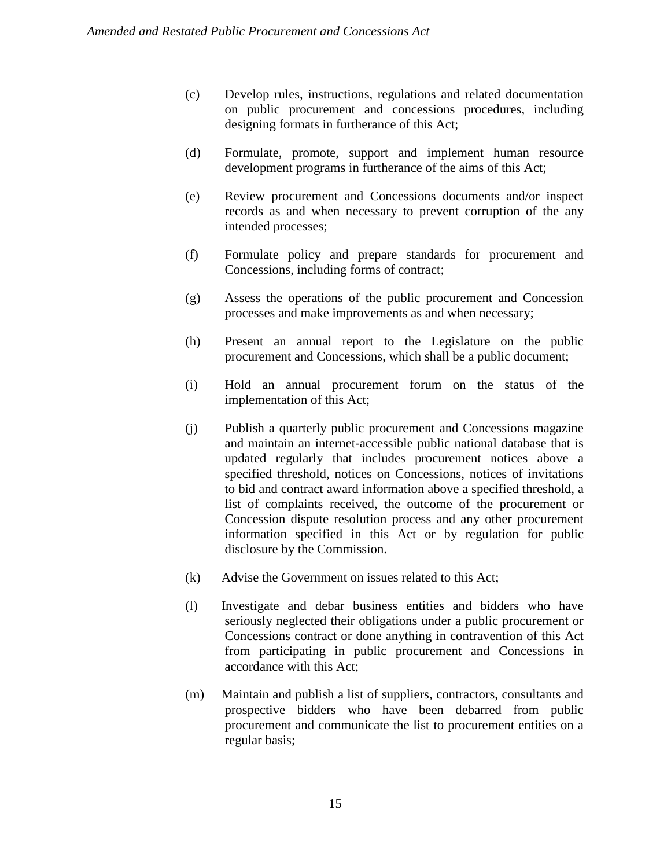- (c) Develop rules, instructions, regulations and related documentation on public procurement and concessions procedures, including designing formats in furtherance of this Act;
- (d) Formulate, promote, support and implement human resource development programs in furtherance of the aims of this Act;
- (e) Review procurement and Concessions documents and/or inspect records as and when necessary to prevent corruption of the any intended processes;
- (f) Formulate policy and prepare standards for procurement and Concessions, including forms of contract;
- (g) Assess the operations of the public procurement and Concession processes and make improvements as and when necessary;
- (h) Present an annual report to the Legislature on the public procurement and Concessions, which shall be a public document;
- (i) Hold an annual procurement forum on the status of the implementation of this Act;
- (j) Publish a quarterly public procurement and Concessions magazine and maintain an internet-accessible public national database that is updated regularly that includes procurement notices above a specified threshold, notices on Concessions, notices of invitations to bid and contract award information above a specified threshold, a list of complaints received, the outcome of the procurement or Concession dispute resolution process and any other procurement information specified in this Act or by regulation for public disclosure by the Commission.
- (k) Advise the Government on issues related to this Act;
- (l) Investigate and debar business entities and bidders who have seriously neglected their obligations under a public procurement or Concessions contract or done anything in contravention of this Act from participating in public procurement and Concessions in accordance with this Act;
- (m) Maintain and publish a list of suppliers, contractors, consultants and prospective bidders who have been debarred from public procurement and communicate the list to procurement entities on a regular basis;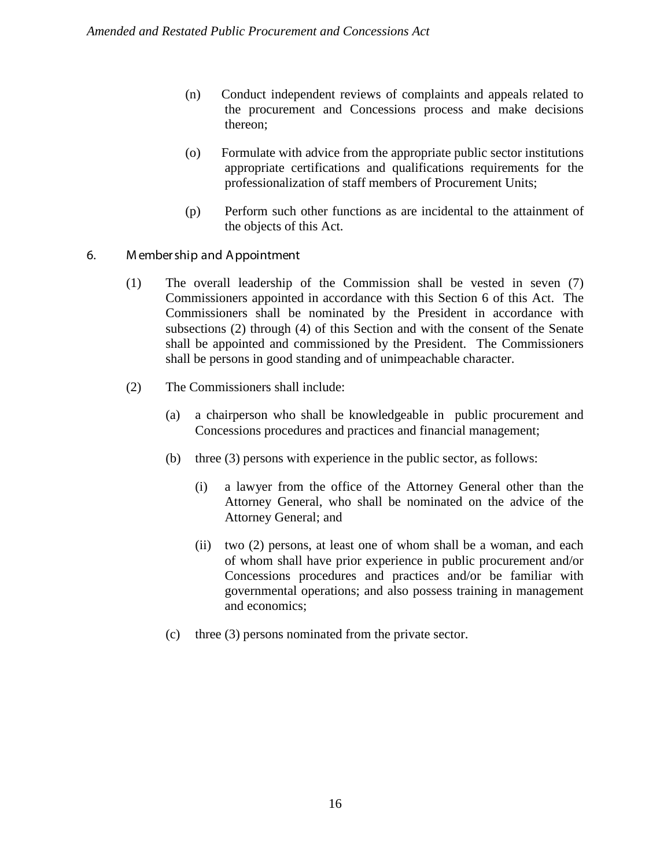- (n) Conduct independent reviews of complaints and appeals related to the procurement and Concessions process and make decisions thereon;
- (o) Formulate with advice from the appropriate public sector institutions appropriate certifications and qualifications requirements for the professionalization of staff members of Procurement Units;
- (p) Perform such other functions as are incidental to the attainment of the objects of this Act.

#### 6. M ember ship and Appointment

- (1) The overall leadership of the Commission shall be vested in seven (7) Commissioners appointed in accordance with this Section 6 of this Act. The Commissioners shall be nominated by the President in accordance with subsections (2) through (4) of this Section and with the consent of the Senate shall be appointed and commissioned by the President. The Commissioners shall be persons in good standing and of unimpeachable character.
- (2) The Commissioners shall include:
	- (a) a chairperson who shall be knowledgeable in public procurement and Concessions procedures and practices and financial management;
	- (b) three (3) persons with experience in the public sector, as follows:
		- (i) a lawyer from the office of the Attorney General other than the Attorney General, who shall be nominated on the advice of the Attorney General; and
		- (ii) two (2) persons, at least one of whom shall be a woman, and each of whom shall have prior experience in public procurement and/or Concessions procedures and practices and/or be familiar with governmental operations; and also possess training in management and economics;
	- (c) three (3) persons nominated from the private sector.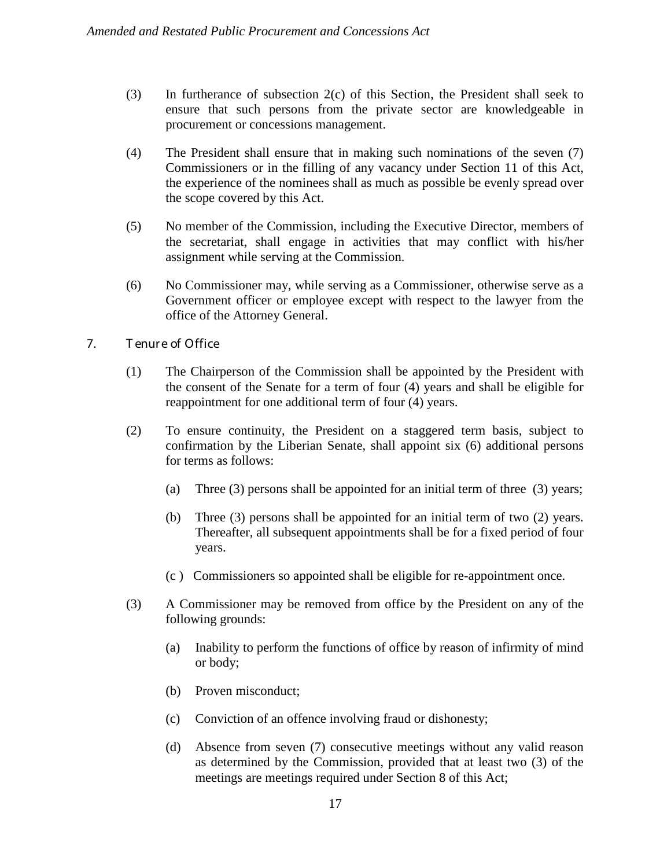- (3) In furtherance of subsection 2(c) of this Section, the President shall seek to ensure that such persons from the private sector are knowledgeable in procurement or concessions management.
- (4) The President shall ensure that in making such nominations of the seven (7) Commissioners or in the filling of any vacancy under Section 11 of this Act, the experience of the nominees shall as much as possible be evenly spread over the scope covered by this Act.
- (5) No member of the Commission, including the Executive Director, members of the secretariat, shall engage in activities that may conflict with his/her assignment while serving at the Commission.
- (6) No Commissioner may, while serving as a Commissioner, otherwise serve as a Government officer or employee except with respect to the lawyer from the office of the Attorney General.
- 7. T enur e of Office
	- (1) The Chairperson of the Commission shall be appointed by the President with the consent of the Senate for a term of four (4) years and shall be eligible for reappointment for one additional term of four (4) years.
	- (2) To ensure continuity, the President on a staggered term basis, subject to confirmation by the Liberian Senate, shall appoint six (6) additional persons for terms as follows:
		- (a) Three (3) persons shall be appointed for an initial term of three (3) years;
		- (b) Three (3) persons shall be appointed for an initial term of two (2) years. Thereafter, all subsequent appointments shall be for a fixed period of four years.
		- (c ) Commissioners so appointed shall be eligible for re-appointment once.
	- (3) A Commissioner may be removed from office by the President on any of the following grounds:
		- (a) Inability to perform the functions of office by reason of infirmity of mind or body;
		- (b) Proven misconduct;
		- (c) Conviction of an offence involving fraud or dishonesty;
		- (d) Absence from seven (7) consecutive meetings without any valid reason as determined by the Commission, provided that at least two (3) of the meetings are meetings required under Section 8 of this Act;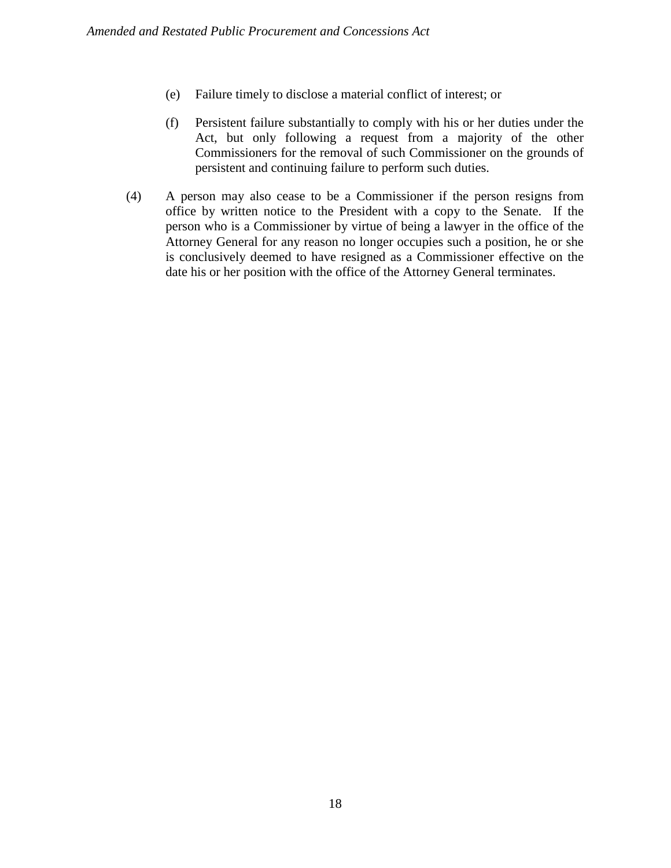- (e) Failure timely to disclose a material conflict of interest; or
- (f) Persistent failure substantially to comply with his or her duties under the Act, but only following a request from a majority of the other Commissioners for the removal of such Commissioner on the grounds of persistent and continuing failure to perform such duties.
- (4) A person may also cease to be a Commissioner if the person resigns from office by written notice to the President with a copy to the Senate. If the person who is a Commissioner by virtue of being a lawyer in the office of the Attorney General for any reason no longer occupies such a position, he or she is conclusively deemed to have resigned as a Commissioner effective on the date his or her position with the office of the Attorney General terminates.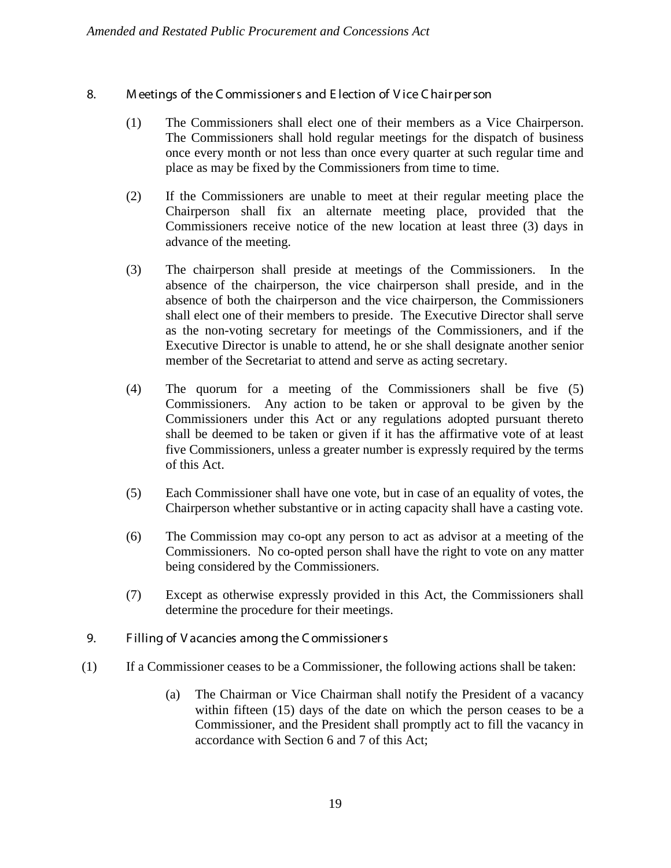- 8. M eetings of the C ommissioner s and E lection of V ice C hair per son
	- (1) The Commissioners shall elect one of their members as a Vice Chairperson. The Commissioners shall hold regular meetings for the dispatch of business once every month or not less than once every quarter at such regular time and place as may be fixed by the Commissioners from time to time.
	- (2) If the Commissioners are unable to meet at their regular meeting place the Chairperson shall fix an alternate meeting place, provided that the Commissioners receive notice of the new location at least three (3) days in advance of the meeting.
	- (3) The chairperson shall preside at meetings of the Commissioners. In the absence of the chairperson, the vice chairperson shall preside, and in the absence of both the chairperson and the vice chairperson, the Commissioners shall elect one of their members to preside. The Executive Director shall serve as the non-voting secretary for meetings of the Commissioners, and if the Executive Director is unable to attend, he or she shall designate another senior member of the Secretariat to attend and serve as acting secretary.
	- (4) The quorum for a meeting of the Commissioners shall be five (5) Commissioners. Any action to be taken or approval to be given by the Commissioners under this Act or any regulations adopted pursuant thereto shall be deemed to be taken or given if it has the affirmative vote of at least five Commissioners, unless a greater number is expressly required by the terms of this Act.
	- (5) Each Commissioner shall have one vote, but in case of an equality of votes, the Chairperson whether substantive or in acting capacity shall have a casting vote.
	- (6) The Commission may co-opt any person to act as advisor at a meeting of the Commissioners. No co-opted person shall have the right to vote on any matter being considered by the Commissioners.
	- (7) Except as otherwise expressly provided in this Act, the Commissioners shall determine the procedure for their meetings.
- 9. F illing of V acancies among the C ommissioner s
- (1) If a Commissioner ceases to be a Commissioner, the following actions shall be taken:
	- (a) The Chairman or Vice Chairman shall notify the President of a vacancy within fifteen (15) days of the date on which the person ceases to be a Commissioner, and the President shall promptly act to fill the vacancy in accordance with Section 6 and 7 of this Act;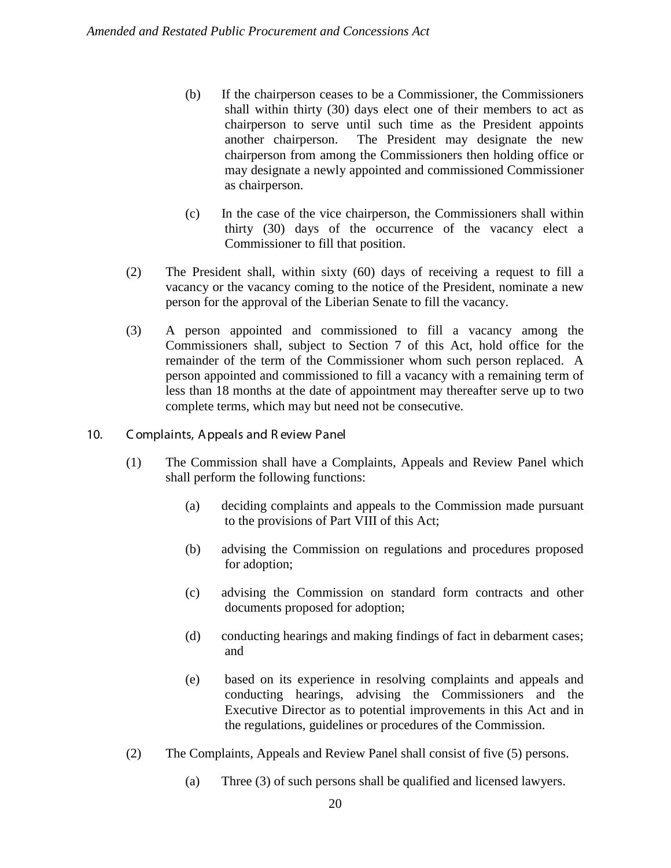- (b) If the chairperson ceases to be a Commissioner, the Commissioners shall within thirty (30) days elect one of their members to act as chairperson to serve until such time as the President appoints another chairperson. The President may designate the new chairperson from among the Commissioners then holding office or may designate a newly appointed and commissioned Commissioner as chairperson.
- (c) In the case of the vice chairperson, the Commissioners shall within thirty (30) days of the occurrence of the vacancy elect a Commissioner to fill that position.
- (2) The President shall, within sixty (60) days of receiving a request to fill a vacancy or the vacancy coming to the notice of the President, nominate a new person for the approval of the Liberian Senate to fill the vacancy.
- (3) A person appointed and commissioned to fill a vacancy among the Commissioners shall, subject to Section 7 of this Act, hold office for the remainder of the term of the Commissioner whom such person replaced. A person appointed and commissioned to fill a vacancy with a remaining term of less than 18 months at the date of appointment may thereafter serve up to two complete terms, which may but need not be consecutive.
- 10. C omplaints, A ppeals and R eview Panel
	- (1) The Commission shall have a Complaints, Appeals and Review Panel which shall perform the following functions:
		- (a) deciding complaints and appeals to the Commission made pursuant to the provisions of Part VIII of this Act;
		- (b) advising the Commission on regulations and procedures proposed for adoption;
		- (c) advising the Commission on standard form contracts and other documents proposed for adoption;
		- (d) conducting hearings and making findings of fact in debarment cases; and
		- (e) based on its experience in resolving complaints and appeals and conducting hearings, advising the Commissioners and the Executive Director as to potential improvements in this Act and in the regulations, guidelines or procedures of the Commission.
	- (2) The Complaints, Appeals and Review Panel shall consist of five (5) persons.
		- (a) Three (3) of such persons shall be qualified and licensed lawyers.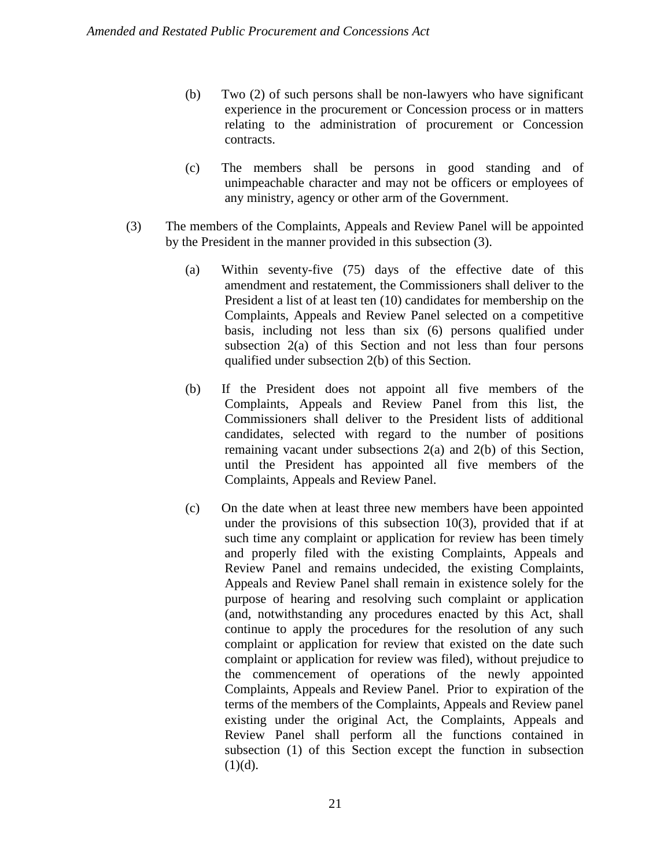- (b) Two (2) of such persons shall be non-lawyers who have significant experience in the procurement or Concession process or in matters relating to the administration of procurement or Concession contracts.
- (c) The members shall be persons in good standing and of unimpeachable character and may not be officers or employees of any ministry, agency or other arm of the Government.
- (3) The members of the Complaints, Appeals and Review Panel will be appointed by the President in the manner provided in this subsection (3).
	- (a) Within seventy-five (75) days of the effective date of this amendment and restatement, the Commissioners shall deliver to the President a list of at least ten (10) candidates for membership on the Complaints, Appeals and Review Panel selected on a competitive basis, including not less than six (6) persons qualified under subsection 2(a) of this Section and not less than four persons qualified under subsection 2(b) of this Section.
	- (b) If the President does not appoint all five members of the Complaints, Appeals and Review Panel from this list, the Commissioners shall deliver to the President lists of additional candidates, selected with regard to the number of positions remaining vacant under subsections 2(a) and 2(b) of this Section, until the President has appointed all five members of the Complaints, Appeals and Review Panel.
	- (c) On the date when at least three new members have been appointed under the provisions of this subsection 10(3), provided that if at such time any complaint or application for review has been timely and properly filed with the existing Complaints, Appeals and Review Panel and remains undecided, the existing Complaints, Appeals and Review Panel shall remain in existence solely for the purpose of hearing and resolving such complaint or application (and, notwithstanding any procedures enacted by this Act, shall continue to apply the procedures for the resolution of any such complaint or application for review that existed on the date such complaint or application for review was filed), without prejudice to the commencement of operations of the newly appointed Complaints, Appeals and Review Panel. Prior to expiration of the terms of the members of the Complaints, Appeals and Review panel existing under the original Act, the Complaints, Appeals and Review Panel shall perform all the functions contained in subsection (1) of this Section except the function in subsection  $(1)(d)$ .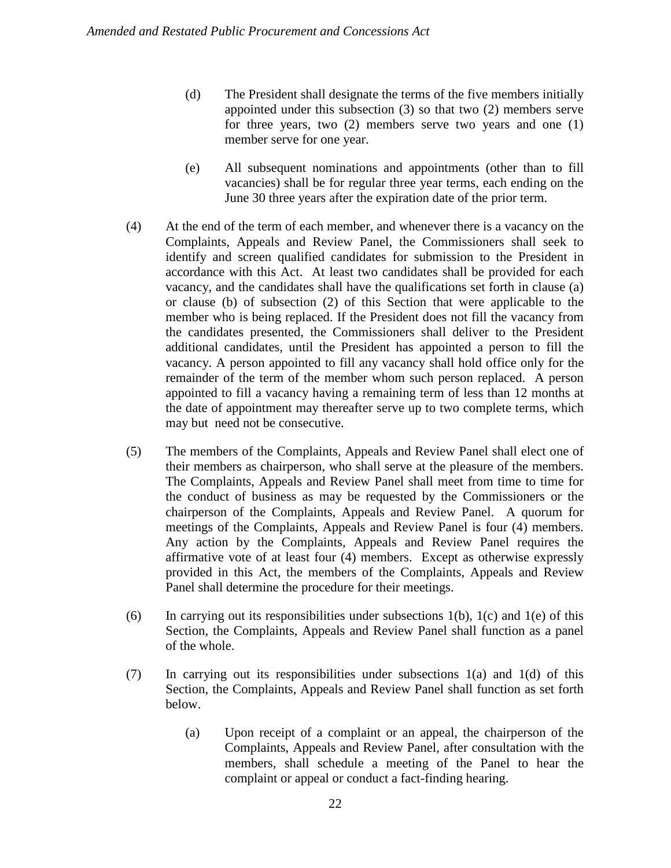- (d) The President shall designate the terms of the five members initially appointed under this subsection (3) so that two (2) members serve for three years, two (2) members serve two years and one (1) member serve for one year.
- (e) All subsequent nominations and appointments (other than to fill vacancies) shall be for regular three year terms, each ending on the June 30 three years after the expiration date of the prior term.
- (4) At the end of the term of each member, and whenever there is a vacancy on the Complaints, Appeals and Review Panel, the Commissioners shall seek to identify and screen qualified candidates for submission to the President in accordance with this Act. At least two candidates shall be provided for each vacancy, and the candidates shall have the qualifications set forth in clause (a) or clause (b) of subsection (2) of this Section that were applicable to the member who is being replaced. If the President does not fill the vacancy from the candidates presented, the Commissioners shall deliver to the President additional candidates, until the President has appointed a person to fill the vacancy. A person appointed to fill any vacancy shall hold office only for the remainder of the term of the member whom such person replaced. A person appointed to fill a vacancy having a remaining term of less than 12 months at the date of appointment may thereafter serve up to two complete terms, which may but need not be consecutive.
- (5) The members of the Complaints, Appeals and Review Panel shall elect one of their members as chairperson, who shall serve at the pleasure of the members. The Complaints, Appeals and Review Panel shall meet from time to time for the conduct of business as may be requested by the Commissioners or the chairperson of the Complaints, Appeals and Review Panel. A quorum for meetings of the Complaints, Appeals and Review Panel is four (4) members. Any action by the Complaints, Appeals and Review Panel requires the affirmative vote of at least four (4) members. Except as otherwise expressly provided in this Act, the members of the Complaints, Appeals and Review Panel shall determine the procedure for their meetings.
- (6) In carrying out its responsibilities under subsections  $1(b)$ ,  $1(c)$  and  $1(e)$  of this Section, the Complaints, Appeals and Review Panel shall function as a panel of the whole.
- (7) In carrying out its responsibilities under subsections 1(a) and 1(d) of this Section, the Complaints, Appeals and Review Panel shall function as set forth below.
	- (a) Upon receipt of a complaint or an appeal, the chairperson of the Complaints, Appeals and Review Panel, after consultation with the members, shall schedule a meeting of the Panel to hear the complaint or appeal or conduct a fact-finding hearing.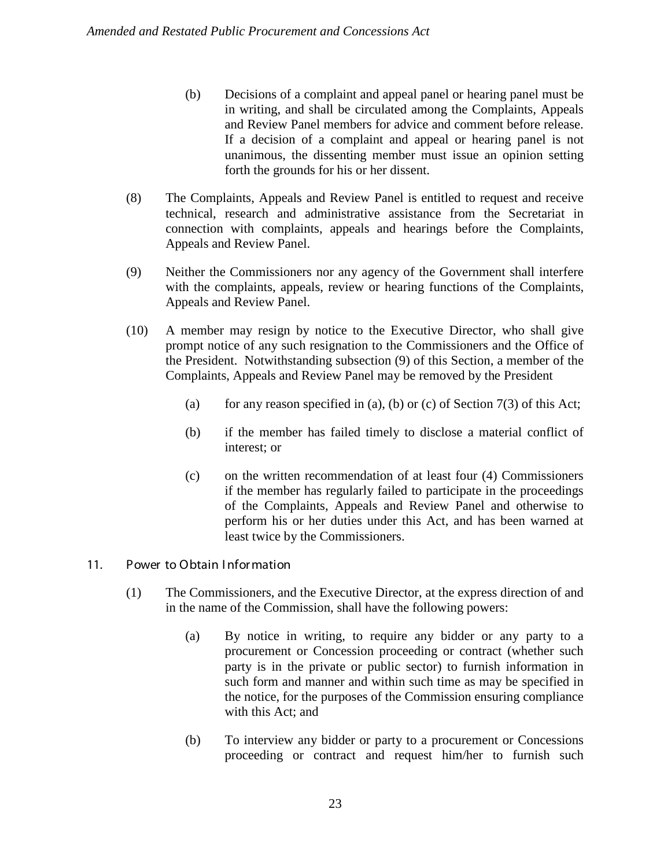- (b) Decisions of a complaint and appeal panel or hearing panel must be in writing, and shall be circulated among the Complaints, Appeals and Review Panel members for advice and comment before release. If a decision of a complaint and appeal or hearing panel is not unanimous, the dissenting member must issue an opinion setting forth the grounds for his or her dissent.
- (8) The Complaints, Appeals and Review Panel is entitled to request and receive technical, research and administrative assistance from the Secretariat in connection with complaints, appeals and hearings before the Complaints, Appeals and Review Panel.
- (9) Neither the Commissioners nor any agency of the Government shall interfere with the complaints, appeals, review or hearing functions of the Complaints, Appeals and Review Panel.
- (10) A member may resign by notice to the Executive Director, who shall give prompt notice of any such resignation to the Commissioners and the Office of the President. Notwithstanding subsection (9) of this Section, a member of the Complaints, Appeals and Review Panel may be removed by the President
	- (a) for any reason specified in (a), (b) or (c) of Section  $7(3)$  of this Act;
	- (b) if the member has failed timely to disclose a material conflict of interest; or
	- (c) on the written recommendation of at least four (4) Commissioners if the member has regularly failed to participate in the proceedings of the Complaints, Appeals and Review Panel and otherwise to perform his or her duties under this Act, and has been warned at least twice by the Commissioners.

#### 11. Power to Obtain I nfor mation

- (1) The Commissioners, and the Executive Director, at the express direction of and in the name of the Commission, shall have the following powers:
	- (a) By notice in writing, to require any bidder or any party to a procurement or Concession proceeding or contract (whether such party is in the private or public sector) to furnish information in such form and manner and within such time as may be specified in the notice, for the purposes of the Commission ensuring compliance with this Act; and
	- (b) To interview any bidder or party to a procurement or Concessions proceeding or contract and request him/her to furnish such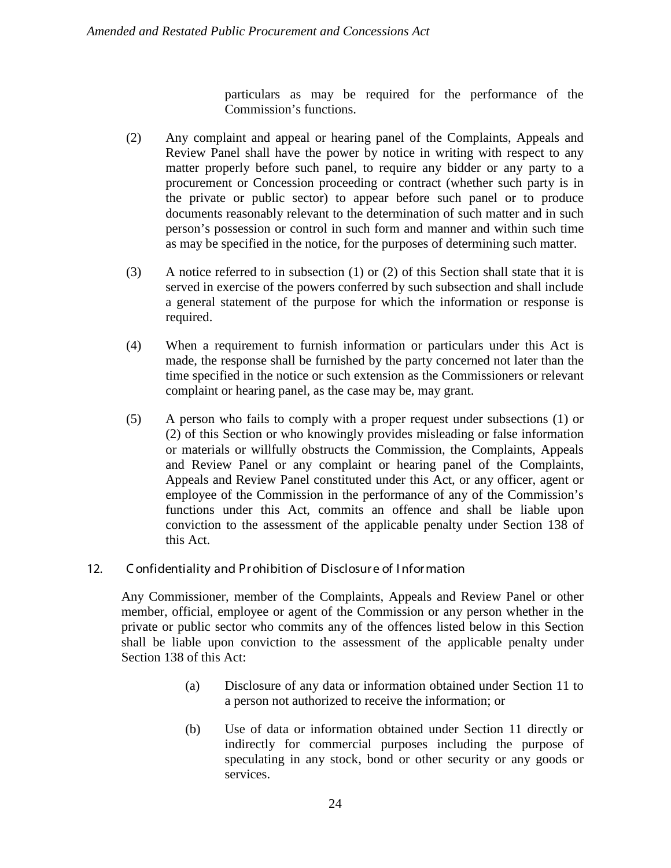particulars as may be required for the performance of the Commission's functions.

- (2) Any complaint and appeal or hearing panel of the Complaints, Appeals and Review Panel shall have the power by notice in writing with respect to any matter properly before such panel, to require any bidder or any party to a procurement or Concession proceeding or contract (whether such party is in the private or public sector) to appear before such panel or to produce documents reasonably relevant to the determination of such matter and in such person's possession or control in such form and manner and within such time as may be specified in the notice, for the purposes of determining such matter.
- (3) A notice referred to in subsection (1) or (2) of this Section shall state that it is served in exercise of the powers conferred by such subsection and shall include a general statement of the purpose for which the information or response is required.
- (4) When a requirement to furnish information or particulars under this Act is made, the response shall be furnished by the party concerned not later than the time specified in the notice or such extension as the Commissioners or relevant complaint or hearing panel, as the case may be, may grant.
- (5) A person who fails to comply with a proper request under subsections (1) or (2) of this Section or who knowingly provides misleading or false information or materials or willfully obstructs the Commission, the Complaints, Appeals and Review Panel or any complaint or hearing panel of the Complaints, Appeals and Review Panel constituted under this Act, or any officer, agent or employee of the Commission in the performance of any of the Commission's functions under this Act, commits an offence and shall be liable upon conviction to the assessment of the applicable penalty under Section 138 of this Act.

#### 12. C onfidentiality and Pr ohibition of Disclosur e of I nfor mation

Any Commissioner, member of the Complaints, Appeals and Review Panel or other member, official, employee or agent of the Commission or any person whether in the private or public sector who commits any of the offences listed below in this Section shall be liable upon conviction to the assessment of the applicable penalty under Section 138 of this Act:

- (a) Disclosure of any data or information obtained under Section 11 to a person not authorized to receive the information; or
- (b) Use of data or information obtained under Section 11 directly or indirectly for commercial purposes including the purpose of speculating in any stock, bond or other security or any goods or services.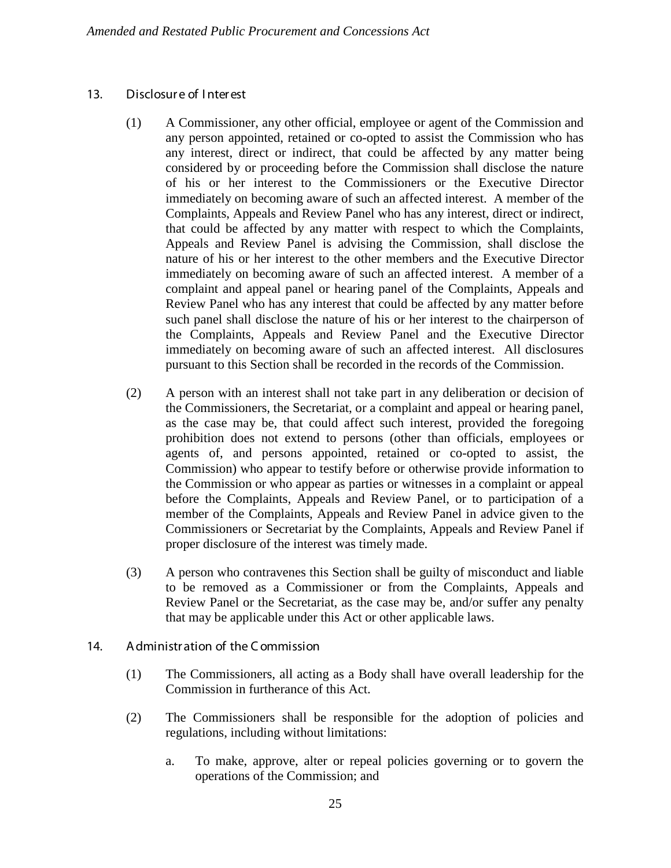#### 13. Disclosur e of I nter est

- (1) A Commissioner, any other official, employee or agent of the Commission and any person appointed, retained or co-opted to assist the Commission who has any interest, direct or indirect, that could be affected by any matter being considered by or proceeding before the Commission shall disclose the nature of his or her interest to the Commissioners or the Executive Director immediately on becoming aware of such an affected interest. A member of the Complaints, Appeals and Review Panel who has any interest, direct or indirect, that could be affected by any matter with respect to which the Complaints, Appeals and Review Panel is advising the Commission, shall disclose the nature of his or her interest to the other members and the Executive Director immediately on becoming aware of such an affected interest. A member of a complaint and appeal panel or hearing panel of the Complaints, Appeals and Review Panel who has any interest that could be affected by any matter before such panel shall disclose the nature of his or her interest to the chairperson of the Complaints, Appeals and Review Panel and the Executive Director immediately on becoming aware of such an affected interest. All disclosures pursuant to this Section shall be recorded in the records of the Commission.
- (2) A person with an interest shall not take part in any deliberation or decision of the Commissioners, the Secretariat, or a complaint and appeal or hearing panel, as the case may be, that could affect such interest, provided the foregoing prohibition does not extend to persons (other than officials, employees or agents of, and persons appointed, retained or co-opted to assist, the Commission) who appear to testify before or otherwise provide information to the Commission or who appear as parties or witnesses in a complaint or appeal before the Complaints, Appeals and Review Panel, or to participation of a member of the Complaints, Appeals and Review Panel in advice given to the Commissioners or Secretariat by the Complaints, Appeals and Review Panel if proper disclosure of the interest was timely made.
- (3) A person who contravenes this Section shall be guilty of misconduct and liable to be removed as a Commissioner or from the Complaints, Appeals and Review Panel or the Secretariat, as the case may be, and/or suffer any penalty that may be applicable under this Act or other applicable laws.
- 14. A dministr ation of the C ommission
	- (1) The Commissioners, all acting as a Body shall have overall leadership for the Commission in furtherance of this Act.
	- (2) The Commissioners shall be responsible for the adoption of policies and regulations, including without limitations:
		- a. To make, approve, alter or repeal policies governing or to govern the operations of the Commission; and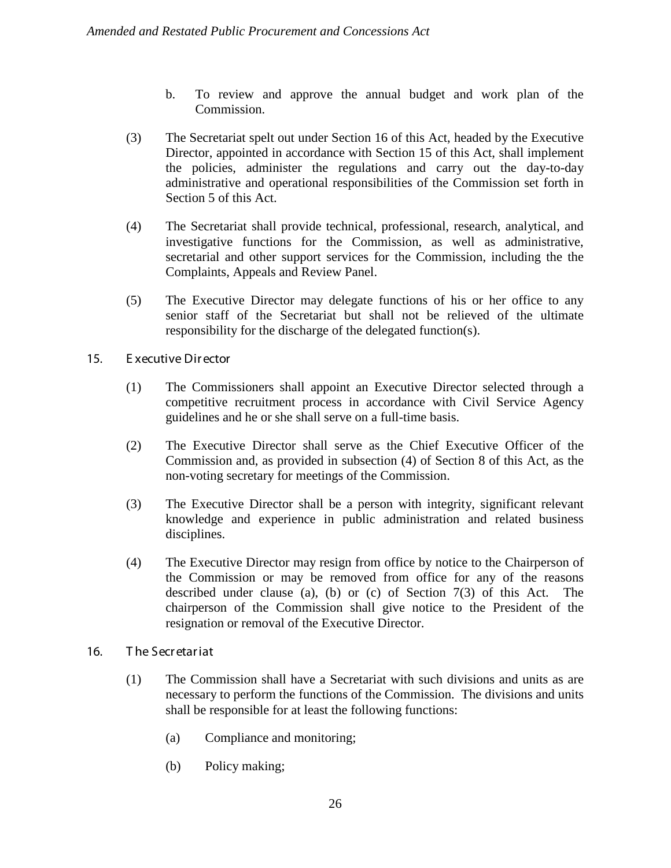- b. To review and approve the annual budget and work plan of the Commission.
- (3) The Secretariat spelt out under Section 16 of this Act, headed by the Executive Director, appointed in accordance with Section 15 of this Act, shall implement the policies, administer the regulations and carry out the day-to-day administrative and operational responsibilities of the Commission set forth in Section 5 of this Act.
- (4) The Secretariat shall provide technical, professional, research, analytical, and investigative functions for the Commission, as well as administrative, secretarial and other support services for the Commission, including the the Complaints, Appeals and Review Panel.
- (5) The Executive Director may delegate functions of his or her office to any senior staff of the Secretariat but shall not be relieved of the ultimate responsibility for the discharge of the delegated function(s).
- 15. E xecutive Dir ector
	- (1) The Commissioners shall appoint an Executive Director selected through a competitive recruitment process in accordance with Civil Service Agency guidelines and he or she shall serve on a full-time basis.
	- (2) The Executive Director shall serve as the Chief Executive Officer of the Commission and, as provided in subsection (4) of Section 8 of this Act, as the non-voting secretary for meetings of the Commission.
	- (3) The Executive Director shall be a person with integrity, significant relevant knowledge and experience in public administration and related business disciplines.
	- (4) The Executive Director may resign from office by notice to the Chairperson of the Commission or may be removed from office for any of the reasons described under clause (a), (b) or (c) of Section 7(3) of this Act. The chairperson of the Commission shall give notice to the President of the resignation or removal of the Executive Director.
- 16. T he Secr etar iat
	- (1) The Commission shall have a Secretariat with such divisions and units as are necessary to perform the functions of the Commission. The divisions and units shall be responsible for at least the following functions:
		- (a) Compliance and monitoring;
		- (b) Policy making;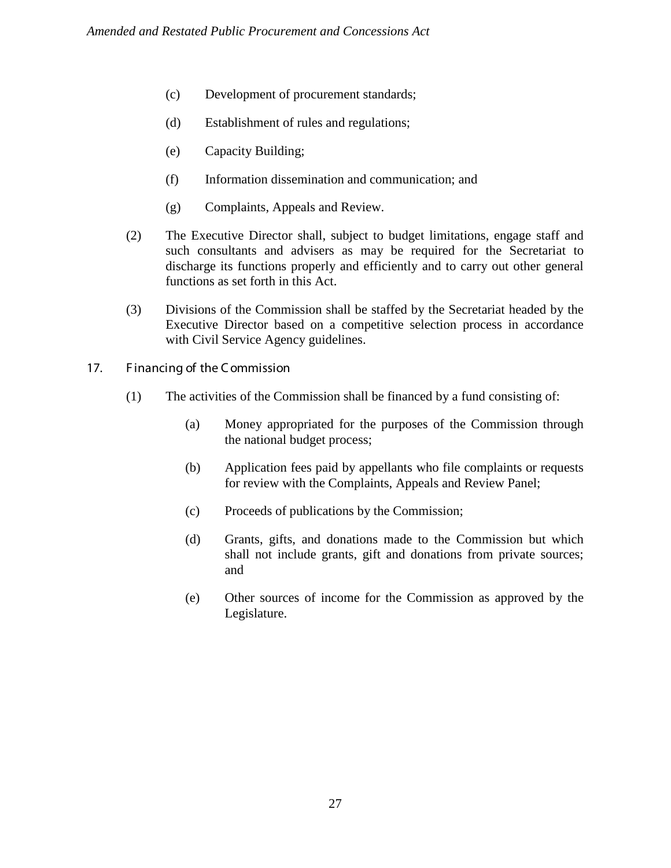- (c) Development of procurement standards;
- (d) Establishment of rules and regulations;
- (e) Capacity Building;
- (f) Information dissemination and communication; and
- (g) Complaints, Appeals and Review.
- (2) The Executive Director shall, subject to budget limitations, engage staff and such consultants and advisers as may be required for the Secretariat to discharge its functions properly and efficiently and to carry out other general functions as set forth in this Act.
- (3) Divisions of the Commission shall be staffed by the Secretariat headed by the Executive Director based on a competitive selection process in accordance with Civil Service Agency guidelines.
- 17. Financing of the Commission
	- (1) The activities of the Commission shall be financed by a fund consisting of:
		- (a) Money appropriated for the purposes of the Commission through the national budget process;
		- (b) Application fees paid by appellants who file complaints or requests for review with the Complaints, Appeals and Review Panel;
		- (c) Proceeds of publications by the Commission;
		- (d) Grants, gifts, and donations made to the Commission but which shall not include grants, gift and donations from private sources; and
		- (e) Other sources of income for the Commission as approved by the Legislature.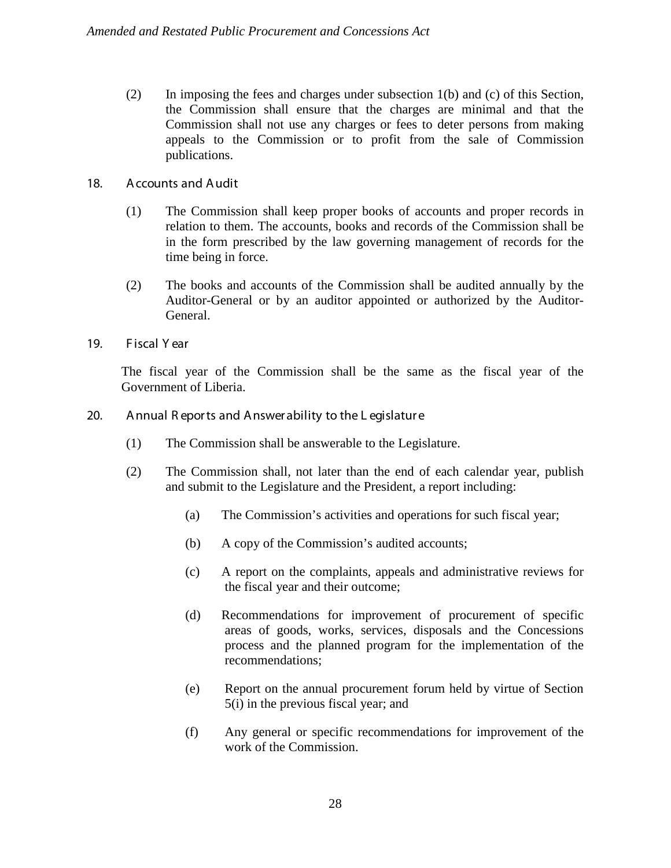(2) In imposing the fees and charges under subsection 1(b) and (c) of this Section, the Commission shall ensure that the charges are minimal and that the Commission shall not use any charges or fees to deter persons from making appeals to the Commission or to profit from the sale of Commission publications.

## 18. A ccounts and A udit

- (1) The Commission shall keep proper books of accounts and proper records in relation to them. The accounts, books and records of the Commission shall be in the form prescribed by the law governing management of records for the time being in force.
- (2) The books and accounts of the Commission shall be audited annually by the Auditor-General or by an auditor appointed or authorized by the Auditor-General.
- 19. Fiscal Year

The fiscal year of the Commission shall be the same as the fiscal year of the Government of Liberia.

- 20. Annual R eports and Answer ability to the L egislature
	- (1) The Commission shall be answerable to the Legislature.
	- (2) The Commission shall, not later than the end of each calendar year, publish and submit to the Legislature and the President, a report including:
		- (a) The Commission's activities and operations for such fiscal year;
		- (b) A copy of the Commission's audited accounts;
		- (c) A report on the complaints, appeals and administrative reviews for the fiscal year and their outcome;
		- (d) Recommendations for improvement of procurement of specific areas of goods, works, services, disposals and the Concessions process and the planned program for the implementation of the recommendations;
		- (e) Report on the annual procurement forum held by virtue of Section 5(i) in the previous fiscal year; and
		- (f) Any general or specific recommendations for improvement of the work of the Commission.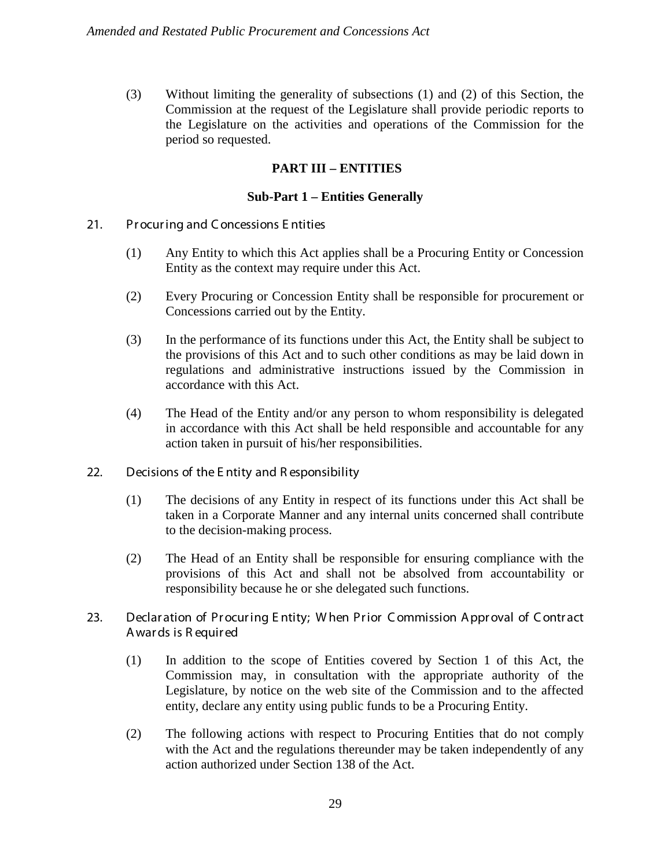(3) Without limiting the generality of subsections (1) and (2) of this Section, the Commission at the request of the Legislature shall provide periodic reports to the Legislature on the activities and operations of the Commission for the period so requested.

## **PART III – ENTITIES**

#### **Sub-Part 1 – Entities Generally**

- 21. Pr ocur ing and C oncessions E ntities
	- (1) Any Entity to which this Act applies shall be a Procuring Entity or Concession Entity as the context may require under this Act.
	- (2) Every Procuring or Concession Entity shall be responsible for procurement or Concessions carried out by the Entity.
	- (3) In the performance of its functions under this Act, the Entity shall be subject to the provisions of this Act and to such other conditions as may be laid down in regulations and administrative instructions issued by the Commission in accordance with this Act.
	- (4) The Head of the Entity and/or any person to whom responsibility is delegated in accordance with this Act shall be held responsible and accountable for any action taken in pursuit of his/her responsibilities.
- 22. Decisions of the E ntity and R esponsibility
	- (1) The decisions of any Entity in respect of its functions under this Act shall be taken in a Corporate Manner and any internal units concerned shall contribute to the decision-making process.
	- (2) The Head of an Entity shall be responsible for ensuring compliance with the provisions of this Act and shall not be absolved from accountability or responsibility because he or she delegated such functions.
- 23. Declar ation of Procuring Entity; When Prior Commission Approval of Contract A war ds is R equir ed
	- (1) In addition to the scope of Entities covered by Section 1 of this Act, the Commission may, in consultation with the appropriate authority of the Legislature, by notice on the web site of the Commission and to the affected entity, declare any entity using public funds to be a Procuring Entity.
	- (2) The following actions with respect to Procuring Entities that do not comply with the Act and the regulations thereunder may be taken independently of any action authorized under Section 138 of the Act.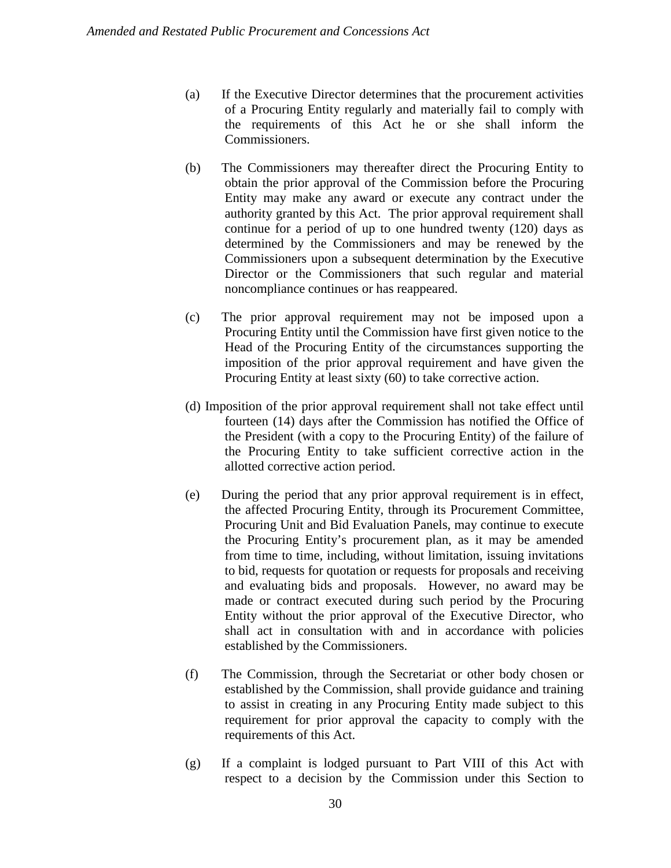- (a) If the Executive Director determines that the procurement activities of a Procuring Entity regularly and materially fail to comply with the requirements of this Act he or she shall inform the Commissioners.
- (b) The Commissioners may thereafter direct the Procuring Entity to obtain the prior approval of the Commission before the Procuring Entity may make any award or execute any contract under the authority granted by this Act. The prior approval requirement shall continue for a period of up to one hundred twenty (120) days as determined by the Commissioners and may be renewed by the Commissioners upon a subsequent determination by the Executive Director or the Commissioners that such regular and material noncompliance continues or has reappeared.
- (c) The prior approval requirement may not be imposed upon a Procuring Entity until the Commission have first given notice to the Head of the Procuring Entity of the circumstances supporting the imposition of the prior approval requirement and have given the Procuring Entity at least sixty (60) to take corrective action.
- (d) Imposition of the prior approval requirement shall not take effect until fourteen (14) days after the Commission has notified the Office of the President (with a copy to the Procuring Entity) of the failure of the Procuring Entity to take sufficient corrective action in the allotted corrective action period.
- (e) During the period that any prior approval requirement is in effect, the affected Procuring Entity, through its Procurement Committee, Procuring Unit and Bid Evaluation Panels, may continue to execute the Procuring Entity's procurement plan, as it may be amended from time to time, including, without limitation, issuing invitations to bid, requests for quotation or requests for proposals and receiving and evaluating bids and proposals. However, no award may be made or contract executed during such period by the Procuring Entity without the prior approval of the Executive Director, who shall act in consultation with and in accordance with policies established by the Commissioners.
- (f) The Commission, through the Secretariat or other body chosen or established by the Commission, shall provide guidance and training to assist in creating in any Procuring Entity made subject to this requirement for prior approval the capacity to comply with the requirements of this Act.
- (g) If a complaint is lodged pursuant to Part VIII of this Act with respect to a decision by the Commission under this Section to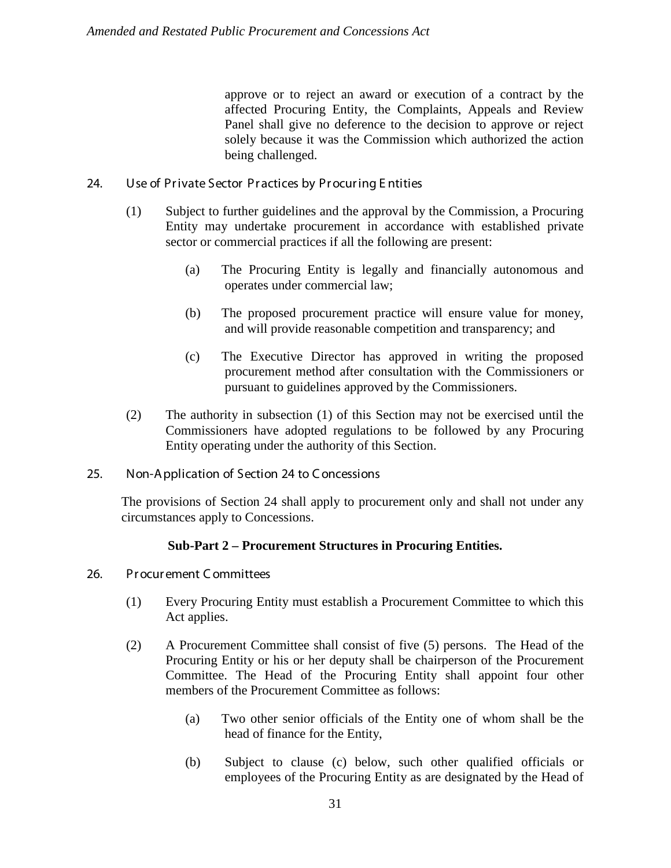approve or to reject an award or execution of a contract by the affected Procuring Entity, the Complaints, Appeals and Review Panel shall give no deference to the decision to approve or reject solely because it was the Commission which authorized the action being challenged.

- 24. Use of Private Sector Practices by Procuring Entities
	- (1) Subject to further guidelines and the approval by the Commission, a Procuring Entity may undertake procurement in accordance with established private sector or commercial practices if all the following are present:
		- (a) The Procuring Entity is legally and financially autonomous and operates under commercial law;
		- (b) The proposed procurement practice will ensure value for money, and will provide reasonable competition and transparency; and
		- (c) The Executive Director has approved in writing the proposed procurement method after consultation with the Commissioners or pursuant to guidelines approved by the Commissioners.
	- (2) The authority in subsection (1) of this Section may not be exercised until the Commissioners have adopted regulations to be followed by any Procuring Entity operating under the authority of this Section.
- 25. Non-A pplication of Section 24 to C oncessions

The provisions of Section 24 shall apply to procurement only and shall not under any circumstances apply to Concessions.

## **Sub-Part 2 – Procurement Structures in Procuring Entities.**

- 26. Pr ocur ement C ommittees
	- (1) Every Procuring Entity must establish a Procurement Committee to which this Act applies.
	- (2) A Procurement Committee shall consist of five (5) persons. The Head of the Procuring Entity or his or her deputy shall be chairperson of the Procurement Committee. The Head of the Procuring Entity shall appoint four other members of the Procurement Committee as follows:
		- (a) Two other senior officials of the Entity one of whom shall be the head of finance for the Entity,
		- (b) Subject to clause (c) below, such other qualified officials or employees of the Procuring Entity as are designated by the Head of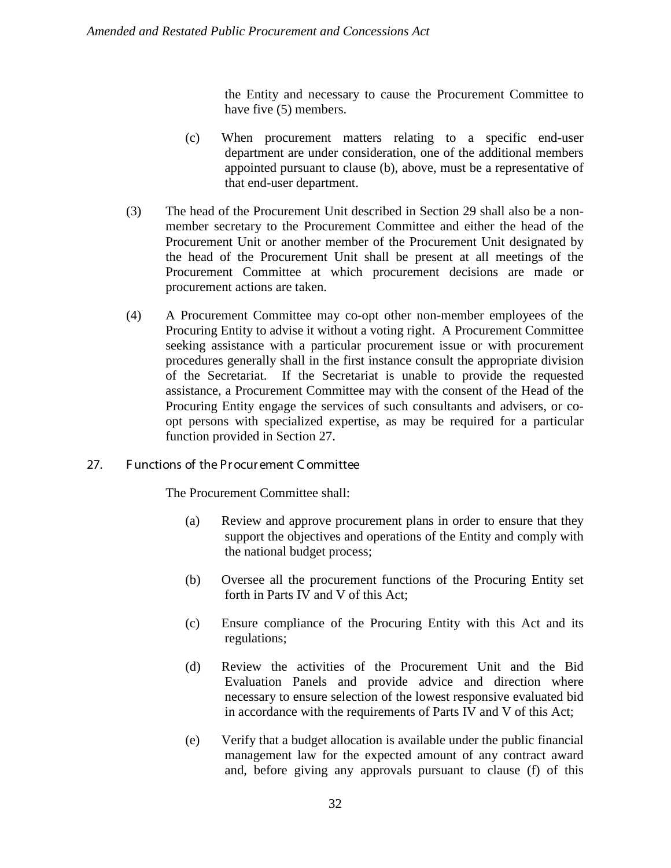the Entity and necessary to cause the Procurement Committee to have five (5) members.

- (c) When procurement matters relating to a specific end-user department are under consideration, one of the additional members appointed pursuant to clause (b), above, must be a representative of that end-user department.
- (3) The head of the Procurement Unit described in Section 29 shall also be a nonmember secretary to the Procurement Committee and either the head of the Procurement Unit or another member of the Procurement Unit designated by the head of the Procurement Unit shall be present at all meetings of the Procurement Committee at which procurement decisions are made or procurement actions are taken.
- (4) A Procurement Committee may co-opt other non-member employees of the Procuring Entity to advise it without a voting right. A Procurement Committee seeking assistance with a particular procurement issue or with procurement procedures generally shall in the first instance consult the appropriate division of the Secretariat. If the Secretariat is unable to provide the requested assistance, a Procurement Committee may with the consent of the Head of the Procuring Entity engage the services of such consultants and advisers, or coopt persons with specialized expertise, as may be required for a particular function provided in Section 27.
- 27. F unctions of the Pr ocur ement C ommittee

The Procurement Committee shall:

- (a) Review and approve procurement plans in order to ensure that they support the objectives and operations of the Entity and comply with the national budget process;
- (b) Oversee all the procurement functions of the Procuring Entity set forth in Parts IV and V of this Act;
- (c) Ensure compliance of the Procuring Entity with this Act and its regulations;
- (d) Review the activities of the Procurement Unit and the Bid Evaluation Panels and provide advice and direction where necessary to ensure selection of the lowest responsive evaluated bid in accordance with the requirements of Parts IV and V of this Act;
- (e) Verify that a budget allocation is available under the public financial management law for the expected amount of any contract award and, before giving any approvals pursuant to clause (f) of this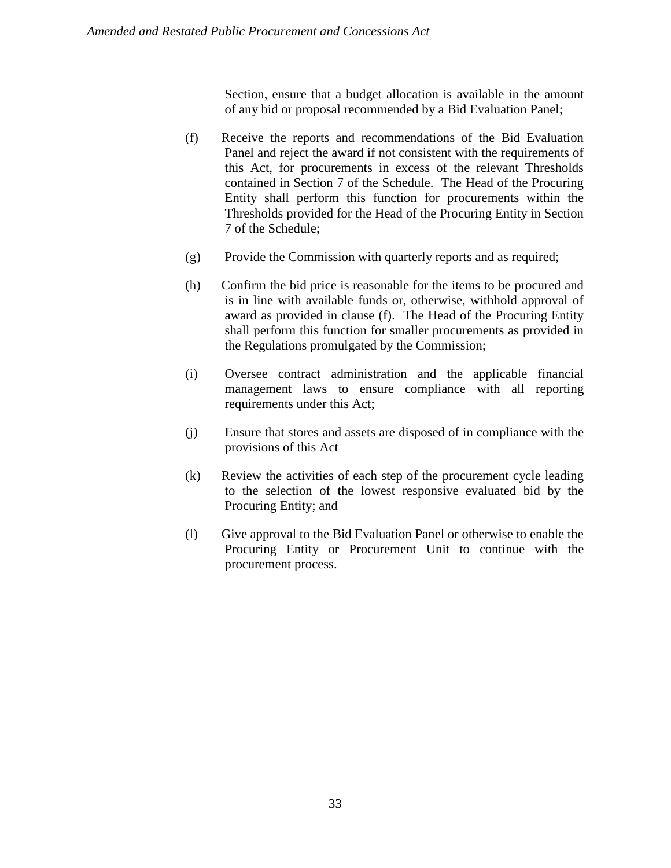Section, ensure that a budget allocation is available in the amount of any bid or proposal recommended by a Bid Evaluation Panel;

- (f) Receive the reports and recommendations of the Bid Evaluation Panel and reject the award if not consistent with the requirements of this Act, for procurements in excess of the relevant Thresholds contained in Section 7 of the Schedule. The Head of the Procuring Entity shall perform this function for procurements within the Thresholds provided for the Head of the Procuring Entity in Section 7 of the Schedule;
- (g) Provide the Commission with quarterly reports and as required;
- (h) Confirm the bid price is reasonable for the items to be procured and is in line with available funds or, otherwise, withhold approval of award as provided in clause (f). The Head of the Procuring Entity shall perform this function for smaller procurements as provided in the Regulations promulgated by the Commission;
- (i) Oversee contract administration and the applicable financial management laws to ensure compliance with all reporting requirements under this Act;
- (j) Ensure that stores and assets are disposed of in compliance with the provisions of this Act
- (k) Review the activities of each step of the procurement cycle leading to the selection of the lowest responsive evaluated bid by the Procuring Entity; and
- (l) Give approval to the Bid Evaluation Panel or otherwise to enable the Procuring Entity or Procurement Unit to continue with the procurement process.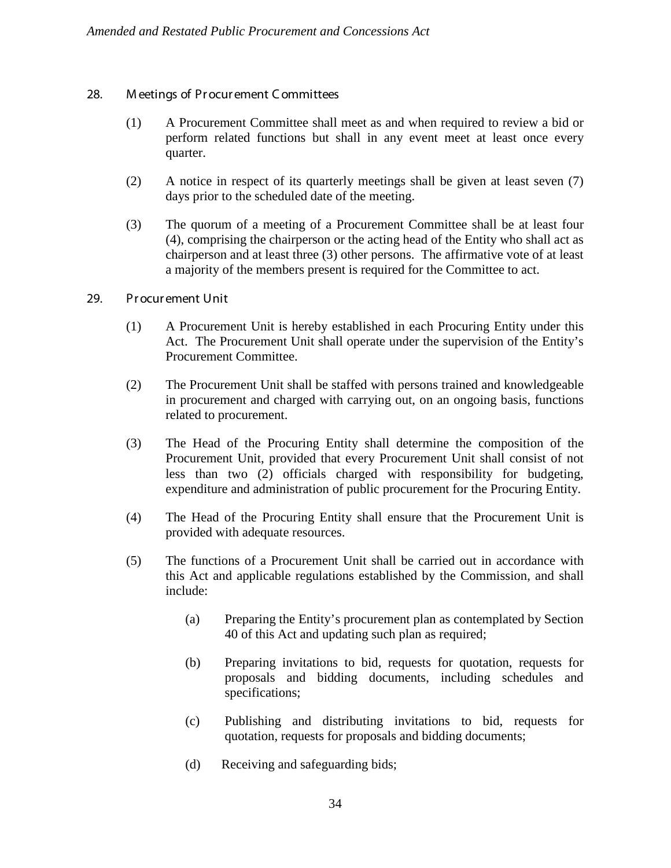#### 28. M eetings of Pr ocur ement C ommittees

- (1) A Procurement Committee shall meet as and when required to review a bid or perform related functions but shall in any event meet at least once every quarter.
- (2) A notice in respect of its quarterly meetings shall be given at least seven (7) days prior to the scheduled date of the meeting.
- (3) The quorum of a meeting of a Procurement Committee shall be at least four (4), comprising the chairperson or the acting head of the Entity who shall act as chairperson and at least three (3) other persons. The affirmative vote of at least a majority of the members present is required for the Committee to act.
- 29. Pr ocur ement Unit
	- (1) A Procurement Unit is hereby established in each Procuring Entity under this Act. The Procurement Unit shall operate under the supervision of the Entity's Procurement Committee.
	- (2) The Procurement Unit shall be staffed with persons trained and knowledgeable in procurement and charged with carrying out, on an ongoing basis, functions related to procurement.
	- (3) The Head of the Procuring Entity shall determine the composition of the Procurement Unit, provided that every Procurement Unit shall consist of not less than two (2) officials charged with responsibility for budgeting, expenditure and administration of public procurement for the Procuring Entity.
	- (4) The Head of the Procuring Entity shall ensure that the Procurement Unit is provided with adequate resources.
	- (5) The functions of a Procurement Unit shall be carried out in accordance with this Act and applicable regulations established by the Commission, and shall include:
		- (a) Preparing the Entity's procurement plan as contemplated by Section 40 of this Act and updating such plan as required;
		- (b) Preparing invitations to bid, requests for quotation, requests for proposals and bidding documents, including schedules and specifications;
		- (c) Publishing and distributing invitations to bid, requests for quotation, requests for proposals and bidding documents;
		- (d) Receiving and safeguarding bids;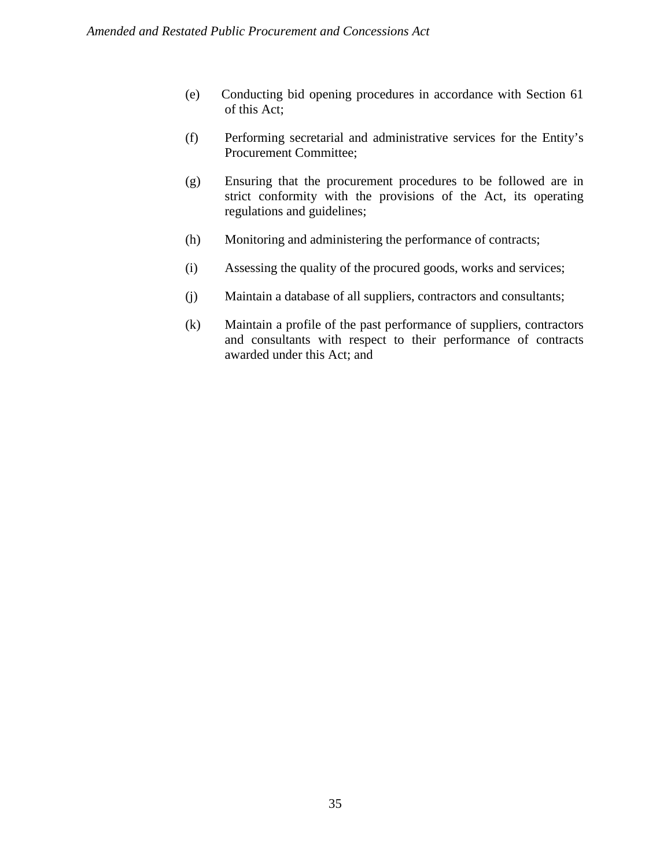- (e) Conducting bid opening procedures in accordance with Section 61 of this Act;
- (f) Performing secretarial and administrative services for the Entity's Procurement Committee;
- (g) Ensuring that the procurement procedures to be followed are in strict conformity with the provisions of the Act, its operating regulations and guidelines;
- (h) Monitoring and administering the performance of contracts;
- (i) Assessing the quality of the procured goods, works and services;
- (j) Maintain a database of all suppliers, contractors and consultants;
- (k) Maintain a profile of the past performance of suppliers, contractors and consultants with respect to their performance of contracts awarded under this Act; and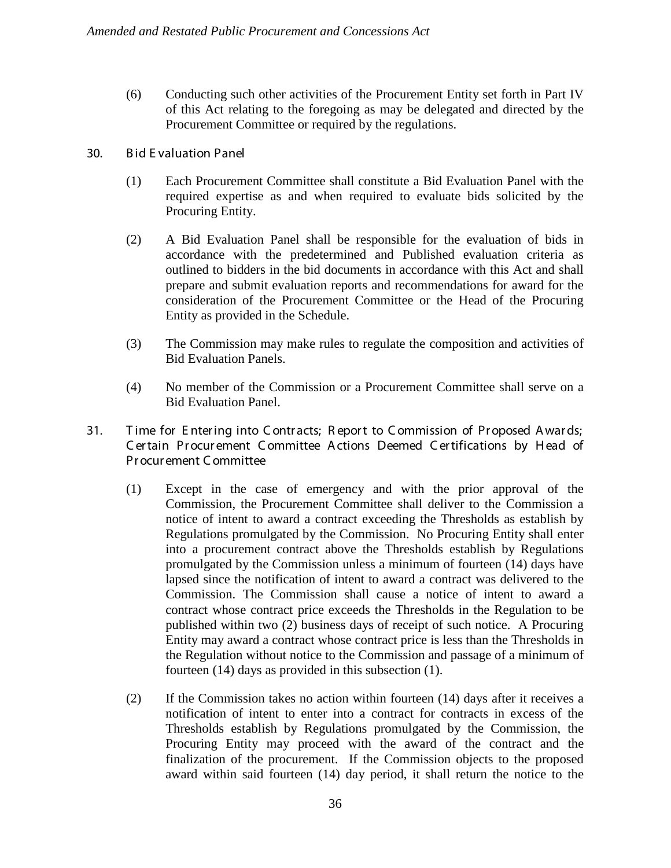- (6) Conducting such other activities of the Procurement Entity set forth in Part IV of this Act relating to the foregoing as may be delegated and directed by the Procurement Committee or required by the regulations.
- 30. B id E valuation Panel
	- (1) Each Procurement Committee shall constitute a Bid Evaluation Panel with the required expertise as and when required to evaluate bids solicited by the Procuring Entity.
	- (2) A Bid Evaluation Panel shall be responsible for the evaluation of bids in accordance with the predetermined and Published evaluation criteria as outlined to bidders in the bid documents in accordance with this Act and shall prepare and submit evaluation reports and recommendations for award for the consideration of the Procurement Committee or the Head of the Procuring Entity as provided in the Schedule.
	- (3) The Commission may make rules to regulate the composition and activities of Bid Evaluation Panels.
	- (4) No member of the Commission or a Procurement Committee shall serve on a Bid Evaluation Panel.
- 31. Time for Entering into Contracts; Report to Commission of Proposed Awards; C er tain Pr ocur ement C ommittee A ctions Deemed C er tifications by H ead of Procur ement C ommittee
	- (1) Except in the case of emergency and with the prior approval of the Commission, the Procurement Committee shall deliver to the Commission a notice of intent to award a contract exceeding the Thresholds as establish by Regulations promulgated by the Commission. No Procuring Entity shall enter into a procurement contract above the Thresholds establish by Regulations promulgated by the Commission unless a minimum of fourteen (14) days have lapsed since the notification of intent to award a contract was delivered to the Commission. The Commission shall cause a notice of intent to award a contract whose contract price exceeds the Thresholds in the Regulation to be published within two (2) business days of receipt of such notice. A Procuring Entity may award a contract whose contract price is less than the Thresholds in the Regulation without notice to the Commission and passage of a minimum of fourteen (14) days as provided in this subsection (1).
	- (2) If the Commission takes no action within fourteen (14) days after it receives a notification of intent to enter into a contract for contracts in excess of the Thresholds establish by Regulations promulgated by the Commission, the Procuring Entity may proceed with the award of the contract and the finalization of the procurement. If the Commission objects to the proposed award within said fourteen (14) day period, it shall return the notice to the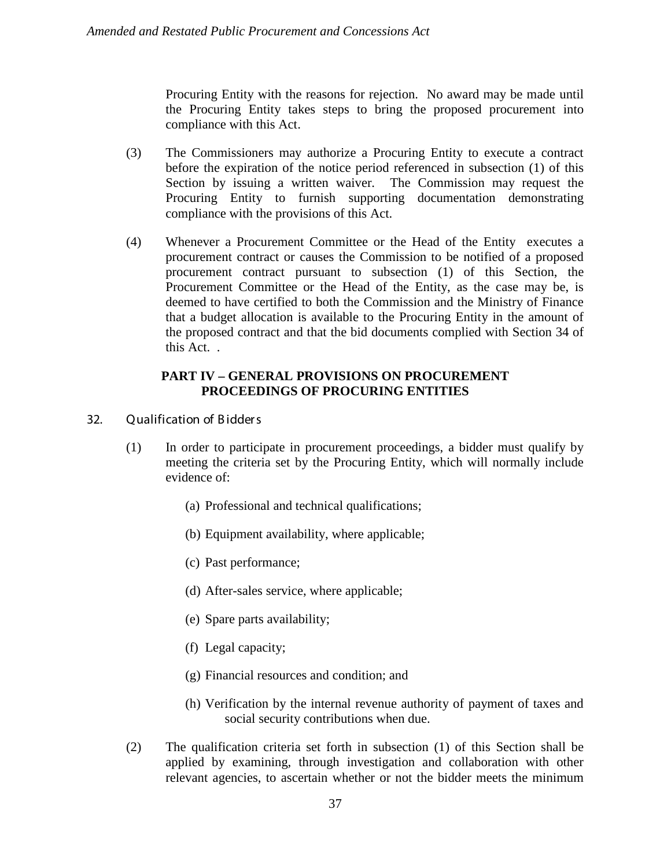Procuring Entity with the reasons for rejection. No award may be made until the Procuring Entity takes steps to bring the proposed procurement into compliance with this Act.

- (3) The Commissioners may authorize a Procuring Entity to execute a contract before the expiration of the notice period referenced in subsection (1) of this Section by issuing a written waiver. The Commission may request the Procuring Entity to furnish supporting documentation demonstrating compliance with the provisions of this Act.
- (4) Whenever a Procurement Committee or the Head of the Entity executes a procurement contract or causes the Commission to be notified of a proposed procurement contract pursuant to subsection (1) of this Section, the Procurement Committee or the Head of the Entity, as the case may be, is deemed to have certified to both the Commission and the Ministry of Finance that a budget allocation is available to the Procuring Entity in the amount of the proposed contract and that the bid documents complied with Section 34 of this Act. .

## **PART IV – GENERAL PROVISIONS ON PROCUREMENT PROCEEDINGS OF PROCURING ENTITIES**

- 32. Qualification of B idder s
	- (1) In order to participate in procurement proceedings, a bidder must qualify by meeting the criteria set by the Procuring Entity, which will normally include evidence of:
		- (a) Professional and technical qualifications;
		- (b) Equipment availability, where applicable;
		- (c) Past performance;
		- (d) After-sales service, where applicable;
		- (e) Spare parts availability;
		- (f) Legal capacity;
		- (g) Financial resources and condition; and
		- (h) Verification by the internal revenue authority of payment of taxes and social security contributions when due.
	- (2) The qualification criteria set forth in subsection (1) of this Section shall be applied by examining, through investigation and collaboration with other relevant agencies, to ascertain whether or not the bidder meets the minimum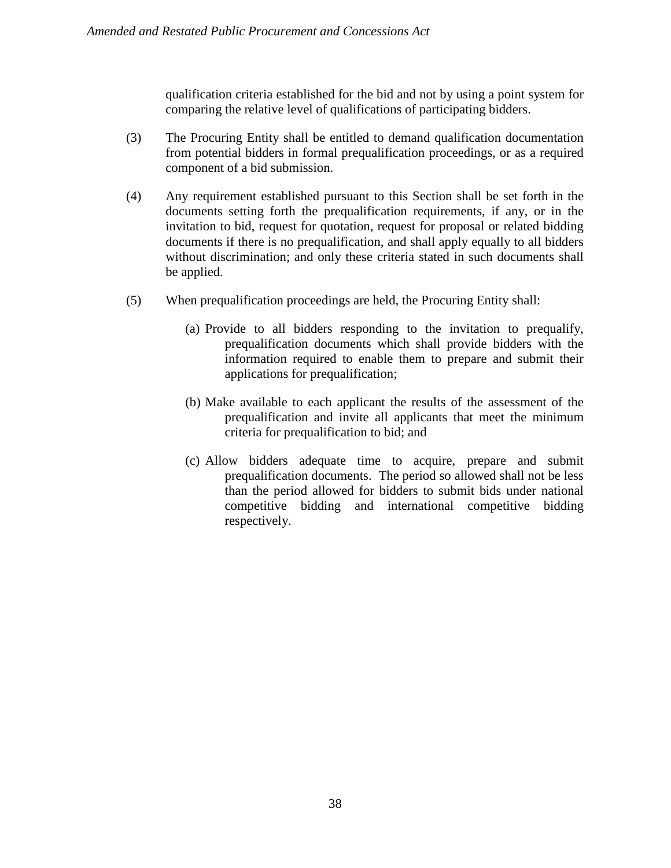qualification criteria established for the bid and not by using a point system for comparing the relative level of qualifications of participating bidders.

- (3) The Procuring Entity shall be entitled to demand qualification documentation from potential bidders in formal prequalification proceedings, or as a required component of a bid submission.
- (4) Any requirement established pursuant to this Section shall be set forth in the documents setting forth the prequalification requirements, if any, or in the invitation to bid, request for quotation, request for proposal or related bidding documents if there is no prequalification, and shall apply equally to all bidders without discrimination; and only these criteria stated in such documents shall be applied.
- (5) When prequalification proceedings are held, the Procuring Entity shall:
	- (a) Provide to all bidders responding to the invitation to prequalify, prequalification documents which shall provide bidders with the information required to enable them to prepare and submit their applications for prequalification;
	- (b) Make available to each applicant the results of the assessment of the prequalification and invite all applicants that meet the minimum criteria for prequalification to bid; and
	- (c) Allow bidders adequate time to acquire, prepare and submit prequalification documents. The period so allowed shall not be less than the period allowed for bidders to submit bids under national competitive bidding and international competitive bidding respectively.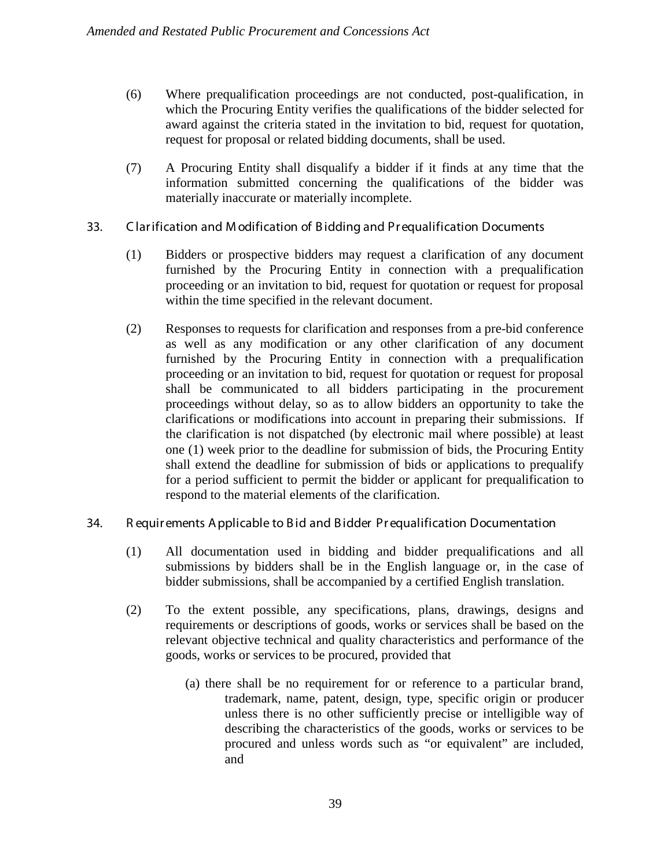- (6) Where prequalification proceedings are not conducted, post-qualification, in which the Procuring Entity verifies the qualifications of the bidder selected for award against the criteria stated in the invitation to bid, request for quotation, request for proposal or related bidding documents, shall be used.
- (7) A Procuring Entity shall disqualify a bidder if it finds at any time that the information submitted concerning the qualifications of the bidder was materially inaccurate or materially incomplete.
- 33. C lar ification and M odification of B idding and Pr equalification Documents
	- (1) Bidders or prospective bidders may request a clarification of any document furnished by the Procuring Entity in connection with a prequalification proceeding or an invitation to bid, request for quotation or request for proposal within the time specified in the relevant document.
	- (2) Responses to requests for clarification and responses from a pre-bid conference as well as any modification or any other clarification of any document furnished by the Procuring Entity in connection with a prequalification proceeding or an invitation to bid, request for quotation or request for proposal shall be communicated to all bidders participating in the procurement proceedings without delay, so as to allow bidders an opportunity to take the clarifications or modifications into account in preparing their submissions. If the clarification is not dispatched (by electronic mail where possible) at least one (1) week prior to the deadline for submission of bids, the Procuring Entity shall extend the deadline for submission of bids or applications to prequalify for a period sufficient to permit the bidder or applicant for prequalification to respond to the material elements of the clarification.

## 34. R equir ements A pplicable to B id and B idder Pr equalification Documentation

- (1) All documentation used in bidding and bidder prequalifications and all submissions by bidders shall be in the English language or, in the case of bidder submissions, shall be accompanied by a certified English translation.
- (2) To the extent possible, any specifications, plans, drawings, designs and requirements or descriptions of goods, works or services shall be based on the relevant objective technical and quality characteristics and performance of the goods, works or services to be procured, provided that
	- (a) there shall be no requirement for or reference to a particular brand, trademark, name, patent, design, type, specific origin or producer unless there is no other sufficiently precise or intelligible way of describing the characteristics of the goods, works or services to be procured and unless words such as "or equivalent" are included, and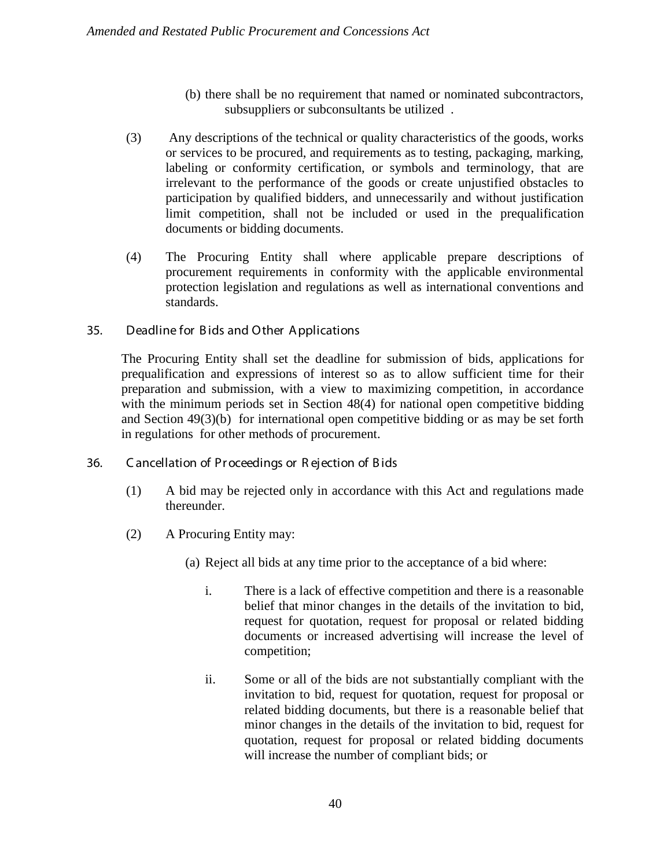- (b) there shall be no requirement that named or nominated subcontractors, subsuppliers or subconsultants be utilized .
- (3) Any descriptions of the technical or quality characteristics of the goods, works or services to be procured, and requirements as to testing, packaging, marking, labeling or conformity certification, or symbols and terminology, that are irrelevant to the performance of the goods or create unjustified obstacles to participation by qualified bidders, and unnecessarily and without justification limit competition, shall not be included or used in the prequalification documents or bidding documents.
- (4) The Procuring Entity shall where applicable prepare descriptions of procurement requirements in conformity with the applicable environmental protection legislation and regulations as well as international conventions and standards.

# 35. Deadline for B ids and Other A pplications

The Procuring Entity shall set the deadline for submission of bids, applications for prequalification and expressions of interest so as to allow sufficient time for their preparation and submission, with a view to maximizing competition, in accordance with the minimum periods set in Section 48(4) for national open competitive bidding and Section 49(3)(b) for international open competitive bidding or as may be set forth in regulations for other methods of procurement.

## 36. C ancellation of Pr oceedings or R ejection of B ids

- (1) A bid may be rejected only in accordance with this Act and regulations made thereunder.
- (2) A Procuring Entity may:
	- (a) Reject all bids at any time prior to the acceptance of a bid where:
		- i. There is a lack of effective competition and there is a reasonable belief that minor changes in the details of the invitation to bid, request for quotation, request for proposal or related bidding documents or increased advertising will increase the level of competition;
		- ii. Some or all of the bids are not substantially compliant with the invitation to bid, request for quotation, request for proposal or related bidding documents, but there is a reasonable belief that minor changes in the details of the invitation to bid, request for quotation, request for proposal or related bidding documents will increase the number of compliant bids; or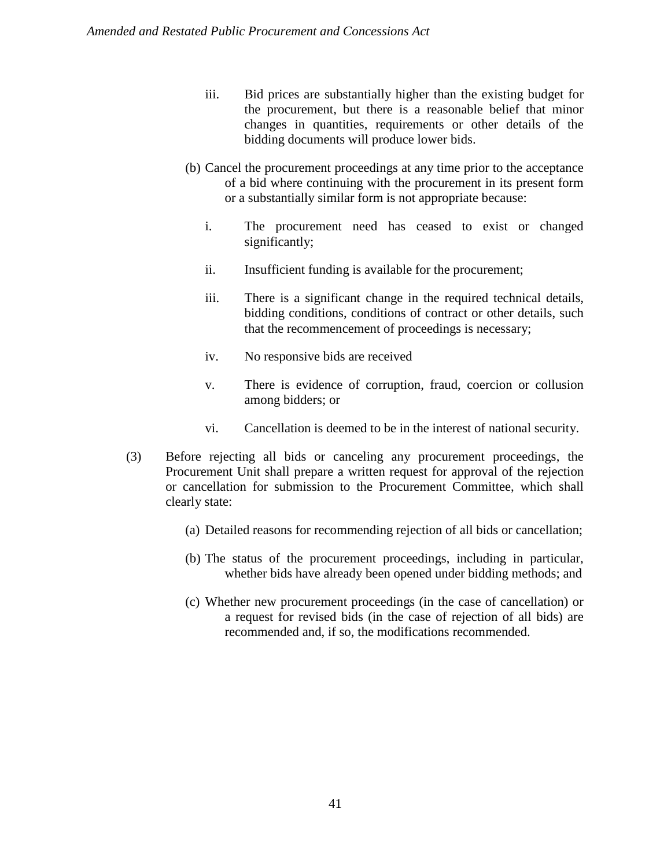- iii. Bid prices are substantially higher than the existing budget for the procurement, but there is a reasonable belief that minor changes in quantities, requirements or other details of the bidding documents will produce lower bids.
- (b) Cancel the procurement proceedings at any time prior to the acceptance of a bid where continuing with the procurement in its present form or a substantially similar form is not appropriate because:
	- i. The procurement need has ceased to exist or changed significantly;
	- ii. Insufficient funding is available for the procurement;
	- iii. There is a significant change in the required technical details, bidding conditions, conditions of contract or other details, such that the recommencement of proceedings is necessary;
	- iv. No responsive bids are received
	- v. There is evidence of corruption, fraud, coercion or collusion among bidders; or
	- vi. Cancellation is deemed to be in the interest of national security.
- (3) Before rejecting all bids or canceling any procurement proceedings, the Procurement Unit shall prepare a written request for approval of the rejection or cancellation for submission to the Procurement Committee, which shall clearly state:
	- (a) Detailed reasons for recommending rejection of all bids or cancellation;
	- (b) The status of the procurement proceedings, including in particular, whether bids have already been opened under bidding methods; and
	- (c) Whether new procurement proceedings (in the case of cancellation) or a request for revised bids (in the case of rejection of all bids) are recommended and, if so, the modifications recommended.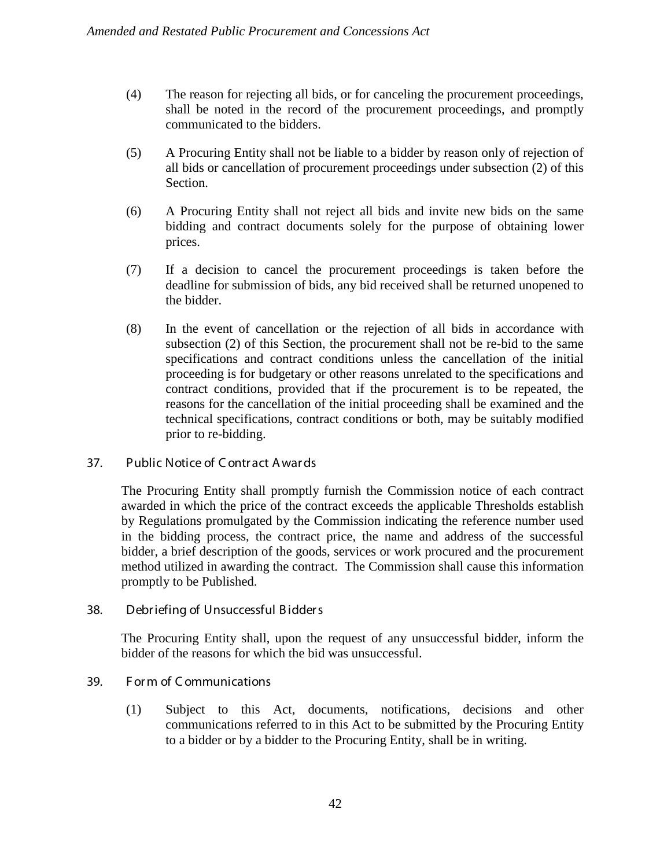- (4) The reason for rejecting all bids, or for canceling the procurement proceedings, shall be noted in the record of the procurement proceedings, and promptly communicated to the bidders.
- (5) A Procuring Entity shall not be liable to a bidder by reason only of rejection of all bids or cancellation of procurement proceedings under subsection (2) of this Section.
- (6) A Procuring Entity shall not reject all bids and invite new bids on the same bidding and contract documents solely for the purpose of obtaining lower prices.
- (7) If a decision to cancel the procurement proceedings is taken before the deadline for submission of bids, any bid received shall be returned unopened to the bidder.
- (8) In the event of cancellation or the rejection of all bids in accordance with subsection (2) of this Section, the procurement shall not be re-bid to the same specifications and contract conditions unless the cancellation of the initial proceeding is for budgetary or other reasons unrelated to the specifications and contract conditions, provided that if the procurement is to be repeated, the reasons for the cancellation of the initial proceeding shall be examined and the technical specifications, contract conditions or both, may be suitably modified prior to re-bidding.

## 37. Public Notice of C ontr act A war ds

The Procuring Entity shall promptly furnish the Commission notice of each contract awarded in which the price of the contract exceeds the applicable Thresholds establish by Regulations promulgated by the Commission indicating the reference number used in the bidding process, the contract price, the name and address of the successful bidder, a brief description of the goods, services or work procured and the procurement method utilized in awarding the contract. The Commission shall cause this information promptly to be Published.

## 38. Debr iefing of Unsuccessful B idder s

The Procuring Entity shall, upon the request of any unsuccessful bidder, inform the bidder of the reasons for which the bid was unsuccessful.

## 39. F or m of C ommunications

(1) Subject to this Act, documents, notifications, decisions and other communications referred to in this Act to be submitted by the Procuring Entity to a bidder or by a bidder to the Procuring Entity, shall be in writing.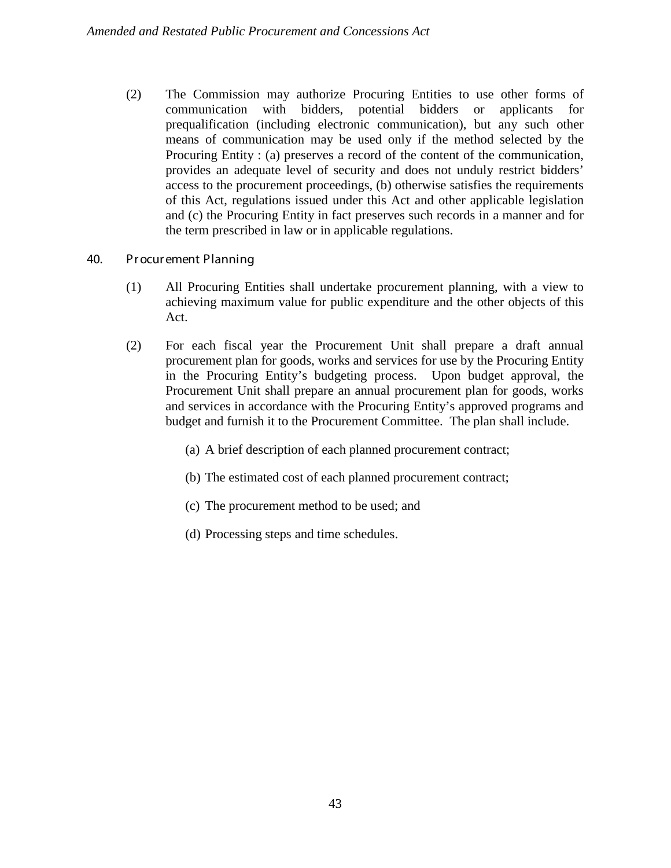(2) The Commission may authorize Procuring Entities to use other forms of communication with bidders, potential bidders or applicants for prequalification (including electronic communication), but any such other means of communication may be used only if the method selected by the Procuring Entity : (a) preserves a record of the content of the communication, provides an adequate level of security and does not unduly restrict bidders' access to the procurement proceedings, (b) otherwise satisfies the requirements of this Act, regulations issued under this Act and other applicable legislation and (c) the Procuring Entity in fact preserves such records in a manner and for the term prescribed in law or in applicable regulations.

## 40. Pr ocur ement Planning

- (1) All Procuring Entities shall undertake procurement planning, with a view to achieving maximum value for public expenditure and the other objects of this Act.
- (2) For each fiscal year the Procurement Unit shall prepare a draft annual procurement plan for goods, works and services for use by the Procuring Entity in the Procuring Entity's budgeting process. Upon budget approval, the Procurement Unit shall prepare an annual procurement plan for goods, works and services in accordance with the Procuring Entity's approved programs and budget and furnish it to the Procurement Committee. The plan shall include.
	- (a) A brief description of each planned procurement contract;
	- (b) The estimated cost of each planned procurement contract;
	- (c) The procurement method to be used; and
	- (d) Processing steps and time schedules.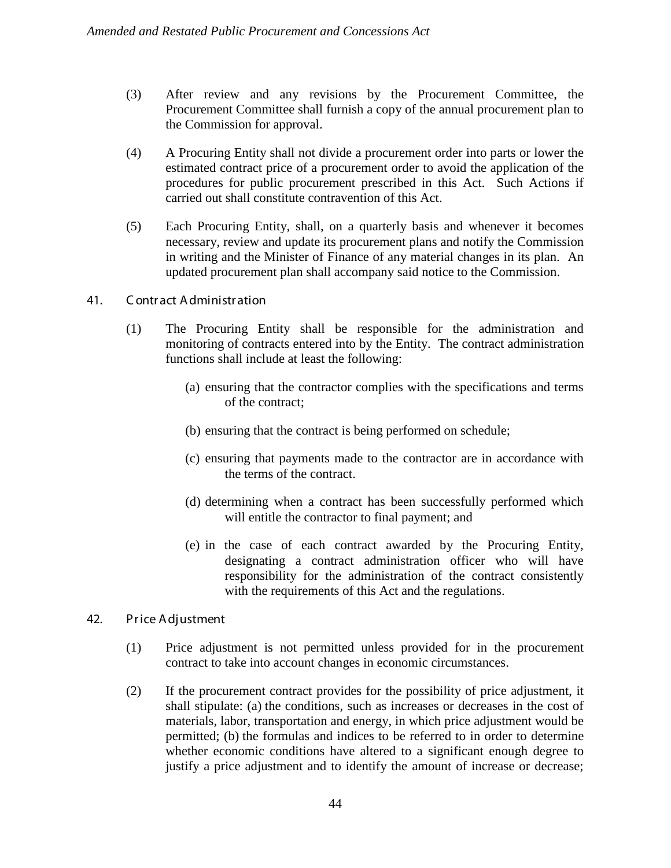- (3) After review and any revisions by the Procurement Committee, the Procurement Committee shall furnish a copy of the annual procurement plan to the Commission for approval.
- (4) A Procuring Entity shall not divide a procurement order into parts or lower the estimated contract price of a procurement order to avoid the application of the procedures for public procurement prescribed in this Act. Such Actions if carried out shall constitute contravention of this Act.
- (5) Each Procuring Entity, shall, on a quarterly basis and whenever it becomes necessary, review and update its procurement plans and notify the Commission in writing and the Minister of Finance of any material changes in its plan. An updated procurement plan shall accompany said notice to the Commission.
- 41. C ontr act A dministr ation
	- (1) The Procuring Entity shall be responsible for the administration and monitoring of contracts entered into by the Entity. The contract administration functions shall include at least the following:
		- (a) ensuring that the contractor complies with the specifications and terms of the contract;
		- (b) ensuring that the contract is being performed on schedule;
		- (c) ensuring that payments made to the contractor are in accordance with the terms of the contract.
		- (d) determining when a contract has been successfully performed which will entitle the contractor to final payment; and
		- (e) in the case of each contract awarded by the Procuring Entity, designating a contract administration officer who will have responsibility for the administration of the contract consistently with the requirements of this Act and the regulations.
- 42. Pr ice A djustment
	- (1) Price adjustment is not permitted unless provided for in the procurement contract to take into account changes in economic circumstances.
	- (2) If the procurement contract provides for the possibility of price adjustment, it shall stipulate: (a) the conditions, such as increases or decreases in the cost of materials, labor, transportation and energy, in which price adjustment would be permitted; (b) the formulas and indices to be referred to in order to determine whether economic conditions have altered to a significant enough degree to justify a price adjustment and to identify the amount of increase or decrease;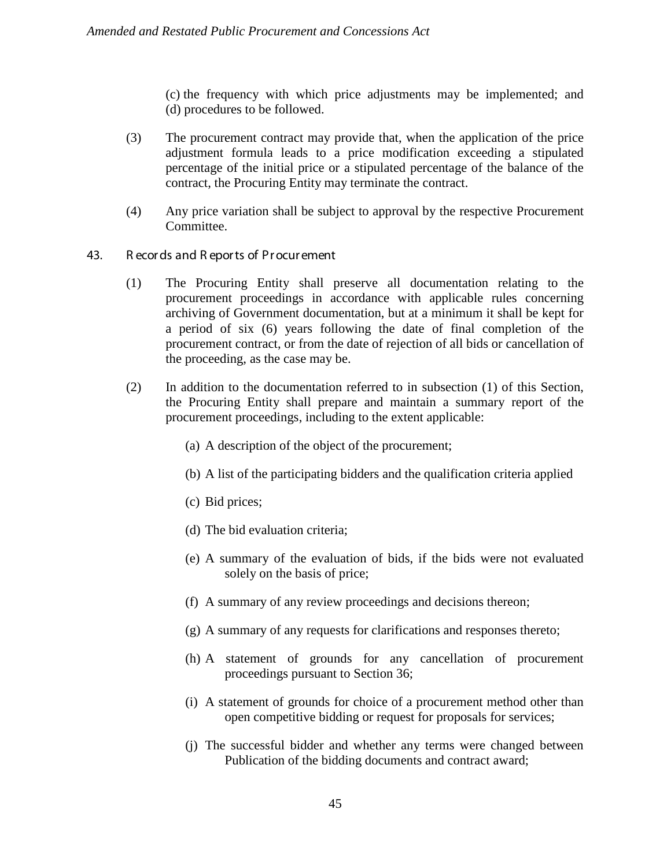(c) the frequency with which price adjustments may be implemented; and (d) procedures to be followed.

- (3) The procurement contract may provide that, when the application of the price adjustment formula leads to a price modification exceeding a stipulated percentage of the initial price or a stipulated percentage of the balance of the contract, the Procuring Entity may terminate the contract.
- (4) Any price variation shall be subject to approval by the respective Procurement Committee.

## 43. R ecor ds and R epor ts of Pr ocur ement

- (1) The Procuring Entity shall preserve all documentation relating to the procurement proceedings in accordance with applicable rules concerning archiving of Government documentation, but at a minimum it shall be kept for a period of six (6) years following the date of final completion of the procurement contract, or from the date of rejection of all bids or cancellation of the proceeding, as the case may be.
- (2) In addition to the documentation referred to in subsection (1) of this Section, the Procuring Entity shall prepare and maintain a summary report of the procurement proceedings, including to the extent applicable:
	- (a) A description of the object of the procurement;
	- (b) A list of the participating bidders and the qualification criteria applied
	- (c) Bid prices;
	- (d) The bid evaluation criteria;
	- (e) A summary of the evaluation of bids, if the bids were not evaluated solely on the basis of price;
	- (f) A summary of any review proceedings and decisions thereon;
	- (g) A summary of any requests for clarifications and responses thereto;
	- (h) A statement of grounds for any cancellation of procurement proceedings pursuant to Section 36;
	- (i) A statement of grounds for choice of a procurement method other than open competitive bidding or request for proposals for services;
	- (j) The successful bidder and whether any terms were changed between Publication of the bidding documents and contract award;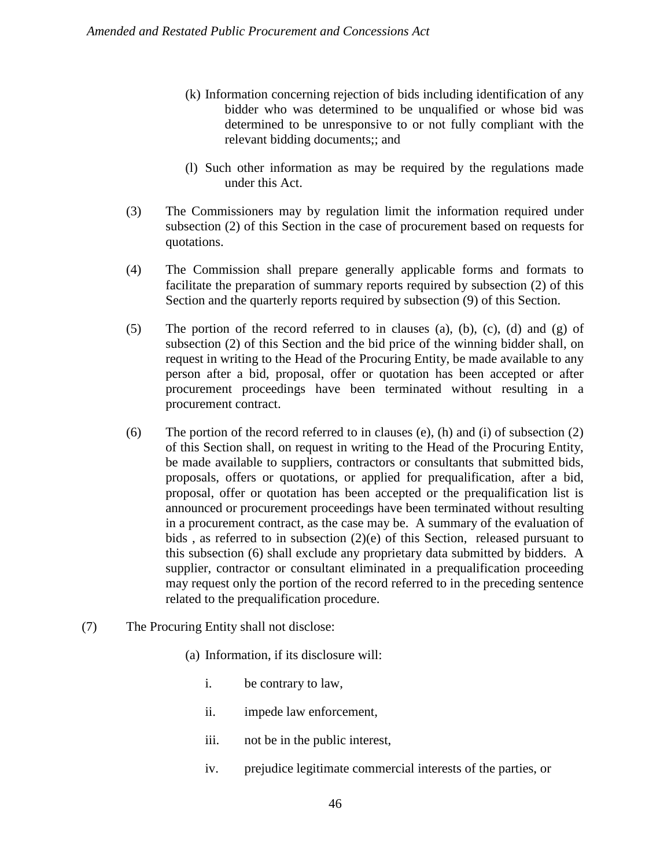- (k) Information concerning rejection of bids including identification of any bidder who was determined to be unqualified or whose bid was determined to be unresponsive to or not fully compliant with the relevant bidding documents;; and
- (l) Such other information as may be required by the regulations made under this Act.
- (3) The Commissioners may by regulation limit the information required under subsection (2) of this Section in the case of procurement based on requests for quotations.
- (4) The Commission shall prepare generally applicable forms and formats to facilitate the preparation of summary reports required by subsection (2) of this Section and the quarterly reports required by subsection (9) of this Section.
- (5) The portion of the record referred to in clauses (a), (b), (c), (d) and (g) of subsection (2) of this Section and the bid price of the winning bidder shall, on request in writing to the Head of the Procuring Entity, be made available to any person after a bid, proposal, offer or quotation has been accepted or after procurement proceedings have been terminated without resulting in a procurement contract.
- (6) The portion of the record referred to in clauses (e), (h) and (i) of subsection  $(2)$ of this Section shall, on request in writing to the Head of the Procuring Entity, be made available to suppliers, contractors or consultants that submitted bids, proposals, offers or quotations, or applied for prequalification, after a bid, proposal, offer or quotation has been accepted or the prequalification list is announced or procurement proceedings have been terminated without resulting in a procurement contract, as the case may be. A summary of the evaluation of bids , as referred to in subsection (2)(e) of this Section, released pursuant to this subsection (6) shall exclude any proprietary data submitted by bidders. A supplier, contractor or consultant eliminated in a prequalification proceeding may request only the portion of the record referred to in the preceding sentence related to the prequalification procedure.
- (7) The Procuring Entity shall not disclose:
	- (a) Information, if its disclosure will:
		- i. be contrary to law,
		- ii. impede law enforcement,
		- iii. not be in the public interest,
		- iv. prejudice legitimate commercial interests of the parties, or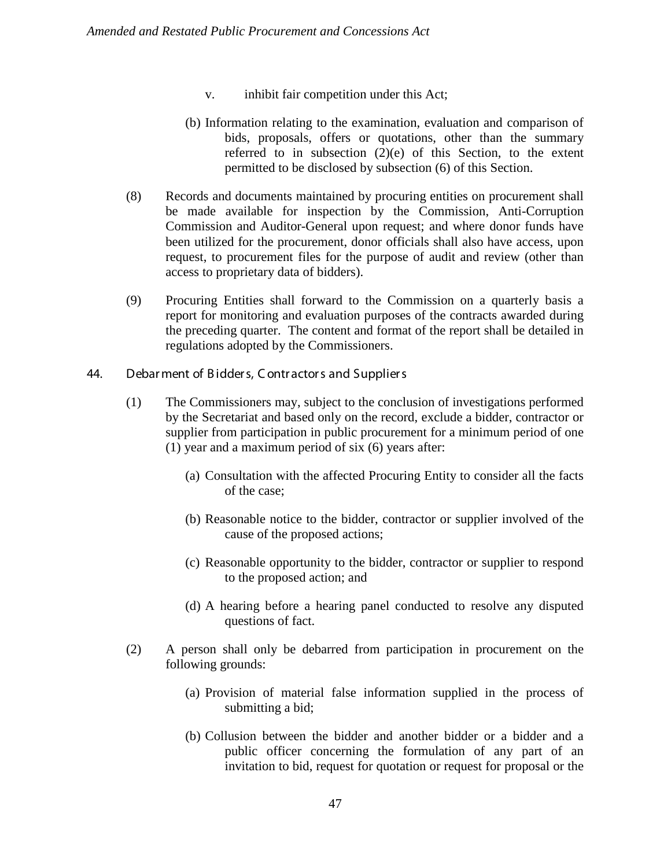- v. inhibit fair competition under this Act;
- (b) Information relating to the examination, evaluation and comparison of bids, proposals, offers or quotations, other than the summary referred to in subsection  $(2)(e)$  of this Section, to the extent permitted to be disclosed by subsection (6) of this Section.
- (8) Records and documents maintained by procuring entities on procurement shall be made available for inspection by the Commission, Anti-Corruption Commission and Auditor-General upon request; and where donor funds have been utilized for the procurement, donor officials shall also have access, upon request, to procurement files for the purpose of audit and review (other than access to proprietary data of bidders).
- (9) Procuring Entities shall forward to the Commission on a quarterly basis a report for monitoring and evaluation purposes of the contracts awarded during the preceding quarter. The content and format of the report shall be detailed in regulations adopted by the Commissioners.
- 44. Debar ment of B idder s, C ontr actor s and Supplier s
	- (1) The Commissioners may, subject to the conclusion of investigations performed by the Secretariat and based only on the record, exclude a bidder, contractor or supplier from participation in public procurement for a minimum period of one (1) year and a maximum period of six (6) years after:
		- (a) Consultation with the affected Procuring Entity to consider all the facts of the case;
		- (b) Reasonable notice to the bidder, contractor or supplier involved of the cause of the proposed actions;
		- (c) Reasonable opportunity to the bidder, contractor or supplier to respond to the proposed action; and
		- (d) A hearing before a hearing panel conducted to resolve any disputed questions of fact.
	- (2) A person shall only be debarred from participation in procurement on the following grounds:
		- (a) Provision of material false information supplied in the process of submitting a bid;
		- (b) Collusion between the bidder and another bidder or a bidder and a public officer concerning the formulation of any part of an invitation to bid, request for quotation or request for proposal or the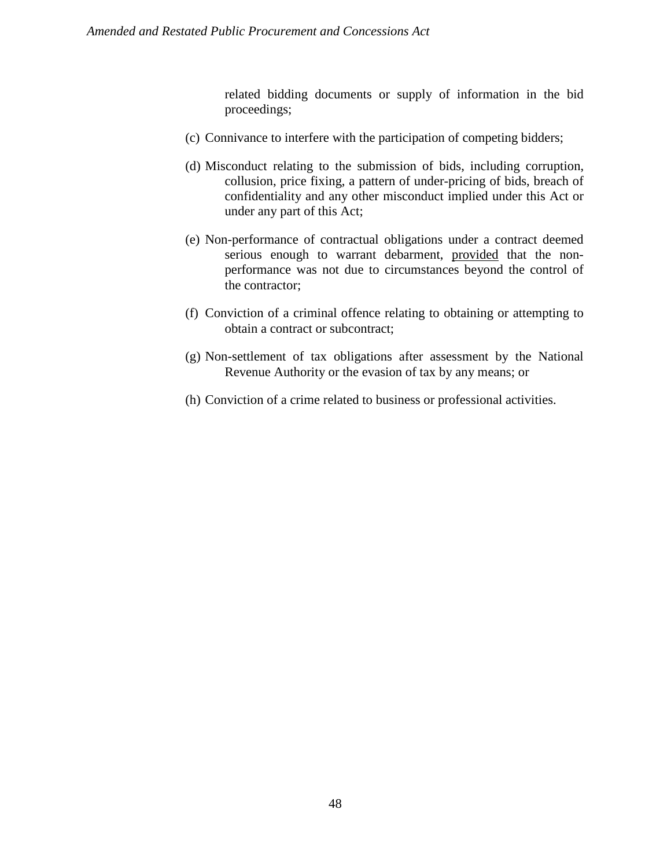related bidding documents or supply of information in the bid proceedings;

- (c) Connivance to interfere with the participation of competing bidders;
- (d) Misconduct relating to the submission of bids, including corruption, collusion, price fixing, a pattern of under-pricing of bids, breach of confidentiality and any other misconduct implied under this Act or under any part of this Act;
- (e) Non-performance of contractual obligations under a contract deemed serious enough to warrant debarment, provided that the nonperformance was not due to circumstances beyond the control of the contractor;
- (f) Conviction of a criminal offence relating to obtaining or attempting to obtain a contract or subcontract;
- (g) Non-settlement of tax obligations after assessment by the National Revenue Authority or the evasion of tax by any means; or
- (h) Conviction of a crime related to business or professional activities.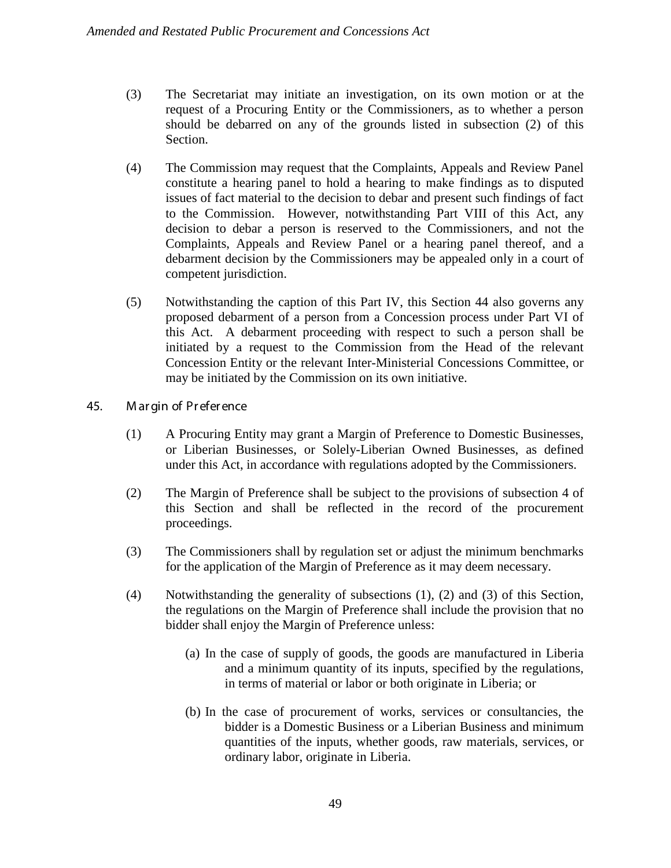- (3) The Secretariat may initiate an investigation, on its own motion or at the request of a Procuring Entity or the Commissioners, as to whether a person should be debarred on any of the grounds listed in subsection (2) of this Section.
- (4) The Commission may request that the Complaints, Appeals and Review Panel constitute a hearing panel to hold a hearing to make findings as to disputed issues of fact material to the decision to debar and present such findings of fact to the Commission. However, notwithstanding Part VIII of this Act, any decision to debar a person is reserved to the Commissioners, and not the Complaints, Appeals and Review Panel or a hearing panel thereof, and a debarment decision by the Commissioners may be appealed only in a court of competent jurisdiction.
- (5) Notwithstanding the caption of this Part IV, this Section 44 also governs any proposed debarment of a person from a Concession process under Part VI of this Act. A debarment proceeding with respect to such a person shall be initiated by a request to the Commission from the Head of the relevant Concession Entity or the relevant Inter-Ministerial Concessions Committee, or may be initiated by the Commission on its own initiative.
- 45. M ar gin of Pr efer ence
	- (1) A Procuring Entity may grant a Margin of Preference to Domestic Businesses, or Liberian Businesses, or Solely-Liberian Owned Businesses, as defined under this Act, in accordance with regulations adopted by the Commissioners.
	- (2) The Margin of Preference shall be subject to the provisions of subsection 4 of this Section and shall be reflected in the record of the procurement proceedings.
	- (3) The Commissioners shall by regulation set or adjust the minimum benchmarks for the application of the Margin of Preference as it may deem necessary.
	- (4) Notwithstanding the generality of subsections (1), (2) and (3) of this Section, the regulations on the Margin of Preference shall include the provision that no bidder shall enjoy the Margin of Preference unless:
		- (a) In the case of supply of goods, the goods are manufactured in Liberia and a minimum quantity of its inputs, specified by the regulations, in terms of material or labor or both originate in Liberia; or
		- (b) In the case of procurement of works, services or consultancies, the bidder is a Domestic Business or a Liberian Business and minimum quantities of the inputs, whether goods, raw materials, services, or ordinary labor, originate in Liberia.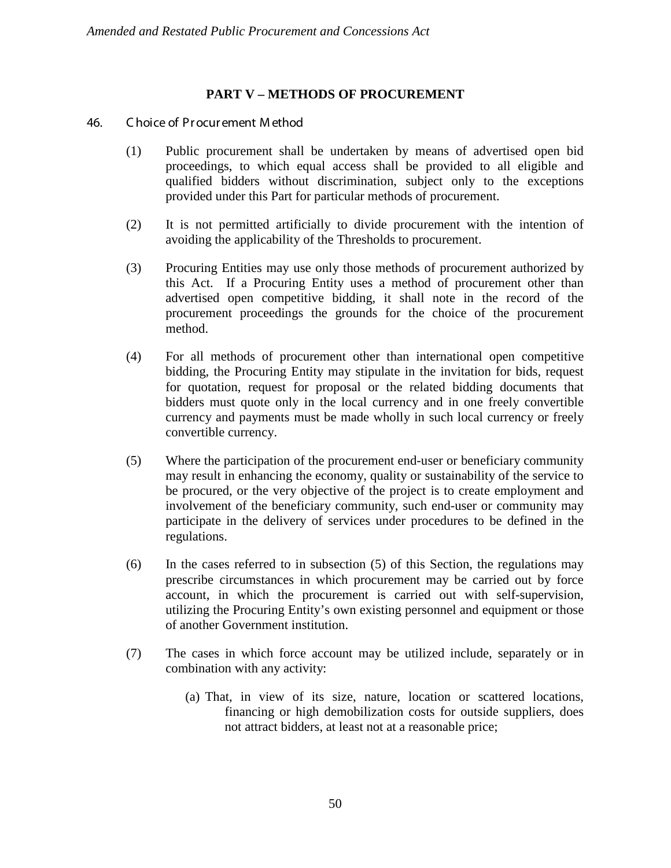# **PART V – METHODS OF PROCUREMENT**

# 46. C hoice of Pr ocur ement M ethod

- (1) Public procurement shall be undertaken by means of advertised open bid proceedings, to which equal access shall be provided to all eligible and qualified bidders without discrimination, subject only to the exceptions provided under this Part for particular methods of procurement.
- (2) It is not permitted artificially to divide procurement with the intention of avoiding the applicability of the Thresholds to procurement.
- (3) Procuring Entities may use only those methods of procurement authorized by this Act. If a Procuring Entity uses a method of procurement other than advertised open competitive bidding, it shall note in the record of the procurement proceedings the grounds for the choice of the procurement method.
- (4) For all methods of procurement other than international open competitive bidding, the Procuring Entity may stipulate in the invitation for bids, request for quotation, request for proposal or the related bidding documents that bidders must quote only in the local currency and in one freely convertible currency and payments must be made wholly in such local currency or freely convertible currency.
- (5) Where the participation of the procurement end-user or beneficiary community may result in enhancing the economy, quality or sustainability of the service to be procured, or the very objective of the project is to create employment and involvement of the beneficiary community, such end-user or community may participate in the delivery of services under procedures to be defined in the regulations.
- (6) In the cases referred to in subsection (5) of this Section, the regulations may prescribe circumstances in which procurement may be carried out by force account, in which the procurement is carried out with self-supervision, utilizing the Procuring Entity's own existing personnel and equipment or those of another Government institution.
- (7) The cases in which force account may be utilized include, separately or in combination with any activity:
	- (a) That, in view of its size, nature, location or scattered locations, financing or high demobilization costs for outside suppliers, does not attract bidders, at least not at a reasonable price;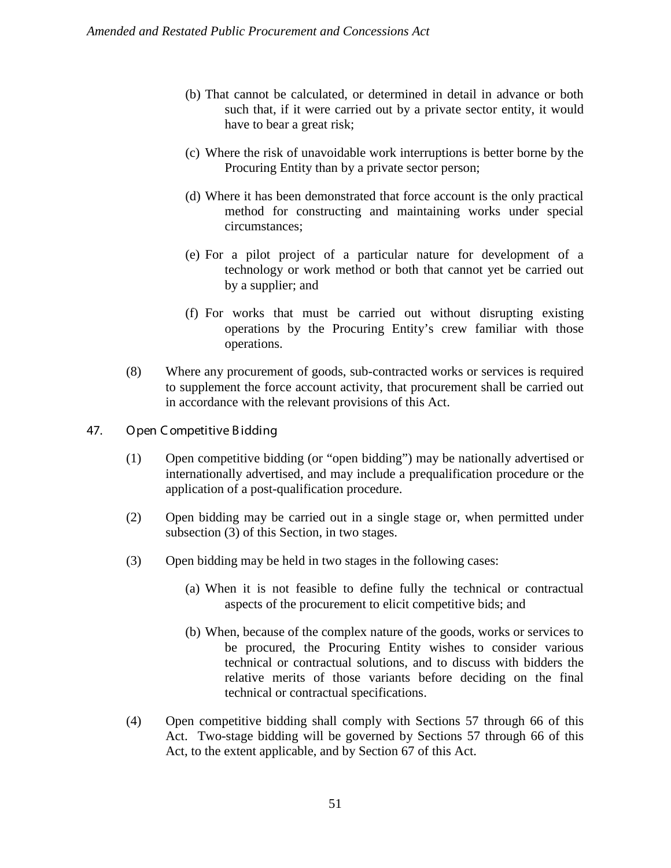- (b) That cannot be calculated, or determined in detail in advance or both such that, if it were carried out by a private sector entity, it would have to bear a great risk;
- (c) Where the risk of unavoidable work interruptions is better borne by the Procuring Entity than by a private sector person;
- (d) Where it has been demonstrated that force account is the only practical method for constructing and maintaining works under special circumstances;
- (e) For a pilot project of a particular nature for development of a technology or work method or both that cannot yet be carried out by a supplier; and
- (f) For works that must be carried out without disrupting existing operations by the Procuring Entity's crew familiar with those operations.
- (8) Where any procurement of goods, sub-contracted works or services is required to supplement the force account activity, that procurement shall be carried out in accordance with the relevant provisions of this Act.
- 47. Open C ompetitive B idding
	- (1) Open competitive bidding (or "open bidding") may be nationally advertised or internationally advertised, and may include a prequalification procedure or the application of a post-qualification procedure.
	- (2) Open bidding may be carried out in a single stage or, when permitted under subsection (3) of this Section, in two stages.
	- (3) Open bidding may be held in two stages in the following cases:
		- (a) When it is not feasible to define fully the technical or contractual aspects of the procurement to elicit competitive bids; and
		- (b) When, because of the complex nature of the goods, works or services to be procured, the Procuring Entity wishes to consider various technical or contractual solutions, and to discuss with bidders the relative merits of those variants before deciding on the final technical or contractual specifications.
	- (4) Open competitive bidding shall comply with Sections 57 through 66 of this Act. Two-stage bidding will be governed by Sections 57 through 66 of this Act, to the extent applicable, and by Section 67 of this Act.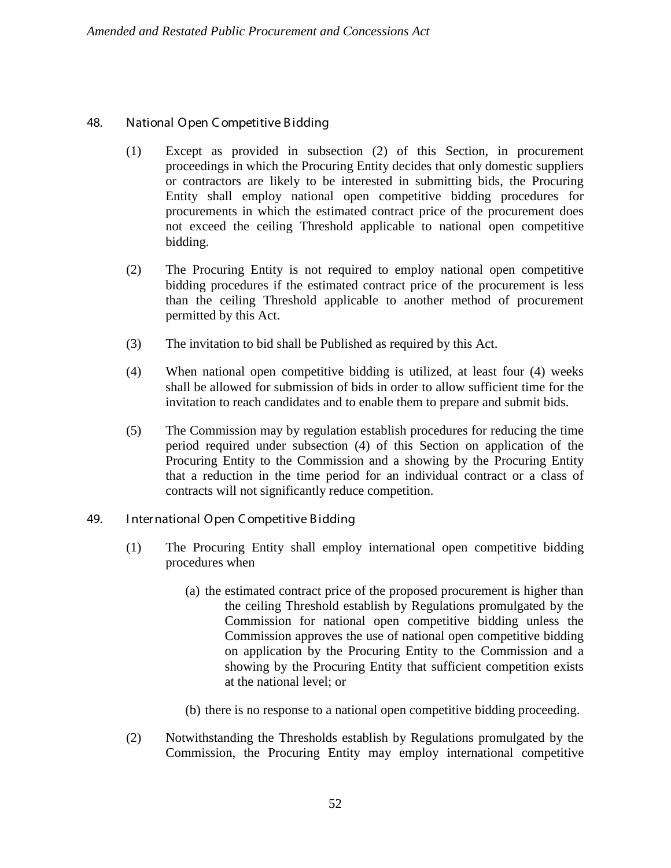# 48. National Open C ompetitive B idding

- (1) Except as provided in subsection (2) of this Section, in procurement proceedings in which the Procuring Entity decides that only domestic suppliers or contractors are likely to be interested in submitting bids, the Procuring Entity shall employ national open competitive bidding procedures for procurements in which the estimated contract price of the procurement does not exceed the ceiling Threshold applicable to national open competitive bidding.
- (2) The Procuring Entity is not required to employ national open competitive bidding procedures if the estimated contract price of the procurement is less than the ceiling Threshold applicable to another method of procurement permitted by this Act.
- (3) The invitation to bid shall be Published as required by this Act.
- (4) When national open competitive bidding is utilized, at least four (4) weeks shall be allowed for submission of bids in order to allow sufficient time for the invitation to reach candidates and to enable them to prepare and submit bids.
- (5) The Commission may by regulation establish procedures for reducing the time period required under subsection (4) of this Section on application of the Procuring Entity to the Commission and a showing by the Procuring Entity that a reduction in the time period for an individual contract or a class of contracts will not significantly reduce competition.
- 49. I nter national Open C ompetitive B idding
	- (1) The Procuring Entity shall employ international open competitive bidding procedures when
		- (a) the estimated contract price of the proposed procurement is higher than the ceiling Threshold establish by Regulations promulgated by the Commission for national open competitive bidding unless the Commission approves the use of national open competitive bidding on application by the Procuring Entity to the Commission and a showing by the Procuring Entity that sufficient competition exists at the national level; or
		- (b) there is no response to a national open competitive bidding proceeding.
	- (2) Notwithstanding the Thresholds establish by Regulations promulgated by the Commission, the Procuring Entity may employ international competitive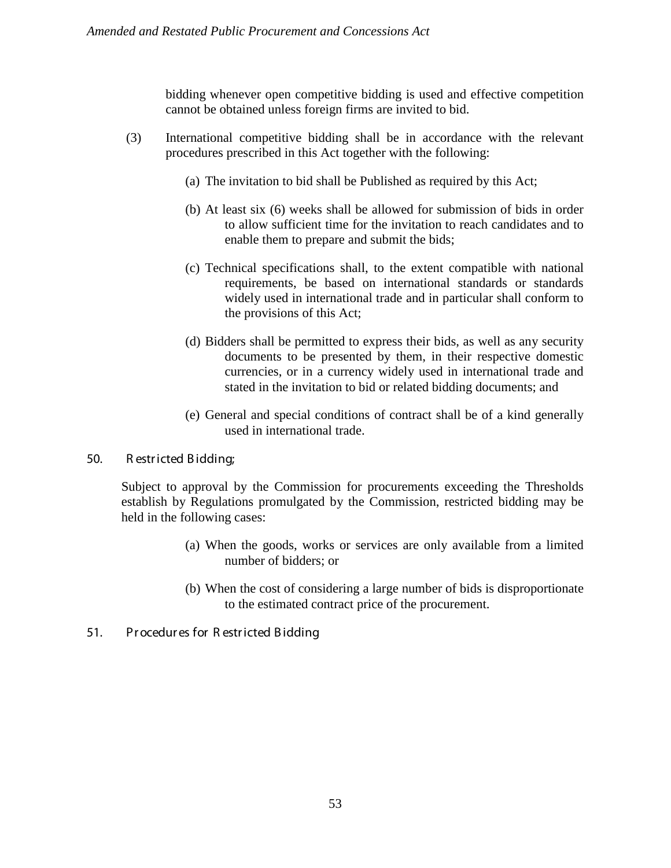bidding whenever open competitive bidding is used and effective competition cannot be obtained unless foreign firms are invited to bid.

- (3) International competitive bidding shall be in accordance with the relevant procedures prescribed in this Act together with the following:
	- (a) The invitation to bid shall be Published as required by this Act;
	- (b) At least six (6) weeks shall be allowed for submission of bids in order to allow sufficient time for the invitation to reach candidates and to enable them to prepare and submit the bids;
	- (c) Technical specifications shall, to the extent compatible with national requirements, be based on international standards or standards widely used in international trade and in particular shall conform to the provisions of this Act;
	- (d) Bidders shall be permitted to express their bids, as well as any security documents to be presented by them, in their respective domestic currencies, or in a currency widely used in international trade and stated in the invitation to bid or related bidding documents; and
	- (e) General and special conditions of contract shall be of a kind generally used in international trade.

## 50. R estr icted B idding;

Subject to approval by the Commission for procurements exceeding the Thresholds establish by Regulations promulgated by the Commission, restricted bidding may be held in the following cases:

- (a) When the goods, works or services are only available from a limited number of bidders; or
- (b) When the cost of considering a large number of bids is disproportionate to the estimated contract price of the procurement.
- 51. Pr ocedur es for R estr icted B idding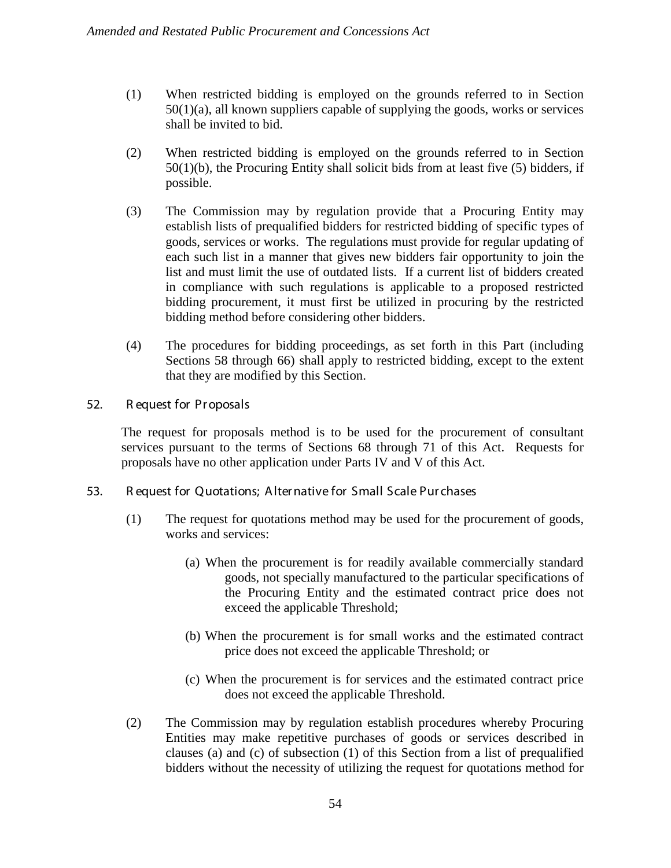- (1) When restricted bidding is employed on the grounds referred to in Section 50(1)(a), all known suppliers capable of supplying the goods, works or services shall be invited to bid.
- (2) When restricted bidding is employed on the grounds referred to in Section 50(1)(b), the Procuring Entity shall solicit bids from at least five (5) bidders, if possible.
- (3) The Commission may by regulation provide that a Procuring Entity may establish lists of prequalified bidders for restricted bidding of specific types of goods, services or works. The regulations must provide for regular updating of each such list in a manner that gives new bidders fair opportunity to join the list and must limit the use of outdated lists. If a current list of bidders created in compliance with such regulations is applicable to a proposed restricted bidding procurement, it must first be utilized in procuring by the restricted bidding method before considering other bidders.
- (4) The procedures for bidding proceedings, as set forth in this Part (including Sections 58 through 66) shall apply to restricted bidding, except to the extent that they are modified by this Section.
- 52. R equest for Pr oposals

The request for proposals method is to be used for the procurement of consultant services pursuant to the terms of Sections 68 through 71 of this Act. Requests for proposals have no other application under Parts IV and V of this Act.

- 53. R equest for Quotations; A lter native for Small Scale Pur chases
	- (1) The request for quotations method may be used for the procurement of goods, works and services:
		- (a) When the procurement is for readily available commercially standard goods, not specially manufactured to the particular specifications of the Procuring Entity and the estimated contract price does not exceed the applicable Threshold;
		- (b) When the procurement is for small works and the estimated contract price does not exceed the applicable Threshold; or
		- (c) When the procurement is for services and the estimated contract price does not exceed the applicable Threshold.
	- (2) The Commission may by regulation establish procedures whereby Procuring Entities may make repetitive purchases of goods or services described in clauses (a) and (c) of subsection (1) of this Section from a list of prequalified bidders without the necessity of utilizing the request for quotations method for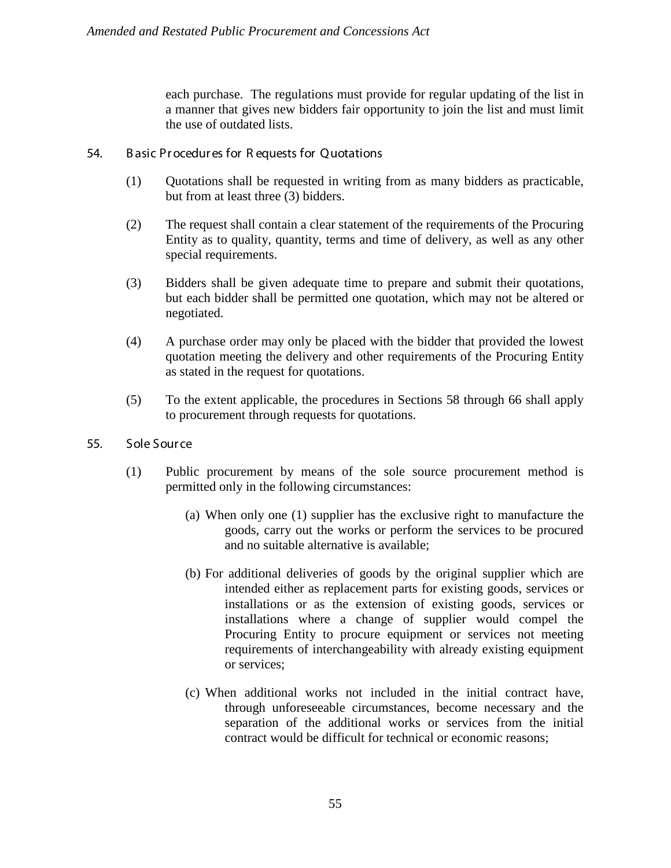each purchase. The regulations must provide for regular updating of the list in a manner that gives new bidders fair opportunity to join the list and must limit the use of outdated lists.

- 54. B asic Pr ocedur es for R equests for Quotations
	- (1) Quotations shall be requested in writing from as many bidders as practicable, but from at least three (3) bidders.
	- (2) The request shall contain a clear statement of the requirements of the Procuring Entity as to quality, quantity, terms and time of delivery, as well as any other special requirements.
	- (3) Bidders shall be given adequate time to prepare and submit their quotations, but each bidder shall be permitted one quotation, which may not be altered or negotiated.
	- (4) A purchase order may only be placed with the bidder that provided the lowest quotation meeting the delivery and other requirements of the Procuring Entity as stated in the request for quotations.
	- (5) To the extent applicable, the procedures in Sections 58 through 66 shall apply to procurement through requests for quotations.
- 55. Sole Sour ce
	- (1) Public procurement by means of the sole source procurement method is permitted only in the following circumstances:
		- (a) When only one (1) supplier has the exclusive right to manufacture the goods, carry out the works or perform the services to be procured and no suitable alternative is available;
		- (b) For additional deliveries of goods by the original supplier which are intended either as replacement parts for existing goods, services or installations or as the extension of existing goods, services or installations where a change of supplier would compel the Procuring Entity to procure equipment or services not meeting requirements of interchangeability with already existing equipment or services;
		- (c) When additional works not included in the initial contract have, through unforeseeable circumstances, become necessary and the separation of the additional works or services from the initial contract would be difficult for technical or economic reasons;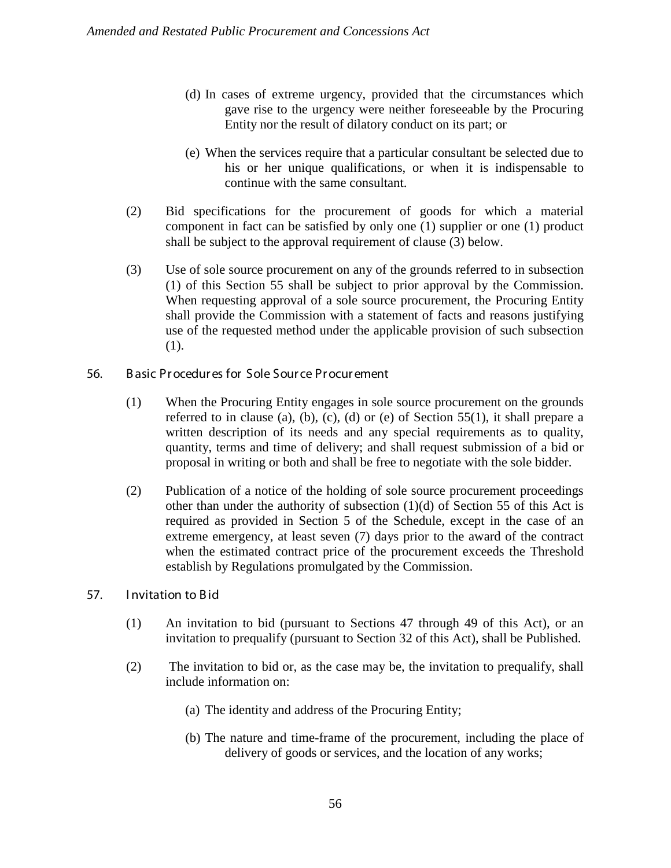- (d) In cases of extreme urgency, provided that the circumstances which gave rise to the urgency were neither foreseeable by the Procuring Entity nor the result of dilatory conduct on its part; or
- (e) When the services require that a particular consultant be selected due to his or her unique qualifications, or when it is indispensable to continue with the same consultant.
- (2) Bid specifications for the procurement of goods for which a material component in fact can be satisfied by only one (1) supplier or one (1) product shall be subject to the approval requirement of clause (3) below.
- (3) Use of sole source procurement on any of the grounds referred to in subsection (1) of this Section 55 shall be subject to prior approval by the Commission. When requesting approval of a sole source procurement, the Procuring Entity shall provide the Commission with a statement of facts and reasons justifying use of the requested method under the applicable provision of such subsection (1).
- 56. B asic Pr ocedur es for Sole Sour ce Pr ocur ement
	- (1) When the Procuring Entity engages in sole source procurement on the grounds referred to in clause (a), (b), (c), (d) or (e) of Section  $55(1)$ , it shall prepare a written description of its needs and any special requirements as to quality, quantity, terms and time of delivery; and shall request submission of a bid or proposal in writing or both and shall be free to negotiate with the sole bidder.
	- (2) Publication of a notice of the holding of sole source procurement proceedings other than under the authority of subsection (1)(d) of Section 55 of this Act is required as provided in Section 5 of the Schedule, except in the case of an extreme emergency, at least seven (7) days prior to the award of the contract when the estimated contract price of the procurement exceeds the Threshold establish by Regulations promulgated by the Commission.
- 57. Invitation to Bid
	- (1) An invitation to bid (pursuant to Sections 47 through 49 of this Act), or an invitation to prequalify (pursuant to Section 32 of this Act), shall be Published.
	- (2) The invitation to bid or, as the case may be, the invitation to prequalify, shall include information on:
		- (a) The identity and address of the Procuring Entity;
		- (b) The nature and time-frame of the procurement, including the place of delivery of goods or services, and the location of any works;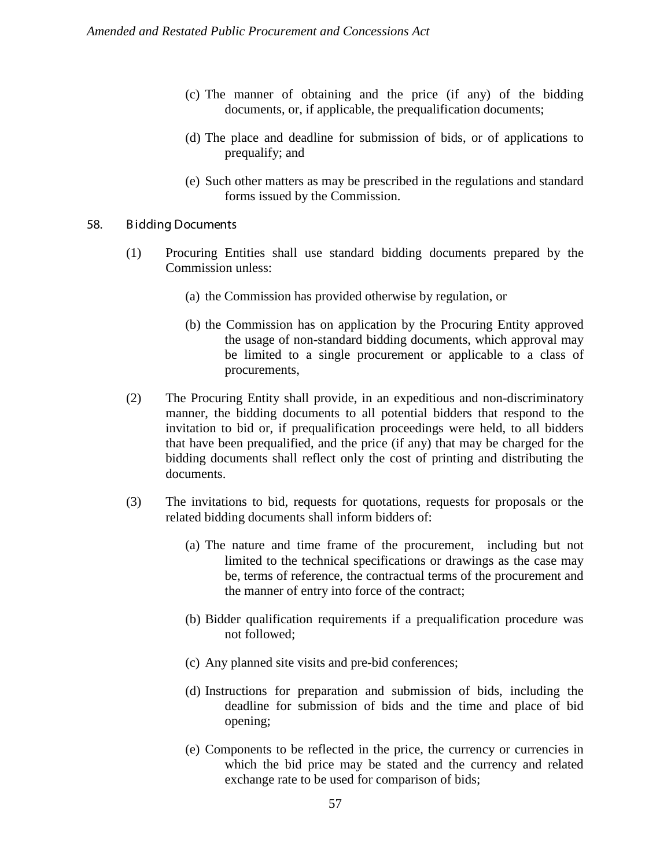- (c) The manner of obtaining and the price (if any) of the bidding documents, or, if applicable, the prequalification documents;
- (d) The place and deadline for submission of bids, or of applications to prequalify; and
- (e) Such other matters as may be prescribed in the regulations and standard forms issued by the Commission.

#### 58. B idding Documents

- (1) Procuring Entities shall use standard bidding documents prepared by the Commission unless:
	- (a) the Commission has provided otherwise by regulation, or
	- (b) the Commission has on application by the Procuring Entity approved the usage of non-standard bidding documents, which approval may be limited to a single procurement or applicable to a class of procurements,
- (2) The Procuring Entity shall provide, in an expeditious and non-discriminatory manner, the bidding documents to all potential bidders that respond to the invitation to bid or, if prequalification proceedings were held, to all bidders that have been prequalified, and the price (if any) that may be charged for the bidding documents shall reflect only the cost of printing and distributing the documents.
- (3) The invitations to bid, requests for quotations, requests for proposals or the related bidding documents shall inform bidders of:
	- (a) The nature and time frame of the procurement, including but not limited to the technical specifications or drawings as the case may be, terms of reference, the contractual terms of the procurement and the manner of entry into force of the contract;
	- (b) Bidder qualification requirements if a prequalification procedure was not followed;
	- (c) Any planned site visits and pre-bid conferences;
	- (d) Instructions for preparation and submission of bids, including the deadline for submission of bids and the time and place of bid opening;
	- (e) Components to be reflected in the price, the currency or currencies in which the bid price may be stated and the currency and related exchange rate to be used for comparison of bids;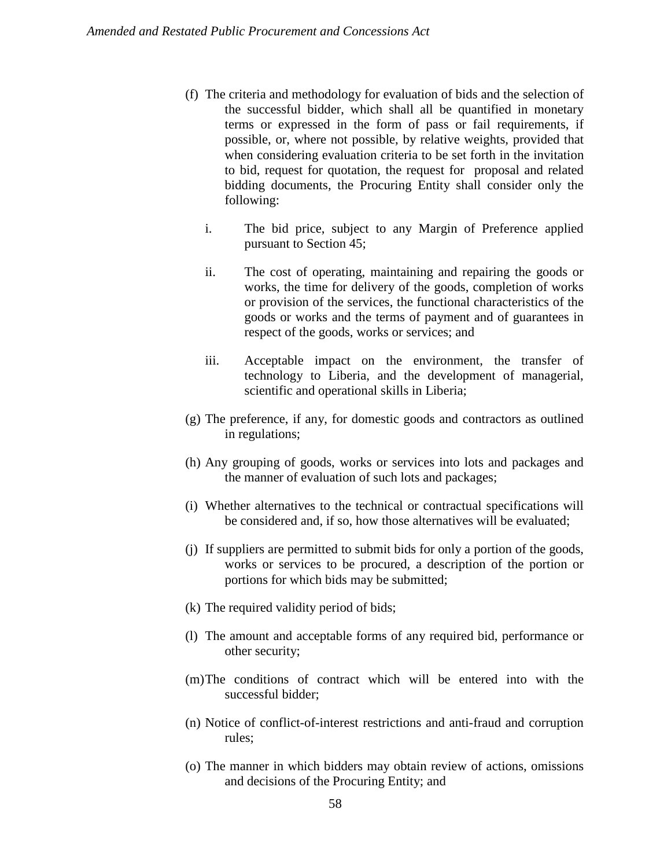- (f) The criteria and methodology for evaluation of bids and the selection of the successful bidder, which shall all be quantified in monetary terms or expressed in the form of pass or fail requirements, if possible, or, where not possible, by relative weights, provided that when considering evaluation criteria to be set forth in the invitation to bid, request for quotation, the request for proposal and related bidding documents, the Procuring Entity shall consider only the following:
	- i. The bid price, subject to any Margin of Preference applied pursuant to Section 45;
	- ii. The cost of operating, maintaining and repairing the goods or works, the time for delivery of the goods, completion of works or provision of the services, the functional characteristics of the goods or works and the terms of payment and of guarantees in respect of the goods, works or services; and
	- iii. Acceptable impact on the environment, the transfer of technology to Liberia, and the development of managerial, scientific and operational skills in Liberia;
- (g) The preference, if any, for domestic goods and contractors as outlined in regulations;
- (h) Any grouping of goods, works or services into lots and packages and the manner of evaluation of such lots and packages;
- (i) Whether alternatives to the technical or contractual specifications will be considered and, if so, how those alternatives will be evaluated;
- (j) If suppliers are permitted to submit bids for only a portion of the goods, works or services to be procured, a description of the portion or portions for which bids may be submitted;
- (k) The required validity period of bids;
- (l) The amount and acceptable forms of any required bid, performance or other security;
- (m)The conditions of contract which will be entered into with the successful bidder;
- (n) Notice of conflict-of-interest restrictions and anti-fraud and corruption rules;
- (o) The manner in which bidders may obtain review of actions, omissions and decisions of the Procuring Entity; and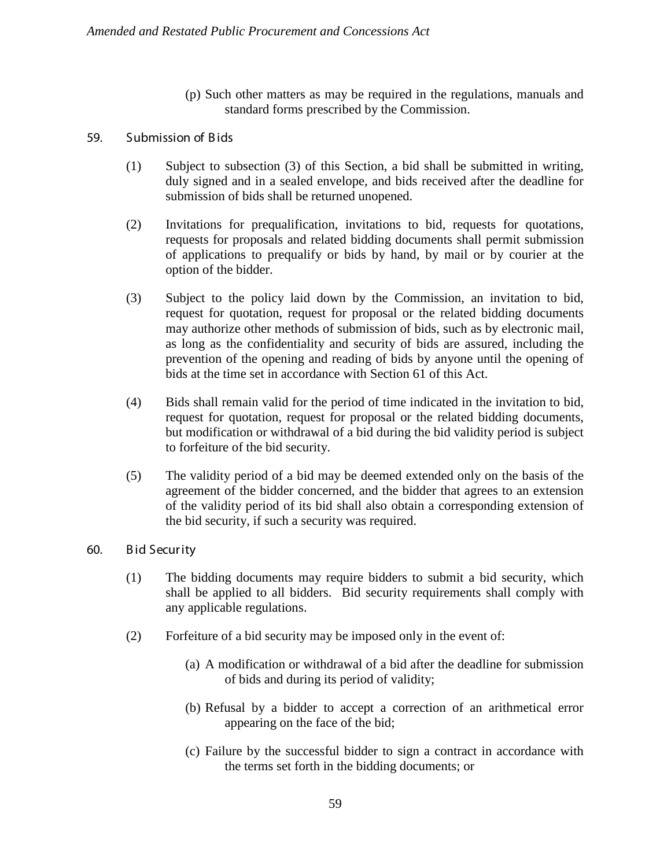(p) Such other matters as may be required in the regulations, manuals and standard forms prescribed by the Commission.

## 59. Submission of B ids

- (1) Subject to subsection (3) of this Section, a bid shall be submitted in writing, duly signed and in a sealed envelope, and bids received after the deadline for submission of bids shall be returned unopened.
- (2) Invitations for prequalification, invitations to bid, requests for quotations, requests for proposals and related bidding documents shall permit submission of applications to prequalify or bids by hand, by mail or by courier at the option of the bidder.
- (3) Subject to the policy laid down by the Commission, an invitation to bid, request for quotation, request for proposal or the related bidding documents may authorize other methods of submission of bids, such as by electronic mail, as long as the confidentiality and security of bids are assured, including the prevention of the opening and reading of bids by anyone until the opening of bids at the time set in accordance with Section 61 of this Act.
- (4) Bids shall remain valid for the period of time indicated in the invitation to bid, request for quotation, request for proposal or the related bidding documents, but modification or withdrawal of a bid during the bid validity period is subject to forfeiture of the bid security.
- (5) The validity period of a bid may be deemed extended only on the basis of the agreement of the bidder concerned, and the bidder that agrees to an extension of the validity period of its bid shall also obtain a corresponding extension of the bid security, if such a security was required.
- 60. B id Secur ity
	- (1) The bidding documents may require bidders to submit a bid security, which shall be applied to all bidders. Bid security requirements shall comply with any applicable regulations.
	- (2) Forfeiture of a bid security may be imposed only in the event of:
		- (a) A modification or withdrawal of a bid after the deadline for submission of bids and during its period of validity;
		- (b) Refusal by a bidder to accept a correction of an arithmetical error appearing on the face of the bid;
		- (c) Failure by the successful bidder to sign a contract in accordance with the terms set forth in the bidding documents; or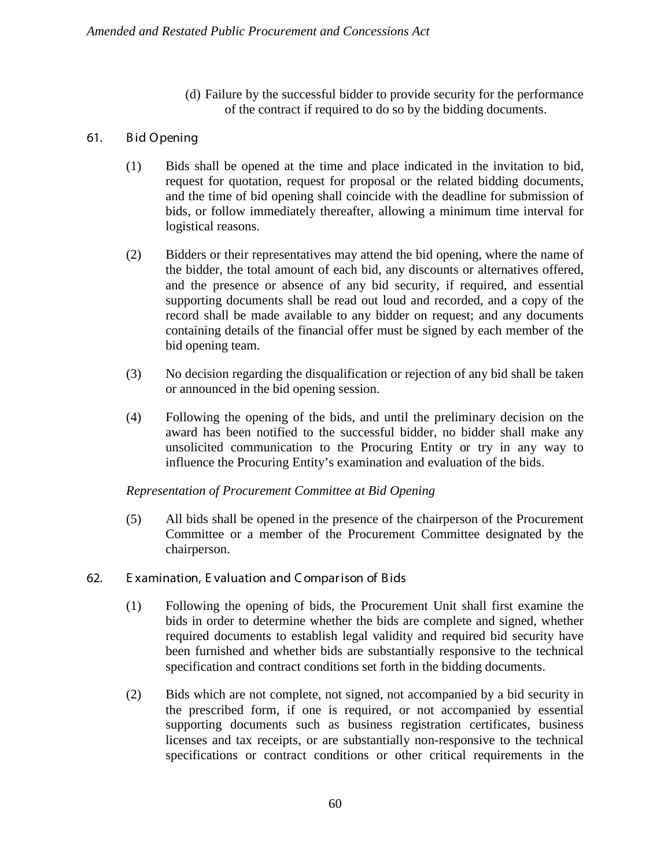(d) Failure by the successful bidder to provide security for the performance of the contract if required to do so by the bidding documents.

## 61. B id Opening

- (1) Bids shall be opened at the time and place indicated in the invitation to bid, request for quotation, request for proposal or the related bidding documents, and the time of bid opening shall coincide with the deadline for submission of bids, or follow immediately thereafter, allowing a minimum time interval for logistical reasons.
- (2) Bidders or their representatives may attend the bid opening, where the name of the bidder, the total amount of each bid, any discounts or alternatives offered, and the presence or absence of any bid security, if required, and essential supporting documents shall be read out loud and recorded, and a copy of the record shall be made available to any bidder on request; and any documents containing details of the financial offer must be signed by each member of the bid opening team.
- (3) No decision regarding the disqualification or rejection of any bid shall be taken or announced in the bid opening session.
- (4) Following the opening of the bids, and until the preliminary decision on the award has been notified to the successful bidder, no bidder shall make any unsolicited communication to the Procuring Entity or try in any way to influence the Procuring Entity's examination and evaluation of the bids.

## *Representation of Procurement Committee at Bid Opening*

(5) All bids shall be opened in the presence of the chairperson of the Procurement Committee or a member of the Procurement Committee designated by the chairperson.

## 62. E xamination, E valuation and C ompar ison of B ids

- (1) Following the opening of bids, the Procurement Unit shall first examine the bids in order to determine whether the bids are complete and signed, whether required documents to establish legal validity and required bid security have been furnished and whether bids are substantially responsive to the technical specification and contract conditions set forth in the bidding documents.
- (2) Bids which are not complete, not signed, not accompanied by a bid security in the prescribed form, if one is required, or not accompanied by essential supporting documents such as business registration certificates, business licenses and tax receipts, or are substantially non-responsive to the technical specifications or contract conditions or other critical requirements in the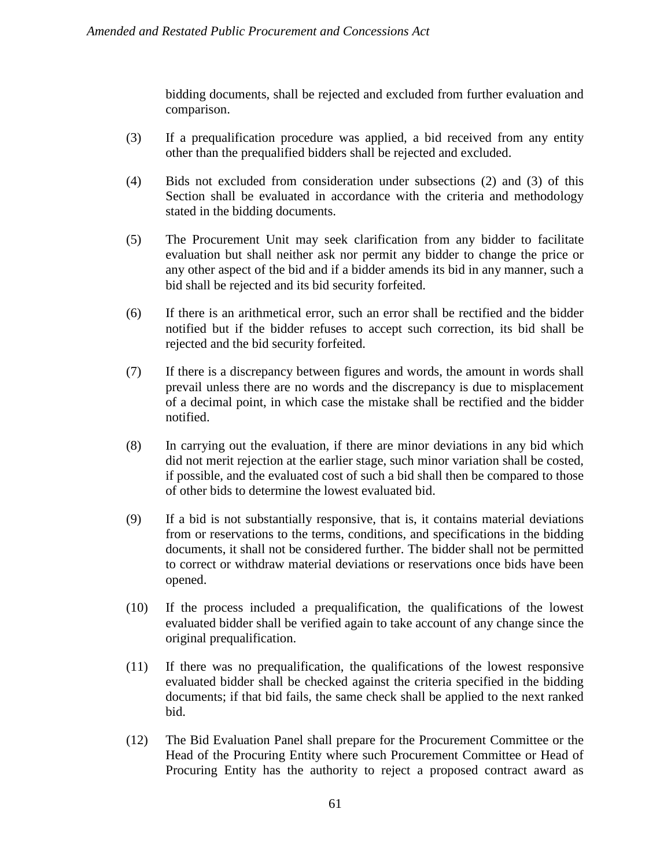bidding documents, shall be rejected and excluded from further evaluation and comparison.

- (3) If a prequalification procedure was applied, a bid received from any entity other than the prequalified bidders shall be rejected and excluded.
- (4) Bids not excluded from consideration under subsections (2) and (3) of this Section shall be evaluated in accordance with the criteria and methodology stated in the bidding documents.
- (5) The Procurement Unit may seek clarification from any bidder to facilitate evaluation but shall neither ask nor permit any bidder to change the price or any other aspect of the bid and if a bidder amends its bid in any manner, such a bid shall be rejected and its bid security forfeited.
- (6) If there is an arithmetical error, such an error shall be rectified and the bidder notified but if the bidder refuses to accept such correction, its bid shall be rejected and the bid security forfeited.
- (7) If there is a discrepancy between figures and words, the amount in words shall prevail unless there are no words and the discrepancy is due to misplacement of a decimal point, in which case the mistake shall be rectified and the bidder notified.
- (8) In carrying out the evaluation, if there are minor deviations in any bid which did not merit rejection at the earlier stage, such minor variation shall be costed, if possible, and the evaluated cost of such a bid shall then be compared to those of other bids to determine the lowest evaluated bid.
- (9) If a bid is not substantially responsive, that is, it contains material deviations from or reservations to the terms, conditions, and specifications in the bidding documents, it shall not be considered further. The bidder shall not be permitted to correct or withdraw material deviations or reservations once bids have been opened.
- (10) If the process included a prequalification, the qualifications of the lowest evaluated bidder shall be verified again to take account of any change since the original prequalification.
- (11) If there was no prequalification, the qualifications of the lowest responsive evaluated bidder shall be checked against the criteria specified in the bidding documents; if that bid fails, the same check shall be applied to the next ranked bid.
- (12) The Bid Evaluation Panel shall prepare for the Procurement Committee or the Head of the Procuring Entity where such Procurement Committee or Head of Procuring Entity has the authority to reject a proposed contract award as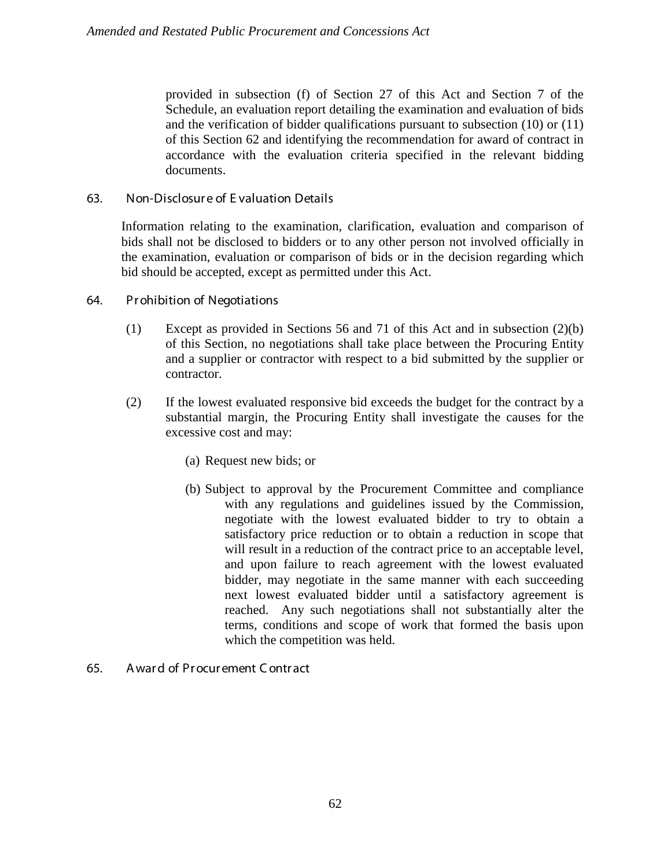provided in subsection (f) of Section 27 of this Act and Section 7 of the Schedule, an evaluation report detailing the examination and evaluation of bids and the verification of bidder qualifications pursuant to subsection (10) or (11) of this Section 62 and identifying the recommendation for award of contract in accordance with the evaluation criteria specified in the relevant bidding documents.

## 63. Non-Disclosur e of E valuation Details

Information relating to the examination, clarification, evaluation and comparison of bids shall not be disclosed to bidders or to any other person not involved officially in the examination, evaluation or comparison of bids or in the decision regarding which bid should be accepted, except as permitted under this Act.

## 64. Pr ohibition of Negotiations

- (1) Except as provided in Sections 56 and 71 of this Act and in subsection (2)(b) of this Section, no negotiations shall take place between the Procuring Entity and a supplier or contractor with respect to a bid submitted by the supplier or contractor.
- (2) If the lowest evaluated responsive bid exceeds the budget for the contract by a substantial margin, the Procuring Entity shall investigate the causes for the excessive cost and may:
	- (a) Request new bids; or
	- (b) Subject to approval by the Procurement Committee and compliance with any regulations and guidelines issued by the Commission, negotiate with the lowest evaluated bidder to try to obtain a satisfactory price reduction or to obtain a reduction in scope that will result in a reduction of the contract price to an acceptable level, and upon failure to reach agreement with the lowest evaluated bidder, may negotiate in the same manner with each succeeding next lowest evaluated bidder until a satisfactory agreement is reached. Any such negotiations shall not substantially alter the terms, conditions and scope of work that formed the basis upon which the competition was held.

## 65. A war d of Pr ocur ement C ontr act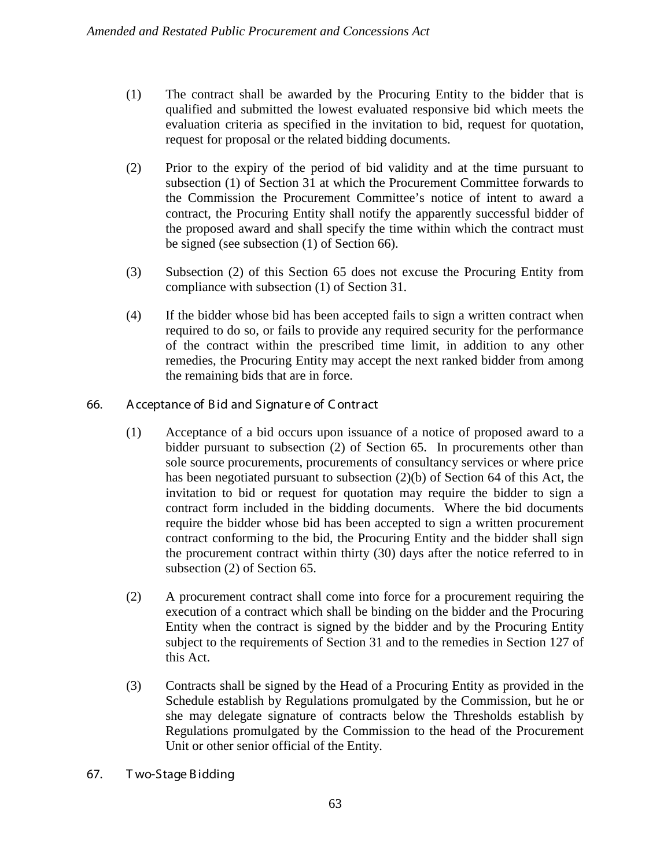- (1) The contract shall be awarded by the Procuring Entity to the bidder that is qualified and submitted the lowest evaluated responsive bid which meets the evaluation criteria as specified in the invitation to bid, request for quotation, request for proposal or the related bidding documents.
- (2) Prior to the expiry of the period of bid validity and at the time pursuant to subsection (1) of Section 31 at which the Procurement Committee forwards to the Commission the Procurement Committee's notice of intent to award a contract, the Procuring Entity shall notify the apparently successful bidder of the proposed award and shall specify the time within which the contract must be signed (see subsection (1) of Section 66).
- (3) Subsection (2) of this Section 65 does not excuse the Procuring Entity from compliance with subsection (1) of Section 31.
- (4) If the bidder whose bid has been accepted fails to sign a written contract when required to do so, or fails to provide any required security for the performance of the contract within the prescribed time limit, in addition to any other remedies, the Procuring Entity may accept the next ranked bidder from among the remaining bids that are in force.
- 66. A cceptance of Bid and Signatur e of C ontr act
	- (1) Acceptance of a bid occurs upon issuance of a notice of proposed award to a bidder pursuant to subsection (2) of Section 65. In procurements other than sole source procurements, procurements of consultancy services or where price has been negotiated pursuant to subsection (2)(b) of Section 64 of this Act, the invitation to bid or request for quotation may require the bidder to sign a contract form included in the bidding documents. Where the bid documents require the bidder whose bid has been accepted to sign a written procurement contract conforming to the bid, the Procuring Entity and the bidder shall sign the procurement contract within thirty (30) days after the notice referred to in subsection (2) of Section 65.
	- (2) A procurement contract shall come into force for a procurement requiring the execution of a contract which shall be binding on the bidder and the Procuring Entity when the contract is signed by the bidder and by the Procuring Entity subject to the requirements of Section 31 and to the remedies in Section 127 of this Act.
	- (3) Contracts shall be signed by the Head of a Procuring Entity as provided in the Schedule establish by Regulations promulgated by the Commission, but he or she may delegate signature of contracts below the Thresholds establish by Regulations promulgated by the Commission to the head of the Procurement Unit or other senior official of the Entity.
- 67. T wo-Stage B idding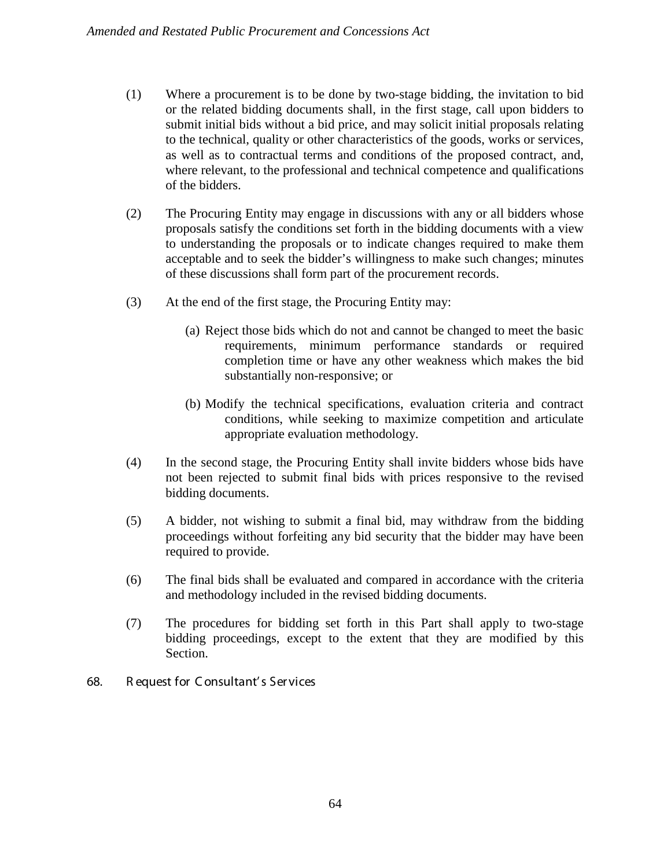- (1) Where a procurement is to be done by two-stage bidding, the invitation to bid or the related bidding documents shall, in the first stage, call upon bidders to submit initial bids without a bid price, and may solicit initial proposals relating to the technical, quality or other characteristics of the goods, works or services, as well as to contractual terms and conditions of the proposed contract, and, where relevant, to the professional and technical competence and qualifications of the bidders.
- (2) The Procuring Entity may engage in discussions with any or all bidders whose proposals satisfy the conditions set forth in the bidding documents with a view to understanding the proposals or to indicate changes required to make them acceptable and to seek the bidder's willingness to make such changes; minutes of these discussions shall form part of the procurement records.
- (3) At the end of the first stage, the Procuring Entity may:
	- (a) Reject those bids which do not and cannot be changed to meet the basic requirements, minimum performance standards or required completion time or have any other weakness which makes the bid substantially non-responsive; or
	- (b) Modify the technical specifications, evaluation criteria and contract conditions, while seeking to maximize competition and articulate appropriate evaluation methodology.
- (4) In the second stage, the Procuring Entity shall invite bidders whose bids have not been rejected to submit final bids with prices responsive to the revised bidding documents.
- (5) A bidder, not wishing to submit a final bid, may withdraw from the bidding proceedings without forfeiting any bid security that the bidder may have been required to provide.
- (6) The final bids shall be evaluated and compared in accordance with the criteria and methodology included in the revised bidding documents.
- (7) The procedures for bidding set forth in this Part shall apply to two-stage bidding proceedings, except to the extent that they are modified by this Section.
- 68. R equest for C onsultant' s Ser vices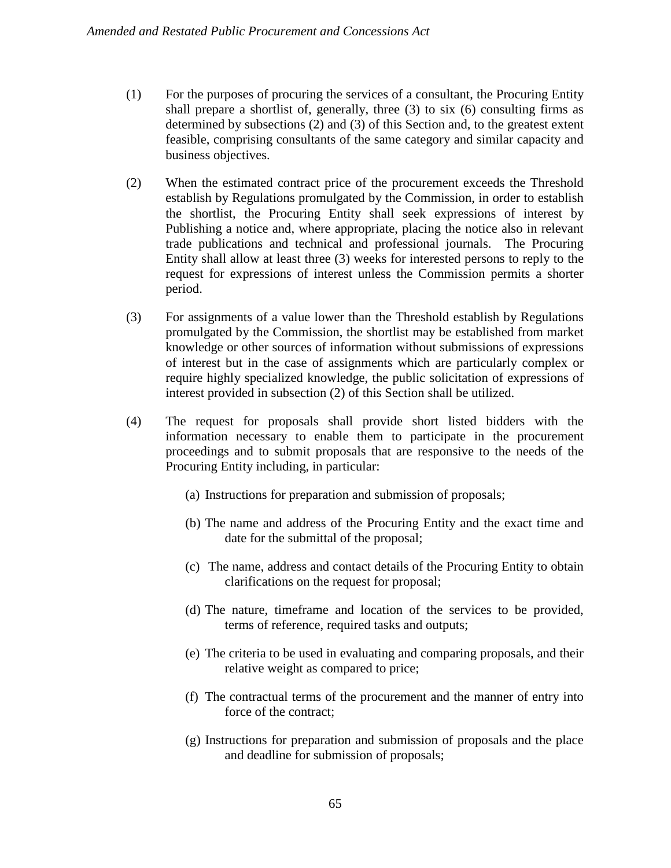- (1) For the purposes of procuring the services of a consultant, the Procuring Entity shall prepare a shortlist of, generally, three (3) to six (6) consulting firms as determined by subsections (2) and (3) of this Section and, to the greatest extent feasible, comprising consultants of the same category and similar capacity and business objectives.
- (2) When the estimated contract price of the procurement exceeds the Threshold establish by Regulations promulgated by the Commission, in order to establish the shortlist, the Procuring Entity shall seek expressions of interest by Publishing a notice and, where appropriate, placing the notice also in relevant trade publications and technical and professional journals. The Procuring Entity shall allow at least three (3) weeks for interested persons to reply to the request for expressions of interest unless the Commission permits a shorter period.
- (3) For assignments of a value lower than the Threshold establish by Regulations promulgated by the Commission, the shortlist may be established from market knowledge or other sources of information without submissions of expressions of interest but in the case of assignments which are particularly complex or require highly specialized knowledge, the public solicitation of expressions of interest provided in subsection (2) of this Section shall be utilized.
- (4) The request for proposals shall provide short listed bidders with the information necessary to enable them to participate in the procurement proceedings and to submit proposals that are responsive to the needs of the Procuring Entity including, in particular:
	- (a) Instructions for preparation and submission of proposals;
	- (b) The name and address of the Procuring Entity and the exact time and date for the submittal of the proposal;
	- (c) The name, address and contact details of the Procuring Entity to obtain clarifications on the request for proposal;
	- (d) The nature, timeframe and location of the services to be provided, terms of reference, required tasks and outputs;
	- (e) The criteria to be used in evaluating and comparing proposals, and their relative weight as compared to price;
	- (f) The contractual terms of the procurement and the manner of entry into force of the contract;
	- (g) Instructions for preparation and submission of proposals and the place and deadline for submission of proposals;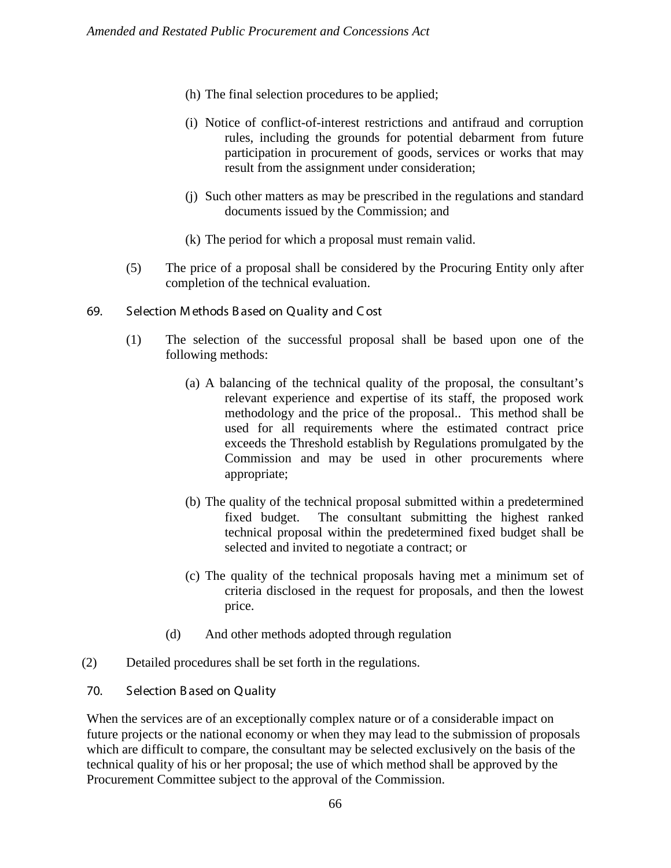- (h) The final selection procedures to be applied;
- (i) Notice of conflict-of-interest restrictions and antifraud and corruption rules, including the grounds for potential debarment from future participation in procurement of goods, services or works that may result from the assignment under consideration;
- (j) Such other matters as may be prescribed in the regulations and standard documents issued by the Commission; and
- (k) The period for which a proposal must remain valid.
- (5) The price of a proposal shall be considered by the Procuring Entity only after completion of the technical evaluation.
- 69. Selection M ethods B ased on Quality and C ost
	- (1) The selection of the successful proposal shall be based upon one of the following methods:
		- (a) A balancing of the technical quality of the proposal, the consultant's relevant experience and expertise of its staff, the proposed work methodology and the price of the proposal.. This method shall be used for all requirements where the estimated contract price exceeds the Threshold establish by Regulations promulgated by the Commission and may be used in other procurements where appropriate;
		- (b) The quality of the technical proposal submitted within a predetermined fixed budget. The consultant submitting the highest ranked technical proposal within the predetermined fixed budget shall be selected and invited to negotiate a contract; or
		- (c) The quality of the technical proposals having met a minimum set of criteria disclosed in the request for proposals, and then the lowest price.
		- (d) And other methods adopted through regulation
- (2) Detailed procedures shall be set forth in the regulations.
- 70. Selection B ased on Quality

When the services are of an exceptionally complex nature or of a considerable impact on future projects or the national economy or when they may lead to the submission of proposals which are difficult to compare, the consultant may be selected exclusively on the basis of the technical quality of his or her proposal; the use of which method shall be approved by the Procurement Committee subject to the approval of the Commission.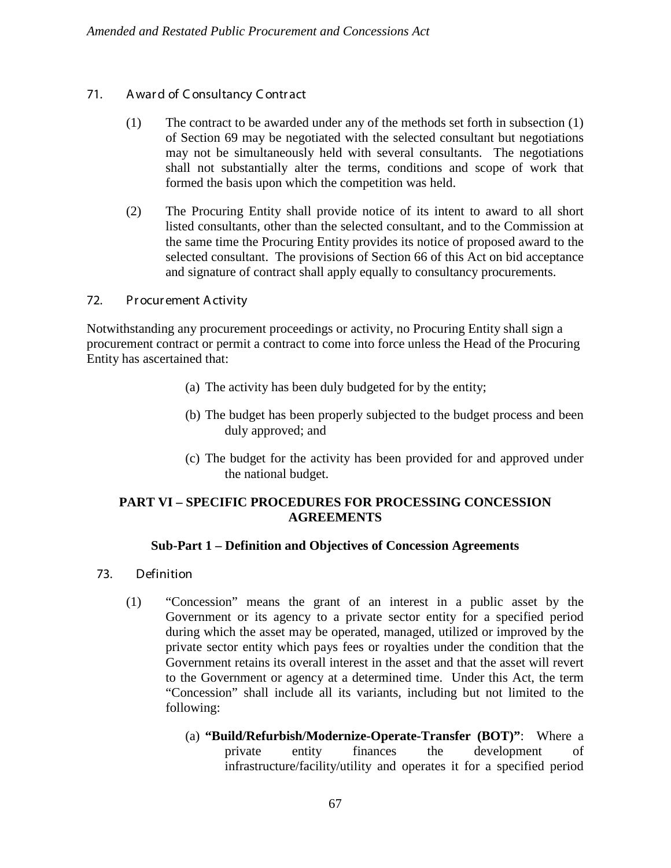# 71. A war d of C onsultancy C ontr act

- (1) The contract to be awarded under any of the methods set forth in subsection (1) of Section 69 may be negotiated with the selected consultant but negotiations may not be simultaneously held with several consultants. The negotiations shall not substantially alter the terms, conditions and scope of work that formed the basis upon which the competition was held.
- (2) The Procuring Entity shall provide notice of its intent to award to all short listed consultants, other than the selected consultant, and to the Commission at the same time the Procuring Entity provides its notice of proposed award to the selected consultant. The provisions of Section 66 of this Act on bid acceptance and signature of contract shall apply equally to consultancy procurements.

## 72. Pr ocur ement A ctivity

Notwithstanding any procurement proceedings or activity, no Procuring Entity shall sign a procurement contract or permit a contract to come into force unless the Head of the Procuring Entity has ascertained that:

- (a) The activity has been duly budgeted for by the entity;
- (b) The budget has been properly subjected to the budget process and been duly approved; and
- (c) The budget for the activity has been provided for and approved under the national budget.

# **PART VI – SPECIFIC PROCEDURES FOR PROCESSING CONCESSION AGREEMENTS**

## **Sub-Part 1 – Definition and Objectives of Concession Agreements**

- 73. Definition
	- (1) "Concession" means the grant of an interest in a public asset by the Government or its agency to a private sector entity for a specified period during which the asset may be operated, managed, utilized or improved by the private sector entity which pays fees or royalties under the condition that the Government retains its overall interest in the asset and that the asset will revert to the Government or agency at a determined time. Under this Act, the term "Concession" shall include all its variants, including but not limited to the following:
		- (a) **"Build/Refurbish/Modernize-Operate-Transfer (BOT)"**: Where a private entity finances the development of infrastructure/facility/utility and operates it for a specified period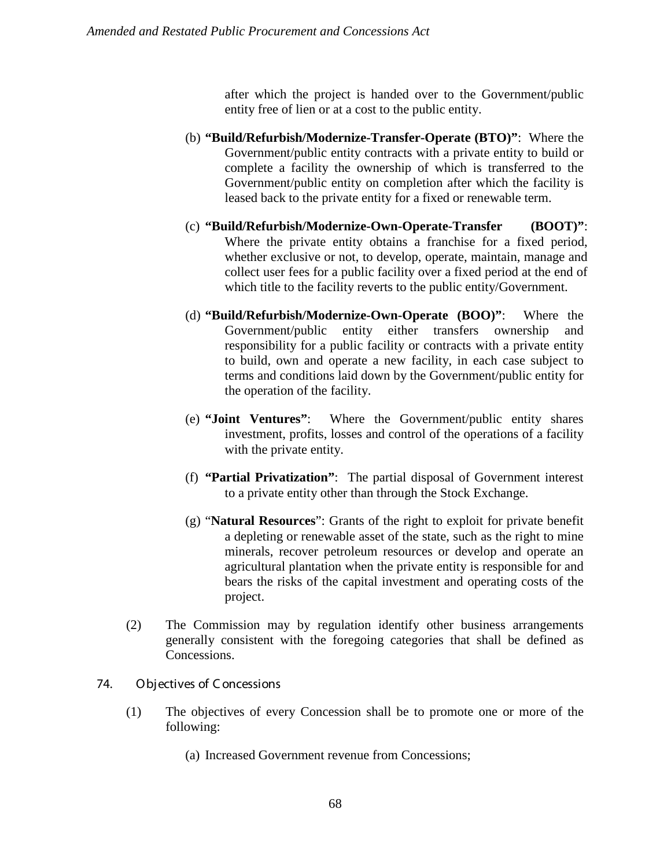after which the project is handed over to the Government/public entity free of lien or at a cost to the public entity.

- (b) **"Build/Refurbish/Modernize-Transfer-Operate (BTO)"**: Where the Government/public entity contracts with a private entity to build or complete a facility the ownership of which is transferred to the Government/public entity on completion after which the facility is leased back to the private entity for a fixed or renewable term.
- (c) **"Build/Refurbish/Modernize-Own-Operate-Transfer (BOOT)"**: Where the private entity obtains a franchise for a fixed period, whether exclusive or not, to develop, operate, maintain, manage and collect user fees for a public facility over a fixed period at the end of which title to the facility reverts to the public entity/Government.
- (d) **"Build/Refurbish/Modernize-Own-Operate (BOO)"**: Where the Government/public entity either transfers ownership and responsibility for a public facility or contracts with a private entity to build, own and operate a new facility, in each case subject to terms and conditions laid down by the Government/public entity for the operation of the facility.
- (e) **"Joint Ventures"**: Where the Government/public entity shares investment, profits, losses and control of the operations of a facility with the private entity.
- (f) **"Partial Privatization"**: The partial disposal of Government interest to a private entity other than through the Stock Exchange.
- (g) "**Natural Resources**": Grants of the right to exploit for private benefit a depleting or renewable asset of the state, such as the right to mine minerals, recover petroleum resources or develop and operate an agricultural plantation when the private entity is responsible for and bears the risks of the capital investment and operating costs of the project.
- (2) The Commission may by regulation identify other business arrangements generally consistent with the foregoing categories that shall be defined as Concessions.

## 74. Objectives of C oncessions

- (1) The objectives of every Concession shall be to promote one or more of the following:
	- (a) Increased Government revenue from Concessions;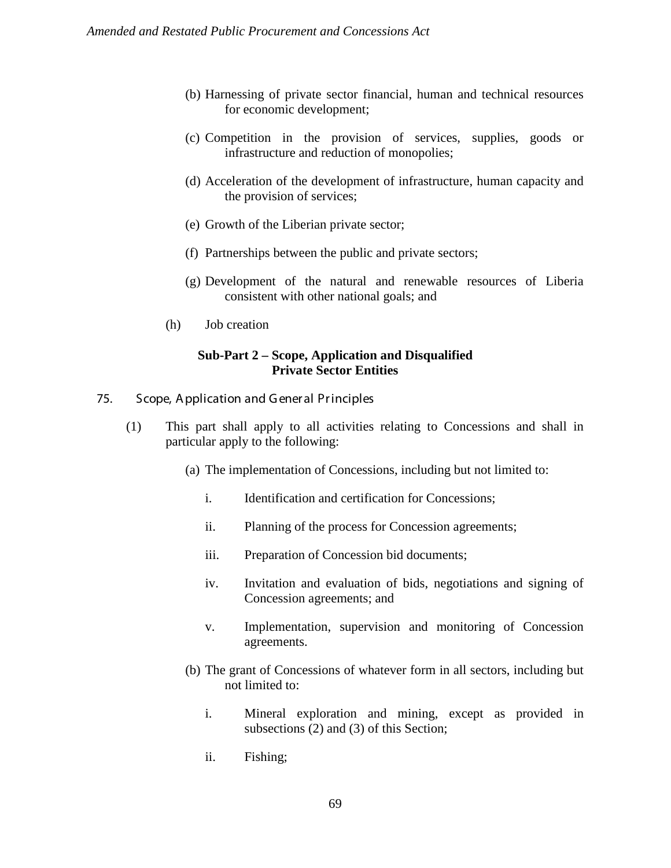- (b) Harnessing of private sector financial, human and technical resources for economic development;
- (c) Competition in the provision of services, supplies, goods or infrastructure and reduction of monopolies;
- (d) Acceleration of the development of infrastructure, human capacity and the provision of services;
- (e) Growth of the Liberian private sector;
- (f) Partnerships between the public and private sectors;
- (g) Development of the natural and renewable resources of Liberia consistent with other national goals; and
- (h) Job creation

# **Sub-Part 2 – Scope, Application and Disqualified Private Sector Entities**

- 75. Scope, Application and General Principles
	- (1) This part shall apply to all activities relating to Concessions and shall in particular apply to the following:
		- (a) The implementation of Concessions, including but not limited to:
			- i. Identification and certification for Concessions;
			- ii. Planning of the process for Concession agreements;
			- iii. Preparation of Concession bid documents;
			- iv. Invitation and evaluation of bids, negotiations and signing of Concession agreements; and
			- v. Implementation, supervision and monitoring of Concession agreements.
		- (b) The grant of Concessions of whatever form in all sectors, including but not limited to:
			- i. Mineral exploration and mining, except as provided in subsections (2) and (3) of this Section;
			- ii. Fishing;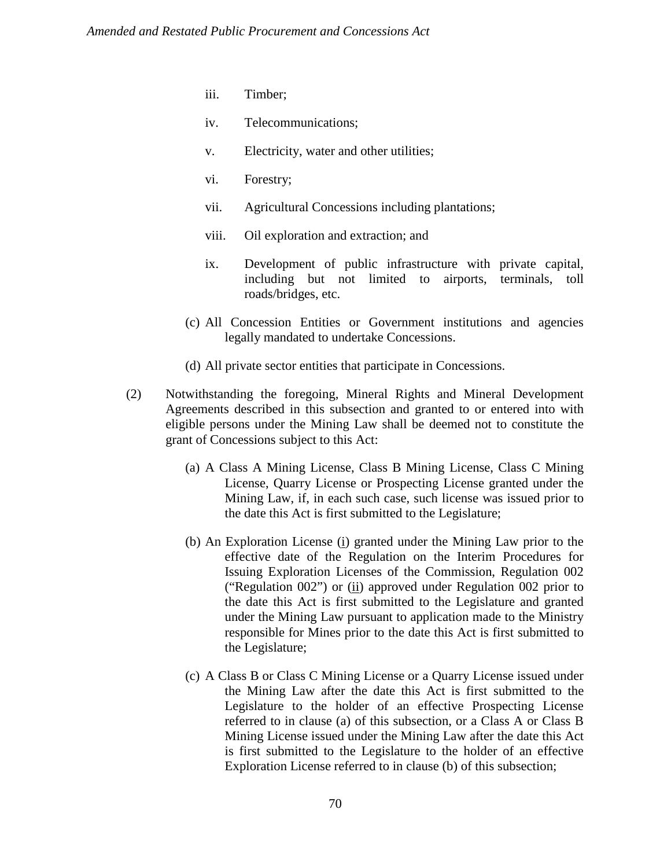- iii. Timber;
- iv. Telecommunications;
- v. Electricity, water and other utilities;
- vi. Forestry;
- vii. Agricultural Concessions including plantations;
- viii. Oil exploration and extraction; and
- ix. Development of public infrastructure with private capital, including but not limited to airports, terminals, toll roads/bridges, etc.
- (c) All Concession Entities or Government institutions and agencies legally mandated to undertake Concessions.
- (d) All private sector entities that participate in Concessions.
- (2) Notwithstanding the foregoing, Mineral Rights and Mineral Development Agreements described in this subsection and granted to or entered into with eligible persons under the Mining Law shall be deemed not to constitute the grant of Concessions subject to this Act:
	- (a) A Class A Mining License, Class B Mining License, Class C Mining License, Quarry License or Prospecting License granted under the Mining Law, if, in each such case, such license was issued prior to the date this Act is first submitted to the Legislature;
	- (b) An Exploration License (i) granted under the Mining Law prior to the effective date of the Regulation on the Interim Procedures for Issuing Exploration Licenses of the Commission, Regulation 002 ("Regulation 002") or (ii) approved under Regulation 002 prior to the date this Act is first submitted to the Legislature and granted under the Mining Law pursuant to application made to the Ministry responsible for Mines prior to the date this Act is first submitted to the Legislature;
	- (c) A Class B or Class C Mining License or a Quarry License issued under the Mining Law after the date this Act is first submitted to the Legislature to the holder of an effective Prospecting License referred to in clause (a) of this subsection, or a Class A or Class B Mining License issued under the Mining Law after the date this Act is first submitted to the Legislature to the holder of an effective Exploration License referred to in clause (b) of this subsection;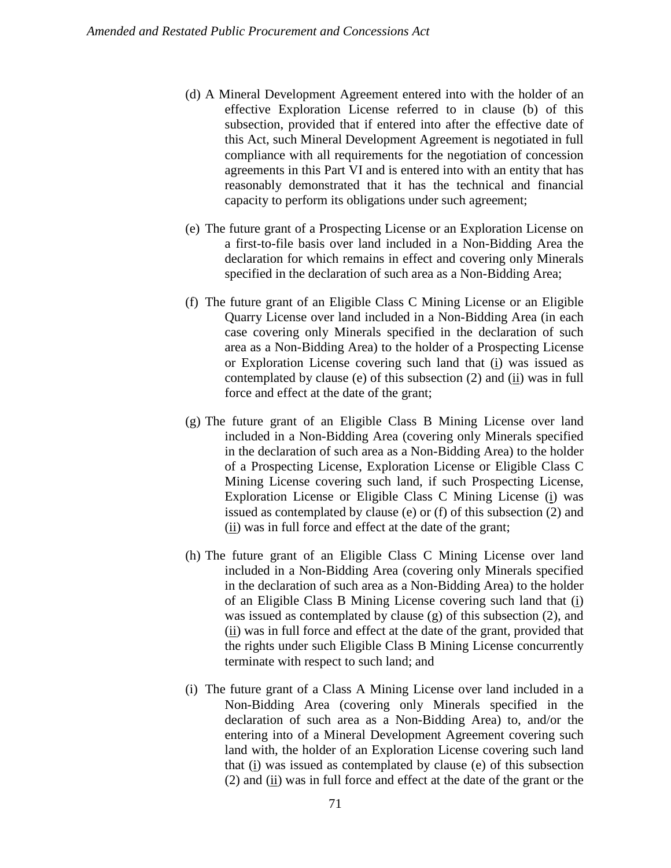- (d) A Mineral Development Agreement entered into with the holder of an effective Exploration License referred to in clause (b) of this subsection, provided that if entered into after the effective date of this Act, such Mineral Development Agreement is negotiated in full compliance with all requirements for the negotiation of concession agreements in this Part VI and is entered into with an entity that has reasonably demonstrated that it has the technical and financial capacity to perform its obligations under such agreement;
- (e) The future grant of a Prospecting License or an Exploration License on a first-to-file basis over land included in a Non-Bidding Area the declaration for which remains in effect and covering only Minerals specified in the declaration of such area as a Non-Bidding Area;
- (f) The future grant of an Eligible Class C Mining License or an Eligible Quarry License over land included in a Non-Bidding Area (in each case covering only Minerals specified in the declaration of such area as a Non-Bidding Area) to the holder of a Prospecting License or Exploration License covering such land that (i) was issued as contemplated by clause (e) of this subsection  $(2)$  and  $(i)$  was in full force and effect at the date of the grant;
- (g) The future grant of an Eligible Class B Mining License over land included in a Non-Bidding Area (covering only Minerals specified in the declaration of such area as a Non-Bidding Area) to the holder of a Prospecting License, Exploration License or Eligible Class C Mining License covering such land, if such Prospecting License, Exploration License or Eligible Class C Mining License (i) was issued as contemplated by clause (e) or (f) of this subsection (2) and  $(iii)$  was in full force and effect at the date of the grant;
- (h) The future grant of an Eligible Class C Mining License over land included in a Non-Bidding Area (covering only Minerals specified in the declaration of such area as a Non-Bidding Area) to the holder of an Eligible Class B Mining License covering such land that (i) was issued as contemplated by clause (g) of this subsection (2), and (ii) was in full force and effect at the date of the grant, provided that the rights under such Eligible Class B Mining License concurrently terminate with respect to such land; and
- (i) The future grant of a Class A Mining License over land included in a Non-Bidding Area (covering only Minerals specified in the declaration of such area as a Non-Bidding Area) to, and/or the entering into of a Mineral Development Agreement covering such land with, the holder of an Exploration License covering such land that (i) was issued as contemplated by clause (e) of this subsection  $(2)$  and  $(i)$  was in full force and effect at the date of the grant or the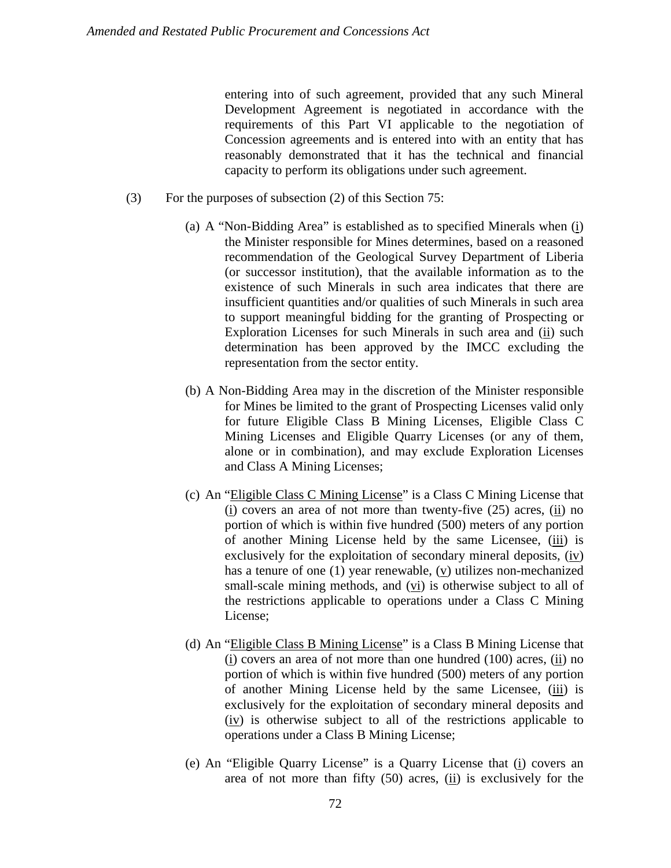entering into of such agreement, provided that any such Mineral Development Agreement is negotiated in accordance with the requirements of this Part VI applicable to the negotiation of Concession agreements and is entered into with an entity that has reasonably demonstrated that it has the technical and financial capacity to perform its obligations under such agreement.

- (3) For the purposes of subsection (2) of this Section 75:
	- (a) A "Non-Bidding Area" is established as to specified Minerals when  $(i)$ the Minister responsible for Mines determines, based on a reasoned recommendation of the Geological Survey Department of Liberia (or successor institution), that the available information as to the existence of such Minerals in such area indicates that there are insufficient quantities and/or qualities of such Minerals in such area to support meaningful bidding for the granting of Prospecting or Exploration Licenses for such Minerals in such area and (ii) such determination has been approved by the IMCC excluding the representation from the sector entity.
	- (b) A Non-Bidding Area may in the discretion of the Minister responsible for Mines be limited to the grant of Prospecting Licenses valid only for future Eligible Class B Mining Licenses, Eligible Class C Mining Licenses and Eligible Quarry Licenses (or any of them, alone or in combination), and may exclude Exploration Licenses and Class A Mining Licenses;
	- (c) An "Eligible Class C Mining License" is a Class C Mining License that (i) covers an area of not more than twenty-five (25) acres, (ii) no portion of which is within five hundred (500) meters of any portion of another Mining License held by the same Licensee, (iii) is exclusively for the exploitation of secondary mineral deposits, (iv) has a tenure of one (1) year renewable, (v) utilizes non-mechanized small-scale mining methods, and (vi) is otherwise subject to all of the restrictions applicable to operations under a Class C Mining License;
	- (d) An "Eligible Class B Mining License" is a Class B Mining License that (i) covers an area of not more than one hundred (100) acres, (ii) no portion of which is within five hundred (500) meters of any portion of another Mining License held by the same Licensee, (iii) is exclusively for the exploitation of secondary mineral deposits and  $(iy)$  is otherwise subject to all of the restrictions applicable to operations under a Class B Mining License;
	- (e) An "Eligible Quarry License" is a Quarry License that (i) covers an area of not more than fifty  $(50)$  acres,  $(i)$  is exclusively for the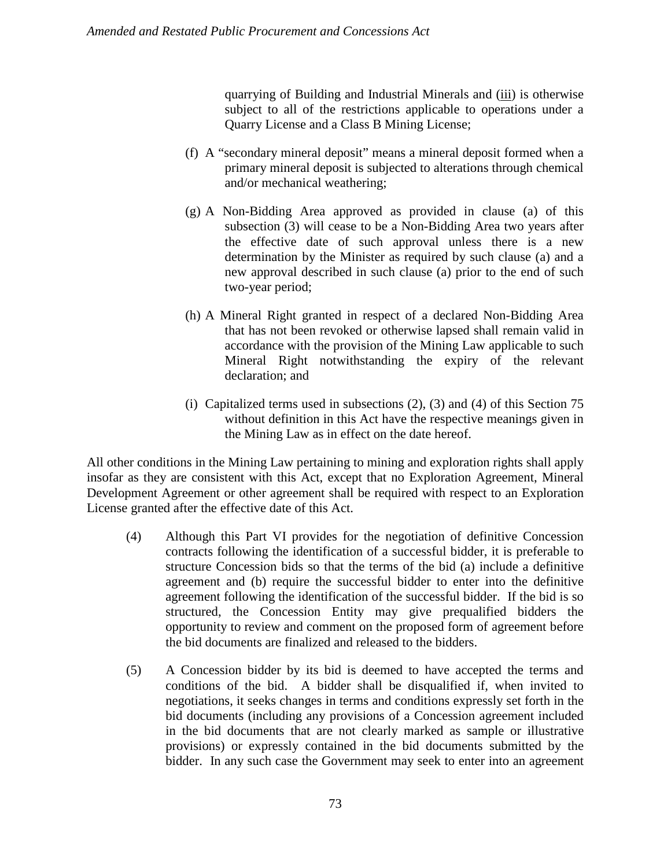quarrying of Building and Industrial Minerals and (*iii*) is otherwise subject to all of the restrictions applicable to operations under a Quarry License and a Class B Mining License;

- (f) A "secondary mineral deposit" means a mineral deposit formed when a primary mineral deposit is subjected to alterations through chemical and/or mechanical weathering;
- (g) A Non-Bidding Area approved as provided in clause (a) of this subsection (3) will cease to be a Non-Bidding Area two years after the effective date of such approval unless there is a new determination by the Minister as required by such clause (a) and a new approval described in such clause (a) prior to the end of such two-year period;
- (h) A Mineral Right granted in respect of a declared Non-Bidding Area that has not been revoked or otherwise lapsed shall remain valid in accordance with the provision of the Mining Law applicable to such Mineral Right notwithstanding the expiry of the relevant declaration; and
- (i) Capitalized terms used in subsections (2), (3) and (4) of this Section 75 without definition in this Act have the respective meanings given in the Mining Law as in effect on the date hereof.

All other conditions in the Mining Law pertaining to mining and exploration rights shall apply insofar as they are consistent with this Act, except that no Exploration Agreement, Mineral Development Agreement or other agreement shall be required with respect to an Exploration License granted after the effective date of this Act.

- (4) Although this Part VI provides for the negotiation of definitive Concession contracts following the identification of a successful bidder, it is preferable to structure Concession bids so that the terms of the bid (a) include a definitive agreement and (b) require the successful bidder to enter into the definitive agreement following the identification of the successful bidder. If the bid is so structured, the Concession Entity may give prequalified bidders the opportunity to review and comment on the proposed form of agreement before the bid documents are finalized and released to the bidders.
- (5) A Concession bidder by its bid is deemed to have accepted the terms and conditions of the bid. A bidder shall be disqualified if, when invited to negotiations, it seeks changes in terms and conditions expressly set forth in the bid documents (including any provisions of a Concession agreement included in the bid documents that are not clearly marked as sample or illustrative provisions) or expressly contained in the bid documents submitted by the bidder. In any such case the Government may seek to enter into an agreement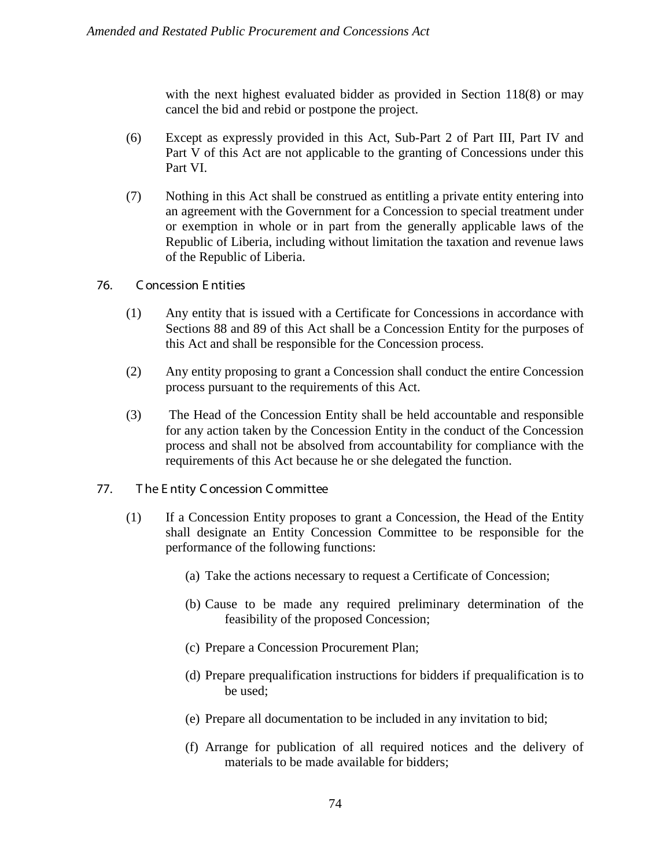with the next highest evaluated bidder as provided in Section 118(8) or may cancel the bid and rebid or postpone the project.

- (6) Except as expressly provided in this Act, Sub-Part 2 of Part III, Part IV and Part V of this Act are not applicable to the granting of Concessions under this Part VI.
- (7) Nothing in this Act shall be construed as entitling a private entity entering into an agreement with the Government for a Concession to special treatment under or exemption in whole or in part from the generally applicable laws of the Republic of Liberia, including without limitation the taxation and revenue laws of the Republic of Liberia.
- 76. C oncession E ntities
	- (1) Any entity that is issued with a Certificate for Concessions in accordance with Sections 88 and 89 of this Act shall be a Concession Entity for the purposes of this Act and shall be responsible for the Concession process.
	- (2) Any entity proposing to grant a Concession shall conduct the entire Concession process pursuant to the requirements of this Act.
	- (3) The Head of the Concession Entity shall be held accountable and responsible for any action taken by the Concession Entity in the conduct of the Concession process and shall not be absolved from accountability for compliance with the requirements of this Act because he or she delegated the function.
- 77. T he E ntity C oncession C ommittee
	- (1) If a Concession Entity proposes to grant a Concession, the Head of the Entity shall designate an Entity Concession Committee to be responsible for the performance of the following functions:
		- (a) Take the actions necessary to request a Certificate of Concession;
		- (b) Cause to be made any required preliminary determination of the feasibility of the proposed Concession;
		- (c) Prepare a Concession Procurement Plan;
		- (d) Prepare prequalification instructions for bidders if prequalification is to be used;
		- (e) Prepare all documentation to be included in any invitation to bid;
		- (f) Arrange for publication of all required notices and the delivery of materials to be made available for bidders;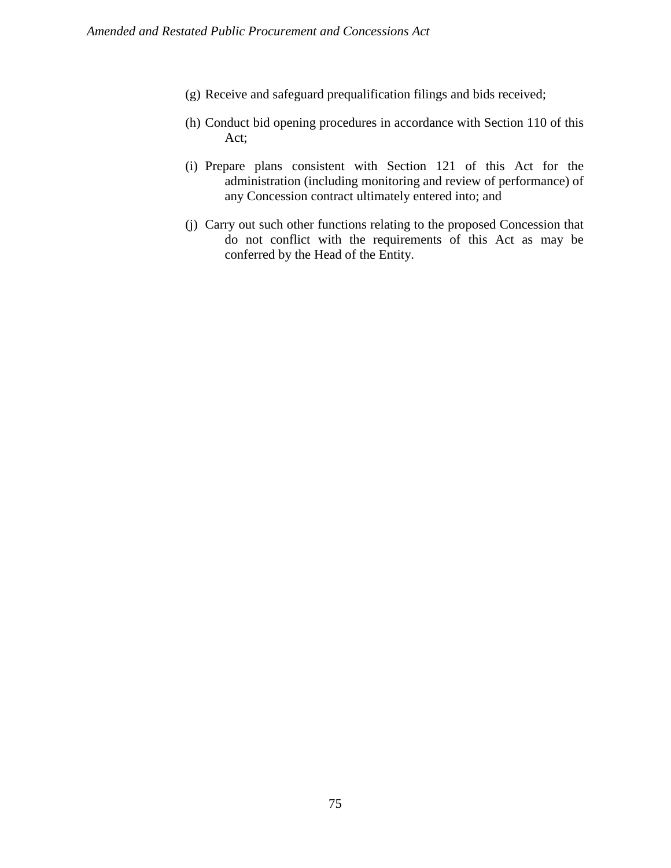- (g) Receive and safeguard prequalification filings and bids received;
- (h) Conduct bid opening procedures in accordance with Section 110 of this Act;
- (i) Prepare plans consistent with Section 121 of this Act for the administration (including monitoring and review of performance) of any Concession contract ultimately entered into; and
- (j) Carry out such other functions relating to the proposed Concession that do not conflict with the requirements of this Act as may be conferred by the Head of the Entity.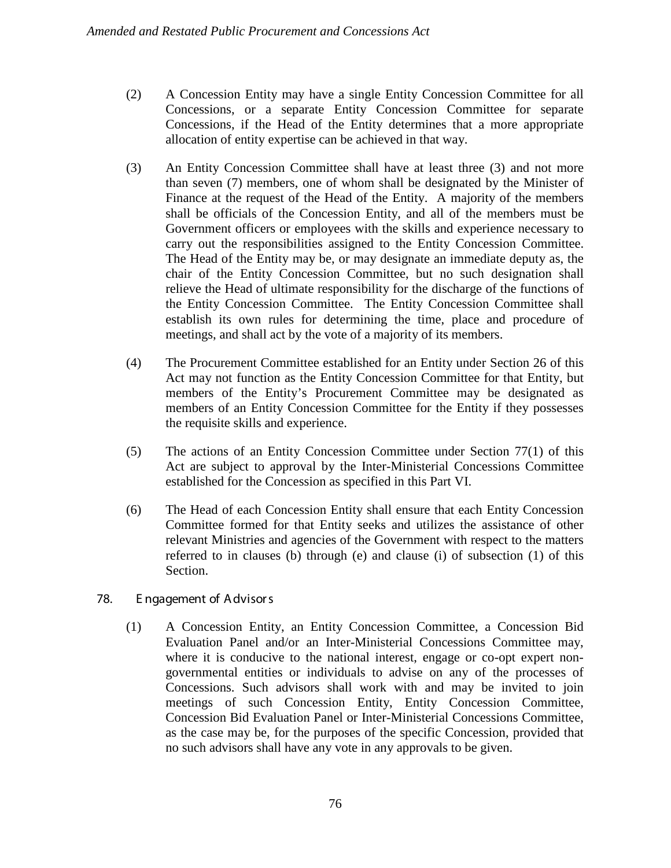- (2) A Concession Entity may have a single Entity Concession Committee for all Concessions, or a separate Entity Concession Committee for separate Concessions, if the Head of the Entity determines that a more appropriate allocation of entity expertise can be achieved in that way.
- (3) An Entity Concession Committee shall have at least three (3) and not more than seven (7) members, one of whom shall be designated by the Minister of Finance at the request of the Head of the Entity. A majority of the members shall be officials of the Concession Entity, and all of the members must be Government officers or employees with the skills and experience necessary to carry out the responsibilities assigned to the Entity Concession Committee. The Head of the Entity may be, or may designate an immediate deputy as, the chair of the Entity Concession Committee, but no such designation shall relieve the Head of ultimate responsibility for the discharge of the functions of the Entity Concession Committee. The Entity Concession Committee shall establish its own rules for determining the time, place and procedure of meetings, and shall act by the vote of a majority of its members.
- (4) The Procurement Committee established for an Entity under Section 26 of this Act may not function as the Entity Concession Committee for that Entity, but members of the Entity's Procurement Committee may be designated as members of an Entity Concession Committee for the Entity if they possesses the requisite skills and experience.
- (5) The actions of an Entity Concession Committee under Section 77(1) of this Act are subject to approval by the Inter-Ministerial Concessions Committee established for the Concession as specified in this Part VI.
- (6) The Head of each Concession Entity shall ensure that each Entity Concession Committee formed for that Entity seeks and utilizes the assistance of other relevant Ministries and agencies of the Government with respect to the matters referred to in clauses (b) through (e) and clause (i) of subsection (1) of this Section.
- 78. E ngagement of A dvisor s
	- (1) A Concession Entity, an Entity Concession Committee, a Concession Bid Evaluation Panel and/or an Inter-Ministerial Concessions Committee may, where it is conducive to the national interest, engage or co-opt expert nongovernmental entities or individuals to advise on any of the processes of Concessions. Such advisors shall work with and may be invited to join meetings of such Concession Entity, Entity Concession Committee, Concession Bid Evaluation Panel or Inter-Ministerial Concessions Committee, as the case may be, for the purposes of the specific Concession, provided that no such advisors shall have any vote in any approvals to be given.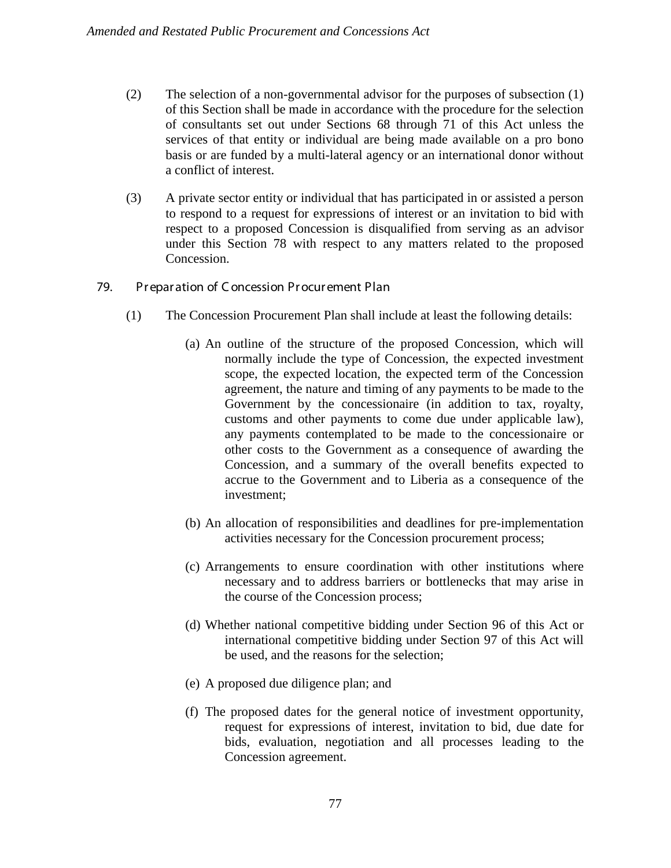- (2) The selection of a non-governmental advisor for the purposes of subsection (1) of this Section shall be made in accordance with the procedure for the selection of consultants set out under Sections 68 through 71 of this Act unless the services of that entity or individual are being made available on a pro bono basis or are funded by a multi-lateral agency or an international donor without a conflict of interest.
- (3) A private sector entity or individual that has participated in or assisted a person to respond to a request for expressions of interest or an invitation to bid with respect to a proposed Concession is disqualified from serving as an advisor under this Section 78 with respect to any matters related to the proposed Concession.
- 79. Pr epar ation of C oncession Pr ocur ement Plan
	- (1) The Concession Procurement Plan shall include at least the following details:
		- (a) An outline of the structure of the proposed Concession, which will normally include the type of Concession, the expected investment scope, the expected location, the expected term of the Concession agreement, the nature and timing of any payments to be made to the Government by the concessionaire (in addition to tax, royalty, customs and other payments to come due under applicable law), any payments contemplated to be made to the concessionaire or other costs to the Government as a consequence of awarding the Concession, and a summary of the overall benefits expected to accrue to the Government and to Liberia as a consequence of the investment;
		- (b) An allocation of responsibilities and deadlines for pre-implementation activities necessary for the Concession procurement process;
		- (c) Arrangements to ensure coordination with other institutions where necessary and to address barriers or bottlenecks that may arise in the course of the Concession process;
		- (d) Whether national competitive bidding under Section 96 of this Act or international competitive bidding under Section 97 of this Act will be used, and the reasons for the selection;
		- (e) A proposed due diligence plan; and
		- (f) The proposed dates for the general notice of investment opportunity, request for expressions of interest, invitation to bid, due date for bids, evaluation, negotiation and all processes leading to the Concession agreement.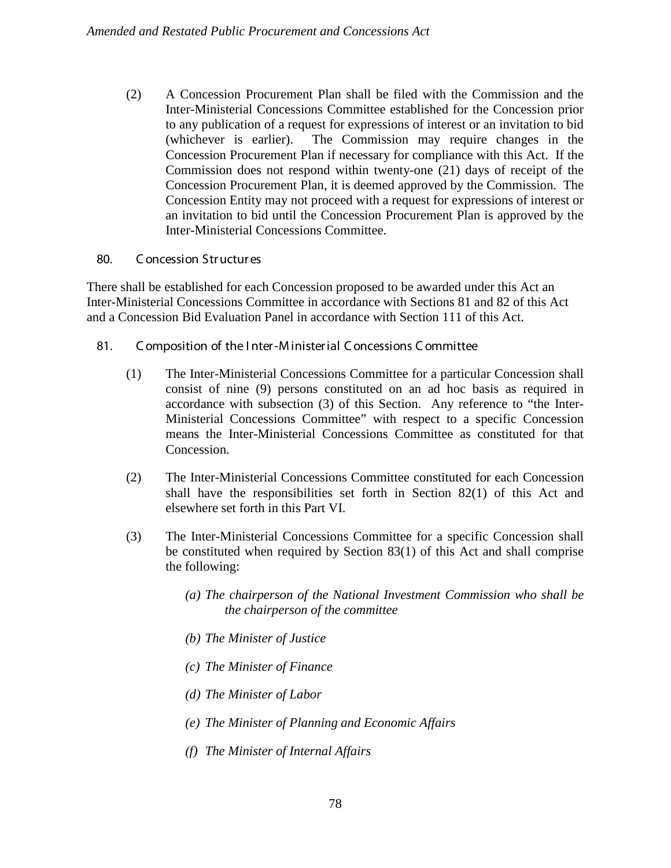(2) A Concession Procurement Plan shall be filed with the Commission and the Inter-Ministerial Concessions Committee established for the Concession prior to any publication of a request for expressions of interest or an invitation to bid (whichever is earlier). The Commission may require changes in the Concession Procurement Plan if necessary for compliance with this Act. If the Commission does not respond within twenty-one (21) days of receipt of the Concession Procurement Plan, it is deemed approved by the Commission. The Concession Entity may not proceed with a request for expressions of interest or an invitation to bid until the Concession Procurement Plan is approved by the Inter-Ministerial Concessions Committee.

# 80. C oncession Str uctur es

There shall be established for each Concession proposed to be awarded under this Act an Inter-Ministerial Concessions Committee in accordance with Sections 81 and 82 of this Act and a Concession Bid Evaluation Panel in accordance with Section 111 of this Act.

# 81. C omposition of the I nter-M inister ial C oncessions C ommittee

- (1) The Inter-Ministerial Concessions Committee for a particular Concession shall consist of nine (9) persons constituted on an ad hoc basis as required in accordance with subsection (3) of this Section. Any reference to "the Inter-Ministerial Concessions Committee" with respect to a specific Concession means the Inter-Ministerial Concessions Committee as constituted for that Concession.
- (2) The Inter-Ministerial Concessions Committee constituted for each Concession shall have the responsibilities set forth in Section 82(1) of this Act and elsewhere set forth in this Part VI.
- (3) The Inter-Ministerial Concessions Committee for a specific Concession shall be constituted when required by Section 83(1) of this Act and shall comprise the following:
	- *(a) The chairperson of the National Investment Commission who shall be the chairperson of the committee*
	- *(b) The Minister of Justice*
	- *(c) The Minister of Finance*
	- *(d) The Minister of Labor*
	- *(e) The Minister of Planning and Economic Affairs*
	- *(f) The Minister of Internal Affairs*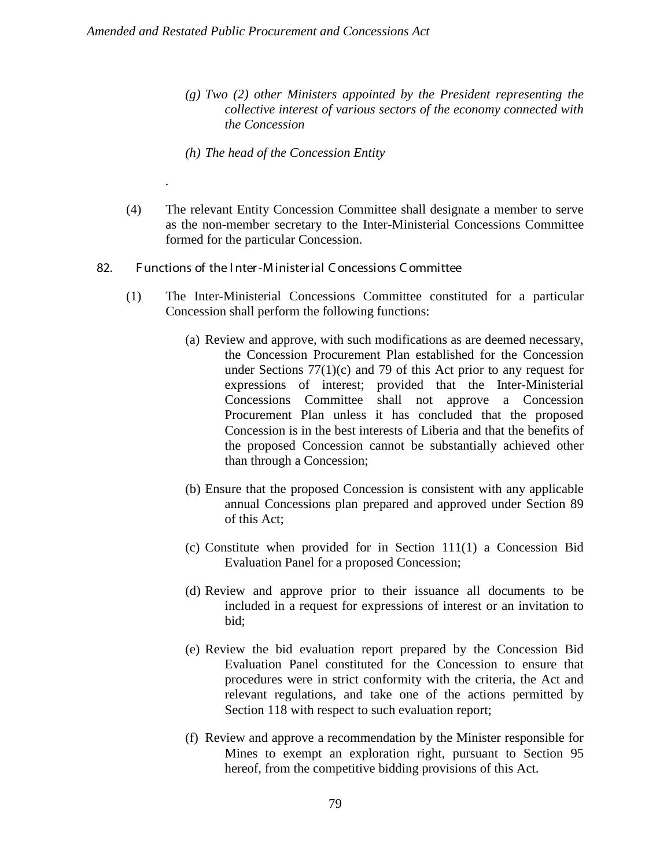*.*

- *(g) Two (2) other Ministers appointed by the President representing the collective interest of various sectors of the economy connected with the Concession*
- *(h) The head of the Concession Entity*
- (4) The relevant Entity Concession Committee shall designate a member to serve as the non-member secretary to the Inter-Ministerial Concessions Committee formed for the particular Concession.
- 82. F unctions of the I nter-M inister ial C oncessions C ommittee
	- (1) The Inter-Ministerial Concessions Committee constituted for a particular Concession shall perform the following functions:
		- (a) Review and approve, with such modifications as are deemed necessary, the Concession Procurement Plan established for the Concession under Sections 77(1)(c) and 79 of this Act prior to any request for expressions of interest; provided that the Inter-Ministerial Concessions Committee shall not approve a Concession Procurement Plan unless it has concluded that the proposed Concession is in the best interests of Liberia and that the benefits of the proposed Concession cannot be substantially achieved other than through a Concession;
		- (b) Ensure that the proposed Concession is consistent with any applicable annual Concessions plan prepared and approved under Section 89 of this Act;
		- (c) Constitute when provided for in Section 111(1) a Concession Bid Evaluation Panel for a proposed Concession;
		- (d) Review and approve prior to their issuance all documents to be included in a request for expressions of interest or an invitation to bid;
		- (e) Review the bid evaluation report prepared by the Concession Bid Evaluation Panel constituted for the Concession to ensure that procedures were in strict conformity with the criteria, the Act and relevant regulations, and take one of the actions permitted by Section 118 with respect to such evaluation report;
		- (f) Review and approve a recommendation by the Minister responsible for Mines to exempt an exploration right, pursuant to Section 95 hereof, from the competitive bidding provisions of this Act.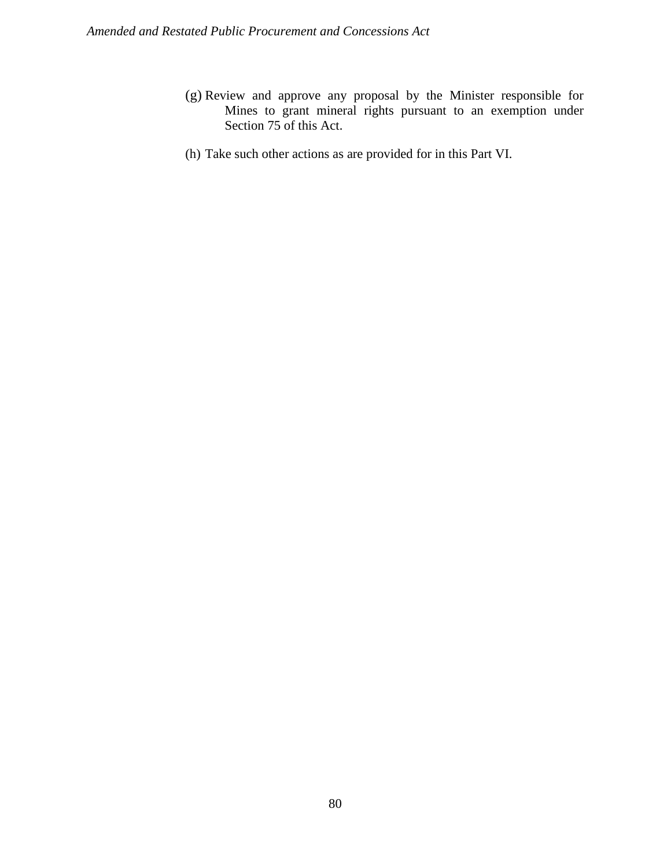- (g) Review and approve any proposal by the Minister responsible for Mines to grant mineral rights pursuant to an exemption under Section 75 of this Act.
- (h) Take such other actions as are provided for in this Part VI.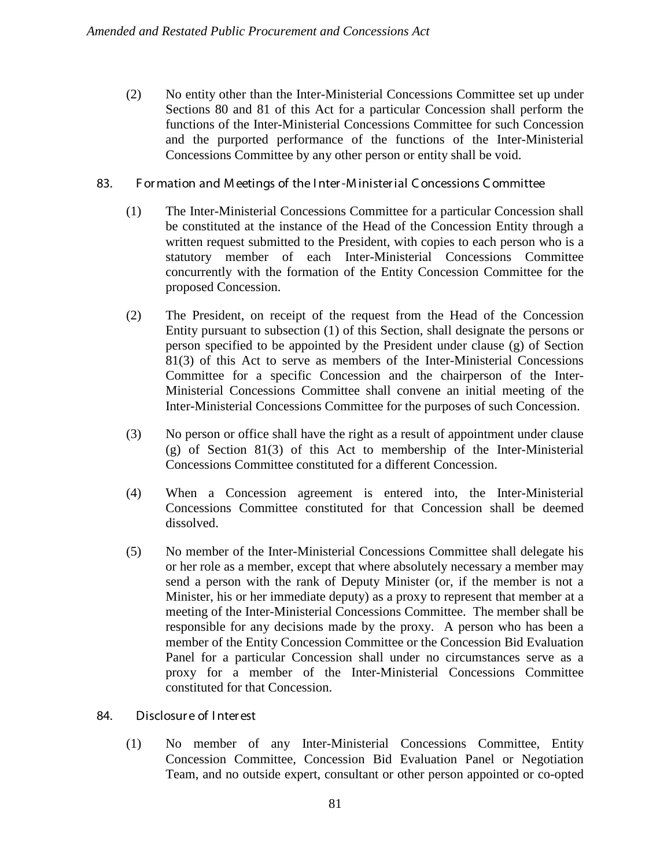- (2) No entity other than the Inter-Ministerial Concessions Committee set up under Sections 80 and 81 of this Act for a particular Concession shall perform the functions of the Inter-Ministerial Concessions Committee for such Concession and the purported performance of the functions of the Inter-Ministerial Concessions Committee by any other person or entity shall be void.
- 83. For mation and M eetings of the I nter-M inister ial C oncessions C ommittee
	- (1) The Inter-Ministerial Concessions Committee for a particular Concession shall be constituted at the instance of the Head of the Concession Entity through a written request submitted to the President, with copies to each person who is a statutory member of each Inter-Ministerial Concessions Committee concurrently with the formation of the Entity Concession Committee for the proposed Concession.
	- (2) The President, on receipt of the request from the Head of the Concession Entity pursuant to subsection (1) of this Section, shall designate the persons or person specified to be appointed by the President under clause (g) of Section 81(3) of this Act to serve as members of the Inter-Ministerial Concessions Committee for a specific Concession and the chairperson of the Inter-Ministerial Concessions Committee shall convene an initial meeting of the Inter-Ministerial Concessions Committee for the purposes of such Concession.
	- (3) No person or office shall have the right as a result of appointment under clause (g) of Section 81(3) of this Act to membership of the Inter-Ministerial Concessions Committee constituted for a different Concession.
	- (4) When a Concession agreement is entered into, the Inter-Ministerial Concessions Committee constituted for that Concession shall be deemed dissolved.
	- (5) No member of the Inter-Ministerial Concessions Committee shall delegate his or her role as a member, except that where absolutely necessary a member may send a person with the rank of Deputy Minister (or, if the member is not a Minister, his or her immediate deputy) as a proxy to represent that member at a meeting of the Inter-Ministerial Concessions Committee. The member shall be responsible for any decisions made by the proxy. A person who has been a member of the Entity Concession Committee or the Concession Bid Evaluation Panel for a particular Concession shall under no circumstances serve as a proxy for a member of the Inter-Ministerial Concessions Committee constituted for that Concession.

# 84. Disclosur e of I nter est

(1) No member of any Inter-Ministerial Concessions Committee, Entity Concession Committee, Concession Bid Evaluation Panel or Negotiation Team, and no outside expert, consultant or other person appointed or co-opted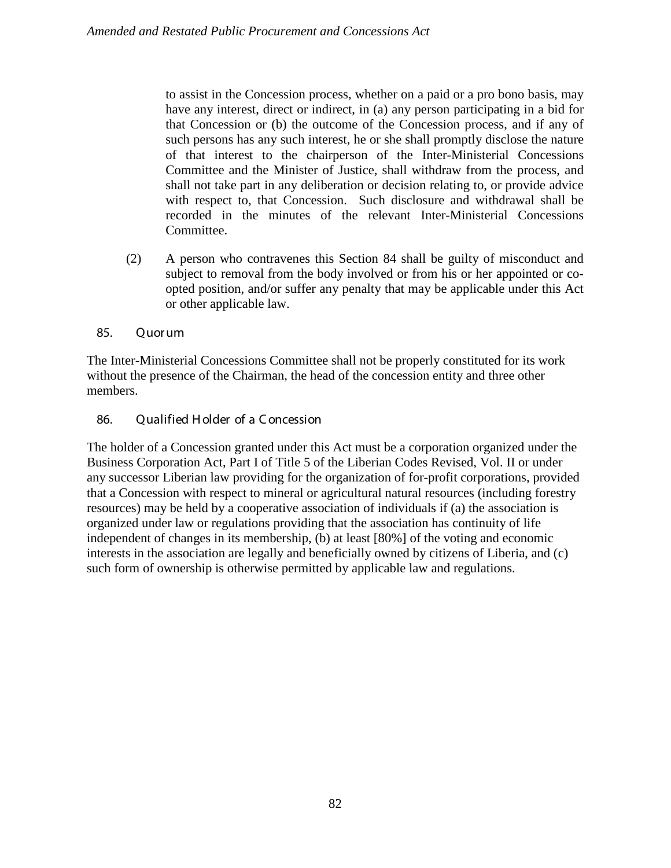to assist in the Concession process, whether on a paid or a pro bono basis, may have any interest, direct or indirect, in (a) any person participating in a bid for that Concession or (b) the outcome of the Concession process, and if any of such persons has any such interest, he or she shall promptly disclose the nature of that interest to the chairperson of the Inter-Ministerial Concessions Committee and the Minister of Justice, shall withdraw from the process, and shall not take part in any deliberation or decision relating to, or provide advice with respect to, that Concession. Such disclosure and withdrawal shall be recorded in the minutes of the relevant Inter-Ministerial Concessions Committee.

- (2) A person who contravenes this Section 84 shall be guilty of misconduct and subject to removal from the body involved or from his or her appointed or coopted position, and/or suffer any penalty that may be applicable under this Act or other applicable law.
- 85. Quor um

The Inter-Ministerial Concessions Committee shall not be properly constituted for its work without the presence of the Chairman, the head of the concession entity and three other members.

86. Qualified H older of a C oncession

The holder of a Concession granted under this Act must be a corporation organized under the Business Corporation Act, Part I of Title 5 of the Liberian Codes Revised, Vol. II or under any successor Liberian law providing for the organization of for-profit corporations, provided that a Concession with respect to mineral or agricultural natural resources (including forestry resources) may be held by a cooperative association of individuals if (a) the association is organized under law or regulations providing that the association has continuity of life independent of changes in its membership, (b) at least [80%] of the voting and economic interests in the association are legally and beneficially owned by citizens of Liberia, and (c) such form of ownership is otherwise permitted by applicable law and regulations.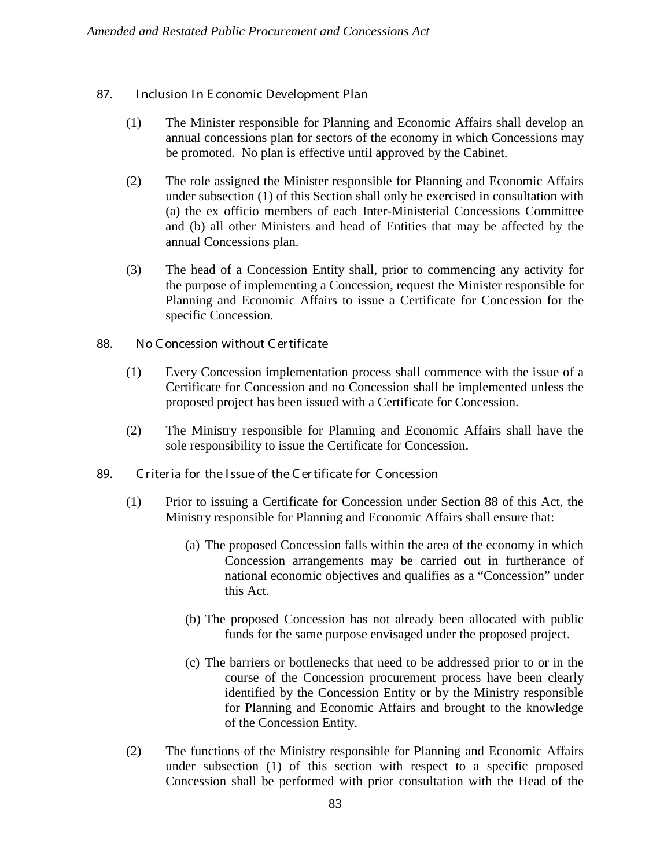- 87. Inclusion In E conomic Development Plan
	- (1) The Minister responsible for Planning and Economic Affairs shall develop an annual concessions plan for sectors of the economy in which Concessions may be promoted. No plan is effective until approved by the Cabinet.
	- (2) The role assigned the Minister responsible for Planning and Economic Affairs under subsection (1) of this Section shall only be exercised in consultation with (a) the ex officio members of each Inter-Ministerial Concessions Committee and (b) all other Ministers and head of Entities that may be affected by the annual Concessions plan.
	- (3) The head of a Concession Entity shall, prior to commencing any activity for the purpose of implementing a Concession, request the Minister responsible for Planning and Economic Affairs to issue a Certificate for Concession for the specific Concession.
- 88. No C oncession without C er tificate
	- (1) Every Concession implementation process shall commence with the issue of a Certificate for Concession and no Concession shall be implemented unless the proposed project has been issued with a Certificate for Concession.
	- (2) The Ministry responsible for Planning and Economic Affairs shall have the sole responsibility to issue the Certificate for Concession.
- 89. C riteria for the Issue of the C ertificate for C oncession
	- (1) Prior to issuing a Certificate for Concession under Section 88 of this Act, the Ministry responsible for Planning and Economic Affairs shall ensure that:
		- (a) The proposed Concession falls within the area of the economy in which Concession arrangements may be carried out in furtherance of national economic objectives and qualifies as a "Concession" under this Act.
		- (b) The proposed Concession has not already been allocated with public funds for the same purpose envisaged under the proposed project.
		- (c) The barriers or bottlenecks that need to be addressed prior to or in the course of the Concession procurement process have been clearly identified by the Concession Entity or by the Ministry responsible for Planning and Economic Affairs and brought to the knowledge of the Concession Entity.
	- (2) The functions of the Ministry responsible for Planning and Economic Affairs under subsection (1) of this section with respect to a specific proposed Concession shall be performed with prior consultation with the Head of the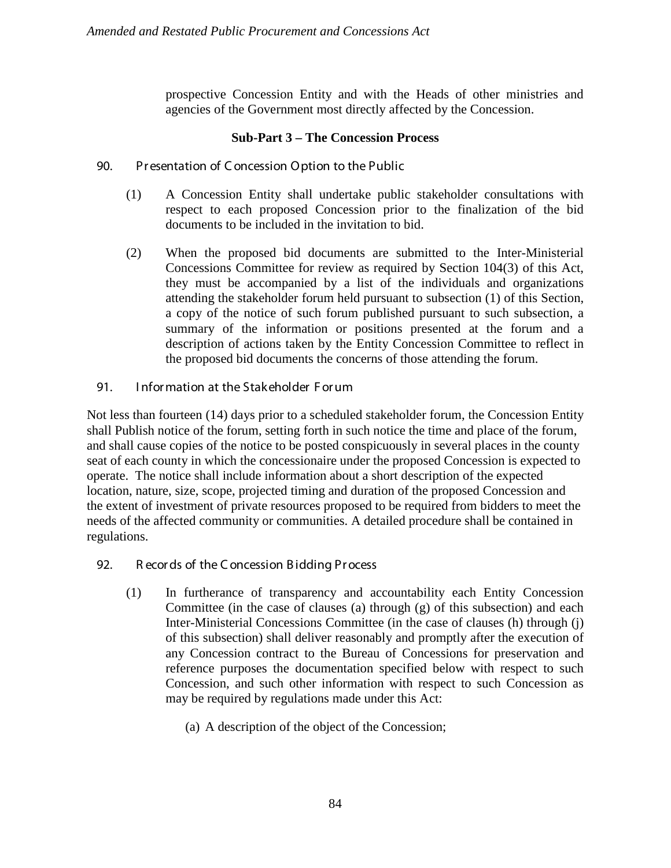prospective Concession Entity and with the Heads of other ministries and agencies of the Government most directly affected by the Concession.

# **Sub-Part 3 – The Concession Process**

- 90. Pr esentation of C oncession Option to the Public
	- (1) A Concession Entity shall undertake public stakeholder consultations with respect to each proposed Concession prior to the finalization of the bid documents to be included in the invitation to bid.
	- (2) When the proposed bid documents are submitted to the Inter-Ministerial Concessions Committee for review as required by Section 104(3) of this Act, they must be accompanied by a list of the individuals and organizations attending the stakeholder forum held pursuant to subsection (1) of this Section, a copy of the notice of such forum published pursuant to such subsection, a summary of the information or positions presented at the forum and a description of actions taken by the Entity Concession Committee to reflect in the proposed bid documents the concerns of those attending the forum.
- 91. I nfor mation at the Stakeholder F or um

Not less than fourteen (14) days prior to a scheduled stakeholder forum, the Concession Entity shall Publish notice of the forum, setting forth in such notice the time and place of the forum, and shall cause copies of the notice to be posted conspicuously in several places in the county seat of each county in which the concessionaire under the proposed Concession is expected to operate. The notice shall include information about a short description of the expected location, nature, size, scope, projected timing and duration of the proposed Concession and the extent of investment of private resources proposed to be required from bidders to meet the needs of the affected community or communities. A detailed procedure shall be contained in regulations.

- 92. R ecor ds of the C oncession B idding Pr ocess
	- (1) In furtherance of transparency and accountability each Entity Concession Committee (in the case of clauses (a) through (g) of this subsection) and each Inter-Ministerial Concessions Committee (in the case of clauses (h) through (j) of this subsection) shall deliver reasonably and promptly after the execution of any Concession contract to the Bureau of Concessions for preservation and reference purposes the documentation specified below with respect to such Concession, and such other information with respect to such Concession as may be required by regulations made under this Act:
		- (a) A description of the object of the Concession;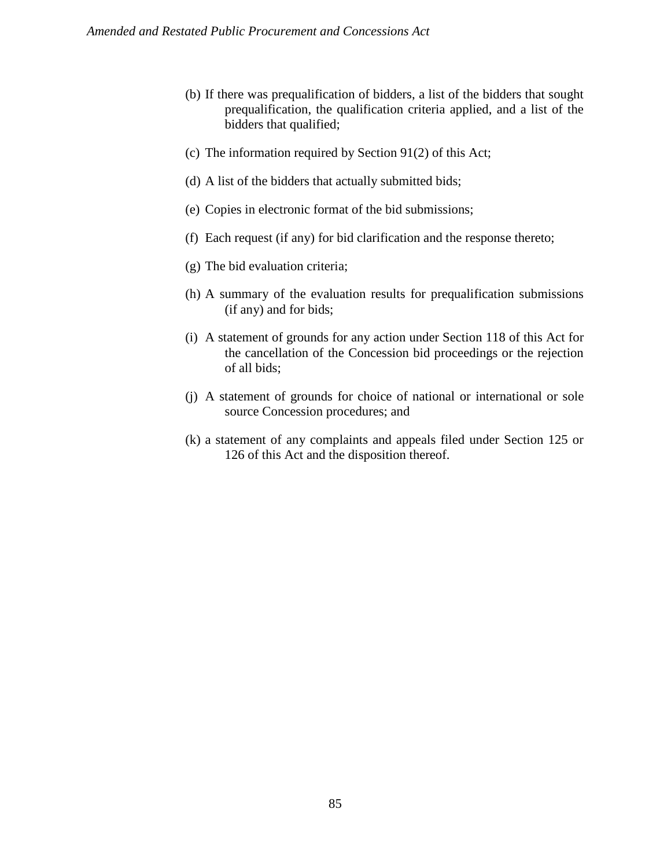- (b) If there was prequalification of bidders, a list of the bidders that sought prequalification, the qualification criteria applied, and a list of the bidders that qualified;
- (c) The information required by Section 91(2) of this Act;
- (d) A list of the bidders that actually submitted bids;
- (e) Copies in electronic format of the bid submissions;
- (f) Each request (if any) for bid clarification and the response thereto;
- (g) The bid evaluation criteria;
- (h) A summary of the evaluation results for prequalification submissions (if any) and for bids;
- (i) A statement of grounds for any action under Section 118 of this Act for the cancellation of the Concession bid proceedings or the rejection of all bids;
- (j) A statement of grounds for choice of national or international or sole source Concession procedures; and
- (k) a statement of any complaints and appeals filed under Section 125 or 126 of this Act and the disposition thereof.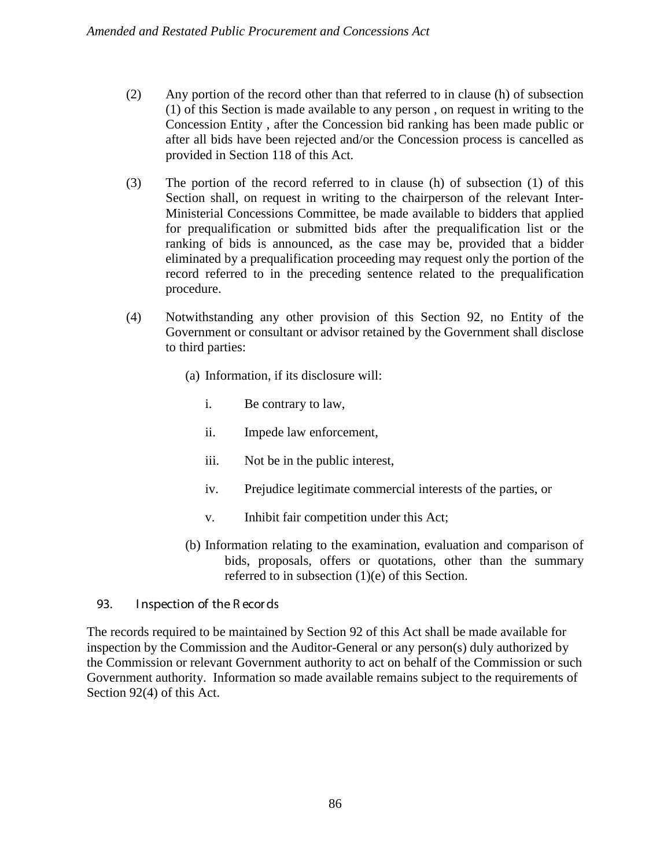- (2) Any portion of the record other than that referred to in clause (h) of subsection (1) of this Section is made available to any person , on request in writing to the Concession Entity , after the Concession bid ranking has been made public or after all bids have been rejected and/or the Concession process is cancelled as provided in Section 118 of this Act.
- (3) The portion of the record referred to in clause (h) of subsection (1) of this Section shall, on request in writing to the chairperson of the relevant Inter-Ministerial Concessions Committee, be made available to bidders that applied for prequalification or submitted bids after the prequalification list or the ranking of bids is announced, as the case may be, provided that a bidder eliminated by a prequalification proceeding may request only the portion of the record referred to in the preceding sentence related to the prequalification procedure.
- (4) Notwithstanding any other provision of this Section 92, no Entity of the Government or consultant or advisor retained by the Government shall disclose to third parties:
	- (a) Information, if its disclosure will:
		- i. Be contrary to law,
		- ii. Impede law enforcement,
		- iii. Not be in the public interest,
		- iv. Prejudice legitimate commercial interests of the parties, or
		- v. Inhibit fair competition under this Act;
	- (b) Information relating to the examination, evaluation and comparison of bids, proposals, offers or quotations, other than the summary referred to in subsection (1)(e) of this Section.

### 93. I nspection of the R ecor ds

The records required to be maintained by Section 92 of this Act shall be made available for inspection by the Commission and the Auditor-General or any person(s) duly authorized by the Commission or relevant Government authority to act on behalf of the Commission or such Government authority. Information so made available remains subject to the requirements of Section 92(4) of this Act.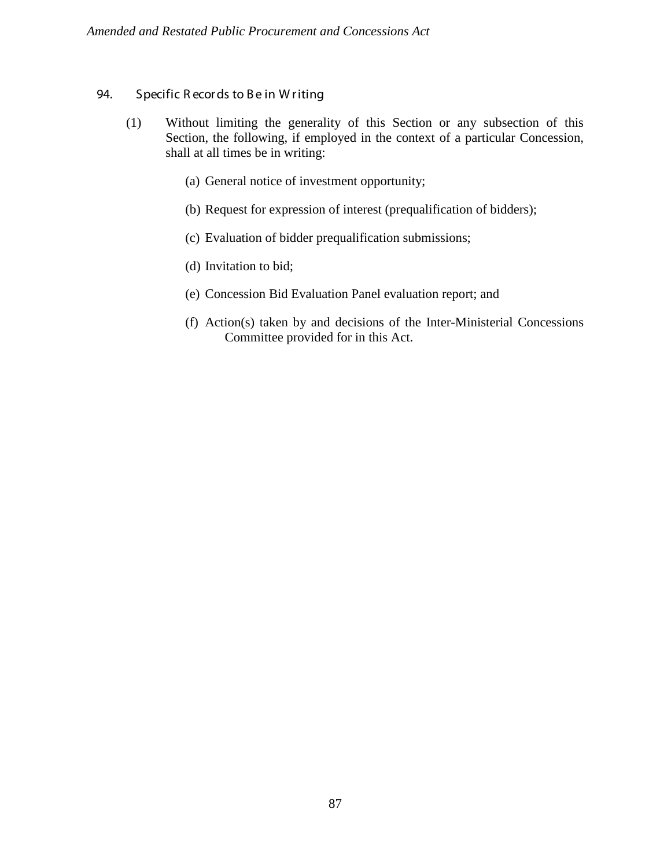# 94. Specific R ecords to Be in Writing

- (1) Without limiting the generality of this Section or any subsection of this Section, the following, if employed in the context of a particular Concession, shall at all times be in writing:
	- (a) General notice of investment opportunity;
	- (b) Request for expression of interest (prequalification of bidders);
	- (c) Evaluation of bidder prequalification submissions;
	- (d) Invitation to bid;
	- (e) Concession Bid Evaluation Panel evaluation report; and
	- (f) Action(s) taken by and decisions of the Inter-Ministerial Concessions Committee provided for in this Act.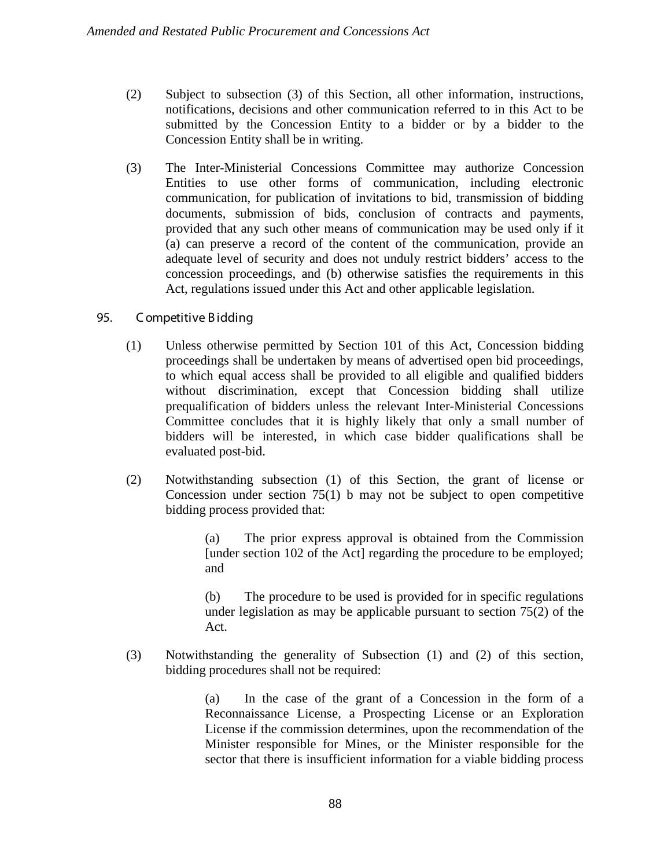- (2) Subject to subsection (3) of this Section, all other information, instructions, notifications, decisions and other communication referred to in this Act to be submitted by the Concession Entity to a bidder or by a bidder to the Concession Entity shall be in writing.
- (3) The Inter-Ministerial Concessions Committee may authorize Concession Entities to use other forms of communication, including electronic communication, for publication of invitations to bid, transmission of bidding documents, submission of bids, conclusion of contracts and payments, provided that any such other means of communication may be used only if it (a) can preserve a record of the content of the communication, provide an adequate level of security and does not unduly restrict bidders' access to the concession proceedings, and (b) otherwise satisfies the requirements in this Act, regulations issued under this Act and other applicable legislation.

# 95. C ompetitive B idding

- (1) Unless otherwise permitted by Section 101 of this Act, Concession bidding proceedings shall be undertaken by means of advertised open bid proceedings, to which equal access shall be provided to all eligible and qualified bidders without discrimination, except that Concession bidding shall utilize prequalification of bidders unless the relevant Inter-Ministerial Concessions Committee concludes that it is highly likely that only a small number of bidders will be interested, in which case bidder qualifications shall be evaluated post-bid.
- (2) Notwithstanding subsection (1) of this Section, the grant of license or Concession under section  $75(1)$  b may not be subject to open competitive bidding process provided that:

(a) The prior express approval is obtained from the Commission [under section 102 of the Act] regarding the procedure to be employed; and

(b) The procedure to be used is provided for in specific regulations under legislation as may be applicable pursuant to section 75(2) of the Act.

(3) Notwithstanding the generality of Subsection (1) and (2) of this section, bidding procedures shall not be required:

> (a) In the case of the grant of a Concession in the form of a Reconnaissance License, a Prospecting License or an Exploration License if the commission determines, upon the recommendation of the Minister responsible for Mines, or the Minister responsible for the sector that there is insufficient information for a viable bidding process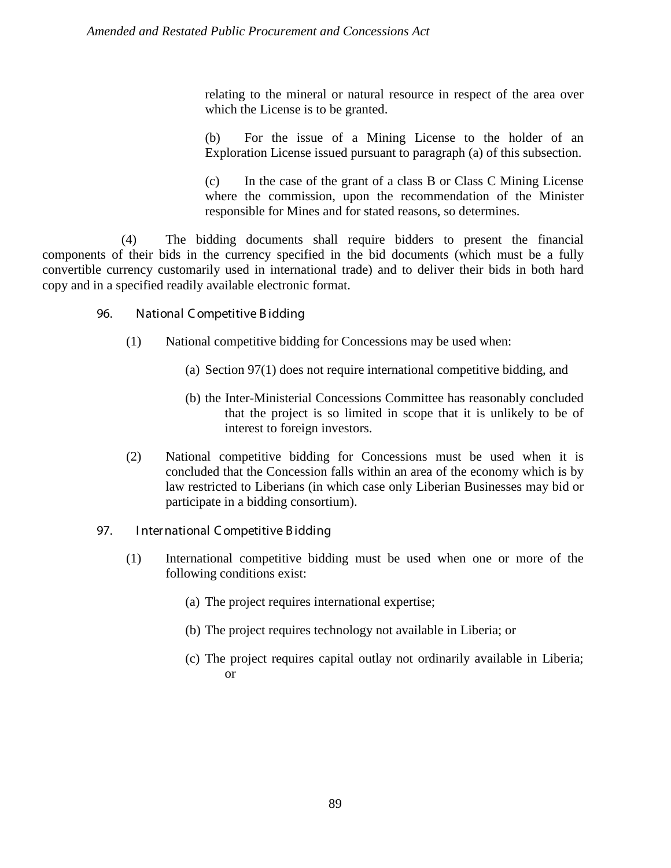relating to the mineral or natural resource in respect of the area over which the License is to be granted.

(b) For the issue of a Mining License to the holder of an Exploration License issued pursuant to paragraph (a) of this subsection.

(c) In the case of the grant of a class B or Class C Mining License where the commission, upon the recommendation of the Minister responsible for Mines and for stated reasons, so determines.

(4) The bidding documents shall require bidders to present the financial components of their bids in the currency specified in the bid documents (which must be a fully convertible currency customarily used in international trade) and to deliver their bids in both hard copy and in a specified readily available electronic format.

- 96. National C ompetitive B idding
	- (1) National competitive bidding for Concessions may be used when:
		- (a) Section 97(1) does not require international competitive bidding, and
		- (b) the Inter-Ministerial Concessions Committee has reasonably concluded that the project is so limited in scope that it is unlikely to be of interest to foreign investors.
	- (2) National competitive bidding for Concessions must be used when it is concluded that the Concession falls within an area of the economy which is by law restricted to Liberians (in which case only Liberian Businesses may bid or participate in a bidding consortium).
- 97. International Competitive Bidding
	- (1) International competitive bidding must be used when one or more of the following conditions exist:
		- (a) The project requires international expertise;
		- (b) The project requires technology not available in Liberia; or
		- (c) The project requires capital outlay not ordinarily available in Liberia; or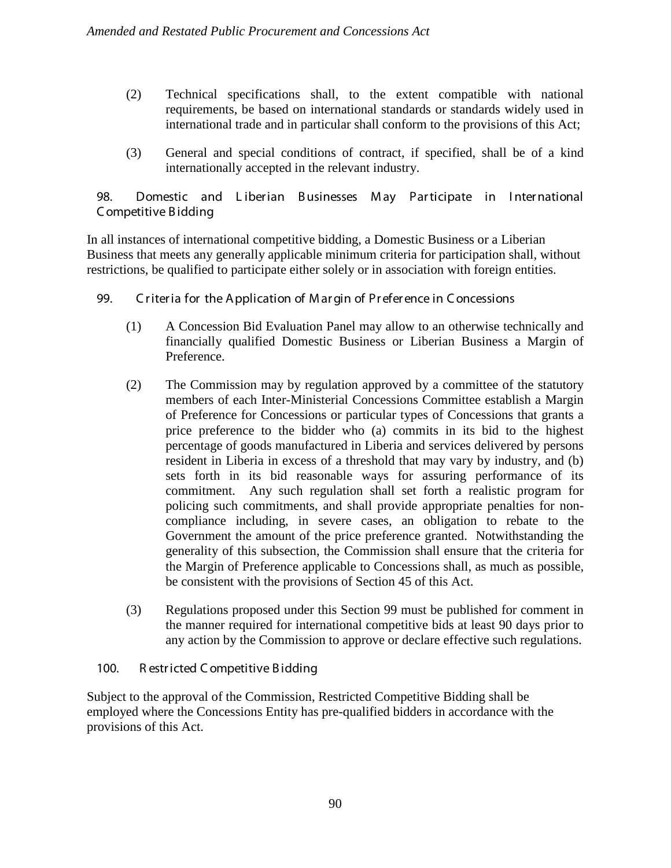- (2) Technical specifications shall, to the extent compatible with national requirements, be based on international standards or standards widely used in international trade and in particular shall conform to the provisions of this Act;
- (3) General and special conditions of contract, if specified, shall be of a kind internationally accepted in the relevant industry.

98. Domestic and Liberian Businesses May Participate in International C ompetitive B idding

In all instances of international competitive bidding, a Domestic Business or a Liberian Business that meets any generally applicable minimum criteria for participation shall, without restrictions, be qualified to participate either solely or in association with foreign entities.

- 99. C r iter ia for the A pplication of M ar gin of Pr efer ence in C oncessions
	- (1) A Concession Bid Evaluation Panel may allow to an otherwise technically and financially qualified Domestic Business or Liberian Business a Margin of Preference.
	- (2) The Commission may by regulation approved by a committee of the statutory members of each Inter-Ministerial Concessions Committee establish a Margin of Preference for Concessions or particular types of Concessions that grants a price preference to the bidder who (a) commits in its bid to the highest percentage of goods manufactured in Liberia and services delivered by persons resident in Liberia in excess of a threshold that may vary by industry, and (b) sets forth in its bid reasonable ways for assuring performance of its commitment. Any such regulation shall set forth a realistic program for policing such commitments, and shall provide appropriate penalties for noncompliance including, in severe cases, an obligation to rebate to the Government the amount of the price preference granted. Notwithstanding the generality of this subsection, the Commission shall ensure that the criteria for the Margin of Preference applicable to Concessions shall, as much as possible, be consistent with the provisions of Section 45 of this Act.
	- (3) Regulations proposed under this Section 99 must be published for comment in the manner required for international competitive bids at least 90 days prior to any action by the Commission to approve or declare effective such regulations.

# 100. R estr icted C ompetitive B idding

Subject to the approval of the Commission, Restricted Competitive Bidding shall be employed where the Concessions Entity has pre-qualified bidders in accordance with the provisions of this Act.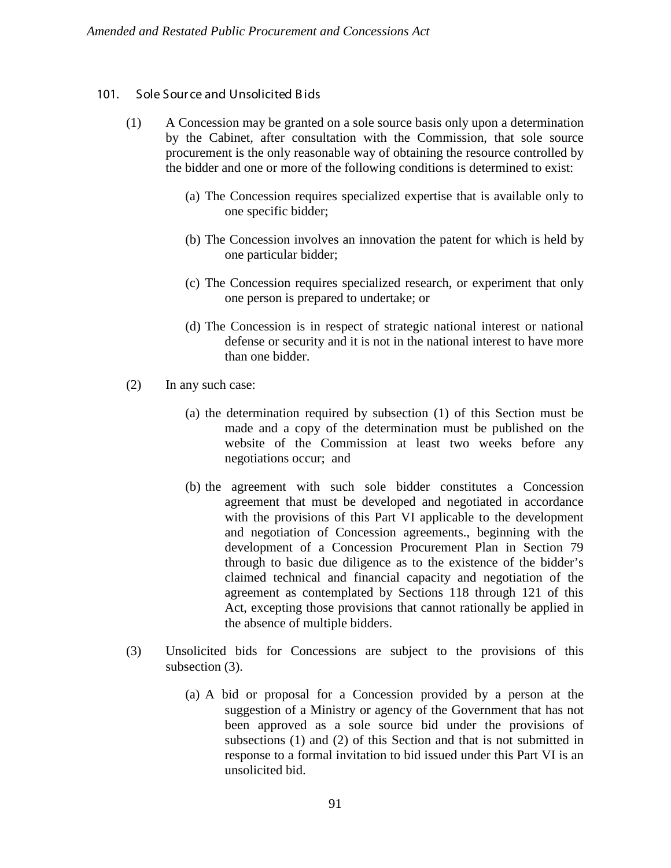### 101. Sole Source and Unsolicited Bids

- (1) A Concession may be granted on a sole source basis only upon a determination by the Cabinet, after consultation with the Commission, that sole source procurement is the only reasonable way of obtaining the resource controlled by the bidder and one or more of the following conditions is determined to exist:
	- (a) The Concession requires specialized expertise that is available only to one specific bidder;
	- (b) The Concession involves an innovation the patent for which is held by one particular bidder;
	- (c) The Concession requires specialized research, or experiment that only one person is prepared to undertake; or
	- (d) The Concession is in respect of strategic national interest or national defense or security and it is not in the national interest to have more than one bidder.
- (2) In any such case:
	- (a) the determination required by subsection (1) of this Section must be made and a copy of the determination must be published on the website of the Commission at least two weeks before any negotiations occur; and
	- (b) the agreement with such sole bidder constitutes a Concession agreement that must be developed and negotiated in accordance with the provisions of this Part VI applicable to the development and negotiation of Concession agreements., beginning with the development of a Concession Procurement Plan in Section 79 through to basic due diligence as to the existence of the bidder's claimed technical and financial capacity and negotiation of the agreement as contemplated by Sections 118 through 121 of this Act, excepting those provisions that cannot rationally be applied in the absence of multiple bidders.
- (3) Unsolicited bids for Concessions are subject to the provisions of this subsection (3).
	- (a) A bid or proposal for a Concession provided by a person at the suggestion of a Ministry or agency of the Government that has not been approved as a sole source bid under the provisions of subsections (1) and (2) of this Section and that is not submitted in response to a formal invitation to bid issued under this Part VI is an unsolicited bid.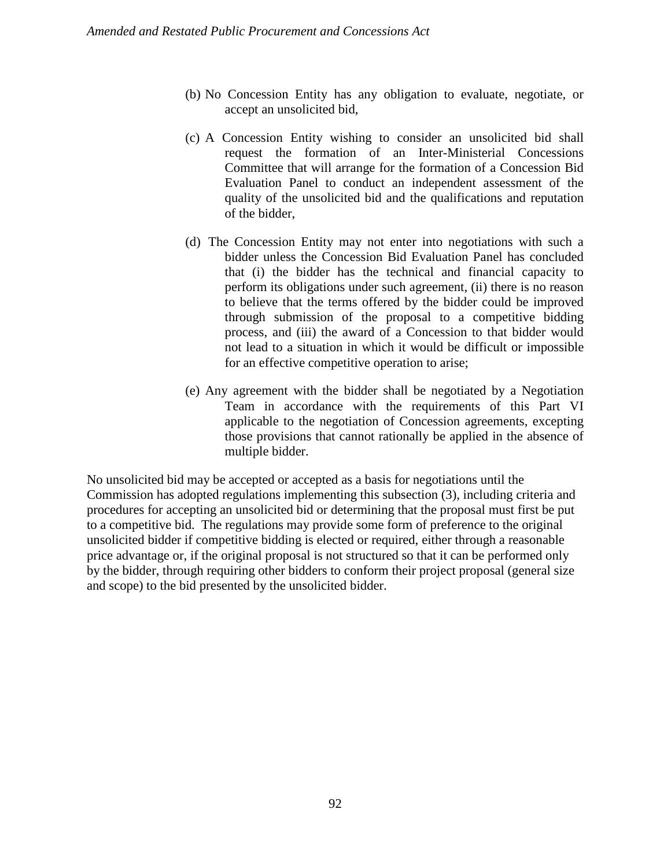- (b) No Concession Entity has any obligation to evaluate, negotiate, or accept an unsolicited bid,
- (c) A Concession Entity wishing to consider an unsolicited bid shall request the formation of an Inter-Ministerial Concessions Committee that will arrange for the formation of a Concession Bid Evaluation Panel to conduct an independent assessment of the quality of the unsolicited bid and the qualifications and reputation of the bidder,
- (d) The Concession Entity may not enter into negotiations with such a bidder unless the Concession Bid Evaluation Panel has concluded that (i) the bidder has the technical and financial capacity to perform its obligations under such agreement, (ii) there is no reason to believe that the terms offered by the bidder could be improved through submission of the proposal to a competitive bidding process, and (iii) the award of a Concession to that bidder would not lead to a situation in which it would be difficult or impossible for an effective competitive operation to arise;
- (e) Any agreement with the bidder shall be negotiated by a Negotiation Team in accordance with the requirements of this Part VI applicable to the negotiation of Concession agreements, excepting those provisions that cannot rationally be applied in the absence of multiple bidder.

No unsolicited bid may be accepted or accepted as a basis for negotiations until the Commission has adopted regulations implementing this subsection (3), including criteria and procedures for accepting an unsolicited bid or determining that the proposal must first be put to a competitive bid. The regulations may provide some form of preference to the original unsolicited bidder if competitive bidding is elected or required, either through a reasonable price advantage or, if the original proposal is not structured so that it can be performed only by the bidder, through requiring other bidders to conform their project proposal (general size and scope) to the bid presented by the unsolicited bidder.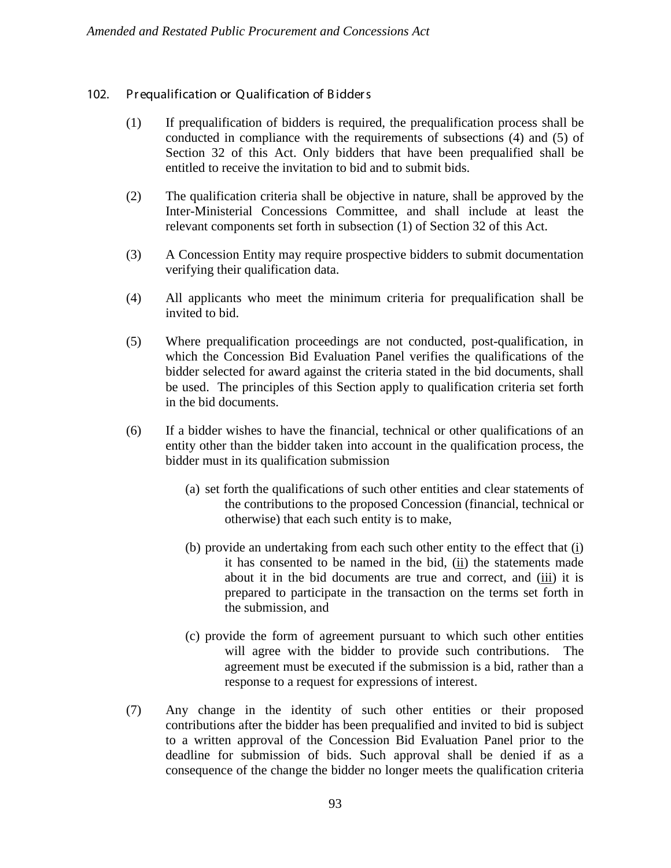# 102. Prequalification or Qualification of Bidders

- (1) If prequalification of bidders is required, the prequalification process shall be conducted in compliance with the requirements of subsections (4) and (5) of Section 32 of this Act. Only bidders that have been prequalified shall be entitled to receive the invitation to bid and to submit bids.
- (2) The qualification criteria shall be objective in nature, shall be approved by the Inter-Ministerial Concessions Committee, and shall include at least the relevant components set forth in subsection (1) of Section 32 of this Act.
- (3) A Concession Entity may require prospective bidders to submit documentation verifying their qualification data.
- (4) All applicants who meet the minimum criteria for prequalification shall be invited to bid.
- (5) Where prequalification proceedings are not conducted, post-qualification, in which the Concession Bid Evaluation Panel verifies the qualifications of the bidder selected for award against the criteria stated in the bid documents, shall be used. The principles of this Section apply to qualification criteria set forth in the bid documents.
- (6) If a bidder wishes to have the financial, technical or other qualifications of an entity other than the bidder taken into account in the qualification process, the bidder must in its qualification submission
	- (a) set forth the qualifications of such other entities and clear statements of the contributions to the proposed Concession (financial, technical or otherwise) that each such entity is to make,
	- (b) provide an undertaking from each such other entity to the effect that (i) it has consented to be named in the bid, (ii) the statements made about it in the bid documents are true and correct, and (iii) it is prepared to participate in the transaction on the terms set forth in the submission, and
	- (c) provide the form of agreement pursuant to which such other entities will agree with the bidder to provide such contributions. The agreement must be executed if the submission is a bid, rather than a response to a request for expressions of interest.
- (7) Any change in the identity of such other entities or their proposed contributions after the bidder has been prequalified and invited to bid is subject to a written approval of the Concession Bid Evaluation Panel prior to the deadline for submission of bids. Such approval shall be denied if as a consequence of the change the bidder no longer meets the qualification criteria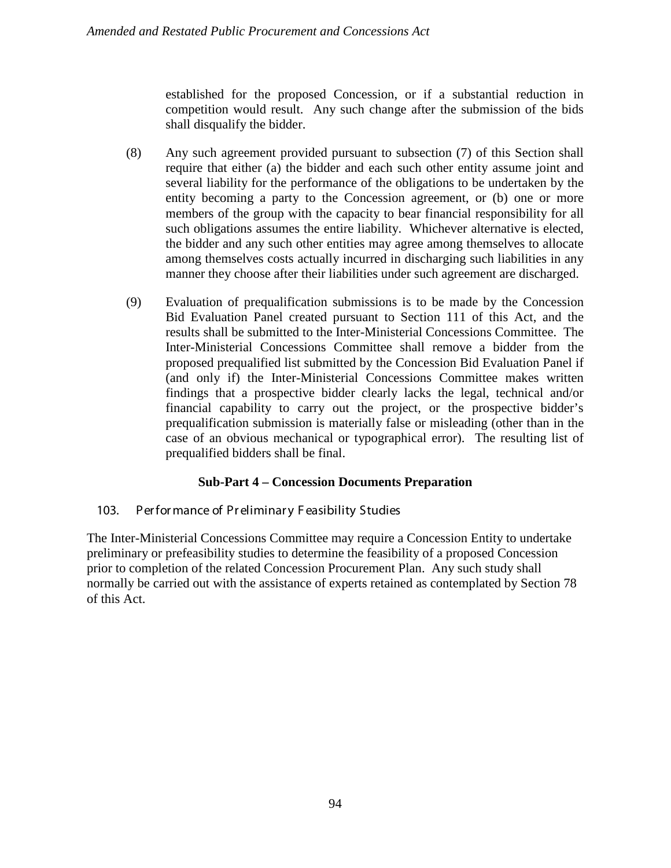established for the proposed Concession, or if a substantial reduction in competition would result. Any such change after the submission of the bids shall disqualify the bidder.

- (8) Any such agreement provided pursuant to subsection (7) of this Section shall require that either (a) the bidder and each such other entity assume joint and several liability for the performance of the obligations to be undertaken by the entity becoming a party to the Concession agreement, or (b) one or more members of the group with the capacity to bear financial responsibility for all such obligations assumes the entire liability. Whichever alternative is elected, the bidder and any such other entities may agree among themselves to allocate among themselves costs actually incurred in discharging such liabilities in any manner they choose after their liabilities under such agreement are discharged.
- (9) Evaluation of prequalification submissions is to be made by the Concession Bid Evaluation Panel created pursuant to Section 111 of this Act, and the results shall be submitted to the Inter-Ministerial Concessions Committee. The Inter-Ministerial Concessions Committee shall remove a bidder from the proposed prequalified list submitted by the Concession Bid Evaluation Panel if (and only if) the Inter-Ministerial Concessions Committee makes written findings that a prospective bidder clearly lacks the legal, technical and/or financial capability to carry out the project, or the prospective bidder's prequalification submission is materially false or misleading (other than in the case of an obvious mechanical or typographical error). The resulting list of prequalified bidders shall be final.

# **Sub-Part 4 – Concession Documents Preparation**

### 103. Per for mance of Preliminary Feasibility Studies

The Inter-Ministerial Concessions Committee may require a Concession Entity to undertake preliminary or prefeasibility studies to determine the feasibility of a proposed Concession prior to completion of the related Concession Procurement Plan. Any such study shall normally be carried out with the assistance of experts retained as contemplated by Section 78 of this Act.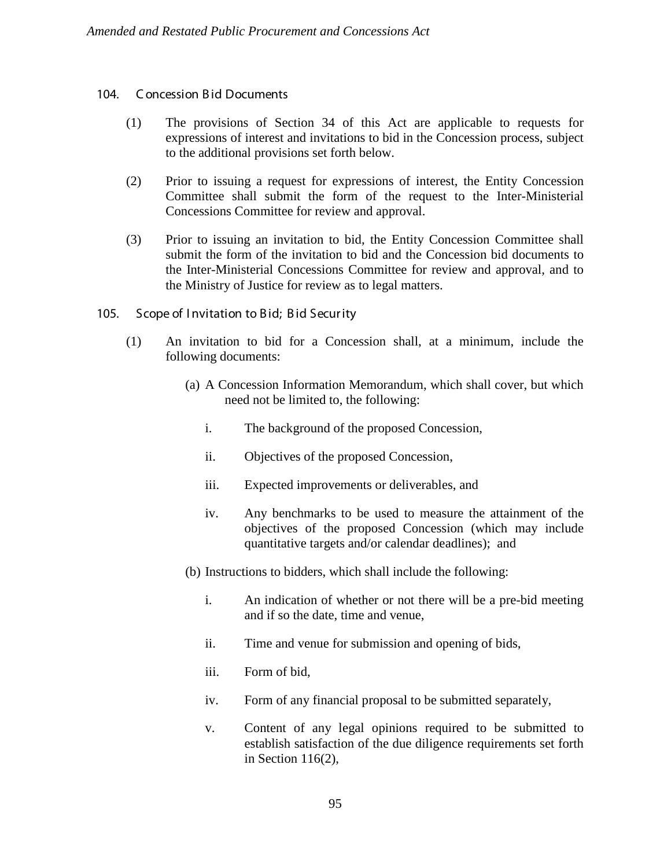#### 104. C oncession B id Documents

- (1) The provisions of Section 34 of this Act are applicable to requests for expressions of interest and invitations to bid in the Concession process, subject to the additional provisions set forth below.
- (2) Prior to issuing a request for expressions of interest, the Entity Concession Committee shall submit the form of the request to the Inter-Ministerial Concessions Committee for review and approval.
- (3) Prior to issuing an invitation to bid, the Entity Concession Committee shall submit the form of the invitation to bid and the Concession bid documents to the Inter-Ministerial Concessions Committee for review and approval, and to the Ministry of Justice for review as to legal matters.
- 105. Scope of Invitation to Bid; Bid Security
	- (1) An invitation to bid for a Concession shall, at a minimum, include the following documents:
		- (a) A Concession Information Memorandum, which shall cover, but which need not be limited to, the following:
			- i. The background of the proposed Concession,
			- ii. Objectives of the proposed Concession,
			- iii. Expected improvements or deliverables, and
			- iv. Any benchmarks to be used to measure the attainment of the objectives of the proposed Concession (which may include quantitative targets and/or calendar deadlines); and
		- (b) Instructions to bidders, which shall include the following:
			- i. An indication of whether or not there will be a pre-bid meeting and if so the date, time and venue,
			- ii. Time and venue for submission and opening of bids,
			- iii. Form of bid,
			- iv. Form of any financial proposal to be submitted separately,
			- v. Content of any legal opinions required to be submitted to establish satisfaction of the due diligence requirements set forth in Section 116(2),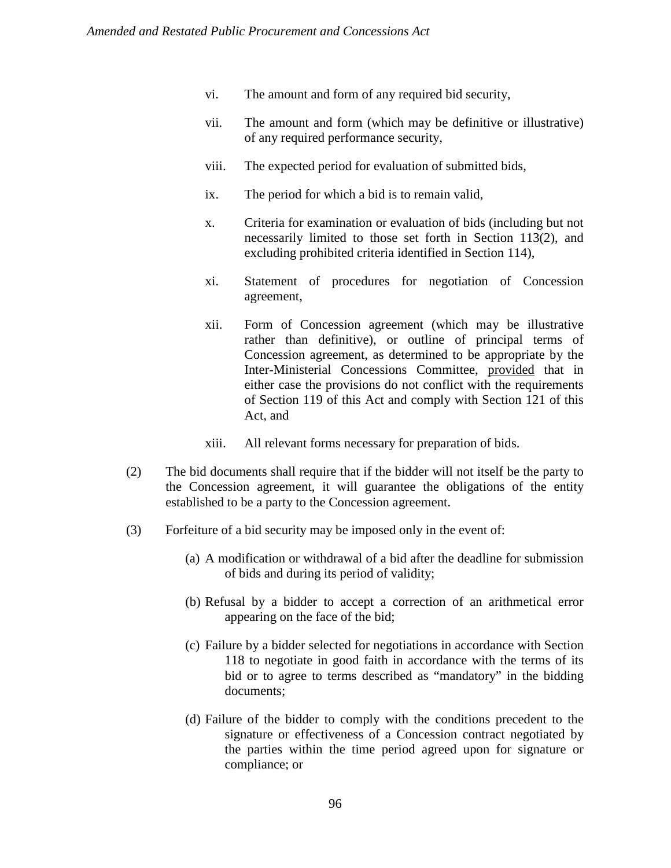- vi. The amount and form of any required bid security,
- vii. The amount and form (which may be definitive or illustrative) of any required performance security,
- viii. The expected period for evaluation of submitted bids,
- ix. The period for which a bid is to remain valid,
- x. Criteria for examination or evaluation of bids (including but not necessarily limited to those set forth in Section 113(2), and excluding prohibited criteria identified in Section 114),
- xi. Statement of procedures for negotiation of Concession agreement,
- xii. Form of Concession agreement (which may be illustrative rather than definitive), or outline of principal terms of Concession agreement, as determined to be appropriate by the Inter-Ministerial Concessions Committee, provided that in either case the provisions do not conflict with the requirements of Section 119 of this Act and comply with Section 121 of this Act, and
- xiii. All relevant forms necessary for preparation of bids.
- (2) The bid documents shall require that if the bidder will not itself be the party to the Concession agreement, it will guarantee the obligations of the entity established to be a party to the Concession agreement.
- (3) Forfeiture of a bid security may be imposed only in the event of:
	- (a) A modification or withdrawal of a bid after the deadline for submission of bids and during its period of validity;
	- (b) Refusal by a bidder to accept a correction of an arithmetical error appearing on the face of the bid;
	- (c) Failure by a bidder selected for negotiations in accordance with Section 118 to negotiate in good faith in accordance with the terms of its bid or to agree to terms described as "mandatory" in the bidding documents;
	- (d) Failure of the bidder to comply with the conditions precedent to the signature or effectiveness of a Concession contract negotiated by the parties within the time period agreed upon for signature or compliance; or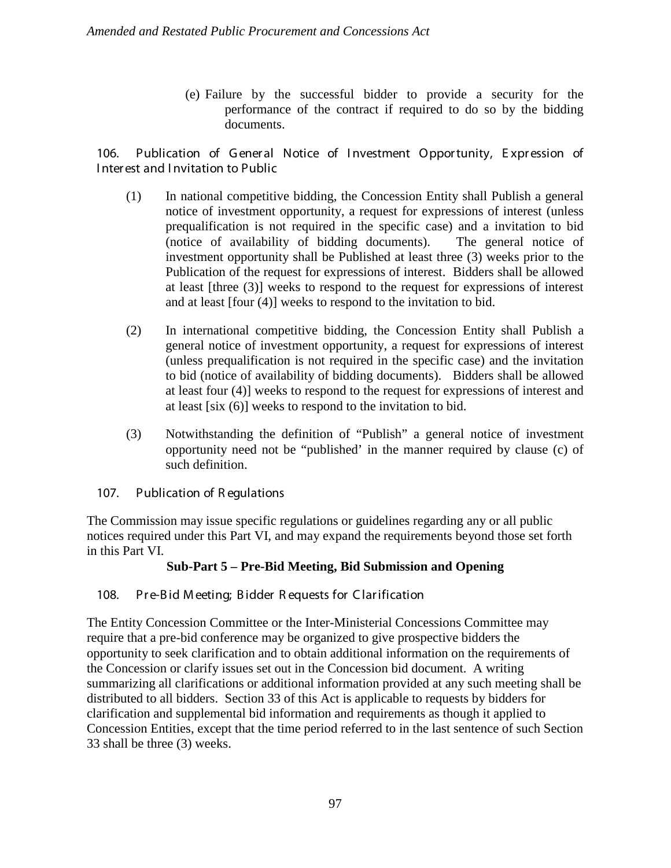(e) Failure by the successful bidder to provide a security for the performance of the contract if required to do so by the bidding documents.

106. Publication of General Notice of Investment Opportunity, Expression of I nter est and I nvitation to Public

- (1) In national competitive bidding, the Concession Entity shall Publish a general notice of investment opportunity, a request for expressions of interest (unless prequalification is not required in the specific case) and a invitation to bid (notice of availability of bidding documents). The general notice of investment opportunity shall be Published at least three (3) weeks prior to the Publication of the request for expressions of interest. Bidders shall be allowed at least [three (3)] weeks to respond to the request for expressions of interest and at least [four (4)] weeks to respond to the invitation to bid.
- (2) In international competitive bidding, the Concession Entity shall Publish a general notice of investment opportunity, a request for expressions of interest (unless prequalification is not required in the specific case) and the invitation to bid (notice of availability of bidding documents). Bidders shall be allowed at least four (4)] weeks to respond to the request for expressions of interest and at least [six (6)] weeks to respond to the invitation to bid.
- (3) Notwithstanding the definition of "Publish" a general notice of investment opportunity need not be "published' in the manner required by clause (c) of such definition.
- 107. Publication of R egulations

The Commission may issue specific regulations or guidelines regarding any or all public notices required under this Part VI, and may expand the requirements beyond those set forth in this Part VI.

# **Sub-Part 5 – Pre-Bid Meeting, Bid Submission and Opening**

# 108. Pre-Bid Meeting; Bidder Requests for Clarification

The Entity Concession Committee or the Inter-Ministerial Concessions Committee may require that a pre-bid conference may be organized to give prospective bidders the opportunity to seek clarification and to obtain additional information on the requirements of the Concession or clarify issues set out in the Concession bid document. A writing summarizing all clarifications or additional information provided at any such meeting shall be distributed to all bidders. Section 33 of this Act is applicable to requests by bidders for clarification and supplemental bid information and requirements as though it applied to Concession Entities, except that the time period referred to in the last sentence of such Section 33 shall be three (3) weeks.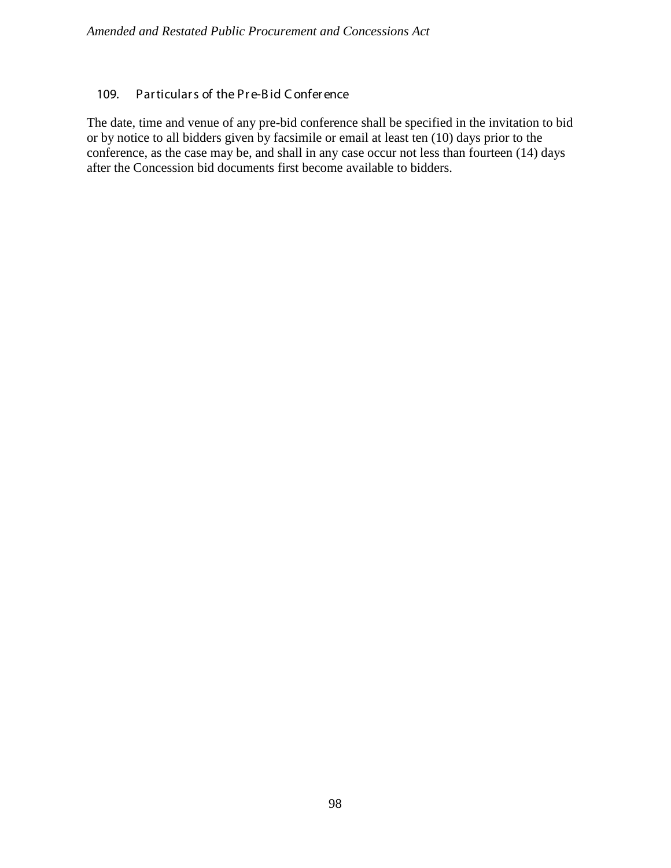# 109. Par ticulars of the Pre-Bid Conference

The date, time and venue of any pre-bid conference shall be specified in the invitation to bid or by notice to all bidders given by facsimile or email at least ten (10) days prior to the conference, as the case may be, and shall in any case occur not less than fourteen (14) days after the Concession bid documents first become available to bidders.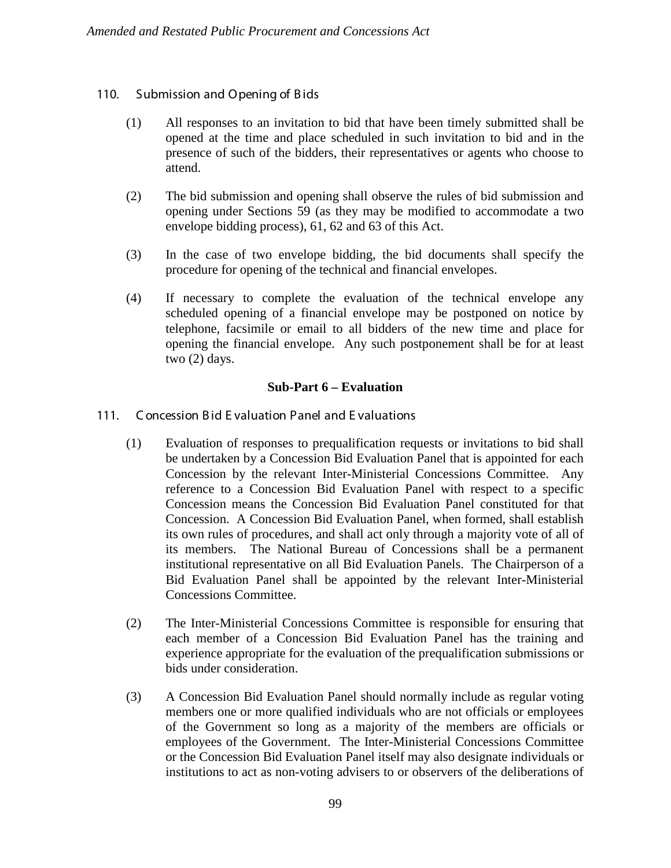# 110. Submission and Opening of Bids

- (1) All responses to an invitation to bid that have been timely submitted shall be opened at the time and place scheduled in such invitation to bid and in the presence of such of the bidders, their representatives or agents who choose to attend.
- (2) The bid submission and opening shall observe the rules of bid submission and opening under Sections 59 (as they may be modified to accommodate a two envelope bidding process), 61, 62 and 63 of this Act.
- (3) In the case of two envelope bidding, the bid documents shall specify the procedure for opening of the technical and financial envelopes.
- (4) If necessary to complete the evaluation of the technical envelope any scheduled opening of a financial envelope may be postponed on notice by telephone, facsimile or email to all bidders of the new time and place for opening the financial envelope. Any such postponement shall be for at least two (2) days.

### **Sub-Part 6 – Evaluation**

- 111. Concession Bid Evaluation Panel and Evaluations
	- (1) Evaluation of responses to prequalification requests or invitations to bid shall be undertaken by a Concession Bid Evaluation Panel that is appointed for each Concession by the relevant Inter-Ministerial Concessions Committee. Any reference to a Concession Bid Evaluation Panel with respect to a specific Concession means the Concession Bid Evaluation Panel constituted for that Concession. A Concession Bid Evaluation Panel, when formed, shall establish its own rules of procedures, and shall act only through a majority vote of all of its members. The National Bureau of Concessions shall be a permanent institutional representative on all Bid Evaluation Panels. The Chairperson of a Bid Evaluation Panel shall be appointed by the relevant Inter-Ministerial Concessions Committee.
	- (2) The Inter-Ministerial Concessions Committee is responsible for ensuring that each member of a Concession Bid Evaluation Panel has the training and experience appropriate for the evaluation of the prequalification submissions or bids under consideration.
	- (3) A Concession Bid Evaluation Panel should normally include as regular voting members one or more qualified individuals who are not officials or employees of the Government so long as a majority of the members are officials or employees of the Government. The Inter-Ministerial Concessions Committee or the Concession Bid Evaluation Panel itself may also designate individuals or institutions to act as non-voting advisers to or observers of the deliberations of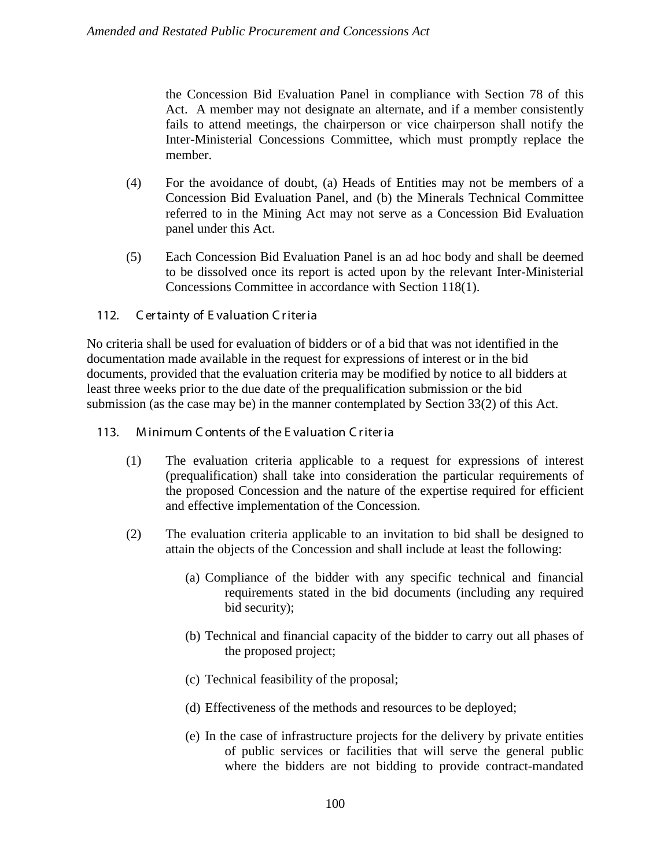the Concession Bid Evaluation Panel in compliance with Section 78 of this Act. A member may not designate an alternate, and if a member consistently fails to attend meetings, the chairperson or vice chairperson shall notify the Inter-Ministerial Concessions Committee, which must promptly replace the member.

- (4) For the avoidance of doubt, (a) Heads of Entities may not be members of a Concession Bid Evaluation Panel, and (b) the Minerals Technical Committee referred to in the Mining Act may not serve as a Concession Bid Evaluation panel under this Act.
- (5) Each Concession Bid Evaluation Panel is an ad hoc body and shall be deemed to be dissolved once its report is acted upon by the relevant Inter-Ministerial Concessions Committee in accordance with Section 118(1).

# 112. Certainty of Evaluation Criteria

No criteria shall be used for evaluation of bidders or of a bid that was not identified in the documentation made available in the request for expressions of interest or in the bid documents, provided that the evaluation criteria may be modified by notice to all bidders at least three weeks prior to the due date of the prequalification submission or the bid submission (as the case may be) in the manner contemplated by Section 33(2) of this Act.

# 113. M inimum C ontents of the E valuation C r iter ia

- (1) The evaluation criteria applicable to a request for expressions of interest (prequalification) shall take into consideration the particular requirements of the proposed Concession and the nature of the expertise required for efficient and effective implementation of the Concession.
- (2) The evaluation criteria applicable to an invitation to bid shall be designed to attain the objects of the Concession and shall include at least the following:
	- (a) Compliance of the bidder with any specific technical and financial requirements stated in the bid documents (including any required bid security);
	- (b) Technical and financial capacity of the bidder to carry out all phases of the proposed project;
	- (c) Technical feasibility of the proposal;
	- (d) Effectiveness of the methods and resources to be deployed;
	- (e) In the case of infrastructure projects for the delivery by private entities of public services or facilities that will serve the general public where the bidders are not bidding to provide contract-mandated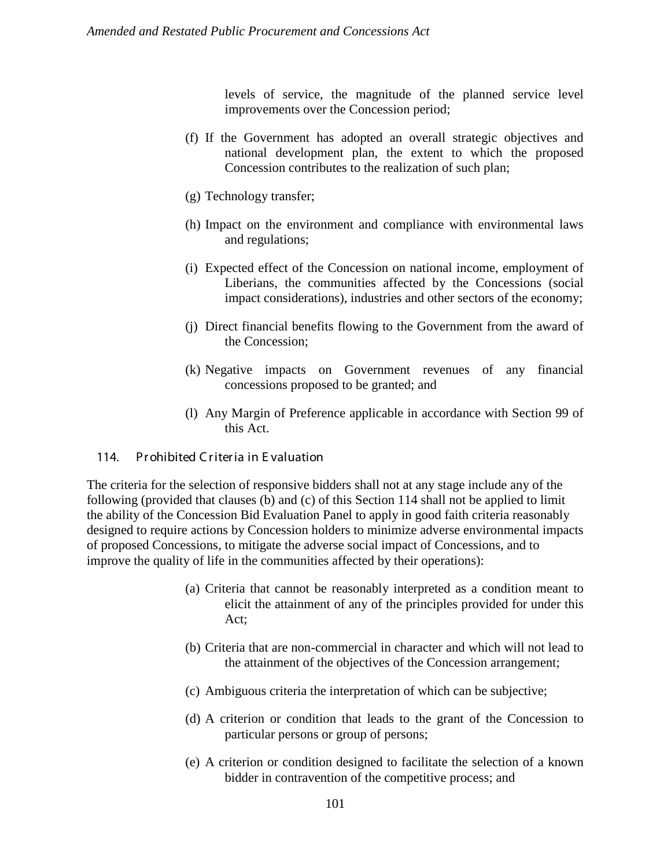levels of service, the magnitude of the planned service level improvements over the Concession period;

- (f) If the Government has adopted an overall strategic objectives and national development plan, the extent to which the proposed Concession contributes to the realization of such plan;
- (g) Technology transfer;
- (h) Impact on the environment and compliance with environmental laws and regulations;
- (i) Expected effect of the Concession on national income, employment of Liberians, the communities affected by the Concessions (social impact considerations), industries and other sectors of the economy;
- (j) Direct financial benefits flowing to the Government from the award of the Concession;
- (k) Negative impacts on Government revenues of any financial concessions proposed to be granted; and
- (l) Any Margin of Preference applicable in accordance with Section 99 of this Act.

### 114. Pr ohibited C r iter ia in E valuation

The criteria for the selection of responsive bidders shall not at any stage include any of the following (provided that clauses (b) and (c) of this Section 114 shall not be applied to limit the ability of the Concession Bid Evaluation Panel to apply in good faith criteria reasonably designed to require actions by Concession holders to minimize adverse environmental impacts of proposed Concessions, to mitigate the adverse social impact of Concessions, and to improve the quality of life in the communities affected by their operations):

- (a) Criteria that cannot be reasonably interpreted as a condition meant to elicit the attainment of any of the principles provided for under this Act;
- (b) Criteria that are non-commercial in character and which will not lead to the attainment of the objectives of the Concession arrangement;
- (c) Ambiguous criteria the interpretation of which can be subjective;
- (d) A criterion or condition that leads to the grant of the Concession to particular persons or group of persons;
- (e) A criterion or condition designed to facilitate the selection of a known bidder in contravention of the competitive process; and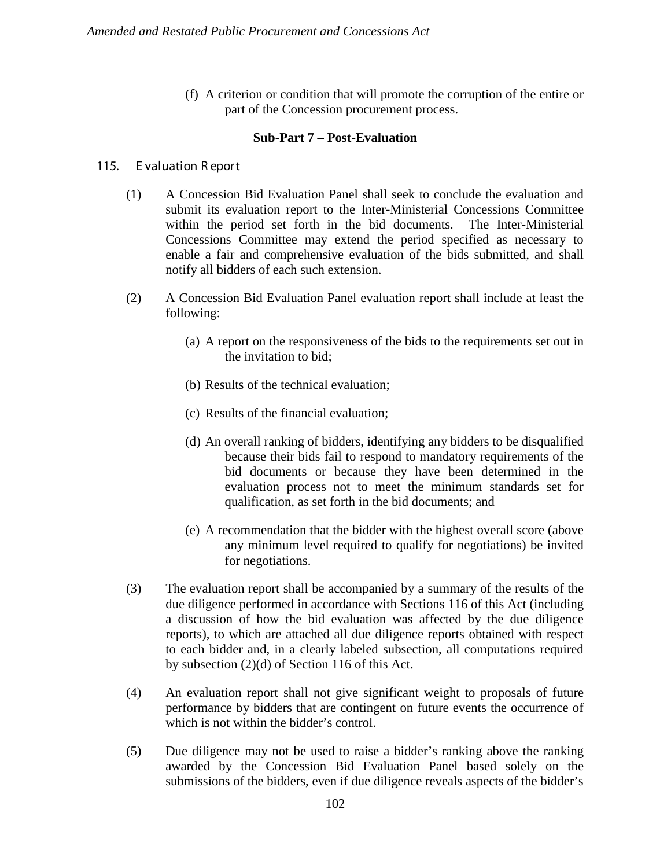(f) A criterion or condition that will promote the corruption of the entire or part of the Concession procurement process.

### **Sub-Part 7 – Post-Evaluation**

### 115. Evaluation Report

- (1) A Concession Bid Evaluation Panel shall seek to conclude the evaluation and submit its evaluation report to the Inter-Ministerial Concessions Committee within the period set forth in the bid documents. The Inter-Ministerial Concessions Committee may extend the period specified as necessary to enable a fair and comprehensive evaluation of the bids submitted, and shall notify all bidders of each such extension.
- (2) A Concession Bid Evaluation Panel evaluation report shall include at least the following:
	- (a) A report on the responsiveness of the bids to the requirements set out in the invitation to bid;
	- (b) Results of the technical evaluation;
	- (c) Results of the financial evaluation;
	- (d) An overall ranking of bidders, identifying any bidders to be disqualified because their bids fail to respond to mandatory requirements of the bid documents or because they have been determined in the evaluation process not to meet the minimum standards set for qualification, as set forth in the bid documents; and
	- (e) A recommendation that the bidder with the highest overall score (above any minimum level required to qualify for negotiations) be invited for negotiations.
- (3) The evaluation report shall be accompanied by a summary of the results of the due diligence performed in accordance with Sections 116 of this Act (including a discussion of how the bid evaluation was affected by the due diligence reports), to which are attached all due diligence reports obtained with respect to each bidder and, in a clearly labeled subsection, all computations required by subsection (2)(d) of Section 116 of this Act.
- (4) An evaluation report shall not give significant weight to proposals of future performance by bidders that are contingent on future events the occurrence of which is not within the bidder's control.
- (5) Due diligence may not be used to raise a bidder's ranking above the ranking awarded by the Concession Bid Evaluation Panel based solely on the submissions of the bidders, even if due diligence reveals aspects of the bidder's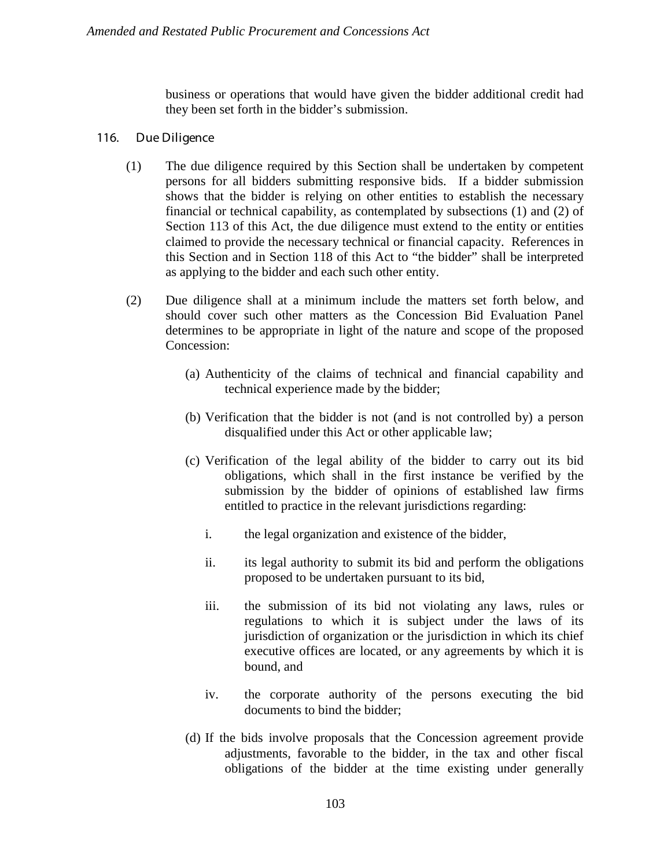business or operations that would have given the bidder additional credit had they been set forth in the bidder's submission.

## 116. Due Diligence

- (1) The due diligence required by this Section shall be undertaken by competent persons for all bidders submitting responsive bids. If a bidder submission shows that the bidder is relying on other entities to establish the necessary financial or technical capability, as contemplated by subsections (1) and (2) of Section 113 of this Act, the due diligence must extend to the entity or entities claimed to provide the necessary technical or financial capacity. References in this Section and in Section 118 of this Act to "the bidder" shall be interpreted as applying to the bidder and each such other entity.
- (2) Due diligence shall at a minimum include the matters set forth below, and should cover such other matters as the Concession Bid Evaluation Panel determines to be appropriate in light of the nature and scope of the proposed Concession:
	- (a) Authenticity of the claims of technical and financial capability and technical experience made by the bidder;
	- (b) Verification that the bidder is not (and is not controlled by) a person disqualified under this Act or other applicable law;
	- (c) Verification of the legal ability of the bidder to carry out its bid obligations, which shall in the first instance be verified by the submission by the bidder of opinions of established law firms entitled to practice in the relevant jurisdictions regarding:
		- i. the legal organization and existence of the bidder,
		- ii. its legal authority to submit its bid and perform the obligations proposed to be undertaken pursuant to its bid,
		- iii. the submission of its bid not violating any laws, rules or regulations to which it is subject under the laws of its jurisdiction of organization or the jurisdiction in which its chief executive offices are located, or any agreements by which it is bound, and
		- iv. the corporate authority of the persons executing the bid documents to bind the bidder;
	- (d) If the bids involve proposals that the Concession agreement provide adjustments, favorable to the bidder, in the tax and other fiscal obligations of the bidder at the time existing under generally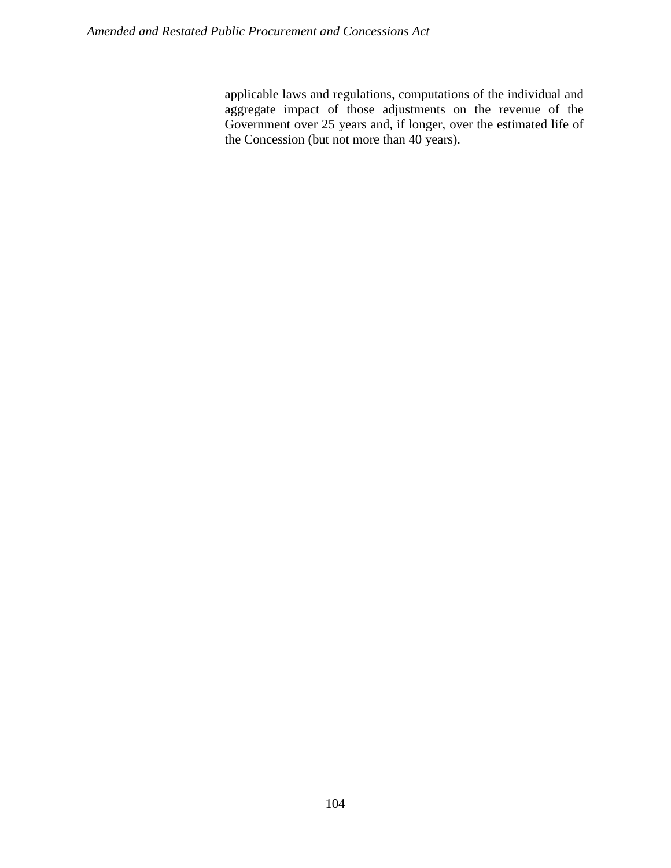applicable laws and regulations, computations of the individual and aggregate impact of those adjustments on the revenue of the Government over 25 years and, if longer, over the estimated life of the Concession (but not more than 40 years).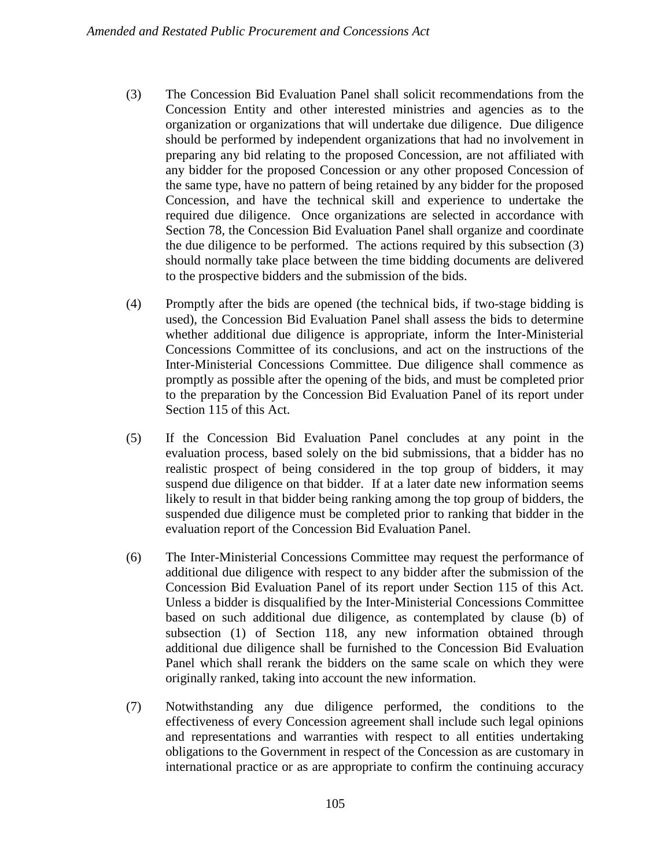- (3) The Concession Bid Evaluation Panel shall solicit recommendations from the Concession Entity and other interested ministries and agencies as to the organization or organizations that will undertake due diligence. Due diligence should be performed by independent organizations that had no involvement in preparing any bid relating to the proposed Concession, are not affiliated with any bidder for the proposed Concession or any other proposed Concession of the same type, have no pattern of being retained by any bidder for the proposed Concession, and have the technical skill and experience to undertake the required due diligence. Once organizations are selected in accordance with Section 78, the Concession Bid Evaluation Panel shall organize and coordinate the due diligence to be performed. The actions required by this subsection (3) should normally take place between the time bidding documents are delivered to the prospective bidders and the submission of the bids.
- (4) Promptly after the bids are opened (the technical bids, if two-stage bidding is used), the Concession Bid Evaluation Panel shall assess the bids to determine whether additional due diligence is appropriate, inform the Inter-Ministerial Concessions Committee of its conclusions, and act on the instructions of the Inter-Ministerial Concessions Committee. Due diligence shall commence as promptly as possible after the opening of the bids, and must be completed prior to the preparation by the Concession Bid Evaluation Panel of its report under Section 115 of this Act.
- (5) If the Concession Bid Evaluation Panel concludes at any point in the evaluation process, based solely on the bid submissions, that a bidder has no realistic prospect of being considered in the top group of bidders, it may suspend due diligence on that bidder. If at a later date new information seems likely to result in that bidder being ranking among the top group of bidders, the suspended due diligence must be completed prior to ranking that bidder in the evaluation report of the Concession Bid Evaluation Panel.
- (6) The Inter-Ministerial Concessions Committee may request the performance of additional due diligence with respect to any bidder after the submission of the Concession Bid Evaluation Panel of its report under Section 115 of this Act. Unless a bidder is disqualified by the Inter-Ministerial Concessions Committee based on such additional due diligence, as contemplated by clause (b) of subsection (1) of Section 118, any new information obtained through additional due diligence shall be furnished to the Concession Bid Evaluation Panel which shall rerank the bidders on the same scale on which they were originally ranked, taking into account the new information.
- (7) Notwithstanding any due diligence performed, the conditions to the effectiveness of every Concession agreement shall include such legal opinions and representations and warranties with respect to all entities undertaking obligations to the Government in respect of the Concession as are customary in international practice or as are appropriate to confirm the continuing accuracy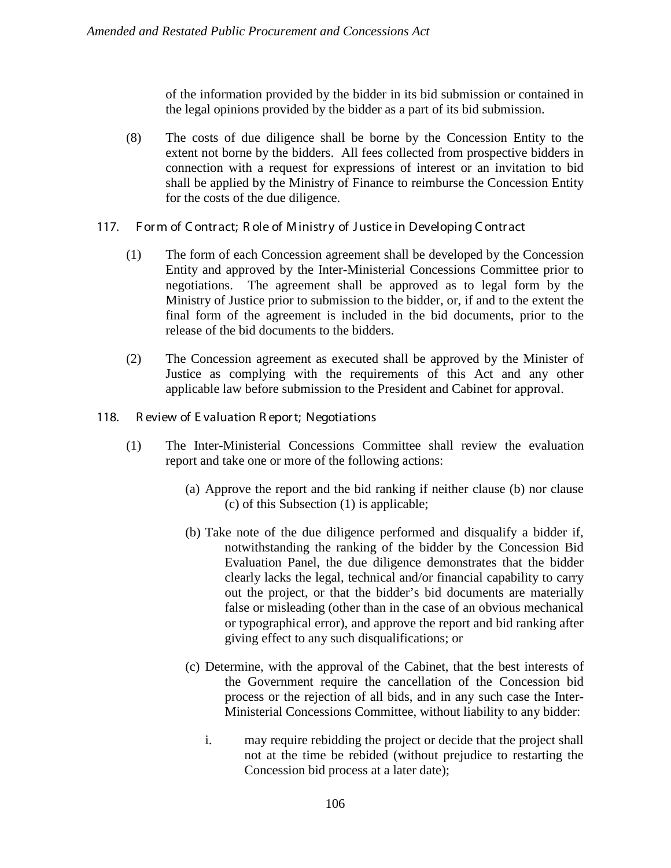of the information provided by the bidder in its bid submission or contained in the legal opinions provided by the bidder as a part of its bid submission.

- (8) The costs of due diligence shall be borne by the Concession Entity to the extent not borne by the bidders. All fees collected from prospective bidders in connection with a request for expressions of interest or an invitation to bid shall be applied by the Ministry of Finance to reimburse the Concession Entity for the costs of the due diligence.
- 117. Form of Contract; Role of Ministry of Justice in Developing Contract
	- (1) The form of each Concession agreement shall be developed by the Concession Entity and approved by the Inter-Ministerial Concessions Committee prior to negotiations. The agreement shall be approved as to legal form by the Ministry of Justice prior to submission to the bidder, or, if and to the extent the final form of the agreement is included in the bid documents, prior to the release of the bid documents to the bidders.
	- (2) The Concession agreement as executed shall be approved by the Minister of Justice as complying with the requirements of this Act and any other applicable law before submission to the President and Cabinet for approval.
- 118. R eview of E valuation R epor t; Negotiations
	- (1) The Inter-Ministerial Concessions Committee shall review the evaluation report and take one or more of the following actions:
		- (a) Approve the report and the bid ranking if neither clause (b) nor clause (c) of this Subsection (1) is applicable;
		- (b) Take note of the due diligence performed and disqualify a bidder if, notwithstanding the ranking of the bidder by the Concession Bid Evaluation Panel, the due diligence demonstrates that the bidder clearly lacks the legal, technical and/or financial capability to carry out the project, or that the bidder's bid documents are materially false or misleading (other than in the case of an obvious mechanical or typographical error), and approve the report and bid ranking after giving effect to any such disqualifications; or
		- (c) Determine, with the approval of the Cabinet, that the best interests of the Government require the cancellation of the Concession bid process or the rejection of all bids, and in any such case the Inter-Ministerial Concessions Committee, without liability to any bidder:
			- i. may require rebidding the project or decide that the project shall not at the time be rebided (without prejudice to restarting the Concession bid process at a later date);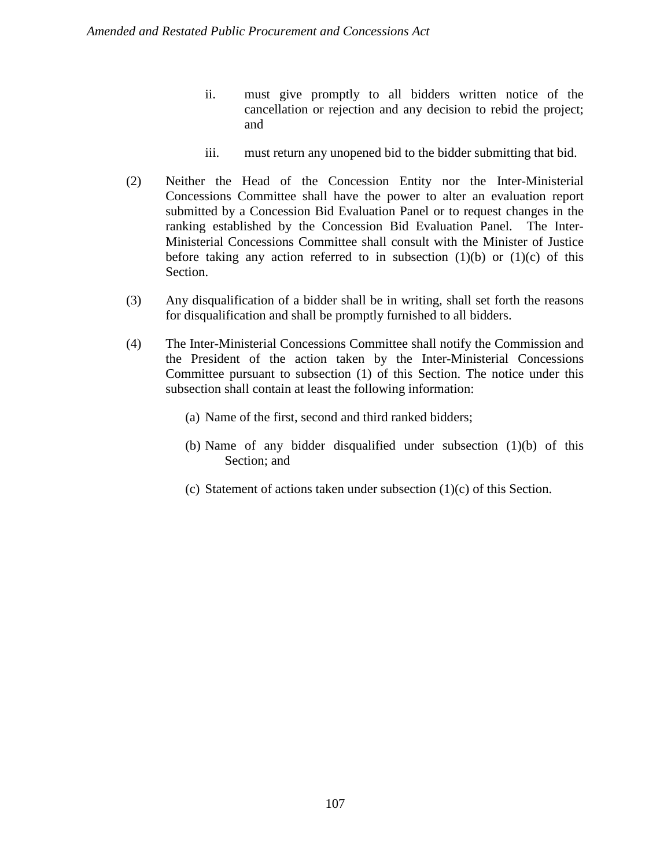- ii. must give promptly to all bidders written notice of the cancellation or rejection and any decision to rebid the project; and
- iii. must return any unopened bid to the bidder submitting that bid.
- (2) Neither the Head of the Concession Entity nor the Inter-Ministerial Concessions Committee shall have the power to alter an evaluation report submitted by a Concession Bid Evaluation Panel or to request changes in the ranking established by the Concession Bid Evaluation Panel. The Inter-Ministerial Concessions Committee shall consult with the Minister of Justice before taking any action referred to in subsection  $(1)(b)$  or  $(1)(c)$  of this Section.
- (3) Any disqualification of a bidder shall be in writing, shall set forth the reasons for disqualification and shall be promptly furnished to all bidders.
- (4) The Inter-Ministerial Concessions Committee shall notify the Commission and the President of the action taken by the Inter-Ministerial Concessions Committee pursuant to subsection (1) of this Section. The notice under this subsection shall contain at least the following information:
	- (a) Name of the first, second and third ranked bidders;
	- (b) Name of any bidder disqualified under subsection (1)(b) of this Section; and
	- (c) Statement of actions taken under subsection (1)(c) of this Section.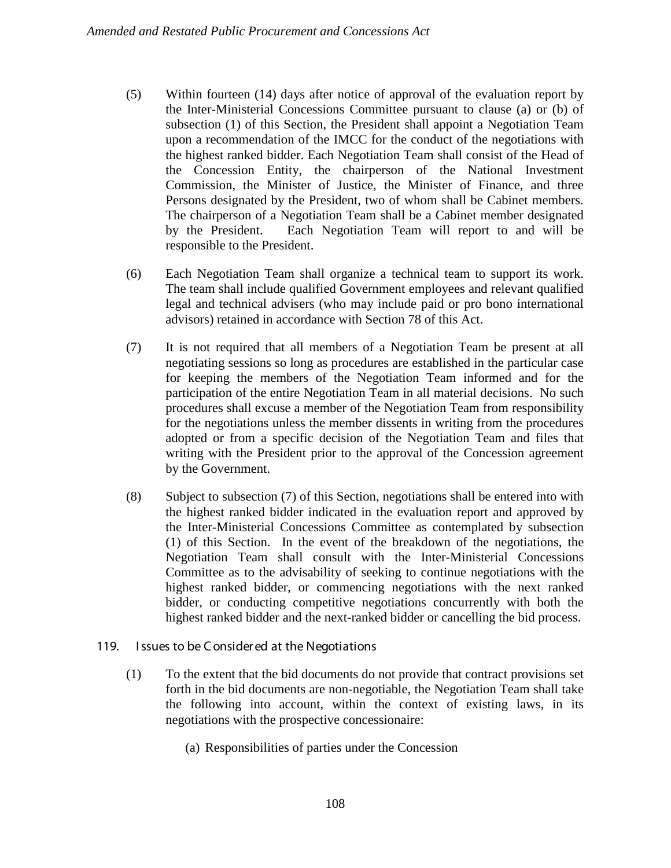- (5) Within fourteen (14) days after notice of approval of the evaluation report by the Inter-Ministerial Concessions Committee pursuant to clause (a) or (b) of subsection (1) of this Section, the President shall appoint a Negotiation Team upon a recommendation of the IMCC for the conduct of the negotiations with the highest ranked bidder. Each Negotiation Team shall consist of the Head of the Concession Entity, the chairperson of the National Investment Commission, the Minister of Justice, the Minister of Finance, and three Persons designated by the President, two of whom shall be Cabinet members. The chairperson of a Negotiation Team shall be a Cabinet member designated by the President. Each Negotiation Team will report to and will be responsible to the President.
- (6) Each Negotiation Team shall organize a technical team to support its work. The team shall include qualified Government employees and relevant qualified legal and technical advisers (who may include paid or pro bono international advisors) retained in accordance with Section 78 of this Act.
- (7) It is not required that all members of a Negotiation Team be present at all negotiating sessions so long as procedures are established in the particular case for keeping the members of the Negotiation Team informed and for the participation of the entire Negotiation Team in all material decisions. No such procedures shall excuse a member of the Negotiation Team from responsibility for the negotiations unless the member dissents in writing from the procedures adopted or from a specific decision of the Negotiation Team and files that writing with the President prior to the approval of the Concession agreement by the Government.
- (8) Subject to subsection (7) of this Section, negotiations shall be entered into with the highest ranked bidder indicated in the evaluation report and approved by the Inter-Ministerial Concessions Committee as contemplated by subsection (1) of this Section. In the event of the breakdown of the negotiations, the Negotiation Team shall consult with the Inter-Ministerial Concessions Committee as to the advisability of seeking to continue negotiations with the highest ranked bidder, or commencing negotiations with the next ranked bidder, or conducting competitive negotiations concurrently with both the highest ranked bidder and the next-ranked bidder or cancelling the bid process.

### 119. I ssues to be C onsider ed at the Negotiations

- (1) To the extent that the bid documents do not provide that contract provisions set forth in the bid documents are non-negotiable, the Negotiation Team shall take the following into account, within the context of existing laws, in its negotiations with the prospective concessionaire:
	- (a) Responsibilities of parties under the Concession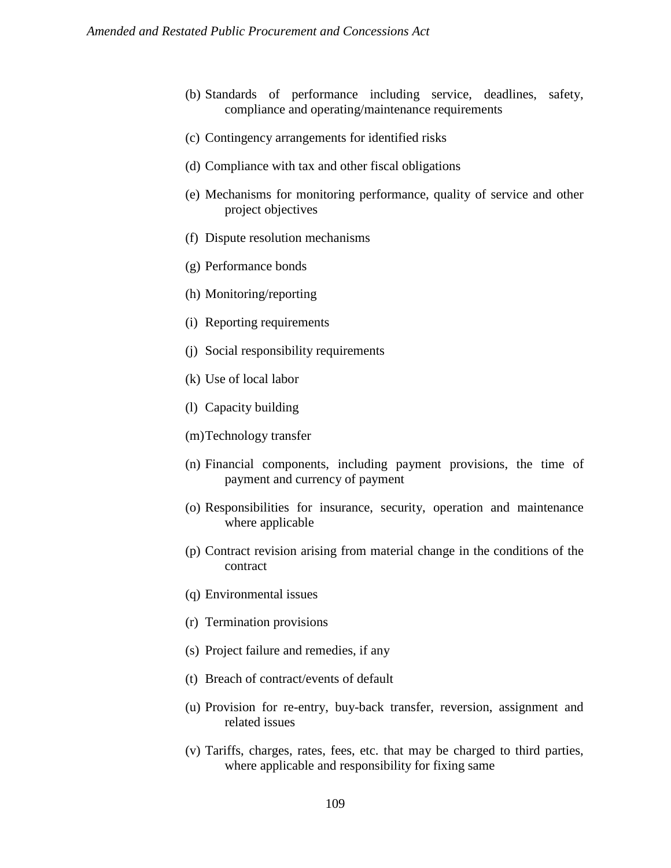- (b) Standards of performance including service, deadlines, safety, compliance and operating/maintenance requirements
- (c) Contingency arrangements for identified risks
- (d) Compliance with tax and other fiscal obligations
- (e) Mechanisms for monitoring performance, quality of service and other project objectives
- (f) Dispute resolution mechanisms
- (g) Performance bonds
- (h) Monitoring/reporting
- (i) Reporting requirements
- (j) Social responsibility requirements
- (k) Use of local labor
- (l) Capacity building
- (m)Technology transfer
- (n) Financial components, including payment provisions, the time of payment and currency of payment
- (o) Responsibilities for insurance, security, operation and maintenance where applicable
- (p) Contract revision arising from material change in the conditions of the contract
- (q) Environmental issues
- (r) Termination provisions
- (s) Project failure and remedies, if any
- (t) Breach of contract/events of default
- (u) Provision for re-entry, buy-back transfer, reversion, assignment and related issues
- (v) Tariffs, charges, rates, fees, etc. that may be charged to third parties, where applicable and responsibility for fixing same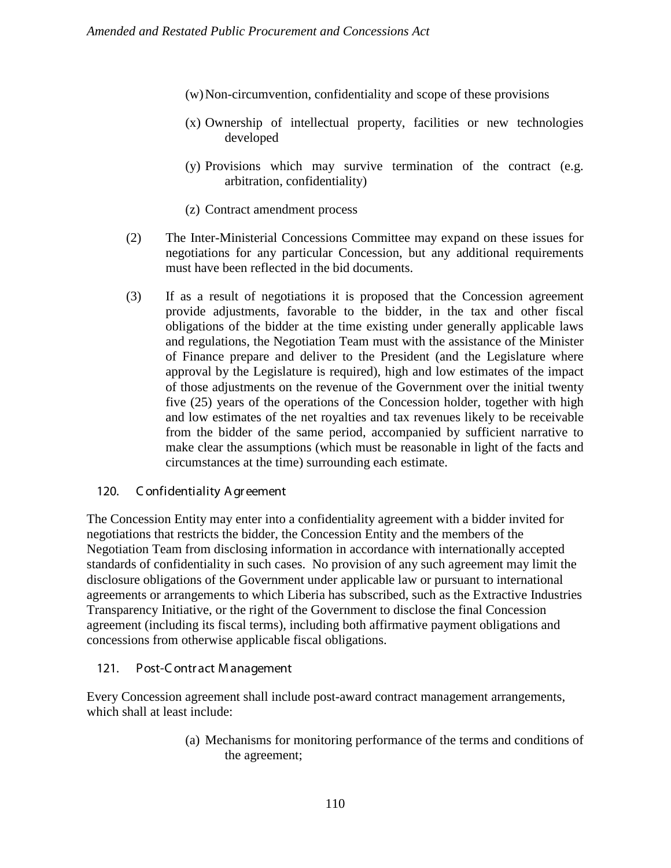- (w)Non-circumvention, confidentiality and scope of these provisions
- (x) Ownership of intellectual property, facilities or new technologies developed
- (y) Provisions which may survive termination of the contract (e.g. arbitration, confidentiality)
- (z) Contract amendment process
- (2) The Inter-Ministerial Concessions Committee may expand on these issues for negotiations for any particular Concession, but any additional requirements must have been reflected in the bid documents.
- (3) If as a result of negotiations it is proposed that the Concession agreement provide adjustments, favorable to the bidder, in the tax and other fiscal obligations of the bidder at the time existing under generally applicable laws and regulations, the Negotiation Team must with the assistance of the Minister of Finance prepare and deliver to the President (and the Legislature where approval by the Legislature is required), high and low estimates of the impact of those adjustments on the revenue of the Government over the initial twenty five (25) years of the operations of the Concession holder, together with high and low estimates of the net royalties and tax revenues likely to be receivable from the bidder of the same period, accompanied by sufficient narrative to make clear the assumptions (which must be reasonable in light of the facts and circumstances at the time) surrounding each estimate.

### 120. C onfidentiality A gr eement

The Concession Entity may enter into a confidentiality agreement with a bidder invited for negotiations that restricts the bidder, the Concession Entity and the members of the Negotiation Team from disclosing information in accordance with internationally accepted standards of confidentiality in such cases. No provision of any such agreement may limit the disclosure obligations of the Government under applicable law or pursuant to international agreements or arrangements to which Liberia has subscribed, such as the Extractive Industries Transparency Initiative, or the right of the Government to disclose the final Concession agreement (including its fiscal terms), including both affirmative payment obligations and concessions from otherwise applicable fiscal obligations.

### 121. Post-C ontr act M anagement

Every Concession agreement shall include post-award contract management arrangements, which shall at least include:

> (a) Mechanisms for monitoring performance of the terms and conditions of the agreement;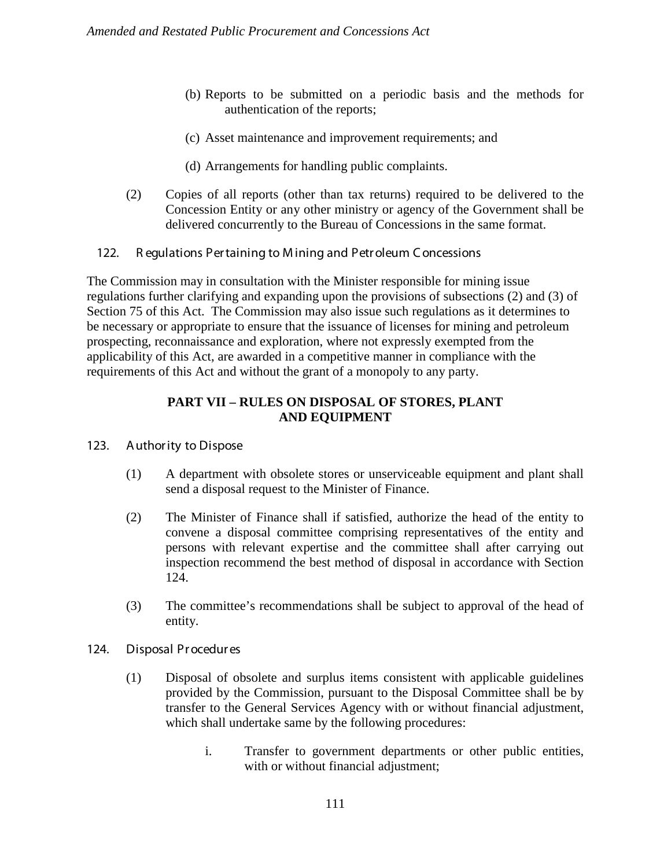- (b) Reports to be submitted on a periodic basis and the methods for authentication of the reports;
- (c) Asset maintenance and improvement requirements; and
- (d) Arrangements for handling public complaints.
- (2) Copies of all reports (other than tax returns) required to be delivered to the Concession Entity or any other ministry or agency of the Government shall be delivered concurrently to the Bureau of Concessions in the same format.
- 122. R egulations Per taining to M ining and Petr oleum C oncessions

The Commission may in consultation with the Minister responsible for mining issue regulations further clarifying and expanding upon the provisions of subsections (2) and (3) of Section 75 of this Act. The Commission may also issue such regulations as it determines to be necessary or appropriate to ensure that the issuance of licenses for mining and petroleum prospecting, reconnaissance and exploration, where not expressly exempted from the applicability of this Act, are awarded in a competitive manner in compliance with the requirements of this Act and without the grant of a monopoly to any party.

### **PART VII – RULES ON DISPOSAL OF STORES, PLANT AND EQUIPMENT**

- 123. A uthor ity to Dispose
	- (1) A department with obsolete stores or unserviceable equipment and plant shall send a disposal request to the Minister of Finance.
	- (2) The Minister of Finance shall if satisfied, authorize the head of the entity to convene a disposal committee comprising representatives of the entity and persons with relevant expertise and the committee shall after carrying out inspection recommend the best method of disposal in accordance with Section 124.
	- (3) The committee's recommendations shall be subject to approval of the head of entity.

### 124. Disposal Pr ocedur es

- (1) Disposal of obsolete and surplus items consistent with applicable guidelines provided by the Commission, pursuant to the Disposal Committee shall be by transfer to the General Services Agency with or without financial adjustment, which shall undertake same by the following procedures:
	- i. Transfer to government departments or other public entities, with or without financial adjustment;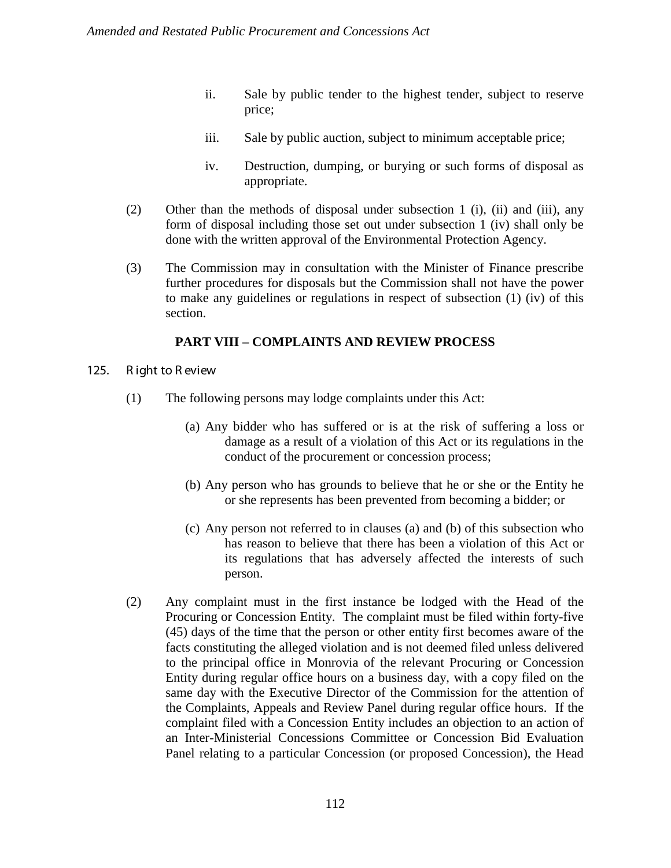- ii. Sale by public tender to the highest tender, subject to reserve price;
- iii. Sale by public auction, subject to minimum acceptable price;
- iv. Destruction, dumping, or burying or such forms of disposal as appropriate.
- (2) Other than the methods of disposal under subsection 1 (i), (ii) and (iii), any form of disposal including those set out under subsection 1 (iv) shall only be done with the written approval of the Environmental Protection Agency.
- (3) The Commission may in consultation with the Minister of Finance prescribe further procedures for disposals but the Commission shall not have the power to make any guidelines or regulations in respect of subsection (1) (iv) of this section.

### **PART VIII – COMPLAINTS AND REVIEW PROCESS**

- 125. R ight to R eview
	- (1) The following persons may lodge complaints under this Act:
		- (a) Any bidder who has suffered or is at the risk of suffering a loss or damage as a result of a violation of this Act or its regulations in the conduct of the procurement or concession process;
		- (b) Any person who has grounds to believe that he or she or the Entity he or she represents has been prevented from becoming a bidder; or
		- (c) Any person not referred to in clauses (a) and (b) of this subsection who has reason to believe that there has been a violation of this Act or its regulations that has adversely affected the interests of such person.
	- (2) Any complaint must in the first instance be lodged with the Head of the Procuring or Concession Entity. The complaint must be filed within forty-five (45) days of the time that the person or other entity first becomes aware of the facts constituting the alleged violation and is not deemed filed unless delivered to the principal office in Monrovia of the relevant Procuring or Concession Entity during regular office hours on a business day, with a copy filed on the same day with the Executive Director of the Commission for the attention of the Complaints, Appeals and Review Panel during regular office hours. If the complaint filed with a Concession Entity includes an objection to an action of an Inter-Ministerial Concessions Committee or Concession Bid Evaluation Panel relating to a particular Concession (or proposed Concession), the Head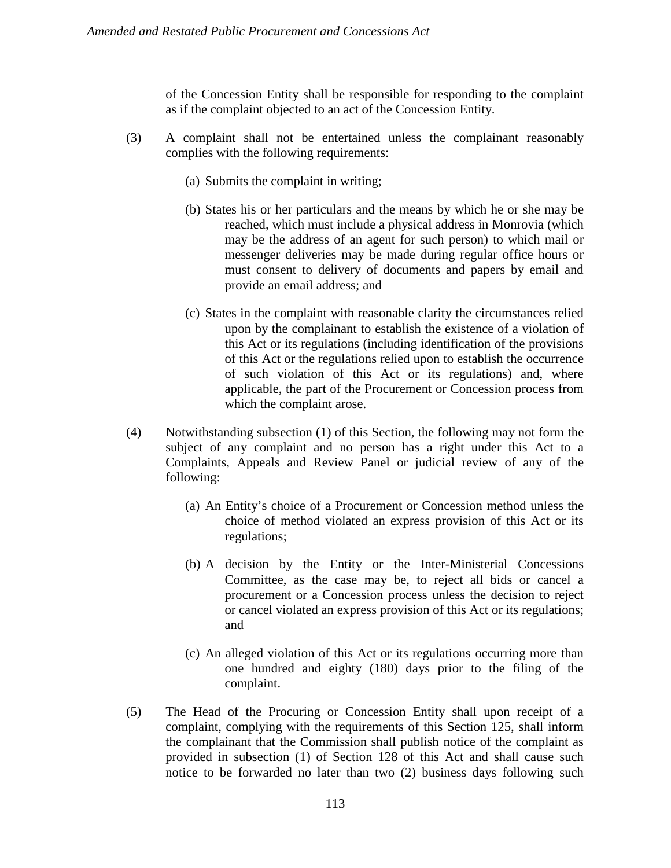of the Concession Entity shall be responsible for responding to the complaint as if the complaint objected to an act of the Concession Entity.

- (3) A complaint shall not be entertained unless the complainant reasonably complies with the following requirements:
	- (a) Submits the complaint in writing;
	- (b) States his or her particulars and the means by which he or she may be reached, which must include a physical address in Monrovia (which may be the address of an agent for such person) to which mail or messenger deliveries may be made during regular office hours or must consent to delivery of documents and papers by email and provide an email address; and
	- (c) States in the complaint with reasonable clarity the circumstances relied upon by the complainant to establish the existence of a violation of this Act or its regulations (including identification of the provisions of this Act or the regulations relied upon to establish the occurrence of such violation of this Act or its regulations) and, where applicable, the part of the Procurement or Concession process from which the complaint arose.
- (4) Notwithstanding subsection (1) of this Section, the following may not form the subject of any complaint and no person has a right under this Act to a Complaints, Appeals and Review Panel or judicial review of any of the following:
	- (a) An Entity's choice of a Procurement or Concession method unless the choice of method violated an express provision of this Act or its regulations;
	- (b) A decision by the Entity or the Inter-Ministerial Concessions Committee, as the case may be, to reject all bids or cancel a procurement or a Concession process unless the decision to reject or cancel violated an express provision of this Act or its regulations; and
	- (c) An alleged violation of this Act or its regulations occurring more than one hundred and eighty (180) days prior to the filing of the complaint.
- (5) The Head of the Procuring or Concession Entity shall upon receipt of a complaint, complying with the requirements of this Section 125, shall inform the complainant that the Commission shall publish notice of the complaint as provided in subsection (1) of Section 128 of this Act and shall cause such notice to be forwarded no later than two (2) business days following such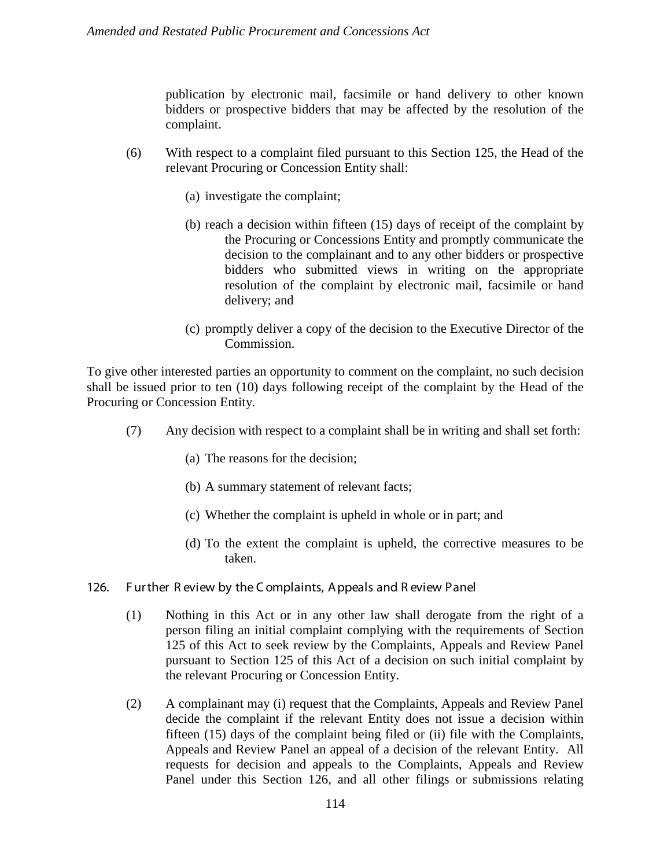publication by electronic mail, facsimile or hand delivery to other known bidders or prospective bidders that may be affected by the resolution of the complaint.

- (6) With respect to a complaint filed pursuant to this Section 125, the Head of the relevant Procuring or Concession Entity shall:
	- (a) investigate the complaint;
	- (b) reach a decision within fifteen (15) days of receipt of the complaint by the Procuring or Concessions Entity and promptly communicate the decision to the complainant and to any other bidders or prospective bidders who submitted views in writing on the appropriate resolution of the complaint by electronic mail, facsimile or hand delivery; and
	- (c) promptly deliver a copy of the decision to the Executive Director of the Commission.

To give other interested parties an opportunity to comment on the complaint, no such decision shall be issued prior to ten (10) days following receipt of the complaint by the Head of the Procuring or Concession Entity.

- (7) Any decision with respect to a complaint shall be in writing and shall set forth:
	- (a) The reasons for the decision;
	- (b) A summary statement of relevant facts;
	- (c) Whether the complaint is upheld in whole or in part; and
	- (d) To the extent the complaint is upheld, the corrective measures to be taken.
- 126. F ur ther R eview by the C omplaints, A ppeals and R eview Panel
	- (1) Nothing in this Act or in any other law shall derogate from the right of a person filing an initial complaint complying with the requirements of Section 125 of this Act to seek review by the Complaints, Appeals and Review Panel pursuant to Section 125 of this Act of a decision on such initial complaint by the relevant Procuring or Concession Entity.
	- (2) A complainant may (i) request that the Complaints, Appeals and Review Panel decide the complaint if the relevant Entity does not issue a decision within fifteen (15) days of the complaint being filed or (ii) file with the Complaints, Appeals and Review Panel an appeal of a decision of the relevant Entity. All requests for decision and appeals to the Complaints, Appeals and Review Panel under this Section 126, and all other filings or submissions relating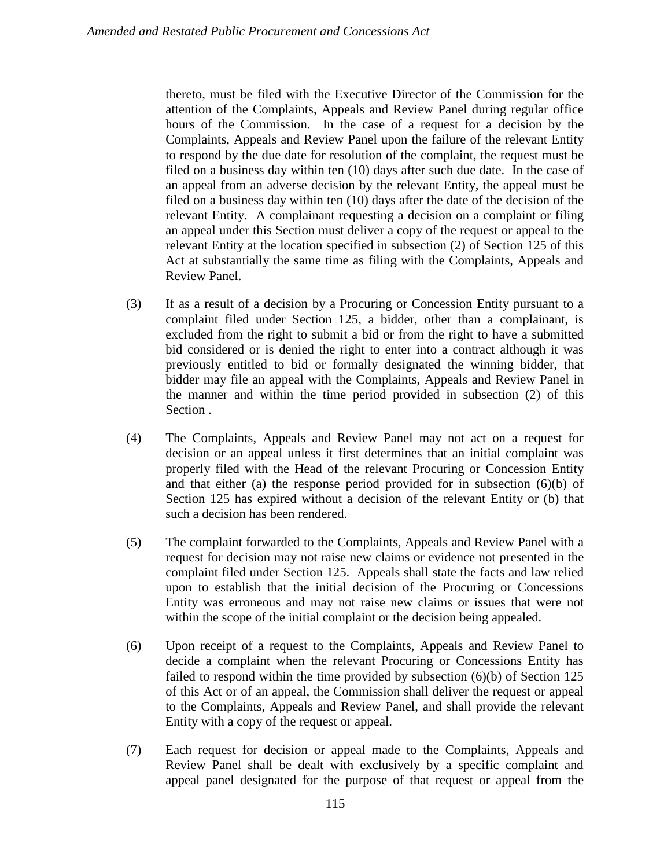thereto, must be filed with the Executive Director of the Commission for the attention of the Complaints, Appeals and Review Panel during regular office hours of the Commission. In the case of a request for a decision by the Complaints, Appeals and Review Panel upon the failure of the relevant Entity to respond by the due date for resolution of the complaint, the request must be filed on a business day within ten (10) days after such due date. In the case of an appeal from an adverse decision by the relevant Entity, the appeal must be filed on a business day within ten (10) days after the date of the decision of the relevant Entity. A complainant requesting a decision on a complaint or filing an appeal under this Section must deliver a copy of the request or appeal to the relevant Entity at the location specified in subsection (2) of Section 125 of this Act at substantially the same time as filing with the Complaints, Appeals and Review Panel.

- (3) If as a result of a decision by a Procuring or Concession Entity pursuant to a complaint filed under Section 125, a bidder, other than a complainant, is excluded from the right to submit a bid or from the right to have a submitted bid considered or is denied the right to enter into a contract although it was previously entitled to bid or formally designated the winning bidder, that bidder may file an appeal with the Complaints, Appeals and Review Panel in the manner and within the time period provided in subsection (2) of this Section .
- (4) The Complaints, Appeals and Review Panel may not act on a request for decision or an appeal unless it first determines that an initial complaint was properly filed with the Head of the relevant Procuring or Concession Entity and that either (a) the response period provided for in subsection (6)(b) of Section 125 has expired without a decision of the relevant Entity or (b) that such a decision has been rendered.
- (5) The complaint forwarded to the Complaints, Appeals and Review Panel with a request for decision may not raise new claims or evidence not presented in the complaint filed under Section 125. Appeals shall state the facts and law relied upon to establish that the initial decision of the Procuring or Concessions Entity was erroneous and may not raise new claims or issues that were not within the scope of the initial complaint or the decision being appealed.
- (6) Upon receipt of a request to the Complaints, Appeals and Review Panel to decide a complaint when the relevant Procuring or Concessions Entity has failed to respond within the time provided by subsection (6)(b) of Section 125 of this Act or of an appeal, the Commission shall deliver the request or appeal to the Complaints, Appeals and Review Panel, and shall provide the relevant Entity with a copy of the request or appeal.
- (7) Each request for decision or appeal made to the Complaints, Appeals and Review Panel shall be dealt with exclusively by a specific complaint and appeal panel designated for the purpose of that request or appeal from the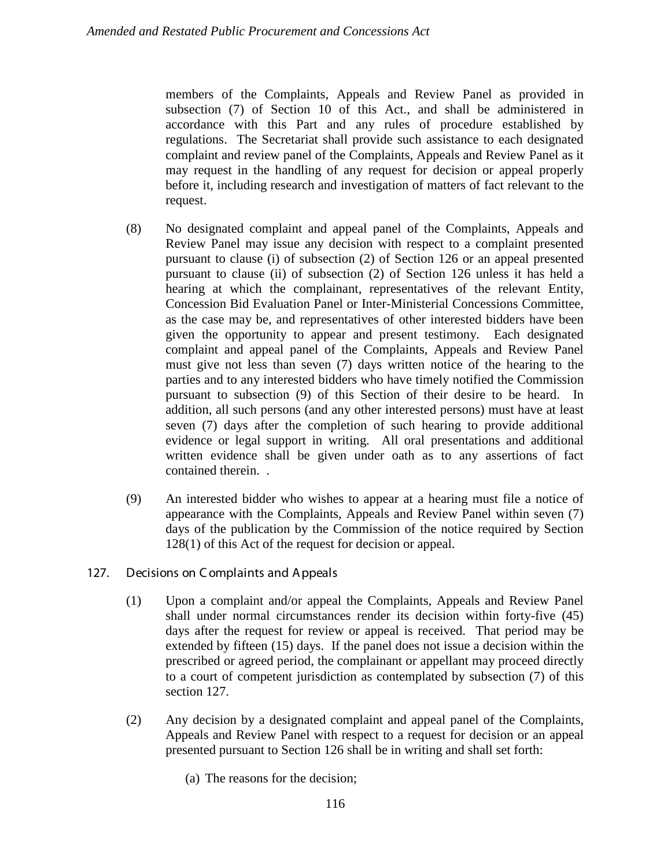members of the Complaints, Appeals and Review Panel as provided in subsection (7) of Section 10 of this Act., and shall be administered in accordance with this Part and any rules of procedure established by regulations. The Secretariat shall provide such assistance to each designated complaint and review panel of the Complaints, Appeals and Review Panel as it may request in the handling of any request for decision or appeal properly before it, including research and investigation of matters of fact relevant to the request.

- (8) No designated complaint and appeal panel of the Complaints, Appeals and Review Panel may issue any decision with respect to a complaint presented pursuant to clause (i) of subsection (2) of Section 126 or an appeal presented pursuant to clause (ii) of subsection (2) of Section 126 unless it has held a hearing at which the complainant, representatives of the relevant Entity, Concession Bid Evaluation Panel or Inter-Ministerial Concessions Committee, as the case may be, and representatives of other interested bidders have been given the opportunity to appear and present testimony. Each designated complaint and appeal panel of the Complaints, Appeals and Review Panel must give not less than seven (7) days written notice of the hearing to the parties and to any interested bidders who have timely notified the Commission pursuant to subsection (9) of this Section of their desire to be heard. In addition, all such persons (and any other interested persons) must have at least seven (7) days after the completion of such hearing to provide additional evidence or legal support in writing. All oral presentations and additional written evidence shall be given under oath as to any assertions of fact contained therein. .
- (9) An interested bidder who wishes to appear at a hearing must file a notice of appearance with the Complaints, Appeals and Review Panel within seven (7) days of the publication by the Commission of the notice required by Section 128(1) of this Act of the request for decision or appeal.
- 127. Decisions on C omplaints and A ppeals
	- (1) Upon a complaint and/or appeal the Complaints, Appeals and Review Panel shall under normal circumstances render its decision within forty-five (45) days after the request for review or appeal is received. That period may be extended by fifteen (15) days. If the panel does not issue a decision within the prescribed or agreed period, the complainant or appellant may proceed directly to a court of competent jurisdiction as contemplated by subsection (7) of this section 127.
	- (2) Any decision by a designated complaint and appeal panel of the Complaints, Appeals and Review Panel with respect to a request for decision or an appeal presented pursuant to Section 126 shall be in writing and shall set forth:
		- (a) The reasons for the decision;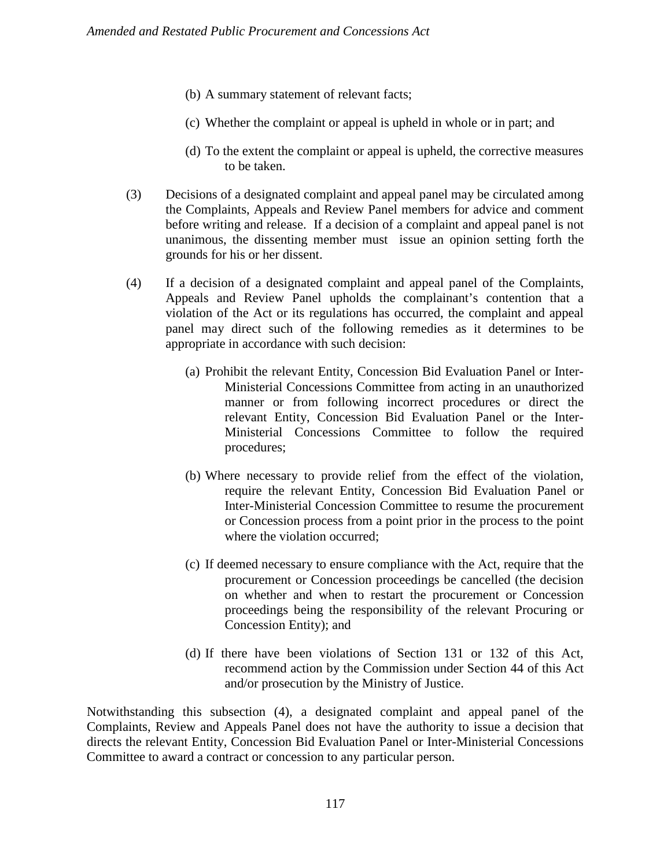- (b) A summary statement of relevant facts;
- (c) Whether the complaint or appeal is upheld in whole or in part; and
- (d) To the extent the complaint or appeal is upheld, the corrective measures to be taken.
- (3) Decisions of a designated complaint and appeal panel may be circulated among the Complaints, Appeals and Review Panel members for advice and comment before writing and release. If a decision of a complaint and appeal panel is not unanimous, the dissenting member must issue an opinion setting forth the grounds for his or her dissent.
- (4) If a decision of a designated complaint and appeal panel of the Complaints, Appeals and Review Panel upholds the complainant's contention that a violation of the Act or its regulations has occurred, the complaint and appeal panel may direct such of the following remedies as it determines to be appropriate in accordance with such decision:
	- (a) Prohibit the relevant Entity, Concession Bid Evaluation Panel or Inter-Ministerial Concessions Committee from acting in an unauthorized manner or from following incorrect procedures or direct the relevant Entity, Concession Bid Evaluation Panel or the Inter-Ministerial Concessions Committee to follow the required procedures;
	- (b) Where necessary to provide relief from the effect of the violation, require the relevant Entity, Concession Bid Evaluation Panel or Inter-Ministerial Concession Committee to resume the procurement or Concession process from a point prior in the process to the point where the violation occurred;
	- (c) If deemed necessary to ensure compliance with the Act, require that the procurement or Concession proceedings be cancelled (the decision on whether and when to restart the procurement or Concession proceedings being the responsibility of the relevant Procuring or Concession Entity); and
	- (d) If there have been violations of Section 131 or 132 of this Act, recommend action by the Commission under Section 44 of this Act and/or prosecution by the Ministry of Justice.

Notwithstanding this subsection (4), a designated complaint and appeal panel of the Complaints, Review and Appeals Panel does not have the authority to issue a decision that directs the relevant Entity, Concession Bid Evaluation Panel or Inter-Ministerial Concessions Committee to award a contract or concession to any particular person.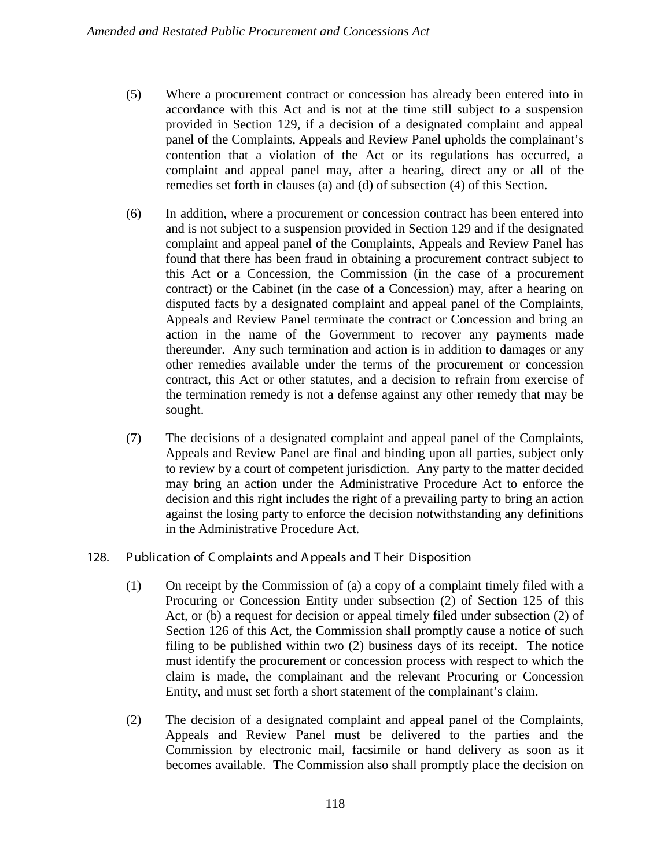- (5) Where a procurement contract or concession has already been entered into in accordance with this Act and is not at the time still subject to a suspension provided in Section 129, if a decision of a designated complaint and appeal panel of the Complaints, Appeals and Review Panel upholds the complainant's contention that a violation of the Act or its regulations has occurred, a complaint and appeal panel may, after a hearing, direct any or all of the remedies set forth in clauses (a) and (d) of subsection (4) of this Section.
- (6) In addition, where a procurement or concession contract has been entered into and is not subject to a suspension provided in Section 129 and if the designated complaint and appeal panel of the Complaints, Appeals and Review Panel has found that there has been fraud in obtaining a procurement contract subject to this Act or a Concession, the Commission (in the case of a procurement contract) or the Cabinet (in the case of a Concession) may, after a hearing on disputed facts by a designated complaint and appeal panel of the Complaints, Appeals and Review Panel terminate the contract or Concession and bring an action in the name of the Government to recover any payments made thereunder. Any such termination and action is in addition to damages or any other remedies available under the terms of the procurement or concession contract, this Act or other statutes, and a decision to refrain from exercise of the termination remedy is not a defense against any other remedy that may be sought.
- (7) The decisions of a designated complaint and appeal panel of the Complaints, Appeals and Review Panel are final and binding upon all parties, subject only to review by a court of competent jurisdiction. Any party to the matter decided may bring an action under the Administrative Procedure Act to enforce the decision and this right includes the right of a prevailing party to bring an action against the losing party to enforce the decision notwithstanding any definitions in the Administrative Procedure Act.
- 128. Publication of C omplaints and A ppeals and T heir Disposition
	- (1) On receipt by the Commission of (a) a copy of a complaint timely filed with a Procuring or Concession Entity under subsection (2) of Section 125 of this Act, or (b) a request for decision or appeal timely filed under subsection (2) of Section 126 of this Act, the Commission shall promptly cause a notice of such filing to be published within two (2) business days of its receipt. The notice must identify the procurement or concession process with respect to which the claim is made, the complainant and the relevant Procuring or Concession Entity, and must set forth a short statement of the complainant's claim.
	- (2) The decision of a designated complaint and appeal panel of the Complaints, Appeals and Review Panel must be delivered to the parties and the Commission by electronic mail, facsimile or hand delivery as soon as it becomes available. The Commission also shall promptly place the decision on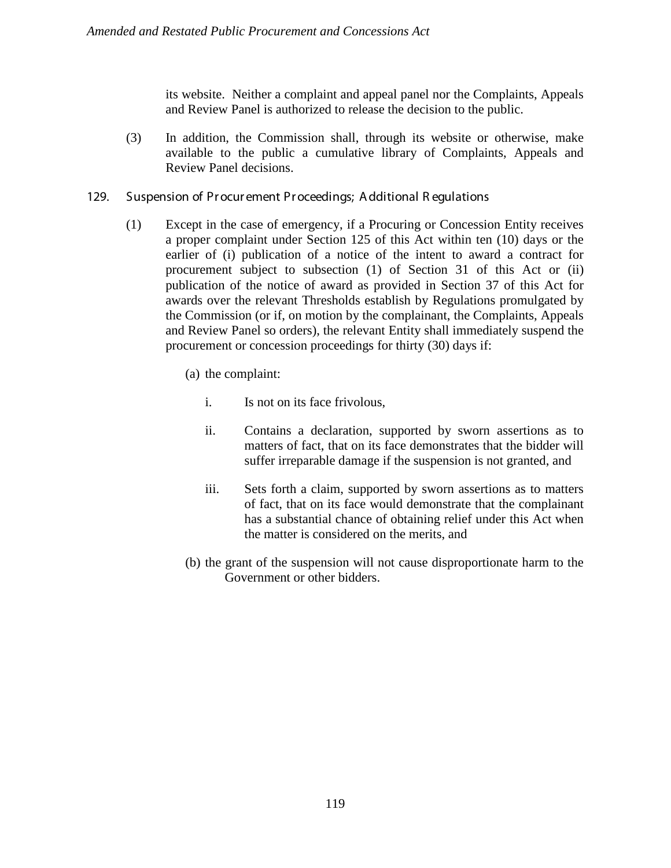its website. Neither a complaint and appeal panel nor the Complaints, Appeals and Review Panel is authorized to release the decision to the public.

- (3) In addition, the Commission shall, through its website or otherwise, make available to the public a cumulative library of Complaints, Appeals and Review Panel decisions.
- 129. Suspension of Pr ocur ement Pr oceedings; A dditional R egulations
	- (1) Except in the case of emergency, if a Procuring or Concession Entity receives a proper complaint under Section 125 of this Act within ten (10) days or the earlier of (i) publication of a notice of the intent to award a contract for procurement subject to subsection (1) of Section 31 of this Act or (ii) publication of the notice of award as provided in Section 37 of this Act for awards over the relevant Thresholds establish by Regulations promulgated by the Commission (or if, on motion by the complainant, the Complaints, Appeals and Review Panel so orders), the relevant Entity shall immediately suspend the procurement or concession proceedings for thirty (30) days if:
		- (a) the complaint:
			- i. Is not on its face frivolous,
			- ii. Contains a declaration, supported by sworn assertions as to matters of fact, that on its face demonstrates that the bidder will suffer irreparable damage if the suspension is not granted, and
			- iii. Sets forth a claim, supported by sworn assertions as to matters of fact, that on its face would demonstrate that the complainant has a substantial chance of obtaining relief under this Act when the matter is considered on the merits, and
		- (b) the grant of the suspension will not cause disproportionate harm to the Government or other bidders.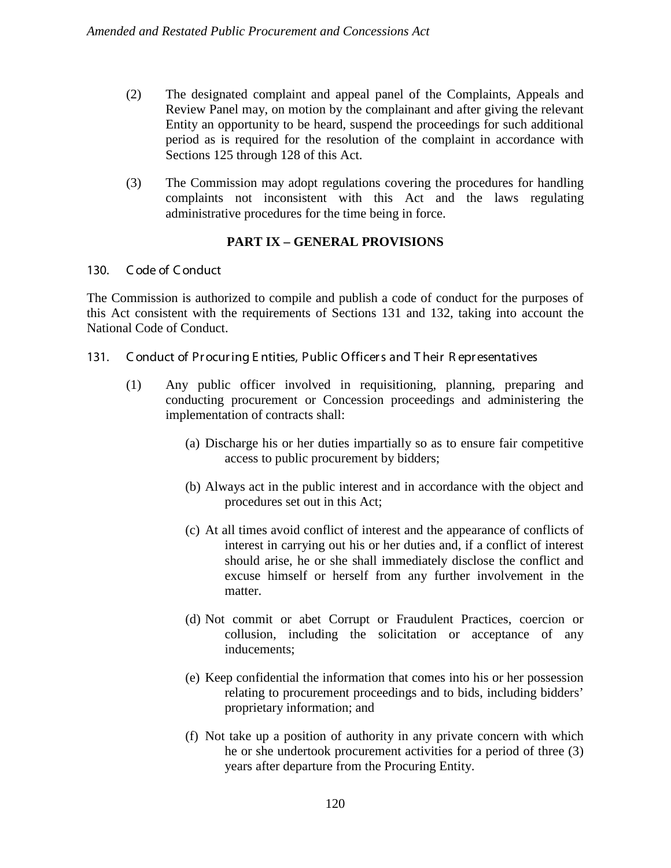- (2) The designated complaint and appeal panel of the Complaints, Appeals and Review Panel may, on motion by the complainant and after giving the relevant Entity an opportunity to be heard, suspend the proceedings for such additional period as is required for the resolution of the complaint in accordance with Sections 125 through 128 of this Act.
- (3) The Commission may adopt regulations covering the procedures for handling complaints not inconsistent with this Act and the laws regulating administrative procedures for the time being in force.

# **PART IX – GENERAL PROVISIONS**

#### 130. C ode of C onduct

The Commission is authorized to compile and publish a code of conduct for the purposes of this Act consistent with the requirements of Sections 131 and 132, taking into account the National Code of Conduct.

- 131. C onduct of Pr ocur ing E ntities, Public Officer s and T heir R epr esentatives
	- (1) Any public officer involved in requisitioning, planning, preparing and conducting procurement or Concession proceedings and administering the implementation of contracts shall:
		- (a) Discharge his or her duties impartially so as to ensure fair competitive access to public procurement by bidders;
		- (b) Always act in the public interest and in accordance with the object and procedures set out in this Act;
		- (c) At all times avoid conflict of interest and the appearance of conflicts of interest in carrying out his or her duties and, if a conflict of interest should arise, he or she shall immediately disclose the conflict and excuse himself or herself from any further involvement in the matter.
		- (d) Not commit or abet Corrupt or Fraudulent Practices, coercion or collusion, including the solicitation or acceptance of any inducements;
		- (e) Keep confidential the information that comes into his or her possession relating to procurement proceedings and to bids, including bidders' proprietary information; and
		- (f) Not take up a position of authority in any private concern with which he or she undertook procurement activities for a period of three (3) years after departure from the Procuring Entity.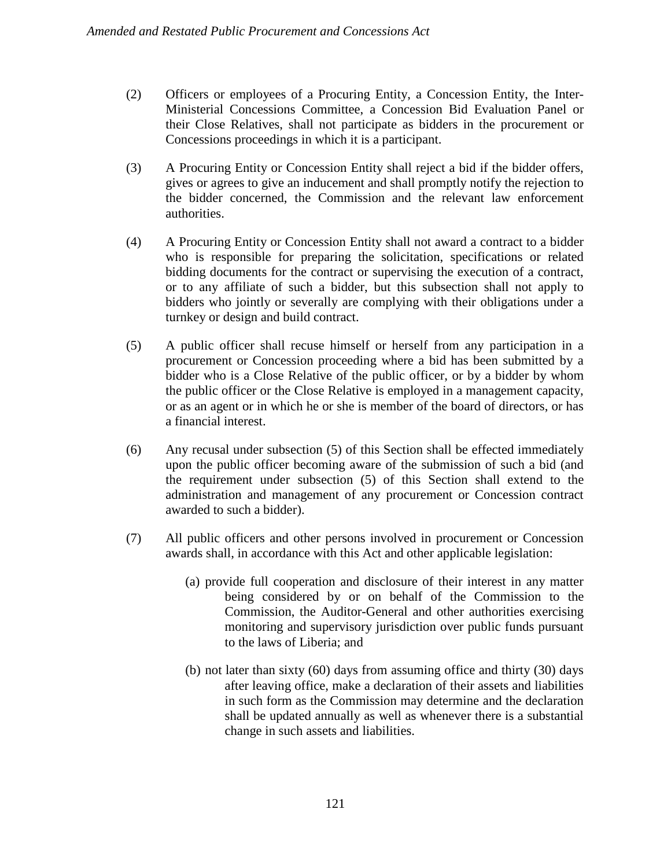- (2) Officers or employees of a Procuring Entity, a Concession Entity, the Inter-Ministerial Concessions Committee, a Concession Bid Evaluation Panel or their Close Relatives, shall not participate as bidders in the procurement or Concessions proceedings in which it is a participant.
- (3) A Procuring Entity or Concession Entity shall reject a bid if the bidder offers, gives or agrees to give an inducement and shall promptly notify the rejection to the bidder concerned, the Commission and the relevant law enforcement authorities.
- (4) A Procuring Entity or Concession Entity shall not award a contract to a bidder who is responsible for preparing the solicitation, specifications or related bidding documents for the contract or supervising the execution of a contract, or to any affiliate of such a bidder, but this subsection shall not apply to bidders who jointly or severally are complying with their obligations under a turnkey or design and build contract.
- (5) A public officer shall recuse himself or herself from any participation in a procurement or Concession proceeding where a bid has been submitted by a bidder who is a Close Relative of the public officer, or by a bidder by whom the public officer or the Close Relative is employed in a management capacity, or as an agent or in which he or she is member of the board of directors, or has a financial interest.
- (6) Any recusal under subsection (5) of this Section shall be effected immediately upon the public officer becoming aware of the submission of such a bid (and the requirement under subsection (5) of this Section shall extend to the administration and management of any procurement or Concession contract awarded to such a bidder).
- (7) All public officers and other persons involved in procurement or Concession awards shall, in accordance with this Act and other applicable legislation:
	- (a) provide full cooperation and disclosure of their interest in any matter being considered by or on behalf of the Commission to the Commission, the Auditor-General and other authorities exercising monitoring and supervisory jurisdiction over public funds pursuant to the laws of Liberia; and
	- (b) not later than sixty (60) days from assuming office and thirty (30) days after leaving office, make a declaration of their assets and liabilities in such form as the Commission may determine and the declaration shall be updated annually as well as whenever there is a substantial change in such assets and liabilities.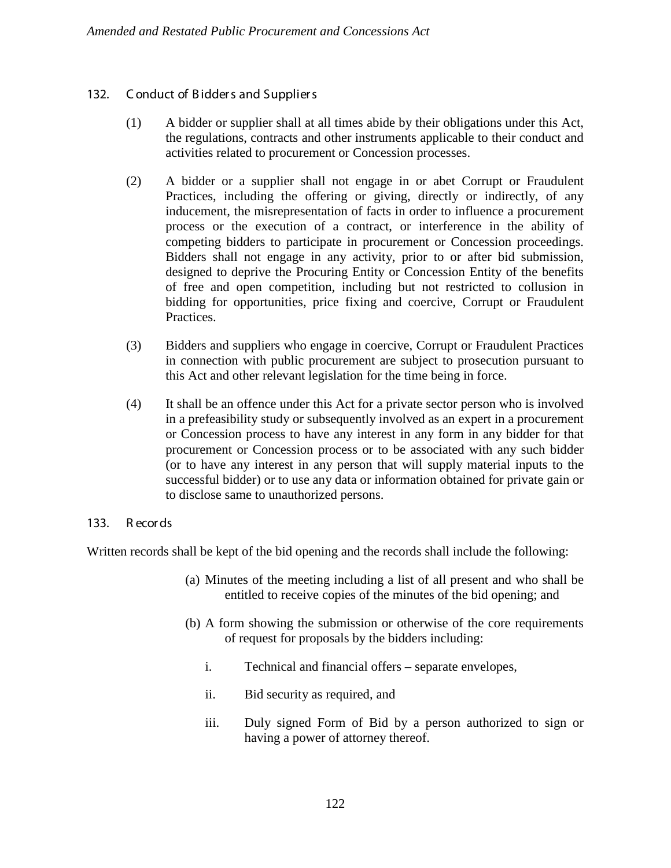### 132. Conduct of Bidders and Suppliers

- (1) A bidder or supplier shall at all times abide by their obligations under this Act, the regulations, contracts and other instruments applicable to their conduct and activities related to procurement or Concession processes.
- (2) A bidder or a supplier shall not engage in or abet Corrupt or Fraudulent Practices, including the offering or giving, directly or indirectly, of any inducement, the misrepresentation of facts in order to influence a procurement process or the execution of a contract, or interference in the ability of competing bidders to participate in procurement or Concession proceedings. Bidders shall not engage in any activity, prior to or after bid submission, designed to deprive the Procuring Entity or Concession Entity of the benefits of free and open competition, including but not restricted to collusion in bidding for opportunities, price fixing and coercive, Corrupt or Fraudulent Practices.
- (3) Bidders and suppliers who engage in coercive, Corrupt or Fraudulent Practices in connection with public procurement are subject to prosecution pursuant to this Act and other relevant legislation for the time being in force.
- (4) It shall be an offence under this Act for a private sector person who is involved in a prefeasibility study or subsequently involved as an expert in a procurement or Concession process to have any interest in any form in any bidder for that procurement or Concession process or to be associated with any such bidder (or to have any interest in any person that will supply material inputs to the successful bidder) or to use any data or information obtained for private gain or to disclose same to unauthorized persons.

### 133. R ecor ds

Written records shall be kept of the bid opening and the records shall include the following:

- (a) Minutes of the meeting including a list of all present and who shall be entitled to receive copies of the minutes of the bid opening; and
- (b) A form showing the submission or otherwise of the core requirements of request for proposals by the bidders including:
	- i. Technical and financial offers separate envelopes,
	- ii. Bid security as required, and
	- iii. Duly signed Form of Bid by a person authorized to sign or having a power of attorney thereof.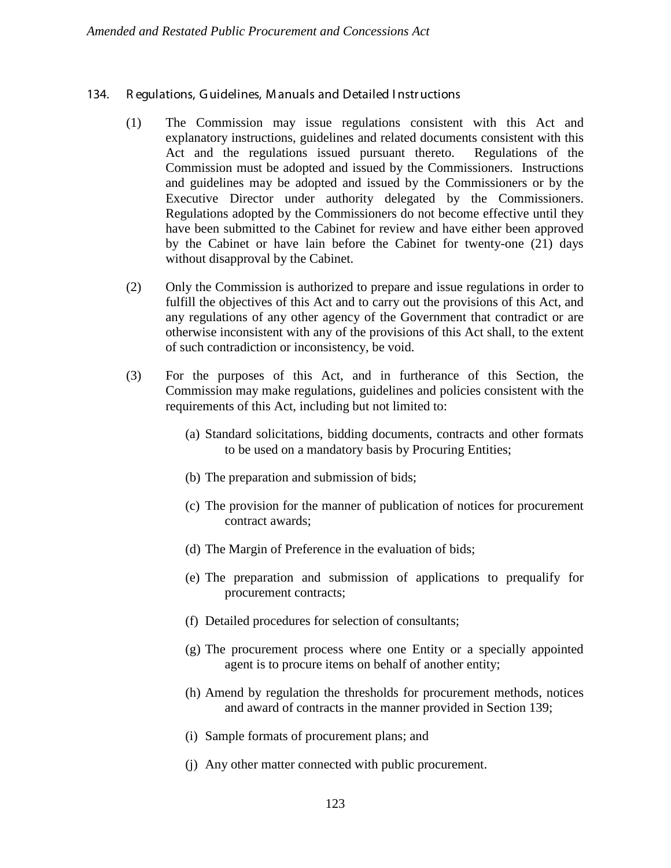### 134. R egulations, G uidelines, M anuals and Detailed I nstr uctions

- (1) The Commission may issue regulations consistent with this Act and explanatory instructions, guidelines and related documents consistent with this Act and the regulations issued pursuant thereto. Regulations of the Commission must be adopted and issued by the Commissioners. Instructions and guidelines may be adopted and issued by the Commissioners or by the Executive Director under authority delegated by the Commissioners. Regulations adopted by the Commissioners do not become effective until they have been submitted to the Cabinet for review and have either been approved by the Cabinet or have lain before the Cabinet for twenty-one (21) days without disapproval by the Cabinet.
- (2) Only the Commission is authorized to prepare and issue regulations in order to fulfill the objectives of this Act and to carry out the provisions of this Act, and any regulations of any other agency of the Government that contradict or are otherwise inconsistent with any of the provisions of this Act shall, to the extent of such contradiction or inconsistency, be void.
- (3) For the purposes of this Act, and in furtherance of this Section, the Commission may make regulations, guidelines and policies consistent with the requirements of this Act, including but not limited to:
	- (a) Standard solicitations, bidding documents, contracts and other formats to be used on a mandatory basis by Procuring Entities;
	- (b) The preparation and submission of bids;
	- (c) The provision for the manner of publication of notices for procurement contract awards;
	- (d) The Margin of Preference in the evaluation of bids;
	- (e) The preparation and submission of applications to prequalify for procurement contracts;
	- (f) Detailed procedures for selection of consultants;
	- (g) The procurement process where one Entity or a specially appointed agent is to procure items on behalf of another entity;
	- (h) Amend by regulation the thresholds for procurement methods, notices and award of contracts in the manner provided in Section 139;
	- (i) Sample formats of procurement plans; and
	- (j) Any other matter connected with public procurement.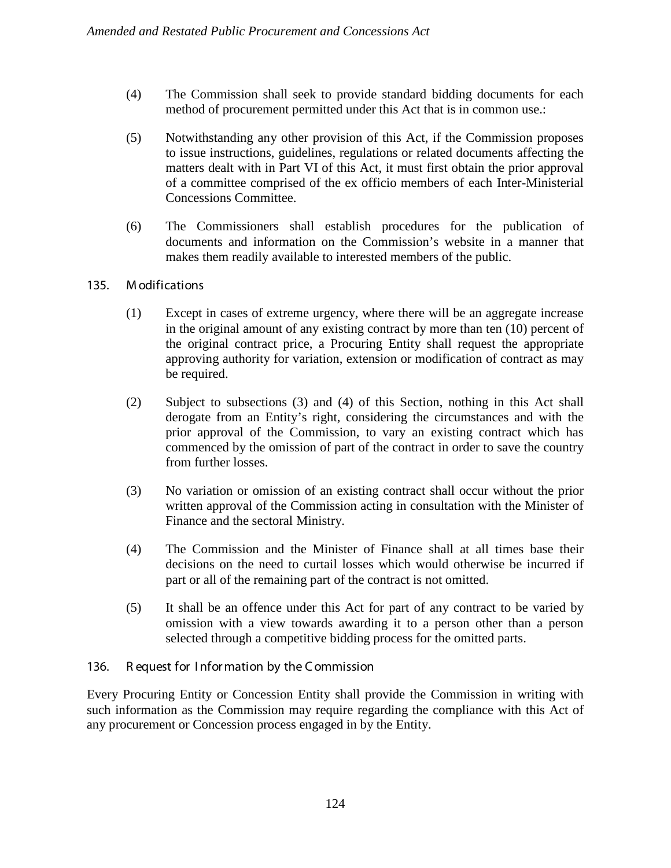- (4) The Commission shall seek to provide standard bidding documents for each method of procurement permitted under this Act that is in common use.:
- (5) Notwithstanding any other provision of this Act, if the Commission proposes to issue instructions, guidelines, regulations or related documents affecting the matters dealt with in Part VI of this Act, it must first obtain the prior approval of a committee comprised of the ex officio members of each Inter-Ministerial Concessions Committee.
- (6) The Commissioners shall establish procedures for the publication of documents and information on the Commission's website in a manner that makes them readily available to interested members of the public.

# 135. M odifications

- (1) Except in cases of extreme urgency, where there will be an aggregate increase in the original amount of any existing contract by more than ten (10) percent of the original contract price, a Procuring Entity shall request the appropriate approving authority for variation, extension or modification of contract as may be required.
- (2) Subject to subsections (3) and (4) of this Section, nothing in this Act shall derogate from an Entity's right, considering the circumstances and with the prior approval of the Commission, to vary an existing contract which has commenced by the omission of part of the contract in order to save the country from further losses.
- (3) No variation or omission of an existing contract shall occur without the prior written approval of the Commission acting in consultation with the Minister of Finance and the sectoral Ministry.
- (4) The Commission and the Minister of Finance shall at all times base their decisions on the need to curtail losses which would otherwise be incurred if part or all of the remaining part of the contract is not omitted.
- (5) It shall be an offence under this Act for part of any contract to be varied by omission with a view towards awarding it to a person other than a person selected through a competitive bidding process for the omitted parts.

# 136. R equest for I nfor mation by the C ommission

Every Procuring Entity or Concession Entity shall provide the Commission in writing with such information as the Commission may require regarding the compliance with this Act of any procurement or Concession process engaged in by the Entity.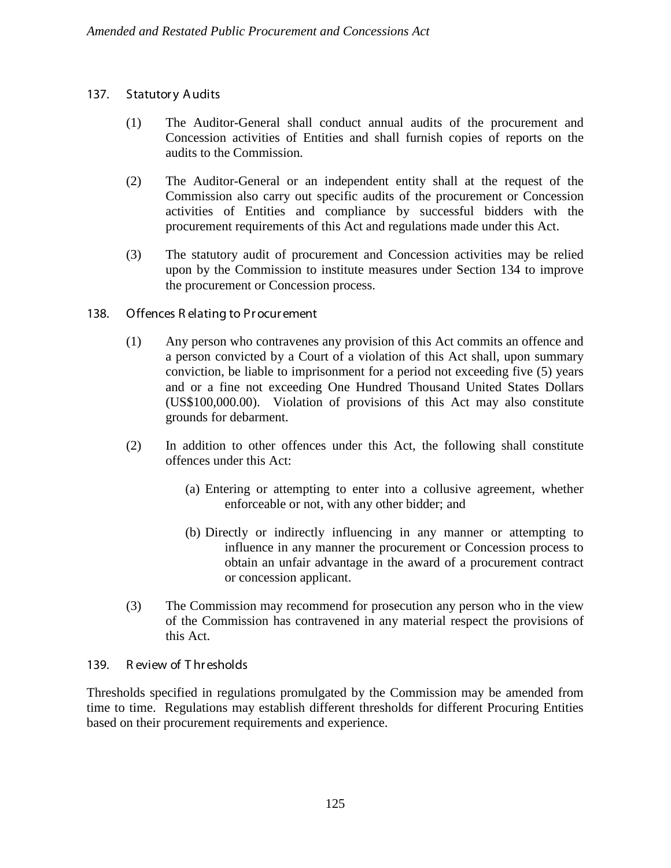# 137. Statutory Audits

- (1) The Auditor-General shall conduct annual audits of the procurement and Concession activities of Entities and shall furnish copies of reports on the audits to the Commission.
- (2) The Auditor-General or an independent entity shall at the request of the Commission also carry out specific audits of the procurement or Concession activities of Entities and compliance by successful bidders with the procurement requirements of this Act and regulations made under this Act.
- (3) The statutory audit of procurement and Concession activities may be relied upon by the Commission to institute measures under Section 134 to improve the procurement or Concession process.
- 138. Offences R elating to Pr ocur ement
	- (1) Any person who contravenes any provision of this Act commits an offence and a person convicted by a Court of a violation of this Act shall, upon summary conviction, be liable to imprisonment for a period not exceeding five (5) years and or a fine not exceeding One Hundred Thousand United States Dollars (US\$100,000.00). Violation of provisions of this Act may also constitute grounds for debarment.
	- (2) In addition to other offences under this Act, the following shall constitute offences under this Act:
		- (a) Entering or attempting to enter into a collusive agreement, whether enforceable or not, with any other bidder; and
		- (b) Directly or indirectly influencing in any manner or attempting to influence in any manner the procurement or Concession process to obtain an unfair advantage in the award of a procurement contract or concession applicant.
	- (3) The Commission may recommend for prosecution any person who in the view of the Commission has contravened in any material respect the provisions of this Act.

### 139. R eview of T hr esholds

Thresholds specified in regulations promulgated by the Commission may be amended from time to time. Regulations may establish different thresholds for different Procuring Entities based on their procurement requirements and experience.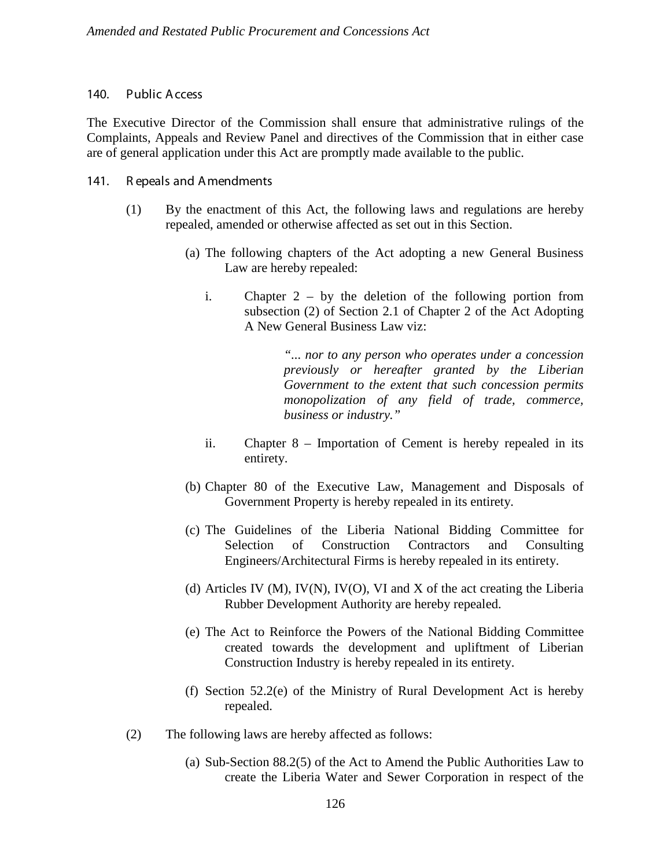#### 140. Public A ccess

The Executive Director of the Commission shall ensure that administrative rulings of the Complaints, Appeals and Review Panel and directives of the Commission that in either case are of general application under this Act are promptly made available to the public.

#### 141. R epeals and A mendments

- (1) By the enactment of this Act, the following laws and regulations are hereby repealed, amended or otherwise affected as set out in this Section.
	- (a) The following chapters of the Act adopting a new General Business Law are hereby repealed:
		- i. Chapter 2 by the deletion of the following portion from subsection (2) of Section 2.1 of Chapter 2 of the Act Adopting A New General Business Law viz:

*"... nor to any person who operates under a concession previously or hereafter granted by the Liberian Government to the extent that such concession permits monopolization of any field of trade, commerce, business or industry."*

- ii. Chapter 8 Importation of Cement is hereby repealed in its entirety.
- (b) Chapter 80 of the Executive Law, Management and Disposals of Government Property is hereby repealed in its entirety.
- (c) The Guidelines of the Liberia National Bidding Committee for Selection of Construction Contractors and Consulting Engineers/Architectural Firms is hereby repealed in its entirety.
- (d) Articles IV (M), IV(N), IV(O), VI and X of the act creating the Liberia Rubber Development Authority are hereby repealed.
- (e) The Act to Reinforce the Powers of the National Bidding Committee created towards the development and upliftment of Liberian Construction Industry is hereby repealed in its entirety.
- (f) Section 52.2(e) of the Ministry of Rural Development Act is hereby repealed.
- (2) The following laws are hereby affected as follows:
	- (a) Sub-Section 88.2(5) of the Act to Amend the Public Authorities Law to create the Liberia Water and Sewer Corporation in respect of the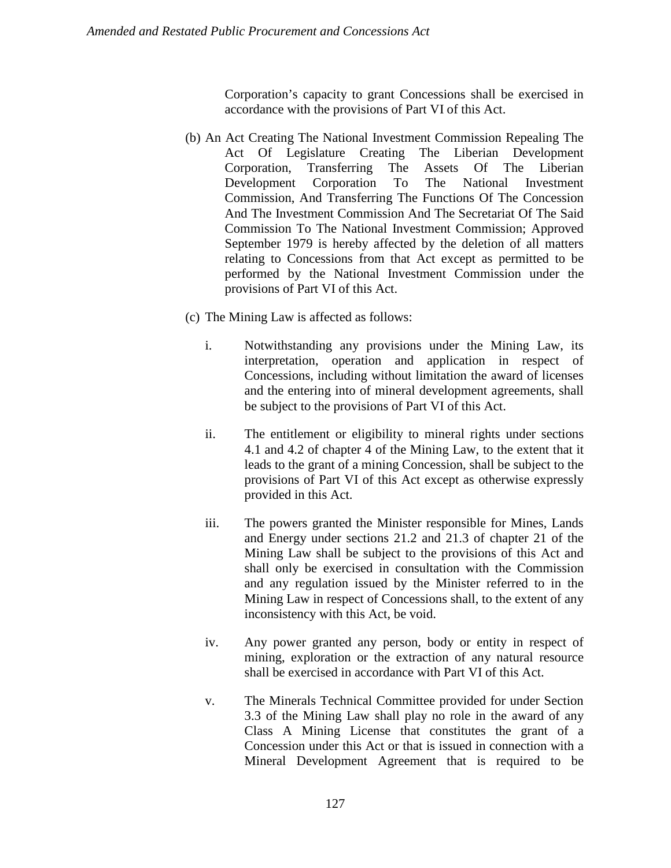Corporation's capacity to grant Concessions shall be exercised in accordance with the provisions of Part VI of this Act.

- (b) An Act Creating The National Investment Commission Repealing The Act Of Legislature Creating The Liberian Development Corporation, Transferring The Assets Of The Liberian Development Corporation To The National Investment Commission, And Transferring The Functions Of The Concession And The Investment Commission And The Secretariat Of The Said Commission To The National Investment Commission; Approved September 1979 is hereby affected by the deletion of all matters relating to Concessions from that Act except as permitted to be performed by the National Investment Commission under the provisions of Part VI of this Act.
- (c) The Mining Law is affected as follows:
	- i. Notwithstanding any provisions under the Mining Law, its interpretation, operation and application in respect of Concessions, including without limitation the award of licenses and the entering into of mineral development agreements, shall be subject to the provisions of Part VI of this Act.
	- ii. The entitlement or eligibility to mineral rights under sections 4.1 and 4.2 of chapter 4 of the Mining Law, to the extent that it leads to the grant of a mining Concession, shall be subject to the provisions of Part VI of this Act except as otherwise expressly provided in this Act.
	- iii. The powers granted the Minister responsible for Mines, Lands and Energy under sections 21.2 and 21.3 of chapter 21 of the Mining Law shall be subject to the provisions of this Act and shall only be exercised in consultation with the Commission and any regulation issued by the Minister referred to in the Mining Law in respect of Concessions shall, to the extent of any inconsistency with this Act, be void.
	- iv. Any power granted any person, body or entity in respect of mining, exploration or the extraction of any natural resource shall be exercised in accordance with Part VI of this Act.
	- v. The Minerals Technical Committee provided for under Section 3.3 of the Mining Law shall play no role in the award of any Class A Mining License that constitutes the grant of a Concession under this Act or that is issued in connection with a Mineral Development Agreement that is required to be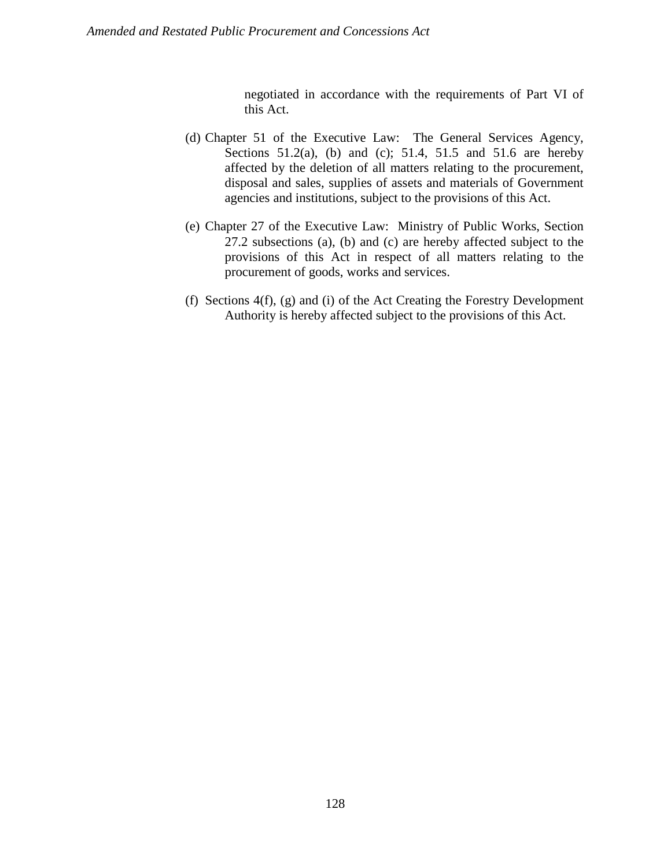negotiated in accordance with the requirements of Part VI of this Act.

- (d) Chapter 51 of the Executive Law: The General Services Agency, Sections  $51.2(a)$ , (b) and (c);  $51.4$ ,  $51.5$  and  $51.6$  are hereby affected by the deletion of all matters relating to the procurement, disposal and sales, supplies of assets and materials of Government agencies and institutions, subject to the provisions of this Act.
- (e) Chapter 27 of the Executive Law: Ministry of Public Works, Section 27.2 subsections (a), (b) and (c) are hereby affected subject to the provisions of this Act in respect of all matters relating to the procurement of goods, works and services.
- (f) Sections 4(f), (g) and (i) of the Act Creating the Forestry Development Authority is hereby affected subject to the provisions of this Act.